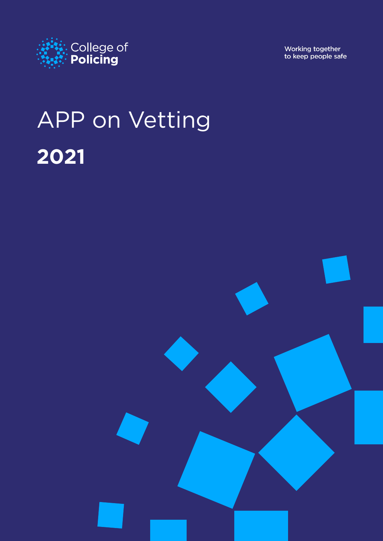

Working together<br>to keep people safe

# APP on Vetting **2021**

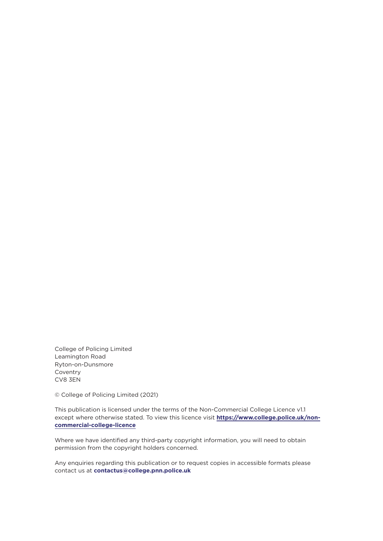College of Policing Limited Leamington Road Ryton-on-Dunsmore Coventry CV8 3EN

© College of Policing Limited (2021)

This publication is licensed under the terms of the Non-Commercial College Licence v1.1 except where otherwise stated. To view this licence visit **[https://www.college.police.uk/non](https://www.college.police.uk/non-commercial-college-licence)[commercial-college-licence](https://www.college.police.uk/non-commercial-college-licence)**

Where we have identified any third-party copyright information, you will need to obtain permission from the copyright holders concerned.

Any enquiries regarding this publication or to request copies in accessible formats please contact us at **[contactus@college.pnn.police.uk](mailto:contactus%40college.pnn.police.uk?subject=APP%20on%20Vetting)**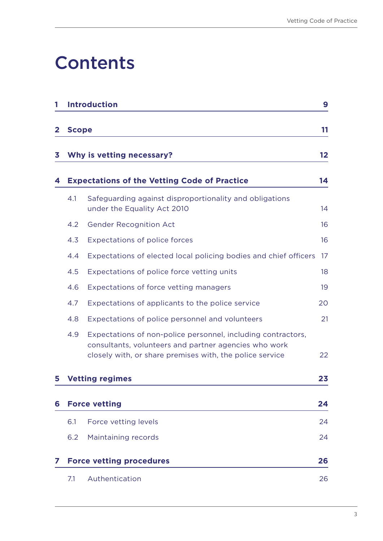# **Contents**

| 1 |              | <b>Introduction</b>                                                                                                                                                               | 9       |
|---|--------------|-----------------------------------------------------------------------------------------------------------------------------------------------------------------------------------|---------|
| 2 | <b>Scope</b> |                                                                                                                                                                                   | 11      |
| 3 |              | Why is vetting necessary?                                                                                                                                                         | $12 \,$ |
| 4 |              | <b>Expectations of the Vetting Code of Practice</b>                                                                                                                               | 14      |
|   | 4.1          | Safeguarding against disproportionality and obligations<br>under the Equality Act 2010                                                                                            | 14      |
|   | 4.2          | <b>Gender Recognition Act</b>                                                                                                                                                     | 16      |
|   | 4.3          | <b>Expectations of police forces</b>                                                                                                                                              | 16      |
|   | 4.4          | Expectations of elected local policing bodies and chief officers                                                                                                                  | 17      |
|   | 4.5          | Expectations of police force vetting units                                                                                                                                        | 18      |
|   | 4.6          | Expectations of force vetting managers                                                                                                                                            | 19      |
|   | 4.7          | Expectations of applicants to the police service                                                                                                                                  | 20      |
|   | 4.8          | Expectations of police personnel and volunteers                                                                                                                                   | 21      |
|   | 4.9          | Expectations of non-police personnel, including contractors,<br>consultants, volunteers and partner agencies who work<br>closely with, or share premises with, the police service | 22      |
| 5 |              | <b>Vetting regimes</b>                                                                                                                                                            | 23      |
| 6 |              | <b>Force vetting</b>                                                                                                                                                              | 24      |
|   | 6.1          | Force vetting levels                                                                                                                                                              | 24      |
|   | 6.2          | Maintaining records                                                                                                                                                               | 24      |
| 7 |              | <b>Force vetting procedures</b>                                                                                                                                                   | 26      |
|   | 7.1          | Authentication                                                                                                                                                                    | 26      |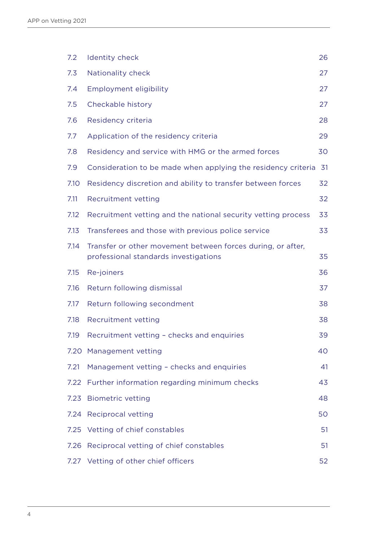| 7.2  | Identity check                                                                                       | 26 |
|------|------------------------------------------------------------------------------------------------------|----|
| 7.3  | Nationality check                                                                                    | 27 |
| 7.4  | Employment eligibility                                                                               | 27 |
| 7.5  | Checkable history                                                                                    | 27 |
| 7.6  | Residency criteria                                                                                   | 28 |
| 7.7  | Application of the residency criteria                                                                | 29 |
| 7.8  | Residency and service with HMG or the armed forces                                                   | 30 |
| 7.9  | Consideration to be made when applying the residency criteria                                        | 31 |
| 7.10 | Residency discretion and ability to transfer between forces                                          | 32 |
| 7.11 | Recruitment vetting                                                                                  | 32 |
| 7.12 | Recruitment vetting and the national security vetting process                                        | 33 |
| 7.13 | Transferees and those with previous police service                                                   | 33 |
| 7.14 | Transfer or other movement between forces during, or after,<br>professional standards investigations | 35 |
| 7.15 | Re-joiners                                                                                           | 36 |
| 7.16 | Return following dismissal                                                                           | 37 |
| 7.17 | Return following secondment                                                                          | 38 |
| 7.18 | Recruitment vetting                                                                                  | 38 |
| 7.19 | Recruitment vetting - checks and enquiries                                                           | 39 |
|      | 7.20 Management vetting                                                                              | 40 |
| 7.21 | Management vetting - checks and enquiries                                                            | 41 |
|      | 7.22 Further information regarding minimum checks                                                    | 43 |
| 7.23 | <b>Biometric vetting</b>                                                                             | 48 |
| 7.24 | <b>Reciprocal vetting</b>                                                                            | 50 |
| 7.25 | Vetting of chief constables                                                                          | 51 |
| 7.26 | Reciprocal vetting of chief constables                                                               | 51 |
| 7.27 | Vetting of other chief officers                                                                      | 52 |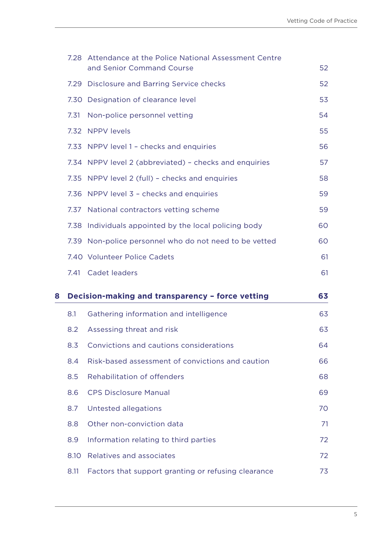|   | 7.28 | Attendance at the Police National Assessment Centre<br>and Senior Command Course | 52 |
|---|------|----------------------------------------------------------------------------------|----|
|   | 7.29 | <b>Disclosure and Barring Service checks</b>                                     | 52 |
|   |      | 7.30 Designation of clearance level                                              | 53 |
|   | 7.31 | Non-police personnel vetting                                                     | 54 |
|   |      | 7.32 NPPV levels                                                                 | 55 |
|   |      | 7.33 NPPV level 1 - checks and enquiries                                         | 56 |
|   |      | 7.34 NPPV level 2 (abbreviated) - checks and enquiries                           | 57 |
|   | 7.35 | NPPV level 2 (full) - checks and enquiries                                       | 58 |
|   |      | 7.36 NPPV level 3 - checks and enquiries                                         | 59 |
|   |      | 7.37 National contractors vetting scheme                                         | 59 |
|   | 7.38 | Individuals appointed by the local policing body                                 | 60 |
|   | 7.39 | Non-police personnel who do not need to be vetted                                | 60 |
|   |      | 7.40 Volunteer Police Cadets                                                     | 61 |
|   |      |                                                                                  |    |
|   |      | 7.41 Cadet leaders                                                               | 61 |
|   |      | Decision-making and transparency - force vetting                                 | 63 |
|   | 8.1  | Gathering information and intelligence                                           | 63 |
|   | 8.2  | Assessing threat and risk                                                        | 63 |
| 8 | 8.3  | Convictions and cautions considerations                                          | 64 |
|   | 8.4  | Risk-based assessment of convictions and caution                                 | 66 |
|   | 8.5  | Rehabilitation of offenders                                                      | 68 |
|   | 8.6  | <b>CPS Disclosure Manual</b>                                                     | 69 |
|   | 8.7  | Untested allegations                                                             | 70 |
|   | 8.8  | Other non-conviction data                                                        | 71 |
|   | 8.9  | Information relating to third parties                                            | 72 |
|   | 8.10 | Relatives and associates                                                         | 72 |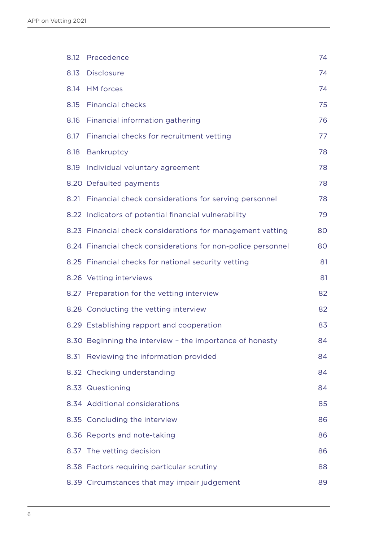| 8.12 | Precedence                                                   | 74 |
|------|--------------------------------------------------------------|----|
| 8.13 | <b>Disclosure</b>                                            | 74 |
| 8.14 | <b>HM</b> forces                                             | 74 |
| 8.15 | <b>Financial checks</b>                                      | 75 |
| 8.16 | Financial information gathering                              | 76 |
| 8.17 | Financial checks for recruitment vetting                     | 77 |
| 8.18 | Bankruptcy                                                   | 78 |
| 8.19 | Individual voluntary agreement                               | 78 |
|      | 8.20 Defaulted payments                                      | 78 |
| 8.21 | Financial check considerations for serving personnel         | 78 |
|      | 8.22 Indicators of potential financial vulnerability         | 79 |
|      | 8.23 Financial check considerations for management vetting   | 80 |
|      | 8.24 Financial check considerations for non-police personnel | 80 |
|      | 8.25 Financial checks for national security vetting          | 81 |
|      | 8.26 Vetting interviews                                      | 81 |
|      | 8.27 Preparation for the vetting interview                   | 82 |
|      | 8.28 Conducting the vetting interview                        | 82 |
|      | 8.29 Establishing rapport and cooperation                    | 83 |
|      | 8.30 Beginning the interview - the importance of honesty     | 84 |
| 8.31 | Reviewing the information provided                           | 84 |
|      | 8.32 Checking understanding                                  | 84 |
|      | 8.33 Questioning                                             | 84 |
|      | 8.34 Additional considerations                               | 85 |
|      | 8.35 Concluding the interview                                | 86 |
|      | 8.36 Reports and note-taking                                 | 86 |
| 8.37 | The vetting decision                                         | 86 |
|      | 8.38 Factors requiring particular scrutiny                   | 88 |
|      | 8.39 Circumstances that may impair judgement                 | 89 |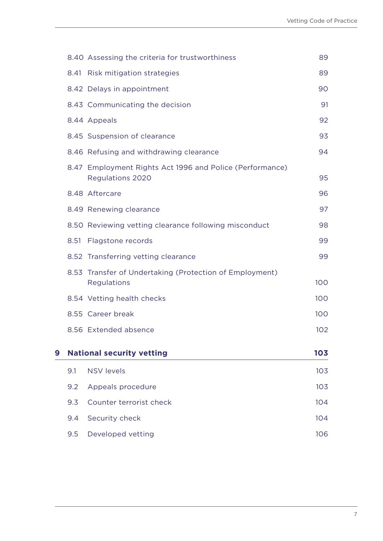|   |      | 8.40 Assessing the criteria for trustworthiness                                     | 89  |
|---|------|-------------------------------------------------------------------------------------|-----|
|   | 8.41 | <b>Risk mitigation strategies</b>                                                   | 89  |
|   |      | 8.42 Delays in appointment                                                          | 90  |
|   |      | 8.43 Communicating the decision                                                     | 91  |
|   |      | 8.44 Appeals                                                                        | 92  |
|   |      | 8.45 Suspension of clearance                                                        | 93  |
|   |      | 8.46 Refusing and withdrawing clearance                                             | 94  |
|   |      | 8.47 Employment Rights Act 1996 and Police (Performance)<br><b>Regulations 2020</b> | 95  |
|   |      | 8.48 Aftercare                                                                      | 96  |
|   |      | 8.49 Renewing clearance                                                             | 97  |
|   |      | 8.50 Reviewing vetting clearance following misconduct                               | 98  |
|   | 8.51 | Flagstone records                                                                   | 99  |
|   |      | 8.52 Transferring vetting clearance                                                 | 99  |
|   | 8.53 | Transfer of Undertaking (Protection of Employment)<br>Regulations                   | 100 |
|   |      | 8.54 Vetting health checks                                                          | 100 |
|   |      | 8.55 Career break                                                                   | 100 |
|   |      | 8.56 Extended absence                                                               | 102 |
| 9 |      | <b>National security vetting</b>                                                    | 103 |
|   | 9.1  | <b>NSV levels</b>                                                                   | 103 |
|   | 9.2  | Appeals procedure                                                                   | 103 |
|   | 9.3  | Counter terrorist check                                                             | 104 |
|   | 9.4  | Security check                                                                      | 104 |
|   | 9.5  | Developed vetting                                                                   | 106 |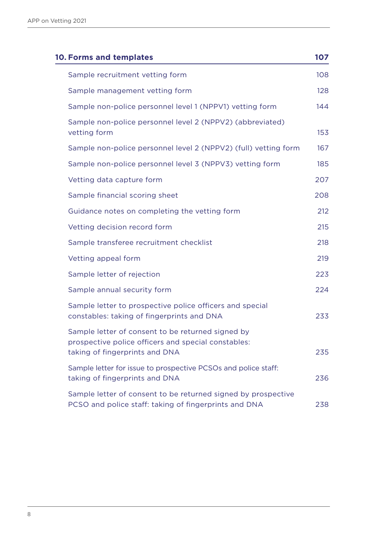| <b>10. Forms and templates</b>                                                                                                             | 107 |
|--------------------------------------------------------------------------------------------------------------------------------------------|-----|
| Sample recruitment vetting form                                                                                                            | 108 |
| Sample management vetting form                                                                                                             | 128 |
| Sample non-police personnel level 1 (NPPV1) vetting form                                                                                   | 144 |
| Sample non-police personnel level 2 (NPPV2) (abbreviated)<br>vetting form                                                                  | 153 |
| Sample non-police personnel level 2 (NPPV2) (full) vetting form                                                                            | 167 |
| Sample non-police personnel level 3 (NPPV3) vetting form                                                                                   | 185 |
| Vetting data capture form                                                                                                                  | 207 |
| Sample financial scoring sheet                                                                                                             | 208 |
| Guidance notes on completing the vetting form                                                                                              | 212 |
| Vetting decision record form                                                                                                               | 215 |
| Sample transferee recruitment checklist                                                                                                    | 218 |
| Vetting appeal form                                                                                                                        | 219 |
| Sample letter of rejection                                                                                                                 | 223 |
| Sample annual security form                                                                                                                | 224 |
| Sample letter to prospective police officers and special<br>constables: taking of fingerprints and DNA                                     | 233 |
| Sample letter of consent to be returned signed by<br>prospective police officers and special constables:<br>taking of fingerprints and DNA | 235 |
| Sample letter for issue to prospective PCSOs and police staff:<br>taking of fingerprints and DNA                                           | 236 |
| Sample letter of consent to be returned signed by prospective<br>PCSO and police staff: taking of fingerprints and DNA                     | 238 |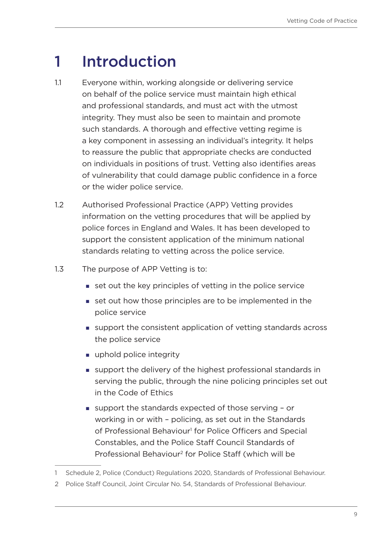### <span id="page-8-0"></span>1 Introduction

- 1.1 Everyone within, working alongside or delivering service on behalf of the police service must maintain high ethical and professional standards, and must act with the utmost integrity. They must also be seen to maintain and promote such standards. A thorough and effective vetting regime is a key component in assessing an individual's integrity. It helps to reassure the public that appropriate checks are conducted on individuals in positions of trust. Vetting also identifies areas of vulnerability that could damage public confidence in a force or the wider police service.
- 1.2 Authorised Professional Practice (APP) Vetting provides information on the vetting procedures that will be applied by police forces in England and Wales. It has been developed to support the consistent application of the minimum national standards relating to vetting across the police service.
- 1.3 The purpose of APP Vetting is to:
	- set out the key principles of vetting in the police service
	- set out how those principles are to be implemented in the police service
	- support the consistent application of vetting standards across the police service
	- uphold police integrity
	- support the delivery of the highest professional standards in serving the public, through the nine policing principles set out in the Code of Ethics
	- support the standards expected of those serving or working in or with – policing, as set out in the Standards of Professional Behaviour<sup>1</sup> for Police Officers and Special Constables, and the Police Staff Council Standards of Professional Behaviour2 for Police Staff (which will be

<sup>1</sup> Schedule 2, Police (Conduct) Regulations 2020, Standards of Professional Behaviour.

<sup>2</sup> Police Staff Council, Joint Circular No. 54, Standards of Professional Behaviour.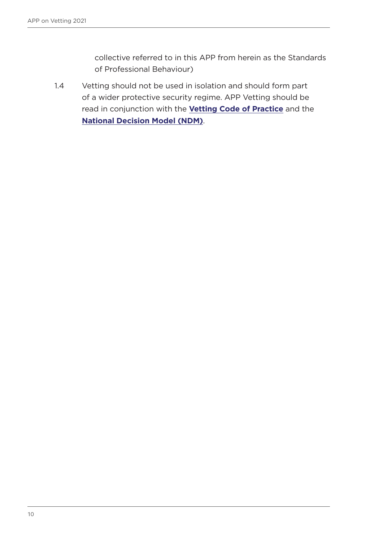collective referred to in this APP from herein as the Standards of Professional Behaviour)

1.4 Vetting should not be used in isolation and should form part of a wider protective security regime. APP Vetting should be read in conjunction with the **[Vetting Code of Practice](https://library.college.police.uk/docs/college-of-policing/Vetting-Code-of-Practice-2017.pdf)** and the **[National Decision Model \(NDM\)](https://www.app.college.police.uk/app-content/national-decision-model/the-national-decision-model/#the-model)**.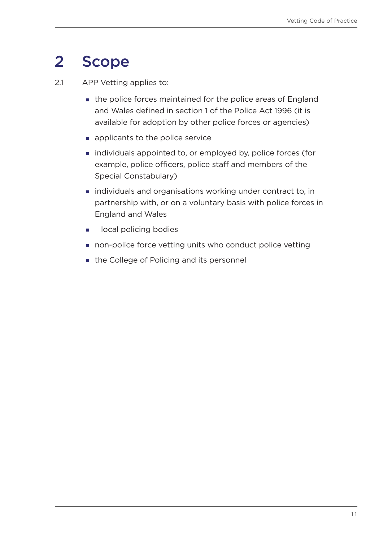### <span id="page-10-0"></span>2 Scope

2.1 APP Vetting applies to:

- the police forces maintained for the police areas of England and Wales defined in section 1 of the Police Act 1996 (it is available for adoption by other police forces or agencies)
- **applicants to the police service**
- **igmarge individuals appointed to, or employed by, police forces (for** example, police officers, police staff and members of the Special Constabulary)
- individuals and organisations working under contract to, in partnership with, or on a voluntary basis with police forces in England and Wales
- **I** local policing bodies
- non-police force vetting units who conduct police vetting
- the College of Policing and its personnel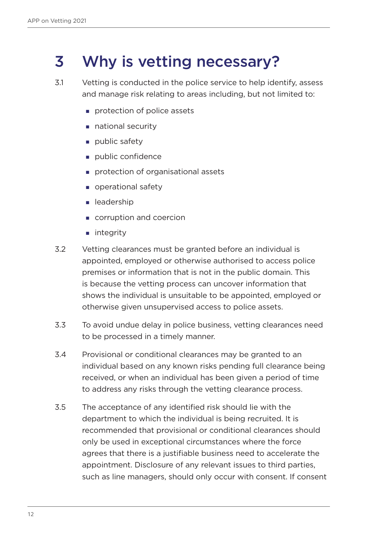### <span id="page-11-0"></span>3 Why is vetting necessary?

- 3.1 Vetting is conducted in the police service to help identify, assess and manage risk relating to areas including, but not limited to:
	- protection of police assets
	- national security
	- $\blacksquare$  public safety
	- public confidence
	- protection of organisational assets
	- operational safety
	- **Leadership**
	- corruption and coercion
	- **n** integrity
- 3.2 Vetting clearances must be granted before an individual is appointed, employed or otherwise authorised to access police premises or information that is not in the public domain. This is because the vetting process can uncover information that shows the individual is unsuitable to be appointed, employed or otherwise given unsupervised access to police assets.
- 3.3 To avoid undue delay in police business, vetting clearances need to be processed in a timely manner.
- 3.4 Provisional or conditional clearances may be granted to an individual based on any known risks pending full clearance being received, or when an individual has been given a period of time to address any risks through the vetting clearance process.
- 3.5 The acceptance of any identified risk should lie with the department to which the individual is being recruited. It is recommended that provisional or conditional clearances should only be used in exceptional circumstances where the force agrees that there is a justifiable business need to accelerate the appointment. Disclosure of any relevant issues to third parties, such as line managers, should only occur with consent. If consent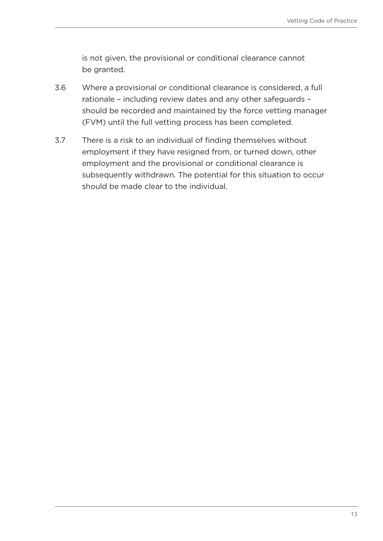is not given, the provisional or conditional clearance cannot be granted.

- 3.6 Where a provisional or conditional clearance is considered, a full rationale – including review dates and any other safeguards – should be recorded and maintained by the force vetting manager (FVM) until the full vetting process has been completed.
- 3.7 There is a risk to an individual of finding themselves without employment if they have resigned from, or turned down, other employment and the provisional or conditional clearance is subsequently withdrawn. The potential for this situation to occur should be made clear to the individual.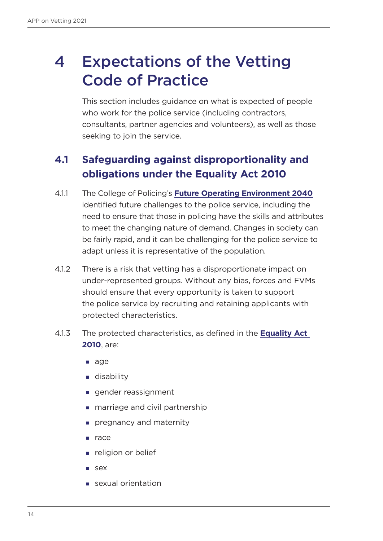## <span id="page-13-0"></span>4 Expectations of the Vetting Code of Practice

This section includes guidance on what is expected of people who work for the police service (including contractors, consultants, partner agencies and volunteers), as well as those seeking to join the service.

### **4.1 Safeguarding against disproportionality and obligations under the Equality Act 2010**

- 4.1.1 The College of Policing's **[Future Operating Environment 2040](https://www.college.police.uk/article/preparing-policing-future-challenges-and-demands)** identified future challenges to the police service, including the need to ensure that those in policing have the skills and attributes to meet the changing nature of demand. Changes in society can be fairly rapid, and it can be challenging for the police service to adapt unless it is representative of the population.
- 4.1.2 There is a risk that vetting has a disproportionate impact on under-represented groups. Without any bias, forces and FVMs should ensure that every opportunity is taken to support the police service by recruiting and retaining applicants with protected characteristics.
- 4.1.3 The protected characteristics, as defined in the **[Equality Act](https://www.legislation.gov.uk/ukpga/2010/15/contents)  [2010](https://www.legislation.gov.uk/ukpga/2010/15/contents)**, are:
	- age
	- **disability**
	- gender reassignment
	- **marriage and civil partnership**
	- **pregnancy and maternity**
	- $rac{e}{2}$  race
	- **religion or belief**
	- **sex**
	- sexual orientation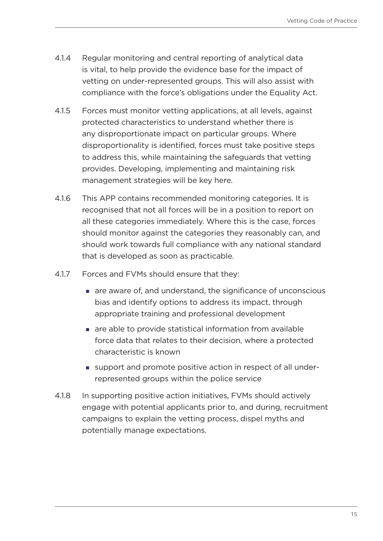- 4.1.4 Regular monitoring and central reporting of analytical data is vital, to help provide the evidence base for the impact of vetting on under-represented groups. This will also assist with compliance with the force's obligations under the Equality Act.
- 4.1.5 Forces must monitor vetting applications, at all levels, against protected characteristics to understand whether there is any disproportionate impact on particular groups. Where disproportionality is identified, forces must take positive steps to address this, while maintaining the safeguards that vetting provides. Developing, implementing and maintaining risk management strategies will be key here.
- 4.1.6 This APP contains recommended monitoring categories. It is recognised that not all forces will be in a position to report on all these categories immediately. Where this is the case, forces should monitor against the categories they reasonably can, and should work towards full compliance with any national standard that is developed as soon as practicable.
- 4.1.7 Forces and FVMs should ensure that they:
	- are aware of, and understand, the significance of unconscious bias and identify options to address its impact, through appropriate training and professional development
	- **a** are able to provide statistical information from available force data that relates to their decision, where a protected characteristic is known
	- support and promote positive action in respect of all underrepresented groups within the police service
- 4.1.8 In supporting positive action initiatives, FVMs should actively engage with potential applicants prior to, and during, recruitment campaigns to explain the vetting process, dispel myths and potentially manage expectations.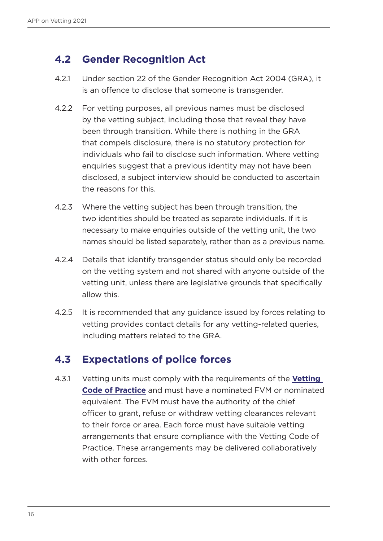### <span id="page-15-0"></span>**4.2 Gender Recognition Act**

- 4.2.1 Under section 22 of the Gender Recognition Act 2004 (GRA), it is an offence to disclose that someone is transgender.
- 4.2.2 For vetting purposes, all previous names must be disclosed by the vetting subject, including those that reveal they have been through transition. While there is nothing in the GRA that compels disclosure, there is no statutory protection for individuals who fail to disclose such information. Where vetting enquiries suggest that a previous identity may not have been disclosed, a subject interview should be conducted to ascertain the reasons for this.
- 4.2.3 Where the vetting subject has been through transition, the two identities should be treated as separate individuals. If it is necessary to make enquiries outside of the vetting unit, the two names should be listed separately, rather than as a previous name.
- 4.2.4 Details that identify transgender status should only be recorded on the vetting system and not shared with anyone outside of the vetting unit, unless there are legislative grounds that specifically allow this.
- 4.2.5 It is recommended that any guidance issued by forces relating to vetting provides contact details for any vetting-related queries, including matters related to the GRA.

### **4.3 Expectations of police forces**

4.3.1 Vetting units must comply with the requirements of the **[Vetting](https://library.college.police.uk/docs/college-of-policing/Vetting-Code-of-Practice-2017.pdf)  [Code of Practice](https://library.college.police.uk/docs/college-of-policing/Vetting-Code-of-Practice-2017.pdf)** and must have a nominated FVM or nominated equivalent. The FVM must have the authority of the chief officer to grant, refuse or withdraw vetting clearances relevant to their force or area. Each force must have suitable vetting arrangements that ensure compliance with the Vetting Code of Practice. These arrangements may be delivered collaboratively with other forces.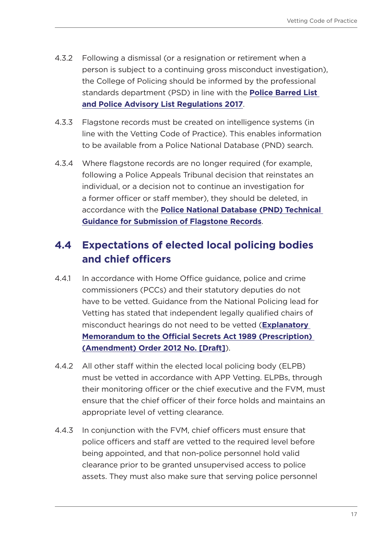- <span id="page-16-0"></span>4.3.2 Following a dismissal (or a resignation or retirement when a person is subject to a continuing gross misconduct investigation), the College of Policing should be informed by the professional standards department (PSD) in line with the **[Police Barred List](https://www.legislation.gov.uk/uksi/2017/1135/contents/made)  [and Police Advisory List Regulations 2017](https://www.legislation.gov.uk/uksi/2017/1135/contents/made)**.
- 4.3.3 Flagstone records must be created on intelligence systems (in line with the Vetting Code of Practice). This enables information to be available from a Police National Database (PND) search.
- 4.3.4 Where flagstone records are no longer required (for example, following a Police Appeals Tribunal decision that reinstates an individual, or a decision not to continue an investigation for a former officer or staff member), they should be deleted, in accordance with the **[Police National Database \(PND\) Technical](https://library.college.police.uk/docs/appref/Police-National-Database-Flagstone-Submission-Guidance-v1-2-Redacted.pdf)  [Guidance for Submission of Flagstone Records](https://library.college.police.uk/docs/appref/Police-National-Database-Flagstone-Submission-Guidance-v1-2-Redacted.pdf)**.

### **4.4 Expectations of elected local policing bodies and chief officers**

- 4.4.1 In accordance with Home Office guidance, police and crime commissioners (PCCs) and their statutory deputies do not have to be vetted. Guidance from the National Policing lead for Vetting has stated that independent legally qualified chairs of misconduct hearings do not need to be vetted (**[Explanatory](https://www.legislation.gov.uk/ukdsi/2012/9780111526071/contents)  [Memorandum to the Official Secrets Act 1989 \(Prescription\)](https://www.legislation.gov.uk/ukdsi/2012/9780111526071/contents)  [\(Amendment\) Order 2012 No. \[Draft\]](https://www.legislation.gov.uk/ukdsi/2012/9780111526071/contents)**).
- 4.4.2 All other staff within the elected local policing body (ELPB) must be vetted in accordance with APP Vetting. ELPBs, through their monitoring officer or the chief executive and the FVM, must ensure that the chief officer of their force holds and maintains an appropriate level of vetting clearance.
- 4.4.3 In conjunction with the FVM, chief officers must ensure that police officers and staff are vetted to the required level before being appointed, and that non-police personnel hold valid clearance prior to be granted unsupervised access to police assets. They must also make sure that serving police personnel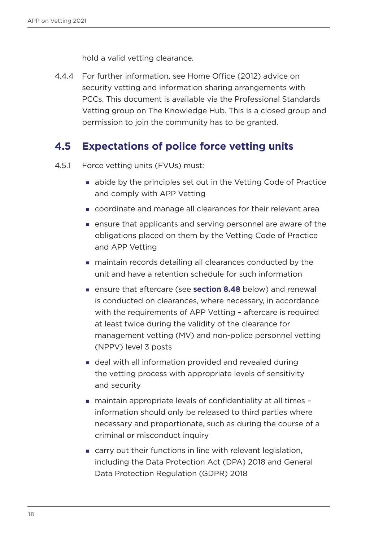hold a valid vetting clearance.

<span id="page-17-0"></span>4.4.4 For further information, see Home Office (2012) advice on security vetting and information sharing arrangements with PCCs. This document is available via the Professional Standards Vetting group on The Knowledge Hub. This is a closed group and permission to join the community has to be granted.

#### **4.5 Expectations of police force vetting units**

- 4.5.1 Force vetting units (FVUs) must:
	- abide by the principles set out in the Vetting Code of Practice and comply with APP Vetting
	- coordinate and manage all clearances for their relevant area
	- ensure that applicants and serving personnel are aware of the obligations placed on them by the Vetting Code of Practice and APP Vetting
	- maintain records detailing all clearances conducted by the unit and have a retention schedule for such information
	- ensure that aftercare (see **[section 8.48](#page-95-1)** below) and renewal is conducted on clearances, where necessary, in accordance with the requirements of APP Vetting – aftercare is required at least twice during the validity of the clearance for management vetting (MV) and non-police personnel vetting (NPPV) level 3 posts
	- deal with all information provided and revealed during the vetting process with appropriate levels of sensitivity and security
	- maintain appropriate levels of confidentiality at all times information should only be released to third parties where necessary and proportionate, such as during the course of a criminal or misconduct inquiry
	- carry out their functions in line with relevant legislation, including the Data Protection Act (DPA) 2018 and General Data Protection Regulation (GDPR) 2018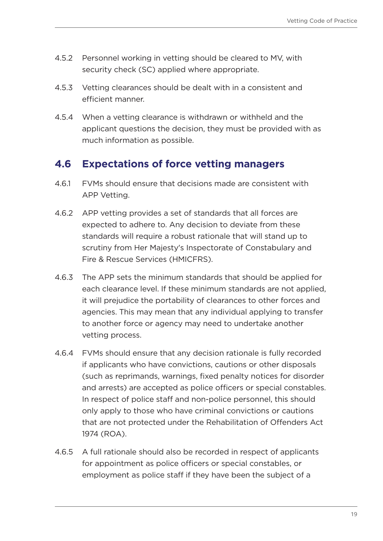- <span id="page-18-0"></span>4.5.2 Personnel working in vetting should be cleared to MV, with security check (SC) applied where appropriate.
- 4.5.3 Vetting clearances should be dealt with in a consistent and efficient manner.
- 4.5.4 When a vetting clearance is withdrawn or withheld and the applicant questions the decision, they must be provided with as much information as possible.

### **4.6 Expectations of force vetting managers**

- 4.6.1 FVMs should ensure that decisions made are consistent with APP Vetting.
- 4.6.2 APP vetting provides a set of standards that all forces are expected to adhere to. Any decision to deviate from these standards will require a robust rationale that will stand up to scrutiny from Her Majesty's Inspectorate of Constabulary and Fire & Rescue Services (HMICFRS).
- 4.6.3 The APP sets the minimum standards that should be applied for each clearance level. If these minimum standards are not applied, it will prejudice the portability of clearances to other forces and agencies. This may mean that any individual applying to transfer to another force or agency may need to undertake another vetting process.
- 4.6.4 FVMs should ensure that any decision rationale is fully recorded if applicants who have convictions, cautions or other disposals (such as reprimands, warnings, fixed penalty notices for disorder and arrests) are accepted as police officers or special constables. In respect of police staff and non-police personnel, this should only apply to those who have criminal convictions or cautions that are not protected under the Rehabilitation of Offenders Act 1974 (ROA).
- 4.6.5 A full rationale should also be recorded in respect of applicants for appointment as police officers or special constables, or employment as police staff if they have been the subject of a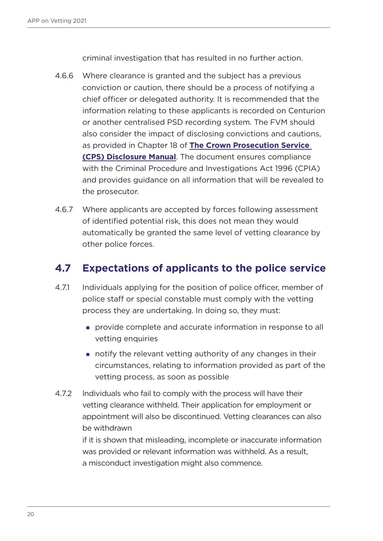criminal investigation that has resulted in no further action.

- <span id="page-19-0"></span>4.6.6 Where clearance is granted and the subject has a previous conviction or caution, there should be a process of notifying a chief officer or delegated authority. It is recommended that the information relating to these applicants is recorded on Centurion or another centralised PSD recording system. The FVM should also consider the impact of disclosing convictions and cautions, as provided in Chapter 18 of **[The Crown Prosecution Service](https://www.cps.gov.uk/legal-guidance/disclosure-manual)  [\(CPS\) Disclosure Manual](https://www.cps.gov.uk/legal-guidance/disclosure-manual)**. The document ensures compliance with the Criminal Procedure and Investigations Act 1996 (CPIA) and provides guidance on all information that will be revealed to the prosecutor.
- 4.6.7 Where applicants are accepted by forces following assessment of identified potential risk, this does not mean they would automatically be granted the same level of vetting clearance by other police forces.

### **4.7 Expectations of applicants to the police service**

- 4.7.1 Individuals applying for the position of police officer, member of police staff or special constable must comply with the vetting process they are undertaking. In doing so, they must:
	- provide complete and accurate information in response to all vetting enquiries
	- notify the relevant vetting authority of any changes in their circumstances, relating to information provided as part of the vetting process, as soon as possible
- 4.7.2 Individuals who fail to comply with the process will have their vetting clearance withheld. Their application for employment or appointment will also be discontinued. Vetting clearances can also be withdrawn

if it is shown that misleading, incomplete or inaccurate information was provided or relevant information was withheld. As a result, a misconduct investigation might also commence.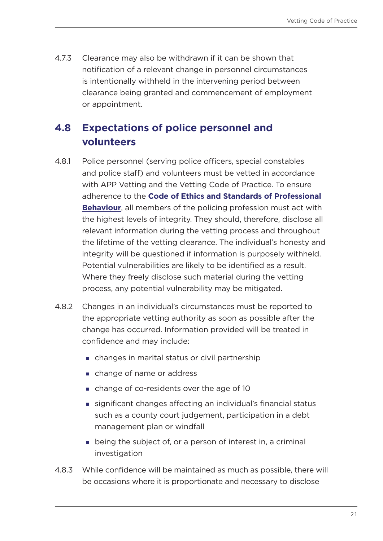<span id="page-20-0"></span>4.7.3 Clearance may also be withdrawn if it can be shown that notification of a relevant change in personnel circumstances is intentionally withheld in the intervening period between clearance being granted and commencement of employment or appointment.

### **4.8 Expectations of police personnel and volunteers**

- 4.8.1 Police personnel (serving police officers, special constables and police staff) and volunteers must be vetted in accordance with APP Vetting and the Vetting Code of Practice. To ensure adherence to the **[Code of Ethics and Standards of Professional](Code of Ethics and Standards of Professional Behaviour)  [Behaviour](Code of Ethics and Standards of Professional Behaviour)**, all members of the policing profession must act with the highest levels of integrity. They should, therefore, disclose all relevant information during the vetting process and throughout the lifetime of the vetting clearance. The individual's honesty and integrity will be questioned if information is purposely withheld. Potential vulnerabilities are likely to be identified as a result. Where they freely disclose such material during the vetting process, any potential vulnerability may be mitigated.
- 4.8.2 Changes in an individual's circumstances must be reported to the appropriate vetting authority as soon as possible after the change has occurred. Information provided will be treated in confidence and may include:
	- changes in marital status or civil partnership
	- change of name or address
	- change of co-residents over the age of 10
	- significant changes affecting an individual's financial status such as a county court judgement, participation in a debt management plan or windfall
	- being the subject of, or a person of interest in, a criminal investigation
- 4.8.3 While confidence will be maintained as much as possible, there will be occasions where it is proportionate and necessary to disclose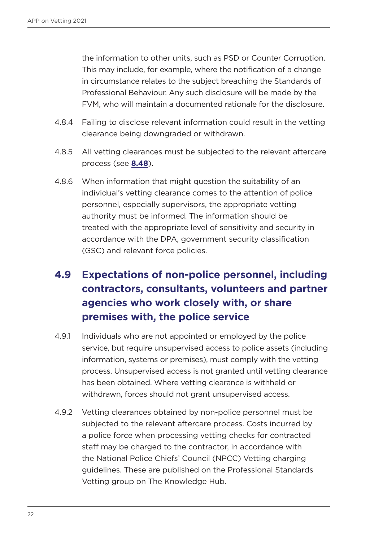<span id="page-21-0"></span>the information to other units, such as PSD or Counter Corruption. This may include, for example, where the notification of a change in circumstance relates to the subject breaching the Standards of Professional Behaviour. Any such disclosure will be made by the FVM, who will maintain a documented rationale for the disclosure.

- 4.8.4 Failing to disclose relevant information could result in the vetting clearance being downgraded or withdrawn.
- 4.8.5 All vetting clearances must be subjected to the relevant aftercare process (see **[8.48](#page-95-1)**).
- 4.8.6 When information that might question the suitability of an individual's vetting clearance comes to the attention of police personnel, especially supervisors, the appropriate vetting authority must be informed. The information should be treated with the appropriate level of sensitivity and security in accordance with the DPA, government security classification (GSC) and relevant force policies.

### **4.9 Expectations of non-police personnel, including contractors, consultants, volunteers and partner agencies who work closely with, or share premises with, the police service**

- 4.9.1 Individuals who are not appointed or employed by the police service, but require unsupervised access to police assets (including information, systems or premises), must comply with the vetting process. Unsupervised access is not granted until vetting clearance has been obtained. Where vetting clearance is withheld or withdrawn, forces should not grant unsupervised access.
- 4.9.2 Vetting clearances obtained by non-police personnel must be subjected to the relevant aftercare process. Costs incurred by a police force when processing vetting checks for contracted staff may be charged to the contractor, in accordance with the National Police Chiefs' Council (NPCC) Vetting charging guidelines. These are published on the Professional Standards Vetting group on The Knowledge Hub.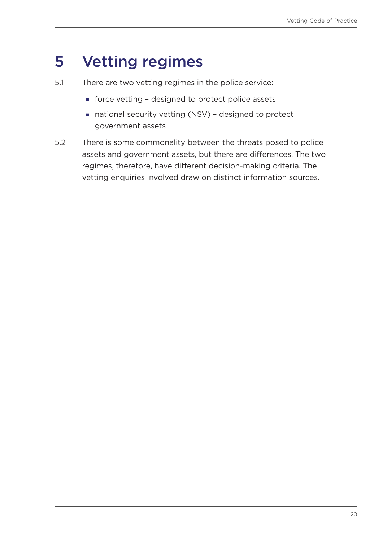### <span id="page-22-0"></span>5 Vetting regimes

- 5.1 There are two vetting regimes in the police service:
	- force vetting designed to protect police assets
	- national security vetting (NSV) designed to protect government assets
- 5.2 There is some commonality between the threats posed to police assets and government assets, but there are differences. The two regimes, therefore, have different decision-making criteria. The vetting enquiries involved draw on distinct information sources.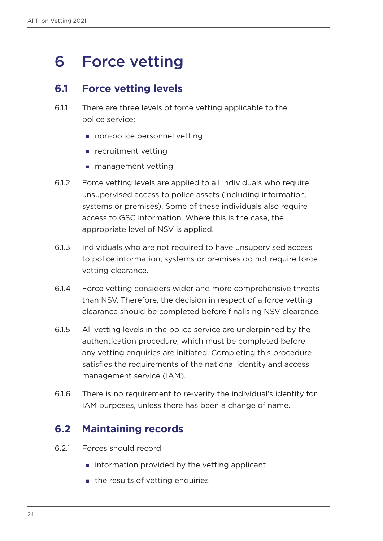### <span id="page-23-0"></span>6 Force vetting

### **6.1 Force vetting levels**

- 6.1.1 There are three levels of force vetting applicable to the police service:
	- non-police personnel vetting
	- **Parager** recruitment vetting
	- **management vetting**
- 6.1.2 Force vetting levels are applied to all individuals who require unsupervised access to police assets (including information, systems or premises). Some of these individuals also require access to GSC information. Where this is the case, the appropriate level of NSV is applied.
- 6.1.3 Individuals who are not required to have unsupervised access to police information, systems or premises do not require force vetting clearance.
- 6.1.4 Force vetting considers wider and more comprehensive threats than NSV. Therefore, the decision in respect of a force vetting clearance should be completed before finalising NSV clearance.
- 6.1.5 All vetting levels in the police service are underpinned by the authentication procedure, which must be completed before any vetting enquiries are initiated. Completing this procedure satisfies the requirements of the national identity and access management service (IAM).
- 6.1.6 There is no requirement to re-verify the individual's identity for IAM purposes, unless there has been a change of name.

### **6.2 Maintaining records**

- 6.2.1 Forces should record:
	- $\blacksquare$  information provided by the vetting applicant
	- the results of vetting enquiries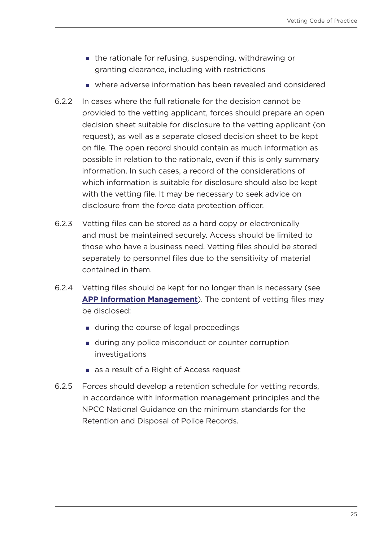- the rationale for refusing, suspending, withdrawing or granting clearance, including with restrictions
- where adverse information has been revealed and considered
- 6.2.2 In cases where the full rationale for the decision cannot be provided to the vetting applicant, forces should prepare an open decision sheet suitable for disclosure to the vetting applicant (on request), as well as a separate closed decision sheet to be kept on file. The open record should contain as much information as possible in relation to the rationale, even if this is only summary information. In such cases, a record of the considerations of which information is suitable for disclosure should also be kept with the vetting file. It may be necessary to seek advice on disclosure from the force data protection officer.
- 6.2.3 Vetting files can be stored as a hard copy or electronically and must be maintained securely. Access should be limited to those who have a business need. Vetting files should be stored separately to personnel files due to the sensitivity of material contained in them.
- 6.2.4 Vetting files should be kept for no longer than is necessary (see **[APP Information Management](https://www.app.college.police.uk/app-content/information-management/)**). The content of vetting files may be disclosed:
	- **during the course of legal proceedings**
	- **during any police misconduct or counter corruption** investigations
	- as a result of a Right of Access request
- 6.2.5 Forces should develop a retention schedule for vetting records, in accordance with information management principles and the NPCC National Guidance on the minimum standards for the Retention and Disposal of Police Records.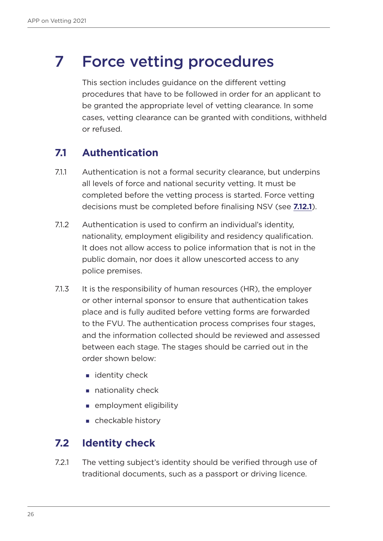### <span id="page-25-0"></span>7 Force vetting procedures

This section includes guidance on the different vetting procedures that have to be followed in order for an applicant to be granted the appropriate level of vetting clearance. In some cases, vetting clearance can be granted with conditions, withheld or refused.

### **7.1 Authentication**

- 7.1.1 Authentication is not a formal security clearance, but underpins all levels of force and national security vetting. It must be completed before the vetting process is started. Force vetting decisions must be completed before finalising NSV (see **[7.12.1](#page-32-1)**).
- 7.1.2 Authentication is used to confirm an individual's identity, nationality, employment eligibility and residency qualification. It does not allow access to police information that is not in the public domain, nor does it allow unescorted access to any police premises.
- 7.1.3 It is the responsibility of human resources (HR), the employer or other internal sponsor to ensure that authentication takes place and is fully audited before vetting forms are forwarded to the FVU. The authentication process comprises four stages, and the information collected should be reviewed and assessed between each stage. The stages should be carried out in the order shown below:
	- $\blacksquare$  identity check
	- nationality check
	- **EXECUTE:** employment eligibility
	- checkable history

#### **7.2 Identity check**

7.2.1 The vetting subject's identity should be verified through use of traditional documents, such as a passport or driving licence.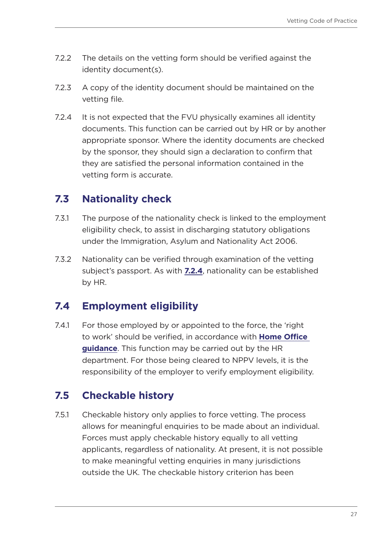- <span id="page-26-0"></span>7.2.2 The details on the vetting form should be verified against the identity document(s).
- 7.2.3 A copy of the identity document should be maintained on the vetting file.
- <span id="page-26-1"></span>7.2.4 It is not expected that the FVU physically examines all identity documents. This function can be carried out by HR or by another appropriate sponsor. Where the identity documents are checked by the sponsor, they should sign a declaration to confirm that they are satisfied the personal information contained in the vetting form is accurate.

### **7.3 Nationality check**

- 7.3.1 The purpose of the nationality check is linked to the employment eligibility check, to assist in discharging statutory obligations under the Immigration, Asylum and Nationality Act 2006.
- 7.3.2 Nationality can be verified through examination of the vetting subject's passport. As with **[7.2.4](#page-26-1)**, nationality can be established by HR.

### **7.4 Employment eligibility**

7.4.1 For those employed by or appointed to the force, the 'right to work' should be verified, in accordance with **[Home Office](https://www.gov.uk/government/publications/right-to-work-checks-employers-guide)  [guidance](https://www.gov.uk/government/publications/right-to-work-checks-employers-guide)**. This function may be carried out by the HR department. For those being cleared to NPPV levels, it is the responsibility of the employer to verify employment eligibility.

### **7.5 Checkable history**

7.5.1 Checkable history only applies to force vetting. The process allows for meaningful enquiries to be made about an individual. Forces must apply checkable history equally to all vetting applicants, regardless of nationality. At present, it is not possible to make meaningful vetting enquiries in many jurisdictions outside the UK. The checkable history criterion has been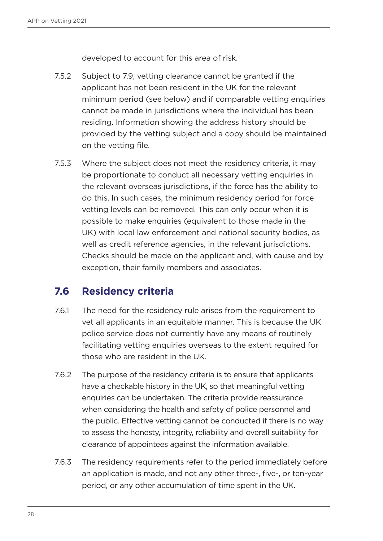developed to account for this area of risk.

- <span id="page-27-0"></span>7.5.2 Subject to 7.9, vetting clearance cannot be granted if the applicant has not been resident in the UK for the relevant minimum period (see below) and if comparable vetting enquiries cannot be made in jurisdictions where the individual has been residing. Information showing the address history should be provided by the vetting subject and a copy should be maintained on the vetting file.
- 7.5.3 Where the subject does not meet the residency criteria, it may be proportionate to conduct all necessary vetting enquiries in the relevant overseas jurisdictions, if the force has the ability to do this. In such cases, the minimum residency period for force vetting levels can be removed. This can only occur when it is possible to make enquiries (equivalent to those made in the UK) with local law enforcement and national security bodies, as well as credit reference agencies, in the relevant jurisdictions. Checks should be made on the applicant and, with cause and by exception, their family members and associates.

### **7.6 Residency criteria**

- 7.6.1 The need for the residency rule arises from the requirement to vet all applicants in an equitable manner. This is because the UK police service does not currently have any means of routinely facilitating vetting enquiries overseas to the extent required for those who are resident in the UK.
- 7.6.2 The purpose of the residency criteria is to ensure that applicants have a checkable history in the UK, so that meaningful vetting enquiries can be undertaken. The criteria provide reassurance when considering the health and safety of police personnel and the public. Effective vetting cannot be conducted if there is no way to assess the honesty, integrity, reliability and overall suitability for clearance of appointees against the information available.
- 7.6.3 The residency requirements refer to the period immediately before an application is made, and not any other three-, five-, or ten-year period, or any other accumulation of time spent in the UK.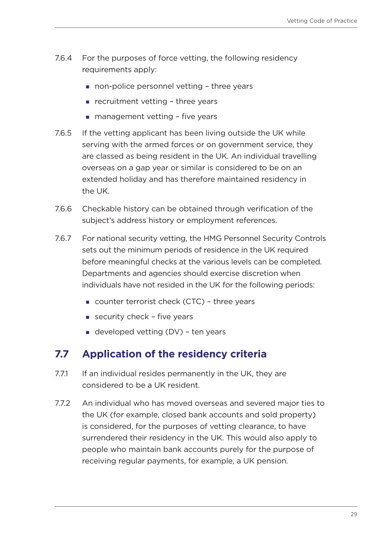- <span id="page-28-0"></span>7.6.4 For the purposes of force vetting, the following residency requirements apply:
	- non-police personnel vetting three years
	- recruitment vetting three years
	- $\blacksquare$  management vetting five years
- 7.6.5 If the vetting applicant has been living outside the UK while serving with the armed forces or on government service, they are classed as being resident in the UK. An individual travelling overseas on a gap year or similar is considered to be on an extended holiday and has therefore maintained residency in the UK.
- 7.6.6 Checkable history can be obtained through verification of the subject's address history or employment references.
- 7.6.7 For national security vetting, the HMG Personnel Security Controls sets out the minimum periods of residence in the UK required before meaningful checks at the various levels can be completed. Departments and agencies should exercise discretion when individuals have not resided in the UK for the following periods:
	- counter terrorist check (CTC) three years
	- security check  $-$  five years
	- $\blacksquare$  developed vetting (DV) ten years

#### **7.7 Application of the residency criteria**

- 7.7.1 If an individual resides permanently in the UK, they are considered to be a UK resident.
- 7.7.2 An individual who has moved overseas and severed major ties to the UK (for example, closed bank accounts and sold property) is considered, for the purposes of vetting clearance, to have surrendered their residency in the UK. This would also apply to people who maintain bank accounts purely for the purpose of receiving regular payments, for example, a UK pension.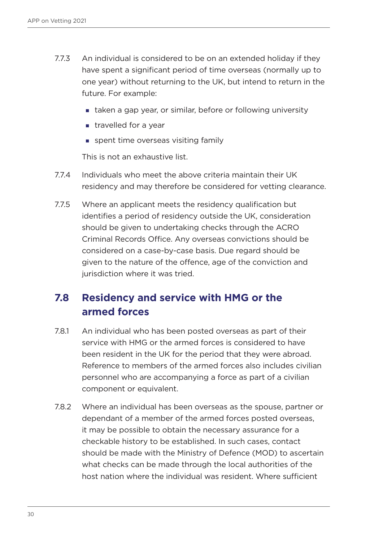- <span id="page-29-0"></span>7.7.3 An individual is considered to be on an extended holiday if they have spent a significant period of time overseas (normally up to one year) without returning to the UK, but intend to return in the future. For example:
	- taken a gap year, or similar, before or following university
	- **travelled for a year**
	- spent time overseas visiting family

This is not an exhaustive list.

- 7.7.4 Individuals who meet the above criteria maintain their UK residency and may therefore be considered for vetting clearance.
- 7.7.5 Where an applicant meets the residency qualification but identifies a period of residency outside the UK, consideration should be given to undertaking checks through the ACRO Criminal Records Office. Any overseas convictions should be considered on a case-by-case basis. Due regard should be given to the nature of the offence, age of the conviction and jurisdiction where it was tried.

### **7.8 Residency and service with HMG or the armed forces**

- 7.8.1 An individual who has been posted overseas as part of their service with HMG or the armed forces is considered to have been resident in the UK for the period that they were abroad. Reference to members of the armed forces also includes civilian personnel who are accompanying a force as part of a civilian component or equivalent.
- 7.8.2 Where an individual has been overseas as the spouse, partner or dependant of a member of the armed forces posted overseas, it may be possible to obtain the necessary assurance for a checkable history to be established. In such cases, contact should be made with the Ministry of Defence (MOD) to ascertain what checks can be made through the local authorities of the host nation where the individual was resident. Where sufficient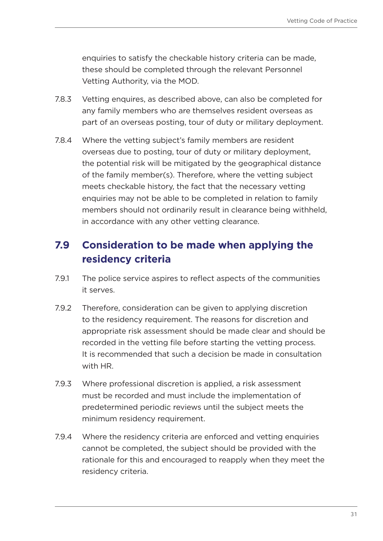<span id="page-30-0"></span>enquiries to satisfy the checkable history criteria can be made, these should be completed through the relevant Personnel Vetting Authority, via the MOD.

- 7.8.3 Vetting enquires, as described above, can also be completed for any family members who are themselves resident overseas as part of an overseas posting, tour of duty or military deployment.
- 7.8.4 Where the vetting subject's family members are resident overseas due to posting, tour of duty or military deployment, the potential risk will be mitigated by the geographical distance of the family member(s). Therefore, where the vetting subject meets checkable history, the fact that the necessary vetting enquiries may not be able to be completed in relation to family members should not ordinarily result in clearance being withheld, in accordance with any other vetting clearance.

### **7.9 Consideration to be made when applying the residency criteria**

- 7.9.1 The police service aspires to reflect aspects of the communities it serves.
- 7.9.2 Therefore, consideration can be given to applying discretion to the residency requirement. The reasons for discretion and appropriate risk assessment should be made clear and should be recorded in the vetting file before starting the vetting process. It is recommended that such a decision be made in consultation with HR.
- 7.9.3 Where professional discretion is applied, a risk assessment must be recorded and must include the implementation of predetermined periodic reviews until the subject meets the minimum residency requirement.
- 7.9.4 Where the residency criteria are enforced and vetting enquiries cannot be completed, the subject should be provided with the rationale for this and encouraged to reapply when they meet the residency criteria.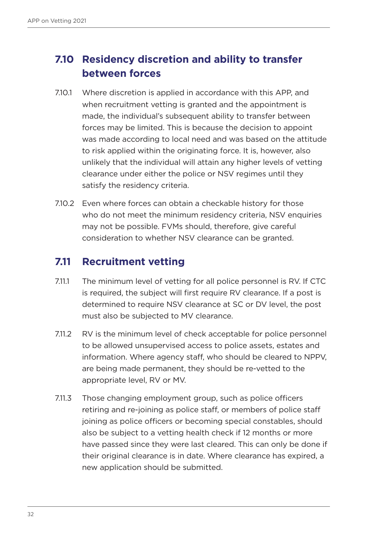### <span id="page-31-0"></span>**7.10 Residency discretion and ability to transfer between forces**

- 7.10.1 Where discretion is applied in accordance with this APP, and when recruitment vetting is granted and the appointment is made, the individual's subsequent ability to transfer between forces may be limited. This is because the decision to appoint was made according to local need and was based on the attitude to risk applied within the originating force. It is, however, also unlikely that the individual will attain any higher levels of vetting clearance under either the police or NSV regimes until they satisfy the residency criteria.
- 7.10.2 Even where forces can obtain a checkable history for those who do not meet the minimum residency criteria, NSV enquiries may not be possible. FVMs should, therefore, give careful consideration to whether NSV clearance can be granted.

#### **7.11 Recruitment vetting**

- 7.11.1 The minimum level of vetting for all police personnel is RV. If CTC is required, the subject will first require RV clearance. If a post is determined to require NSV clearance at SC or DV level, the post must also be subjected to MV clearance.
- 7.11.2 RV is the minimum level of check acceptable for police personnel to be allowed unsupervised access to police assets, estates and information. Where agency staff, who should be cleared to NPPV, are being made permanent, they should be re-vetted to the appropriate level, RV or MV.
- 7.11.3 Those changing employment group, such as police officers retiring and re-joining as police staff, or members of police staff joining as police officers or becoming special constables, should also be subject to a vetting health check if 12 months or more have passed since they were last cleared. This can only be done if their original clearance is in date. Where clearance has expired, a new application should be submitted.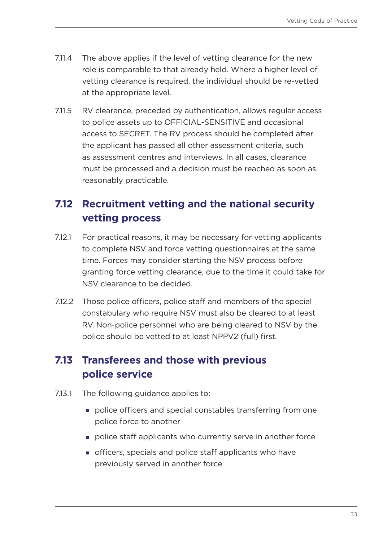- <span id="page-32-0"></span>7.11.4 The above applies if the level of vetting clearance for the new role is comparable to that already held. Where a higher level of vetting clearance is required, the individual should be re-vetted at the appropriate level.
- 7.11.5 RV clearance, preceded by authentication, allows regular access to police assets up to OFFICIAL-SENSITIVE and occasional access to SECRET. The RV process should be completed after the applicant has passed all other assessment criteria, such as assessment centres and interviews. In all cases, clearance must be processed and a decision must be reached as soon as reasonably practicable.

### **7.12 Recruitment vetting and the national security vetting process**

- <span id="page-32-1"></span>7.12.1 For practical reasons, it may be necessary for vetting applicants to complete NSV and force vetting questionnaires at the same time. Forces may consider starting the NSV process before granting force vetting clearance, due to the time it could take for NSV clearance to be decided.
- 7.12.2 Those police officers, police staff and members of the special constabulary who require NSV must also be cleared to at least RV. Non-police personnel who are being cleared to NSV by the police should be vetted to at least NPPV2 (full) first.

### **7.13 Transferees and those with previous police service**

- 7.13.1 The following guidance applies to:
	- police officers and special constables transferring from one police force to another
	- police staff applicants who currently serve in another force
	- officers, specials and police staff applicants who have previously served in another force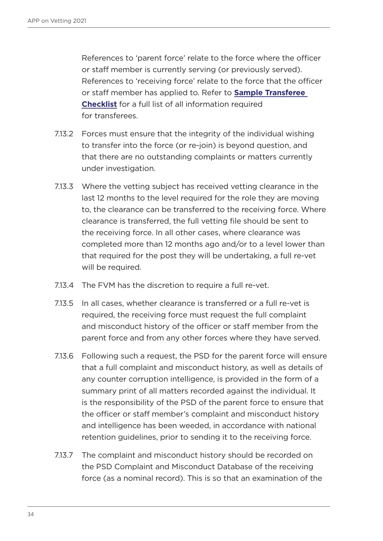References to 'parent force' relate to the force where the officer or staff member is currently serving (or previously served). References to 'receiving force' relate to the force that the officer or staff member has applied to. Refer to **[Sample Transferee](#page-217-1)  [Checklist](#page-217-1)** for a full list of all information required for transferees.

- 7.13.2 Forces must ensure that the integrity of the individual wishing to transfer into the force (or re-join) is beyond question, and that there are no outstanding complaints or matters currently under investigation.
- 7.13.3 Where the vetting subject has received vetting clearance in the last 12 months to the level required for the role they are moving to, the clearance can be transferred to the receiving force. Where clearance is transferred, the full vetting file should be sent to the receiving force. In all other cases, where clearance was completed more than 12 months ago and/or to a level lower than that required for the post they will be undertaking, a full re-vet will be required.
- 7.13.4 The FVM has the discretion to require a full re-vet.
- 7.13.5 In all cases, whether clearance is transferred or a full re-vet is required, the receiving force must request the full complaint and misconduct history of the officer or staff member from the parent force and from any other forces where they have served.
- 7.13.6 Following such a request, the PSD for the parent force will ensure that a full complaint and misconduct history, as well as details of any counter corruption intelligence, is provided in the form of a summary print of all matters recorded against the individual. It is the responsibility of the PSD of the parent force to ensure that the officer or staff member's complaint and misconduct history and intelligence has been weeded, in accordance with national retention guidelines, prior to sending it to the receiving force.
- 7.13.7 The complaint and misconduct history should be recorded on the PSD Complaint and Misconduct Database of the receiving force (as a nominal record). This is so that an examination of the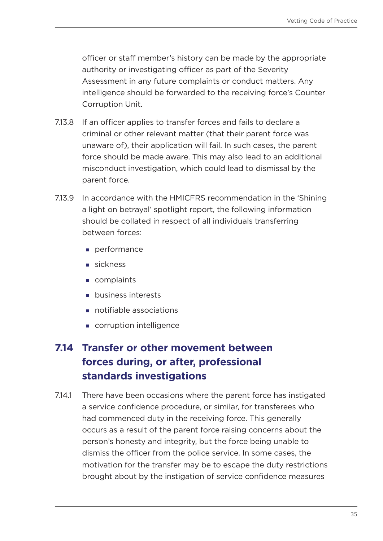<span id="page-34-0"></span>officer or staff member's history can be made by the appropriate authority or investigating officer as part of the Severity Assessment in any future complaints or conduct matters. Any intelligence should be forwarded to the receiving force's Counter Corruption Unit.

- 7.13.8 If an officer applies to transfer forces and fails to declare a criminal or other relevant matter (that their parent force was unaware of), their application will fail. In such cases, the parent force should be made aware. This may also lead to an additional misconduct investigation, which could lead to dismissal by the parent force.
- 7.13.9 In accordance with the HMICFRS recommendation in the 'Shining a light on betrayal' spotlight report, the following information should be collated in respect of all individuals transferring between forces:
	- performance
	- sickness
	- complaints
	- **business interests**
	- notifiable associations
	- corruption intelligence

### **7.14 Transfer or other movement between forces during, or after, professional standards investigations**

7.14.1 There have been occasions where the parent force has instigated a service confidence procedure, or similar, for transferees who had commenced duty in the receiving force. This generally occurs as a result of the parent force raising concerns about the person's honesty and integrity, but the force being unable to dismiss the officer from the police service. In some cases, the motivation for the transfer may be to escape the duty restrictions brought about by the instigation of service confidence measures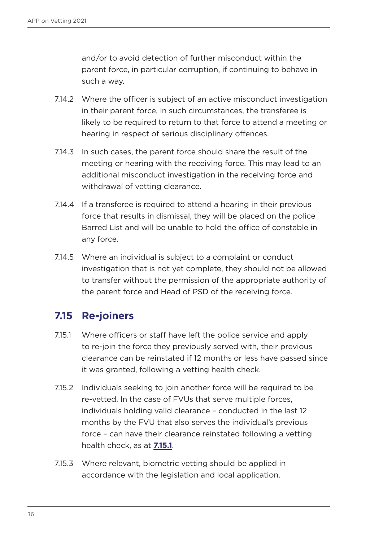<span id="page-35-0"></span>and/or to avoid detection of further misconduct within the parent force, in particular corruption, if continuing to behave in such a way.

- 7.14.2 Where the officer is subject of an active misconduct investigation in their parent force, in such circumstances, the transferee is likely to be required to return to that force to attend a meeting or hearing in respect of serious disciplinary offences.
- 7.14.3 In such cases, the parent force should share the result of the meeting or hearing with the receiving force. This may lead to an additional misconduct investigation in the receiving force and withdrawal of vetting clearance.
- 7.14.4 If a transferee is required to attend a hearing in their previous force that results in dismissal, they will be placed on the police Barred List and will be unable to hold the office of constable in any force.
- 7.14.5 Where an individual is subject to a complaint or conduct investigation that is not yet complete, they should not be allowed to transfer without the permission of the appropriate authority of the parent force and Head of PSD of the receiving force.

### **7.15 Re-joiners**

- <span id="page-35-1"></span>7.15.1 Where officers or staff have left the police service and apply to re-join the force they previously served with, their previous clearance can be reinstated if 12 months or less have passed since it was granted, following a vetting health check.
- 7.15.2 Individuals seeking to join another force will be required to be re-vetted. In the case of FVUs that serve multiple forces, individuals holding valid clearance – conducted in the last 12 months by the FVU that also serves the individual's previous force – can have their clearance reinstated following a vetting health check, as at **[7.15.1](#page-35-1)**.
- 7.15.3 Where relevant, biometric vetting should be applied in accordance with the legislation and local application.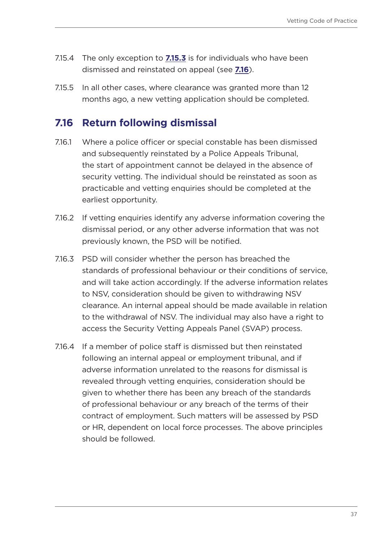- 7.15.4 The only exception to **[7.15.3](#page-35-0)** is for individuals who have been dismissed and reinstated on appeal (see **[7.16](#page-36-0)**).
- 7.15.5 In all other cases, where clearance was granted more than 12 months ago, a new vetting application should be completed.

#### <span id="page-36-0"></span>**7.16 Return following dismissal**

- 7.16.1 Where a police officer or special constable has been dismissed and subsequently reinstated by a Police Appeals Tribunal, the start of appointment cannot be delayed in the absence of security vetting. The individual should be reinstated as soon as practicable and vetting enquiries should be completed at the earliest opportunity.
- 7.16.2 If vetting enquiries identify any adverse information covering the dismissal period, or any other adverse information that was not previously known, the PSD will be notified.
- 7.16.3 PSD will consider whether the person has breached the standards of professional behaviour or their conditions of service, and will take action accordingly. If the adverse information relates to NSV, consideration should be given to withdrawing NSV clearance. An internal appeal should be made available in relation to the withdrawal of NSV. The individual may also have a right to access the Security Vetting Appeals Panel (SVAP) process.
- 7.16.4 If a member of police staff is dismissed but then reinstated following an internal appeal or employment tribunal, and if adverse information unrelated to the reasons for dismissal is revealed through vetting enquiries, consideration should be given to whether there has been any breach of the standards of professional behaviour or any breach of the terms of their contract of employment. Such matters will be assessed by PSD or HR, dependent on local force processes. The above principles should be followed.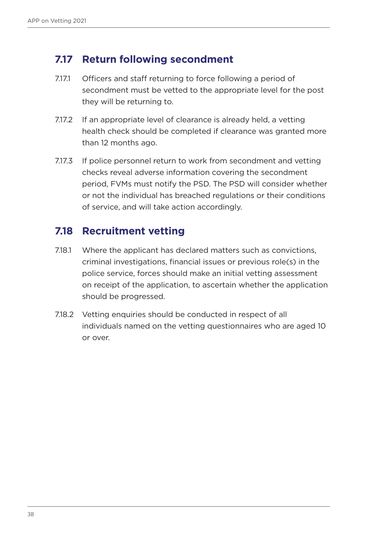### **7.17 Return following secondment**

- 7.17.1 Officers and staff returning to force following a period of secondment must be vetted to the appropriate level for the post they will be returning to.
- 7.17.2 If an appropriate level of clearance is already held, a vetting health check should be completed if clearance was granted more than 12 months ago.
- 7.17.3 If police personnel return to work from secondment and vetting checks reveal adverse information covering the secondment period, FVMs must notify the PSD. The PSD will consider whether or not the individual has breached regulations or their conditions of service, and will take action accordingly.

### **7.18 Recruitment vetting**

- 7.18.1 Where the applicant has declared matters such as convictions, criminal investigations, financial issues or previous role(s) in the police service, forces should make an initial vetting assessment on receipt of the application, to ascertain whether the application should be progressed.
- 7.18.2 Vetting enquiries should be conducted in respect of all individuals named on the vetting questionnaires who are aged 10 or over.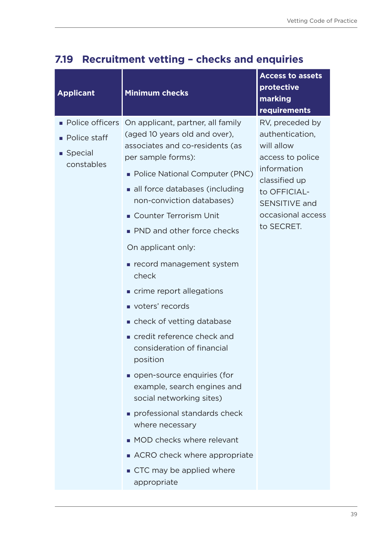| <b>Applicant</b>                                     | <b>Minimum checks</b>                                                                                                                                                                                                                                                                                                                                                                                                                                                                                                                                                                                                                                                                                                                                                | <b>Access to assets</b><br>protective<br>marking<br>requirements                                                                                                         |
|------------------------------------------------------|----------------------------------------------------------------------------------------------------------------------------------------------------------------------------------------------------------------------------------------------------------------------------------------------------------------------------------------------------------------------------------------------------------------------------------------------------------------------------------------------------------------------------------------------------------------------------------------------------------------------------------------------------------------------------------------------------------------------------------------------------------------------|--------------------------------------------------------------------------------------------------------------------------------------------------------------------------|
| $\blacksquare$ Police staff<br>Special<br>constables | • Police officers On applicant, partner, all family<br>(aged 10 years old and over),<br>associates and co-residents (as<br>per sample forms):<br>• Police National Computer (PNC)<br>all force databases (including<br>non-conviction databases)<br>Counter Terrorism Unit<br>• PND and other force checks<br>On applicant only:<br>record management system<br>check<br>crime report allegations<br>voters' records<br>• check of vetting database<br>credit reference check and<br>consideration of financial<br>position<br>open-source enquiries (for<br>example, search engines and<br>social networking sites)<br>professional standards check<br>where necessary<br>• MOD checks where relevant<br>ACRO check where appropriate<br>■ CTC may be applied where | RV, preceded by<br>authentication,<br>will allow<br>access to police<br>information<br>classified up<br>to OFFICIAL-<br>SENSITIVE and<br>occasional access<br>to SECRET. |
|                                                      | appropriate                                                                                                                                                                                                                                                                                                                                                                                                                                                                                                                                                                                                                                                                                                                                                          |                                                                                                                                                                          |

## **7.19 Recruitment vetting – checks and enquiries**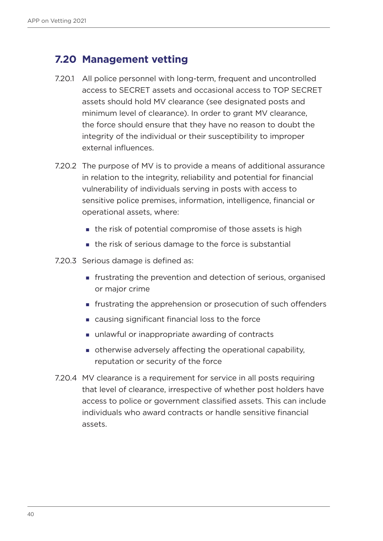## **7.20 Management vetting**

- 7.20.1 All police personnel with long-term, frequent and uncontrolled access to SECRET assets and occasional access to TOP SECRET assets should hold MV clearance (see designated posts and minimum level of clearance). In order to grant MV clearance, the force should ensure that they have no reason to doubt the integrity of the individual or their susceptibility to improper external influences.
- 7.20.2 The purpose of MV is to provide a means of additional assurance in relation to the integrity, reliability and potential for financial vulnerability of individuals serving in posts with access to sensitive police premises, information, intelligence, financial or operational assets, where:
	- the risk of potential compromise of those assets is high
	- the risk of serious damage to the force is substantial
- 7.20.3 Serious damage is defined as:
	- frustrating the prevention and detection of serious, organised or major crime
	- **Figure 1** frustrating the apprehension or prosecution of such offenders
	- causing significant financial loss to the force
	- unlawful or inappropriate awarding of contracts
	- otherwise adversely affecting the operational capability, reputation or security of the force
- 7.20.4 MV clearance is a requirement for service in all posts requiring that level of clearance, irrespective of whether post holders have access to police or government classified assets. This can include individuals who award contracts or handle sensitive financial assets.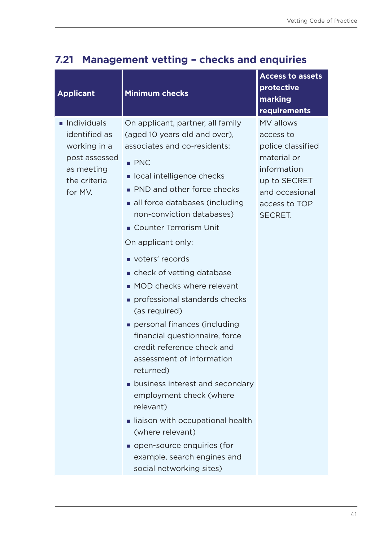| Individuals<br>On applicant, partner, all family<br>identified as<br>(aged 10 years old and over),<br>working in a<br>associates and co-residents:<br>post assessed<br>$\blacksquare$ PNC                                                                                                                                                                                                                                                                                                                                                                                                                                                                                                                                   | protective<br>marking<br>requirements                                                                                                          |
|-----------------------------------------------------------------------------------------------------------------------------------------------------------------------------------------------------------------------------------------------------------------------------------------------------------------------------------------------------------------------------------------------------------------------------------------------------------------------------------------------------------------------------------------------------------------------------------------------------------------------------------------------------------------------------------------------------------------------------|------------------------------------------------------------------------------------------------------------------------------------------------|
| as meeting<br>ocal intelligence checks<br>the criteria<br>• PND and other force checks<br>for MV.<br>all force databases (including<br>non-conviction databases)<br>Counter Terrorism Unit<br>On applicant only:<br>voters' records<br>• check of vetting database<br>• MOD checks where relevant<br>professional standards checks<br>(as required)<br>personal finances (including<br>financial questionnaire, force<br>credit reference check and<br>assessment of information<br>returned)<br>• business interest and secondary<br>employment check (where<br>relevant)<br>liaison with occupational health<br>(where relevant)<br>open-source enquiries (for<br>example, search engines and<br>social networking sites) | <b>MV</b> allows<br>access to<br>police classified<br>material or<br>information<br>up to SECRET<br>and occasional<br>access to TOP<br>SECRET. |

## **7.21 Management vetting – checks and enquiries**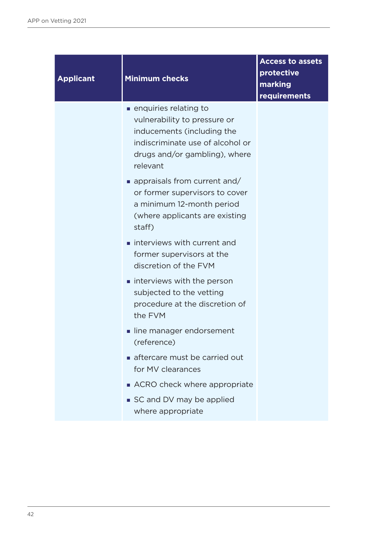| <b>Applicant</b> | <b>Minimum checks</b>                                                                                                                                                  | <b>Access to assets</b><br>protective<br>marking<br>requirements |
|------------------|------------------------------------------------------------------------------------------------------------------------------------------------------------------------|------------------------------------------------------------------|
|                  | ■ enquiries relating to<br>vulnerability to pressure or<br>inducements (including the<br>indiscriminate use of alcohol or<br>drugs and/or gambling), where<br>relevant |                                                                  |
|                  | $\blacksquare$ appraisals from current and/<br>or former supervisors to cover<br>a minimum 12-month period<br>(where applicants are existing<br>staff)                 |                                                                  |
|                  | interviews with current and<br>former supervisors at the<br>discretion of the FVM                                                                                      |                                                                  |
|                  | interviews with the person<br>subjected to the vetting<br>procedure at the discretion of<br>the FVM                                                                    |                                                                  |
|                  | line manager endorsement<br>(reference)                                                                                                                                |                                                                  |
|                  | aftercare must be carried out<br>for MV clearances                                                                                                                     |                                                                  |
|                  | ACRO check where appropriate<br>SC and DV may be applied<br>where appropriate                                                                                          |                                                                  |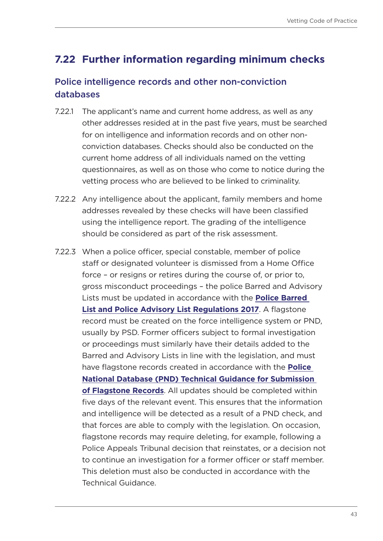## **7.22 Further information regarding minimum checks**

#### Police intelligence records and other non-conviction databases

- 7.22.1 The applicant's name and current home address, as well as any other addresses resided at in the past five years, must be searched for on intelligence and information records and on other nonconviction databases. Checks should also be conducted on the current home address of all individuals named on the vetting questionnaires, as well as on those who come to notice during the vetting process who are believed to be linked to criminality.
- 7.22.2 Any intelligence about the applicant, family members and home addresses revealed by these checks will have been classified using the intelligence report. The grading of the intelligence should be considered as part of the risk assessment.
- 7.22.3 When a police officer, special constable, member of police staff or designated volunteer is dismissed from a Home Office force – or resigns or retires during the course of, or prior to, gross misconduct proceedings – the police Barred and Advisory Lists must be updated in accordance with the **[Police Barred](https://www.legislation.gov.uk/uksi/2017/1135/contents/made)  [List and Police Advisory List Regulations 2017](https://www.legislation.gov.uk/uksi/2017/1135/contents/made)**. A flagstone record must be created on the force intelligence system or PND, usually by PSD. Former officers subject to formal investigation or proceedings must similarly have their details added to the Barred and Advisory Lists in line with the legislation, and must have flagstone records created in accordance with the **[Police](https://library.college.police.uk/docs/appref/Police-National-Database-Flagstone-Submission-Guidance-v1-2-Redacted.pdf)  [National Database \(PND\) Technical Guidance for Submission](https://library.college.police.uk/docs/appref/Police-National-Database-Flagstone-Submission-Guidance-v1-2-Redacted.pdf)  [of Flagstone Records](https://library.college.police.uk/docs/appref/Police-National-Database-Flagstone-Submission-Guidance-v1-2-Redacted.pdf)**. All updates should be completed within five days of the relevant event. This ensures that the information and intelligence will be detected as a result of a PND check, and that forces are able to comply with the legislation. On occasion, flagstone records may require deleting, for example, following a Police Appeals Tribunal decision that reinstates, or a decision not to continue an investigation for a former officer or staff member. This deletion must also be conducted in accordance with the Technical Guidance.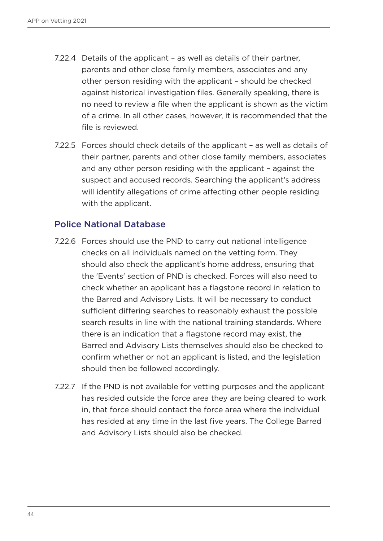- 7.22.4 Details of the applicant as well as details of their partner, parents and other close family members, associates and any other person residing with the applicant – should be checked against historical investigation files. Generally speaking, there is no need to review a file when the applicant is shown as the victim of a crime. In all other cases, however, it is recommended that the file is reviewed.
- 7.22.5 Forces should check details of the applicant as well as details of their partner, parents and other close family members, associates and any other person residing with the applicant – against the suspect and accused records. Searching the applicant's address will identify allegations of crime affecting other people residing with the applicant.

#### Police National Database

- 7.22.6 Forces should use the PND to carry out national intelligence checks on all individuals named on the vetting form. They should also check the applicant's home address, ensuring that the 'Events' section of PND is checked. Forces will also need to check whether an applicant has a flagstone record in relation to the Barred and Advisory Lists. It will be necessary to conduct sufficient differing searches to reasonably exhaust the possible search results in line with the national training standards. Where there is an indication that a flagstone record may exist, the Barred and Advisory Lists themselves should also be checked to confirm whether or not an applicant is listed, and the legislation should then be followed accordingly.
- 7.22.7 If the PND is not available for vetting purposes and the applicant has resided outside the force area they are being cleared to work in, that force should contact the force area where the individual has resided at any time in the last five years. The College Barred and Advisory Lists should also be checked.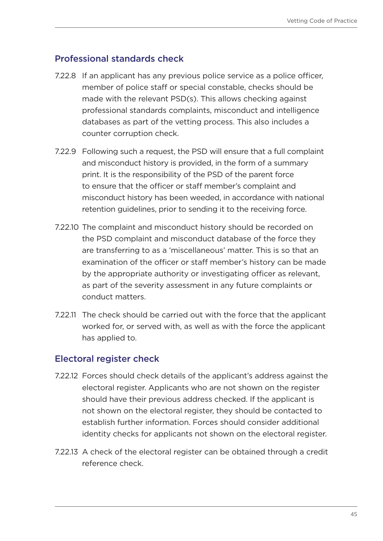#### Professional standards check

- 7.22.8 If an applicant has any previous police service as a police officer, member of police staff or special constable, checks should be made with the relevant PSD(s). This allows checking against professional standards complaints, misconduct and intelligence databases as part of the vetting process. This also includes a counter corruption check.
- 7.22.9 Following such a request, the PSD will ensure that a full complaint and misconduct history is provided, in the form of a summary print. It is the responsibility of the PSD of the parent force to ensure that the officer or staff member's complaint and misconduct history has been weeded, in accordance with national retention guidelines, prior to sending it to the receiving force.
- 7.22.10 The complaint and misconduct history should be recorded on the PSD complaint and misconduct database of the force they are transferring to as a 'miscellaneous' matter. This is so that an examination of the officer or staff member's history can be made by the appropriate authority or investigating officer as relevant, as part of the severity assessment in any future complaints or conduct matters.
- 7.22.11 The check should be carried out with the force that the applicant worked for, or served with, as well as with the force the applicant has applied to.

#### Electoral register check

- 7.22.12 Forces should check details of the applicant's address against the electoral register. Applicants who are not shown on the register should have their previous address checked. If the applicant is not shown on the electoral register, they should be contacted to establish further information. Forces should consider additional identity checks for applicants not shown on the electoral register.
- 7.22.13 A check of the electoral register can be obtained through a credit reference check.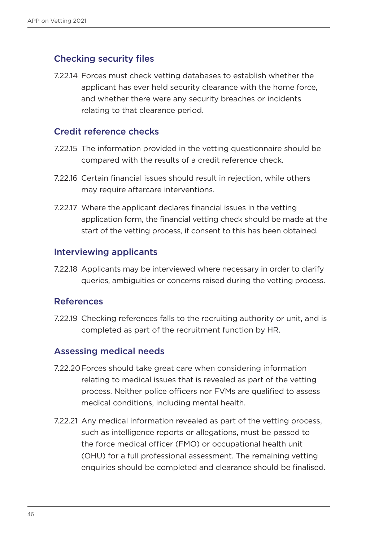#### Checking security files

7.22.14 Forces must check vetting databases to establish whether the applicant has ever held security clearance with the home force, and whether there were any security breaches or incidents relating to that clearance period.

#### Credit reference checks

- 7.22.15 The information provided in the vetting questionnaire should be compared with the results of a credit reference check.
- 7.22.16 Certain financial issues should result in rejection, while others may require aftercare interventions.
- 7.22.17 Where the applicant declares financial issues in the vetting application form, the financial vetting check should be made at the start of the vetting process, if consent to this has been obtained.

#### Interviewing applicants

7.22.18 Applicants may be interviewed where necessary in order to clarify queries, ambiguities or concerns raised during the vetting process.

#### References

7.22.19 Checking references falls to the recruiting authority or unit, and is completed as part of the recruitment function by HR.

#### Assessing medical needs

- 7.22.20Forces should take great care when considering information relating to medical issues that is revealed as part of the vetting process. Neither police officers nor FVMs are qualified to assess medical conditions, including mental health.
- 7.22.21 Any medical information revealed as part of the vetting process, such as intelligence reports or allegations, must be passed to the force medical officer (FMO) or occupational health unit (OHU) for a full professional assessment. The remaining vetting enquiries should be completed and clearance should be finalised.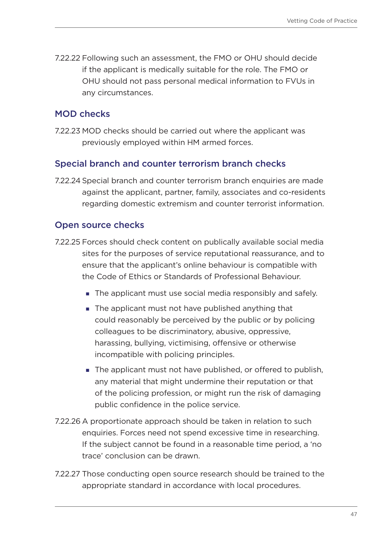7.22.22 Following such an assessment, the FMO or OHU should decide if the applicant is medically suitable for the role. The FMO or OHU should not pass personal medical information to FVUs in any circumstances.

#### MOD checks

7.22.23 MOD checks should be carried out where the applicant was previously employed within HM armed forces.

#### Special branch and counter terrorism branch checks

7.22.24 Special branch and counter terrorism branch enquiries are made against the applicant, partner, family, associates and co-residents regarding domestic extremism and counter terrorist information.

#### Open source checks

- 7.22.25 Forces should check content on publically available social media sites for the purposes of service reputational reassurance, and to ensure that the applicant's online behaviour is compatible with the Code of Ethics or Standards of Professional Behaviour.
	- The applicant must use social media responsibly and safely.
	- The applicant must not have published anything that could reasonably be perceived by the public or by policing colleagues to be discriminatory, abusive, oppressive, harassing, bullying, victimising, offensive or otherwise incompatible with policing principles.
	- The applicant must not have published, or offered to publish, any material that might undermine their reputation or that of the policing profession, or might run the risk of damaging public confidence in the police service.
- 7.22.26 A proportionate approach should be taken in relation to such enquiries. Forces need not spend excessive time in researching. If the subject cannot be found in a reasonable time period, a 'no trace' conclusion can be drawn.
- 7.22.27 Those conducting open source research should be trained to the appropriate standard in accordance with local procedures.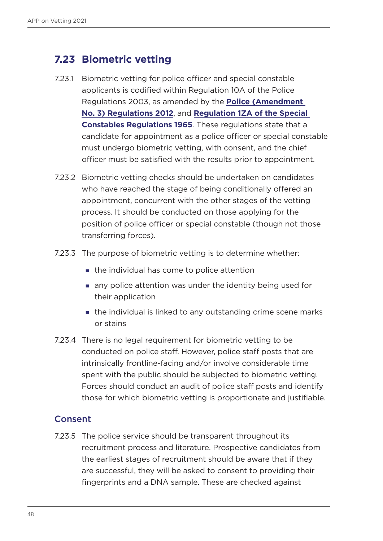### **7.23 Biometric vetting**

- 7.23.1 Biometric vetting for police officer and special constable applicants is codified within Regulation 10A of the Police Regulations 2003, as amended by the **[Police \(Amendment](https://www.legislation.gov.uk/uksi/2012/1960/made)  [No. 3\) Regulations 2012](https://www.legislation.gov.uk/uksi/2012/1960/made)**, and **[Regulation 1ZA of the Special](https://www.legislation.gov.uk/uksi/2012/1961/made)  [Constables Regulations 1965](https://www.legislation.gov.uk/uksi/2012/1961/made)**. These regulations state that a candidate for appointment as a police officer or special constable must undergo biometric vetting, with consent, and the chief officer must be satisfied with the results prior to appointment.
- 7.23.2 Biometric vetting checks should be undertaken on candidates who have reached the stage of being conditionally offered an appointment, concurrent with the other stages of the vetting process. It should be conducted on those applying for the position of police officer or special constable (though not those transferring forces).
- 7.23.3 The purpose of biometric vetting is to determine whether:
	- **the individual has come to police attention**
	- any police attention was under the identity being used for their application
	- **the individual is linked to any outstanding crime scene marks** or stains
- 7.23.4 There is no legal requirement for biometric vetting to be conducted on police staff. However, police staff posts that are intrinsically frontline-facing and/or involve considerable time spent with the public should be subjected to biometric vetting. Forces should conduct an audit of police staff posts and identify those for which biometric vetting is proportionate and justifiable.

#### **Consent**

7.23.5 The police service should be transparent throughout its recruitment process and literature. Prospective candidates from the earliest stages of recruitment should be aware that if they are successful, they will be asked to consent to providing their fingerprints and a DNA sample. These are checked against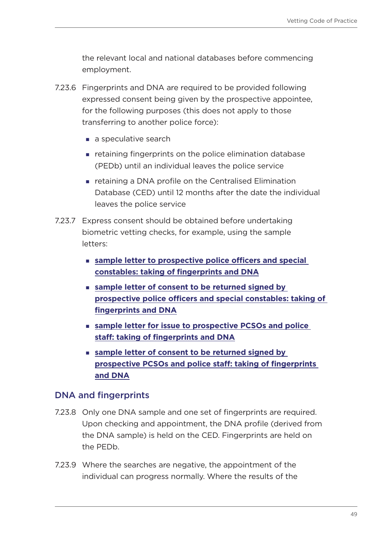the relevant local and national databases before commencing employment.

- 7.23.6 Fingerprints and DNA are required to be provided following expressed consent being given by the prospective appointee, for the following purposes (this does not apply to those transferring to another police force):
	- a speculative search
	- retaining fingerprints on the police elimination database (PEDb) until an individual leaves the police service
	- retaining a DNA profile on the Centralised Elimination Database (CED) until 12 months after the date the individual leaves the police service
- 7.23.7 Express consent should be obtained before undertaking biometric vetting checks, for example, using the sample letters:
	- **[sample letter to prospective police officers and special](#page-232-0)  [constables: taking of fingerprints and DNA](#page-232-0)**
	- **[sample letter of consent to be returned signed by](#page-232-0)  [prospective police officers and special constables: taking of](#page-232-0)  [fingerprints and DNA](#page-232-0)**
	- **[sample letter for issue to prospective PCSOs and police](#page-237-0)  [staff: taking of fingerprints and DNA](#page-237-0)**
	- **[sample letter of consent to be returned signed by](#page-235-0)  [prospective PCSOs and police staff: taking of fingerprints](#page-235-0)  [and DNA](#page-235-0)**

#### DNA and fingerprints

- 7.23.8 Only one DNA sample and one set of fingerprints are required. Upon checking and appointment, the DNA profile (derived from the DNA sample) is held on the CED. Fingerprints are held on the PEDb.
- 7.23.9 Where the searches are negative, the appointment of the individual can progress normally. Where the results of the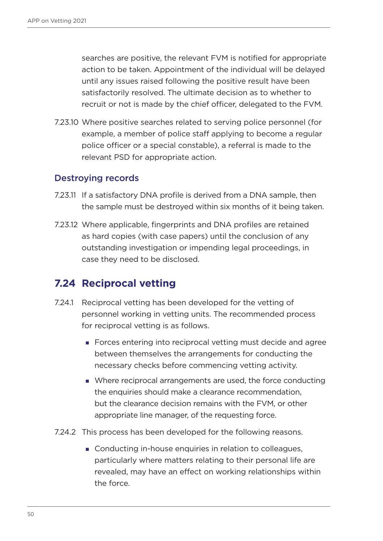searches are positive, the relevant FVM is notified for appropriate action to be taken. Appointment of the individual will be delayed until any issues raised following the positive result have been satisfactorily resolved. The ultimate decision as to whether to recruit or not is made by the chief officer, delegated to the FVM.

7.23.10 Where positive searches related to serving police personnel (for example, a member of police staff applying to become a regular police officer or a special constable), a referral is made to the relevant PSD for appropriate action.

#### Destroying records

- 7.23.11 If a satisfactory DNA profile is derived from a DNA sample, then the sample must be destroyed within six months of it being taken.
- 7.23.12 Where applicable, fingerprints and DNA profiles are retained as hard copies (with case papers) until the conclusion of any outstanding investigation or impending legal proceedings, in case they need to be disclosed.

### **7.24 Reciprocal vetting**

- 7.24.1 Reciprocal vetting has been developed for the vetting of personnel working in vetting units. The recommended process for reciprocal vetting is as follows.
	- Forces entering into reciprocal vetting must decide and agree between themselves the arrangements for conducting the necessary checks before commencing vetting activity.
	- Where reciprocal arrangements are used, the force conducting the enquiries should make a clearance recommendation, but the clearance decision remains with the FVM, or other appropriate line manager, of the requesting force.
- 7.24.2 This process has been developed for the following reasons.
	- Conducting in-house enquiries in relation to colleagues, particularly where matters relating to their personal life are revealed, may have an effect on working relationships within the force.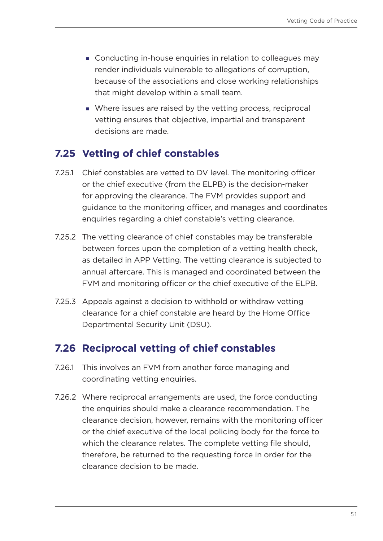- **Conducting in-house enquiries in relation to colleagues may** render individuals vulnerable to allegations of corruption, because of the associations and close working relationships that might develop within a small team.
- Where issues are raised by the vetting process, reciprocal vetting ensures that objective, impartial and transparent decisions are made.

### **7.25 Vetting of chief constables**

- 7.25.1 Chief constables are vetted to DV level. The monitoring officer or the chief executive (from the ELPB) is the decision-maker for approving the clearance. The FVM provides support and guidance to the monitoring officer, and manages and coordinates enquiries regarding a chief constable's vetting clearance.
- 7.25.2 The vetting clearance of chief constables may be transferable between forces upon the completion of a vetting health check, as detailed in APP Vetting. The vetting clearance is subjected to annual aftercare. This is managed and coordinated between the FVM and monitoring officer or the chief executive of the ELPB.
- 7.25.3 Appeals against a decision to withhold or withdraw vetting clearance for a chief constable are heard by the Home Office Departmental Security Unit (DSU).

### **7.26 Reciprocal vetting of chief constables**

- 7.26.1 This involves an FVM from another force managing and coordinating vetting enquiries.
- 7.26.2 Where reciprocal arrangements are used, the force conducting the enquiries should make a clearance recommendation. The clearance decision, however, remains with the monitoring officer or the chief executive of the local policing body for the force to which the clearance relates. The complete vetting file should, therefore, be returned to the requesting force in order for the clearance decision to be made.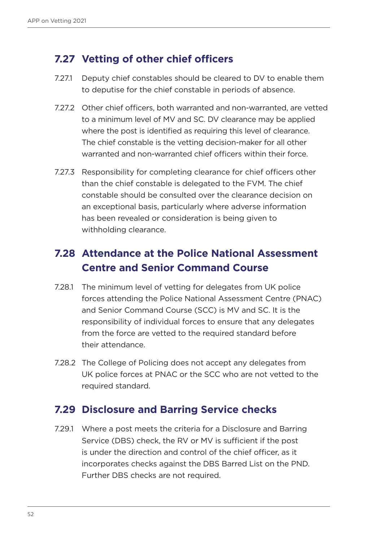### **7.27 Vetting of other chief officers**

- 7.27.1 Deputy chief constables should be cleared to DV to enable them to deputise for the chief constable in periods of absence.
- 7.27.2 Other chief officers, both warranted and non-warranted, are vetted to a minimum level of MV and SC. DV clearance may be applied where the post is identified as requiring this level of clearance. The chief constable is the vetting decision-maker for all other warranted and non-warranted chief officers within their force.
- 7.27.3 Responsibility for completing clearance for chief officers other than the chief constable is delegated to the FVM. The chief constable should be consulted over the clearance decision on an exceptional basis, particularly where adverse information has been revealed or consideration is being given to withholding clearance.

## **7.28 Attendance at the Police National Assessment Centre and Senior Command Course**

- 7.28.1 The minimum level of vetting for delegates from UK police forces attending the Police National Assessment Centre (PNAC) and Senior Command Course (SCC) is MV and SC. It is the responsibility of individual forces to ensure that any delegates from the force are vetted to the required standard before their attendance.
- 7.28.2 The College of Policing does not accept any delegates from UK police forces at PNAC or the SCC who are not vetted to the required standard.

### **7.29 Disclosure and Barring Service checks**

7.29.1 Where a post meets the criteria for a Disclosure and Barring Service (DBS) check, the RV or MV is sufficient if the post is under the direction and control of the chief officer, as it incorporates checks against the DBS Barred List on the PND. Further DBS checks are not required.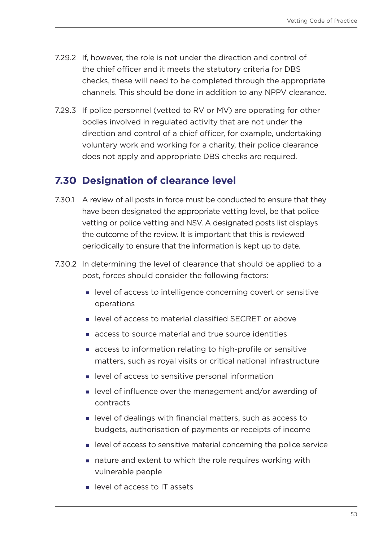- 7.29.2 If, however, the role is not under the direction and control of the chief officer and it meets the statutory criteria for DBS checks, these will need to be completed through the appropriate channels. This should be done in addition to any NPPV clearance.
- 7.29.3 If police personnel (vetted to RV or MV) are operating for other bodies involved in regulated activity that are not under the direction and control of a chief officer, for example, undertaking voluntary work and working for a charity, their police clearance does not apply and appropriate DBS checks are required.

### **7.30 Designation of clearance level**

- 7.30.1 A review of all posts in force must be conducted to ensure that they have been designated the appropriate vetting level, be that police vetting or police vetting and NSV. A designated posts list displays the outcome of the review. It is important that this is reviewed periodically to ensure that the information is kept up to date.
- 7.30.2 In determining the level of clearance that should be applied to a post, forces should consider the following factors:
	- level of access to intelligence concerning covert or sensitive operations
	- level of access to material classified SECRET or above
	- access to source material and true source identities
	- access to information relating to high-profile or sensitive matters, such as royal visits or critical national infrastructure
	- **EXEC** level of access to sensitive personal information
	- level of influence over the management and/or awarding of contracts
	- level of dealings with financial matters, such as access to budgets, authorisation of payments or receipts of income
	- level of access to sensitive material concerning the police service
	- nature and extent to which the role requires working with vulnerable people
	- **In level of access to IT assets**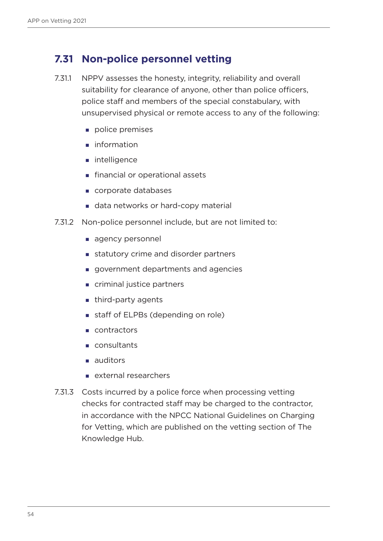### **7.31 Non-police personnel vetting**

- 7.31.1 NPPV assesses the honesty, integrity, reliability and overall suitability for clearance of anyone, other than police officers, police staff and members of the special constabulary, with unsupervised physical or remote access to any of the following:
	- police premises
	- niformation
	- ntelligence
	- **financial or operational assets**
	- corporate databases
	- data networks or hard-copy material
- 7.31.2 Non-police personnel include, but are not limited to:
	- agency personnel
	- statutory crime and disorder partners
	- government departments and agencies
	- criminal justice partners
	- third-party agents
	- staff of ELPBs (depending on role)
	- contractors
	- consultants
	- auditors
	- **E** external researchers
- 7.31.3 Costs incurred by a police force when processing vetting checks for contracted staff may be charged to the contractor, in accordance with the NPCC National Guidelines on Charging for Vetting, which are published on the vetting section of The Knowledge Hub.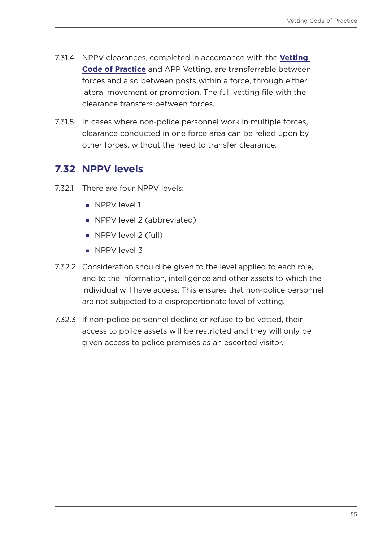- 7.31.4 NPPV clearances, completed in accordance with the **[Vetting](https://www.app.college.police.uk/app-content/professional-standards/vetting/)  [Code of Practice](https://www.app.college.police.uk/app-content/professional-standards/vetting/)** and APP Vetting, are transferrable between forces and also between posts within a force, through either lateral movement or promotion. The full vetting file with the clearance transfers between forces.
- 7.31.5 In cases where non-police personnel work in multiple forces, clearance conducted in one force area can be relied upon by other forces, without the need to transfer clearance.

## **7.32 NPPV levels**

- 7.32.1 There are four NPPV levels:
	- **NPPV** level 1
	- **NPPV level 2 (abbreviated)**
	- NPPV level 2 (full)
	- NPPV level 3
- 7.32.2 Consideration should be given to the level applied to each role, and to the information, intelligence and other assets to which the individual will have access. This ensures that non-police personnel are not subjected to a disproportionate level of vetting.
- 7.32.3 If non-police personnel decline or refuse to be vetted, their access to police assets will be restricted and they will only be given access to police premises as an escorted visitor.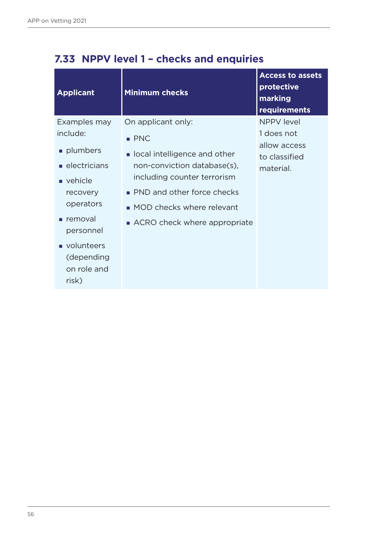| <b>Applicant</b>                                                                                                                                                                    | <b>Minimum checks</b>                                                                                                                                                                                                                  | <b>Access to assets</b><br>protective<br>marking<br>requirements              |
|-------------------------------------------------------------------------------------------------------------------------------------------------------------------------------------|----------------------------------------------------------------------------------------------------------------------------------------------------------------------------------------------------------------------------------------|-------------------------------------------------------------------------------|
| Examples may<br>include:<br>plumbers<br>$\blacksquare$ electricians<br>vehicle<br>recovery<br>operators<br>removal<br>personnel<br>volunteers<br>(depending<br>on role and<br>risk) | On applicant only:<br>$\blacksquare$ PNC<br>ocal intelligence and other<br>non-conviction database(s),<br>including counter terrorism<br>• PND and other force checks<br>• MOD checks where relevant<br>■ ACRO check where appropriate | <b>NPPV</b> level<br>1 does not<br>allow access<br>to classified<br>material. |

## **7.33 NPPV level 1 – checks and enquiries**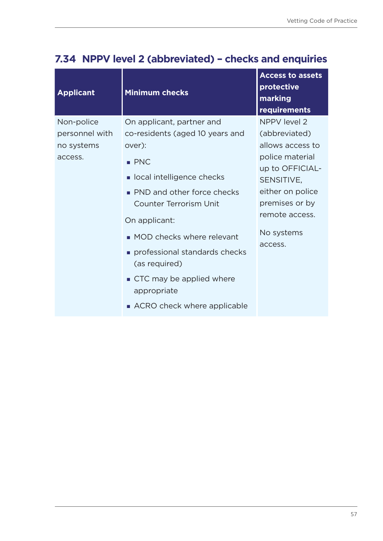| <b>Applicant</b> | <b>Minimum checks</b>                          | <b>Access to assets</b><br>protective<br>marking<br>requirements |
|------------------|------------------------------------------------|------------------------------------------------------------------|
| Non-police       | On applicant, partner and                      | <b>NPPV level 2</b>                                              |
| personnel with   | co-residents (aged 10 years and                | (abbreviated)                                                    |
| no systems       | over):                                         | allows access to                                                 |
| access.          | $\blacksquare$ PNC                             | police material                                                  |
|                  | ocal intelligence checks                       | up to OFFICIAL-<br>SENSITIVE,                                    |
|                  | • PND and other force checks                   | either on police                                                 |
|                  | <b>Counter Terrorism Unit</b>                  | premises or by                                                   |
|                  | On applicant:                                  | remote access.                                                   |
|                  | • MOD checks where relevant                    | No systems<br>access.                                            |
|                  | professional standards checks<br>(as required) |                                                                  |
|                  | ■ CTC may be applied where<br>appropriate      |                                                                  |
|                  | ■ ACRO check where applicable                  |                                                                  |

## **7.34 NPPV level 2 (abbreviated) – checks and enquiries**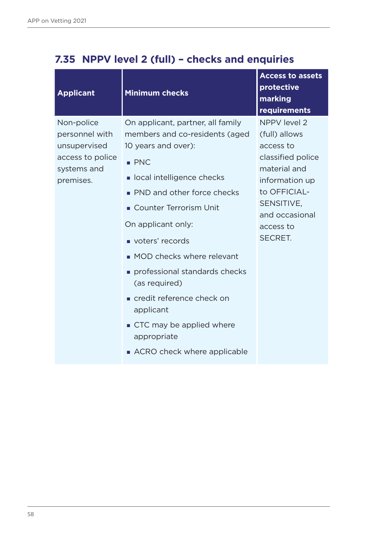| <b>Applicant</b>                                                                             | <b>Minimum checks</b>                                                                                                                                                                                                                                                                                                                                                                                                                                  | <b>Access to assets</b><br>protective<br>marking<br>requirements                                                                                                                 |
|----------------------------------------------------------------------------------------------|--------------------------------------------------------------------------------------------------------------------------------------------------------------------------------------------------------------------------------------------------------------------------------------------------------------------------------------------------------------------------------------------------------------------------------------------------------|----------------------------------------------------------------------------------------------------------------------------------------------------------------------------------|
| Non-police<br>personnel with<br>unsupervised<br>access to police<br>systems and<br>premises. | On applicant, partner, all family<br>members and co-residents (aged<br>10 years and over):<br>$\blacksquare$ PNC<br>ocal intelligence checks<br>• PND and other force checks<br>• Counter Terrorism Unit<br>On applicant only:<br>voters' records<br>• MOD checks where relevant<br>professional standards checks<br>(as required)<br>credit reference check on<br>applicant<br>CTC may be applied where<br>appropriate<br>ACRO check where applicable | NPPV level 2<br>(full) allows<br>access to<br>classified police<br>material and<br>information up<br>to OFFICIAL-<br>SENSITIVE,<br>and occasional<br>access to<br><b>SECRET.</b> |

## **7.35 NPPV level 2 (full) – checks and enquiries**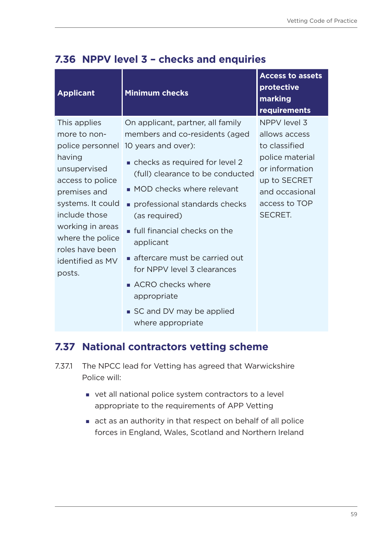| <b>Applicant</b>                                                                                                                                                                                                | <b>Minimum checks</b>                                                                                                                                                                                                                                                                                                                                                                    | <b>Access to assets</b><br>protective<br>marking<br>requirements                                                                                  |
|-----------------------------------------------------------------------------------------------------------------------------------------------------------------------------------------------------------------|------------------------------------------------------------------------------------------------------------------------------------------------------------------------------------------------------------------------------------------------------------------------------------------------------------------------------------------------------------------------------------------|---------------------------------------------------------------------------------------------------------------------------------------------------|
| This applies<br>more to non-<br>having<br>unsupervised<br>access to police<br>premises and<br>systems. It could<br>include those<br>working in areas<br>where the police<br>roles have been<br>identified as MV | On applicant, partner, all family<br>members and co-residents (aged<br>police personnel 10 years and over):<br>• checks as required for level 2<br>(full) clearance to be conducted<br>• MOD checks where relevant<br>professional standards checks<br>(as required)<br><b>full financial checks on the</b><br>applicant<br>aftercare must be carried out<br>for NPPV level 3 clearances | NPPV level 3<br>allows access<br>to classified<br>police material<br>or information<br>up to SECRET<br>and occasional<br>access to TOP<br>SECRET. |
| posts.                                                                                                                                                                                                          | ACRO checks where<br>appropriate<br>■ SC and DV may be applied                                                                                                                                                                                                                                                                                                                           |                                                                                                                                                   |

## **7.36 NPPV level 3 – checks and enquiries**

### **7.37 National contractors vetting scheme**

where appropriate

- 7.37.1 The NPCC lead for Vetting has agreed that Warwickshire Police will:
	- vet all national police system contractors to a level appropriate to the requirements of APP Vetting
	- act as an authority in that respect on behalf of all police forces in England, Wales, Scotland and Northern Ireland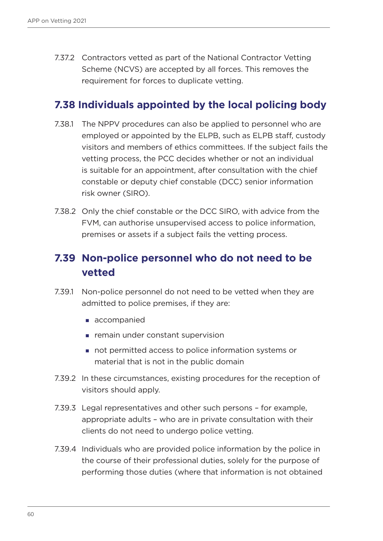7.37.2 Contractors vetted as part of the National Contractor Vetting Scheme (NCVS) are accepted by all forces. This removes the requirement for forces to duplicate vetting.

#### **7.38 Individuals appointed by the local policing body**

- 7.38.1 The NPPV procedures can also be applied to personnel who are employed or appointed by the ELPB, such as ELPB staff, custody visitors and members of ethics committees. If the subject fails the vetting process, the PCC decides whether or not an individual is suitable for an appointment, after consultation with the chief constable or deputy chief constable (DCC) senior information risk owner (SIRO).
- 7.38.2 Only the chief constable or the DCC SIRO, with advice from the FVM, can authorise unsupervised access to police information, premises or assets if a subject fails the vetting process.

## **7.39 Non-police personnel who do not need to be vetted**

- 7.39.1 Non-police personnel do not need to be vetted when they are admitted to police premises, if they are:
	- accompanied
	- **F** remain under constant supervision
	- not permitted access to police information systems or material that is not in the public domain
- 7.39.2 In these circumstances, existing procedures for the reception of visitors should apply.
- 7.39.3 Legal representatives and other such persons for example, appropriate adults – who are in private consultation with their clients do not need to undergo police vetting.
- 7.39.4 Individuals who are provided police information by the police in the course of their professional duties, solely for the purpose of performing those duties (where that information is not obtained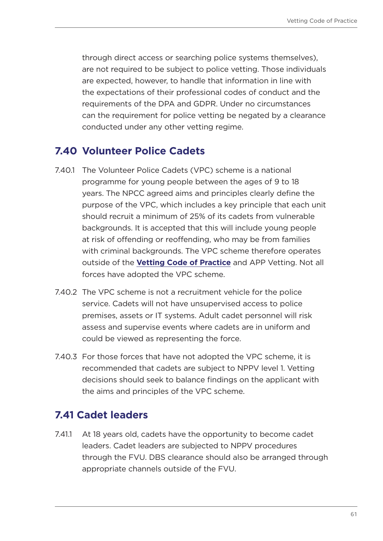through direct access or searching police systems themselves), are not required to be subject to police vetting. Those individuals are expected, however, to handle that information in line with the expectations of their professional codes of conduct and the requirements of the DPA and GDPR. Under no circumstances can the requirement for police vetting be negated by a clearance conducted under any other vetting regime.

## **7.40 Volunteer Police Cadets**

- 7.40.1 The Volunteer Police Cadets (VPC) scheme is a national programme for young people between the ages of 9 to 18 years. The NPCC agreed aims and principles clearly define the purpose of the VPC, which includes a key principle that each unit should recruit a minimum of 25% of its cadets from vulnerable backgrounds. It is accepted that this will include young people at risk of offending or reoffending, who may be from families with criminal backgrounds. The VPC scheme therefore operates outside of the **[Vetting Code of Practice](https://library.college.police.uk/docs/college-of-policing/Vetting-Code-of-Practice-2017.pdf)** and APP Vetting. Not all forces have adopted the VPC scheme.
- 7.40.2 The VPC scheme is not a recruitment vehicle for the police service. Cadets will not have unsupervised access to police premises, assets or IT systems. Adult cadet personnel will risk assess and supervise events where cadets are in uniform and could be viewed as representing the force.
- 7.40.3 For those forces that have not adopted the VPC scheme, it is recommended that cadets are subject to NPPV level 1. Vetting decisions should seek to balance findings on the applicant with the aims and principles of the VPC scheme.

### **7.41 Cadet leaders**

7.41.1 At 18 years old, cadets have the opportunity to become cadet leaders. Cadet leaders are subjected to NPPV procedures through the FVU. DBS clearance should also be arranged through appropriate channels outside of the FVU.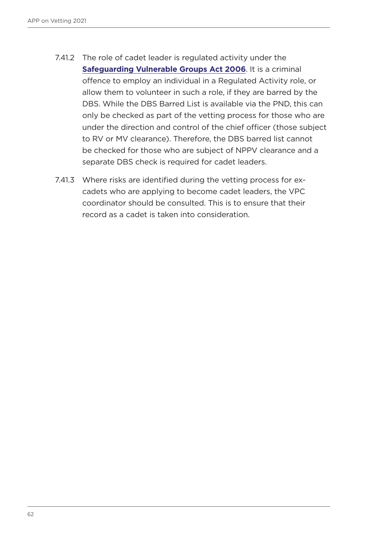- 7.41.2 The role of cadet leader is regulated activity under the **[Safeguarding Vulnerable Groups Act 2006](https://www.legislation.gov.uk/ukpga/2006/47/contents)**. It is a criminal offence to employ an individual in a Regulated Activity role, or allow them to volunteer in such a role, if they are barred by the DBS. While the DBS Barred List is available via the PND, this can only be checked as part of the vetting process for those who are under the direction and control of the chief officer (those subject to RV or MV clearance). Therefore, the DBS barred list cannot be checked for those who are subject of NPPV clearance and a separate DBS check is required for cadet leaders.
- 7.41.3 Where risks are identified during the vetting process for excadets who are applying to become cadet leaders, the VPC coordinator should be consulted. This is to ensure that their record as a cadet is taken into consideration.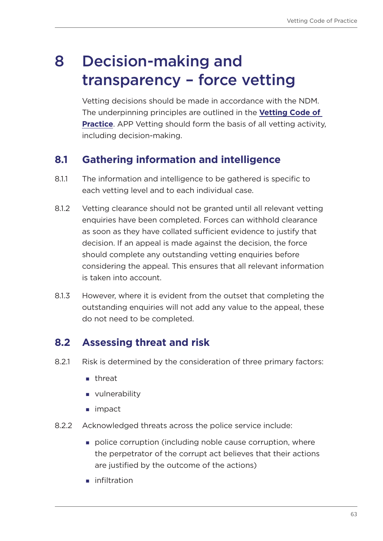# 8 Decision-making and transparency – force vetting

Vetting decisions should be made in accordance with the NDM. The underpinning principles are outlined in the **[Vetting Code of](https://library.college.police.uk/docs/college-of-policing/Vetting-Code-of-Practice-2017.pdf)  [Practice](https://library.college.police.uk/docs/college-of-policing/Vetting-Code-of-Practice-2017.pdf)**. APP Vetting should form the basis of all vetting activity, including decision-making.

## **8.1 Gathering information and intelligence**

- 8.1.1 The information and intelligence to be gathered is specific to each vetting level and to each individual case.
- 8.1.2 Vetting clearance should not be granted until all relevant vetting enquiries have been completed. Forces can withhold clearance as soon as they have collated sufficient evidence to justify that decision. If an appeal is made against the decision, the force should complete any outstanding vetting enquiries before considering the appeal. This ensures that all relevant information is taken into account.
- 8.1.3 However, where it is evident from the outset that completing the outstanding enquiries will not add any value to the appeal, these do not need to be completed.

## **8.2 Assessing threat and risk**

- 8.2.1 Risk is determined by the consideration of three primary factors:
	- **n** threat
	- vulnerability
	- impact
- 8.2.2 Acknowledged threats across the police service include:
	- **police corruption (including noble cause corruption, where** the perpetrator of the corrupt act believes that their actions are justified by the outcome of the actions)
	- **n** infiltration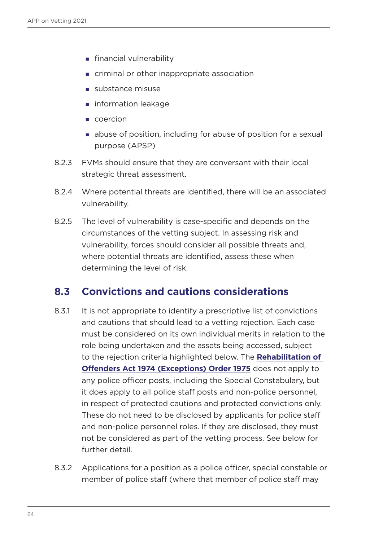- **financial vulnerability**
- criminal or other inappropriate association
- substance misuse
- **n** information leakage
- coercion
- abuse of position, including for abuse of position for a sexual purpose (APSP)
- 8.2.3 FVMs should ensure that they are conversant with their local strategic threat assessment.
- 8.2.4 Where potential threats are identified, there will be an associated vulnerability.
- 8.2.5 The level of vulnerability is case-specific and depends on the circumstances of the vetting subject. In assessing risk and vulnerability, forces should consider all possible threats and, where potential threats are identified, assess these when determining the level of risk.

#### **8.3 Convictions and cautions considerations**

- 8.3.1 It is not appropriate to identify a prescriptive list of convictions and cautions that should lead to a vetting rejection. Each case must be considered on its own individual merits in relation to the role being undertaken and the assets being accessed, subject to the rejection criteria highlighted below. The **[Rehabilitation of](https://www.legislation.gov.uk/uksi/1975/1023/contents/made)  [Offenders Act 1974 \(Exceptions\) Order 1975](https://www.legislation.gov.uk/uksi/1975/1023/contents/made)** does not apply to any police officer posts, including the Special Constabulary, but it does apply to all police staff posts and non-police personnel, in respect of protected cautions and protected convictions only. These do not need to be disclosed by applicants for police staff and non-police personnel roles. If they are disclosed, they must not be considered as part of the vetting process. See below for further detail.
- 8.3.2 Applications for a position as a police officer, special constable or member of police staff (where that member of police staff may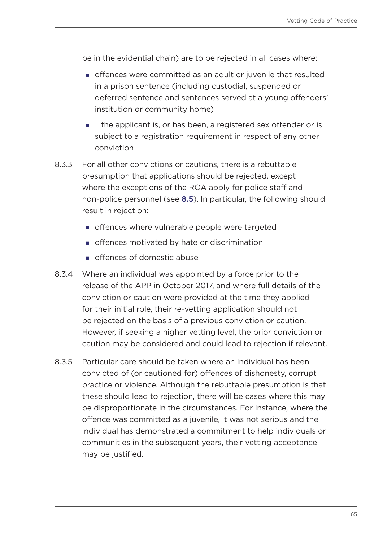be in the evidential chain) are to be rejected in all cases where:

- offences were committed as an adult or juvenile that resulted in a prison sentence (including custodial, suspended or deferred sentence and sentences served at a young offenders' institution or community home)
- **the applicant is, or has been, a registered sex offender or is** subject to a registration requirement in respect of any other conviction
- 8.3.3 For all other convictions or cautions, there is a rebuttable presumption that applications should be rejected, except where the exceptions of the ROA apply for police staff and non-police personnel (see **[8.5](#page-67-0)**). In particular, the following should result in rejection:
	- offences where vulnerable people were targeted
	- offences motivated by hate or discrimination
	- offences of domestic abuse
- 8.3.4 Where an individual was appointed by a force prior to the release of the APP in October 2017, and where full details of the conviction or caution were provided at the time they applied for their initial role, their re-vetting application should not be rejected on the basis of a previous conviction or caution. However, if seeking a higher vetting level, the prior conviction or caution may be considered and could lead to rejection if relevant.
- 8.3.5 Particular care should be taken where an individual has been convicted of (or cautioned for) offences of dishonesty, corrupt practice or violence. Although the rebuttable presumption is that these should lead to rejection, there will be cases where this may be disproportionate in the circumstances. For instance, where the offence was committed as a juvenile, it was not serious and the individual has demonstrated a commitment to help individuals or communities in the subsequent years, their vetting acceptance may be justified.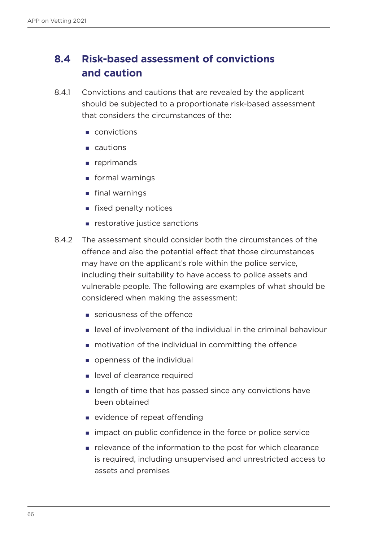## **8.4 Risk-based assessment of convictions and caution**

- 8.4.1 Convictions and cautions that are revealed by the applicant should be subjected to a proportionate risk-based assessment that considers the circumstances of the:
	- convictions
	- **cautions**
	- **reprimands**
	- **formal warnings**
	- **final warnings**
	- **fixed penalty notices**
	- $\blacksquare$  restorative justice sanctions
- 8.4.2 The assessment should consider both the circumstances of the offence and also the potential effect that those circumstances may have on the applicant's role within the police service, including their suitability to have access to police assets and vulnerable people. The following are examples of what should be considered when making the assessment:
	- seriousness of the offence
	- level of involvement of the individual in the criminal behaviour
	- **n** motivation of the individual in committing the offence
	- **p** openness of the individual
	- **In level of clearance required**
	- **I** length of time that has passed since any convictions have been obtained
	- **Exercise of repeat offending**
	- **If** impact on public confidence in the force or police service
	- **Part Findor interpolation is the post for which clearance** is required, including unsupervised and unrestricted access to assets and premises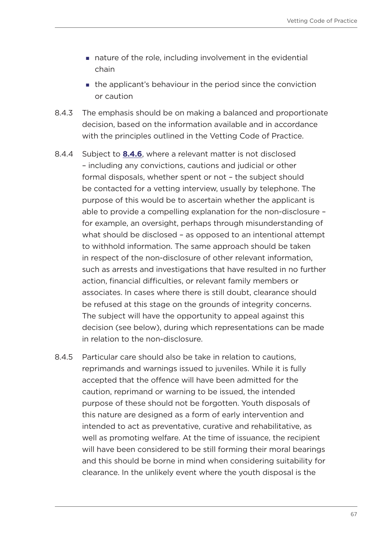- nature of the role, including involvement in the evidential chain
- the applicant's behaviour in the period since the conviction or caution
- 8.4.3 The emphasis should be on making a balanced and proportionate decision, based on the information available and in accordance with the principles outlined in the Vetting Code of Practice.
- <span id="page-66-0"></span>8.4.4 Subject to **[8.4.6](#page-67-1)**, where a relevant matter is not disclosed – including any convictions, cautions and judicial or other formal disposals, whether spent or not – the subject should be contacted for a vetting interview, usually by telephone. The purpose of this would be to ascertain whether the applicant is able to provide a compelling explanation for the non-disclosure – for example, an oversight, perhaps through misunderstanding of what should be disclosed – as opposed to an intentional attempt to withhold information. The same approach should be taken in respect of the non-disclosure of other relevant information, such as arrests and investigations that have resulted in no further action, financial difficulties, or relevant family members or associates. In cases where there is still doubt, clearance should be refused at this stage on the grounds of integrity concerns. The subject will have the opportunity to appeal against this decision (see below), during which representations can be made in relation to the non-disclosure.
- 8.4.5 Particular care should also be take in relation to cautions, reprimands and warnings issued to juveniles. While it is fully accepted that the offence will have been admitted for the caution, reprimand or warning to be issued, the intended purpose of these should not be forgotten. Youth disposals of this nature are designed as a form of early intervention and intended to act as preventative, curative and rehabilitative, as well as promoting welfare. At the time of issuance, the recipient will have been considered to be still forming their moral bearings and this should be borne in mind when considering suitability for clearance. In the unlikely event where the youth disposal is the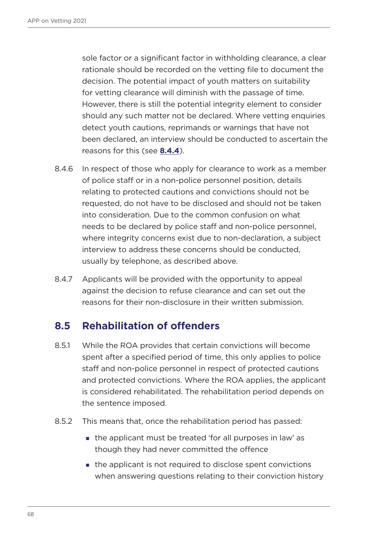sole factor or a significant factor in withholding clearance, a clear rationale should be recorded on the vetting file to document the decision. The potential impact of youth matters on suitability for vetting clearance will diminish with the passage of time. However, there is still the potential integrity element to consider should any such matter not be declared. Where vetting enquiries detect youth cautions, reprimands or warnings that have not been declared, an interview should be conducted to ascertain the reasons for this (see **[8.4.4](#page-66-0)**).

- <span id="page-67-1"></span>8.4.6 In respect of those who apply for clearance to work as a member of police staff or in a non-police personnel position, details relating to protected cautions and convictions should not be requested, do not have to be disclosed and should not be taken into consideration. Due to the common confusion on what needs to be declared by police staff and non-police personnel, where integrity concerns exist due to non-declaration, a subject interview to address these concerns should be conducted, usually by telephone, as described above.
- 8.4.7 Applicants will be provided with the opportunity to appeal against the decision to refuse clearance and can set out the reasons for their non-disclosure in their written submission.

### <span id="page-67-0"></span>**8.5 Rehabilitation of offenders**

- 8.5.1 While the ROA provides that certain convictions will become spent after a specified period of time, this only applies to police staff and non-police personnel in respect of protected cautions and protected convictions. Where the ROA applies, the applicant is considered rehabilitated. The rehabilitation period depends on the sentence imposed.
- 8.5.2 This means that, once the rehabilitation period has passed:
	- the applicant must be treated 'for all purposes in law' as though they had never committed the offence
	- $\blacksquare$  the applicant is not required to disclose spent convictions when answering questions relating to their conviction history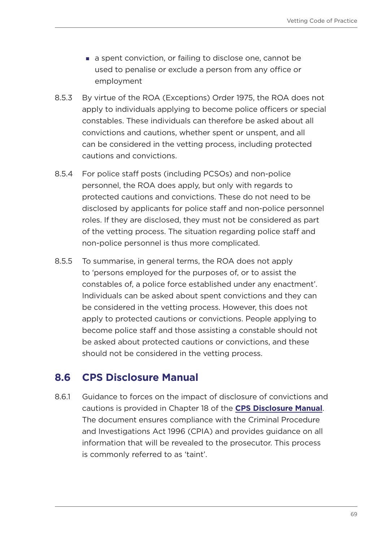- a spent conviction, or failing to disclose one, cannot be used to penalise or exclude a person from any office or employment
- 8.5.3 By virtue of the ROA (Exceptions) Order 1975, the ROA does not apply to individuals applying to become police officers or special constables. These individuals can therefore be asked about all convictions and cautions, whether spent or unspent, and all can be considered in the vetting process, including protected cautions and convictions.
- 8.5.4 For police staff posts (including PCSOs) and non-police personnel, the ROA does apply, but only with regards to protected cautions and convictions. These do not need to be disclosed by applicants for police staff and non-police personnel roles. If they are disclosed, they must not be considered as part of the vetting process. The situation regarding police staff and non-police personnel is thus more complicated.
- 8.5.5 To summarise, in general terms, the ROA does not apply to 'persons employed for the purposes of, or to assist the constables of, a police force established under any enactment'. Individuals can be asked about spent convictions and they can be considered in the vetting process. However, this does not apply to protected cautions or convictions. People applying to become police staff and those assisting a constable should not be asked about protected cautions or convictions, and these should not be considered in the vetting process.

### **8.6 CPS Disclosure Manual**

8.6.1 Guidance to forces on the impact of disclosure of convictions and cautions is provided in Chapter 18 of the **[CPS Disclosure Manual](https://www.cps.gov.uk/legal-guidance/disclosure-manual)**. The document ensures compliance with the Criminal Procedure and Investigations Act 1996 (CPIA) and provides guidance on all information that will be revealed to the prosecutor. This process is commonly referred to as 'taint'.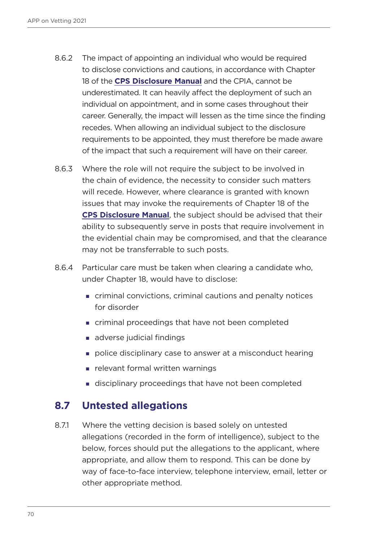- 8.6.2 The impact of appointing an individual who would be required to disclose convictions and cautions, in accordance with Chapter 18 of the **[CPS Disclosure Manual](https://www.cps.gov.uk/legal-guidance/disclosure-manual)** and the CPIA, cannot be underestimated. It can heavily affect the deployment of such an individual on appointment, and in some cases throughout their career. Generally, the impact will lessen as the time since the finding recedes. When allowing an individual subject to the disclosure requirements to be appointed, they must therefore be made aware of the impact that such a requirement will have on their career.
- 8.6.3 Where the role will not require the subject to be involved in the chain of evidence, the necessity to consider such matters will recede. However, where clearance is granted with known issues that may invoke the requirements of Chapter 18 of the **[CPS Disclosure Manual](https://www.cps.gov.uk/legal-guidance/disclosure-manual)**, the subject should be advised that their ability to subsequently serve in posts that require involvement in the evidential chain may be compromised, and that the clearance may not be transferrable to such posts.
- 8.6.4 Particular care must be taken when clearing a candidate who, under Chapter 18, would have to disclose:
	- criminal convictions, criminal cautions and penalty notices for disorder
	- **EXECT** criminal proceedings that have not been completed
	- adverse judicial findings
	- police disciplinary case to answer at a misconduct hearing
	- **F** relevant formal written warnings
	- disciplinary proceedings that have not been completed

### **8.7 Untested allegations**

<span id="page-69-0"></span>8.7.1 Where the vetting decision is based solely on untested allegations (recorded in the form of intelligence), subject to the below, forces should put the allegations to the applicant, where appropriate, and allow them to respond. This can be done by way of face-to-face interview, telephone interview, email, letter or other appropriate method.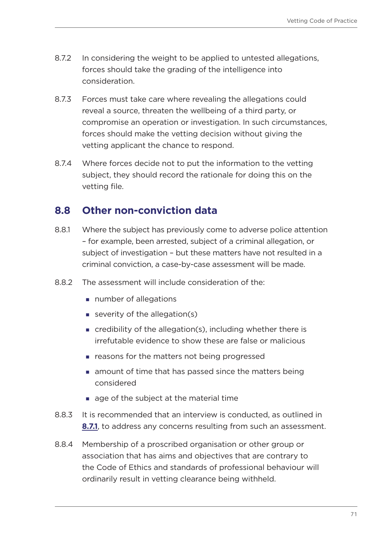- 8.7.2 In considering the weight to be applied to untested allegations, forces should take the grading of the intelligence into consideration.
- 8.7.3 Forces must take care where revealing the allegations could reveal a source, threaten the wellbeing of a third party, or compromise an operation or investigation. In such circumstances, forces should make the vetting decision without giving the vetting applicant the chance to respond.
- 8.7.4 Where forces decide not to put the information to the vetting subject, they should record the rationale for doing this on the vetting file.

### **8.8 Other non-conviction data**

- 8.8.1 Where the subject has previously come to adverse police attention – for example, been arrested, subject of a criminal allegation, or subject of investigation – but these matters have not resulted in a criminal conviction, a case-by-case assessment will be made.
- 8.8.2 The assessment will include consideration of the:
	- number of allegations
	- severity of the allegation(s)
	- credibility of the allegation(s), including whether there is irrefutable evidence to show these are false or malicious
	- **Exercise 1** reasons for the matters not being progressed
	- **n** amount of time that has passed since the matters being considered
	- $\Box$  age of the subject at the material time
- 8.8.3 It is recommended that an interview is conducted, as outlined in **[8.7.1](#page-69-0)**, to address any concerns resulting from such an assessment.
- 8.8.4 Membership of a proscribed organisation or other group or association that has aims and objectives that are contrary to the Code of Ethics and standards of professional behaviour will ordinarily result in vetting clearance being withheld.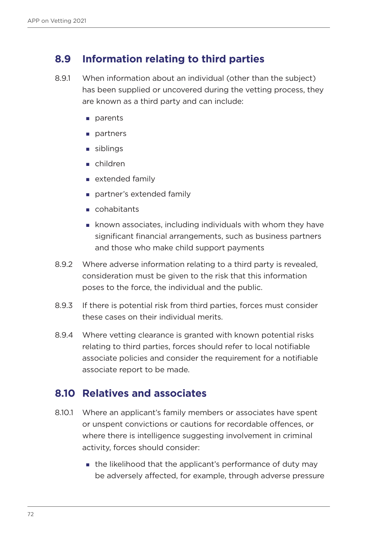### **8.9 Information relating to third parties**

- 8.9.1 When information about an individual (other than the subject) has been supplied or uncovered during the vetting process, they are known as a third party and can include:
	- **n** parents
	- **partners**
	- siblings
	- children
	- $\blacksquare$  extended family
	- partner's extended family
	- cohabitants
	- known associates, including individuals with whom they have significant financial arrangements, such as business partners and those who make child support payments
- 8.9.2 Where adverse information relating to a third party is revealed, consideration must be given to the risk that this information poses to the force, the individual and the public.
- 8.9.3 If there is potential risk from third parties, forces must consider these cases on their individual merits.
- 8.9.4 Where vetting clearance is granted with known potential risks relating to third parties, forces should refer to local notifiable associate policies and consider the requirement for a notifiable associate report to be made.

#### **8.10 Relatives and associates**

- 8.10.1 Where an applicant's family members or associates have spent or unspent convictions or cautions for recordable offences, or where there is intelligence suggesting involvement in criminal activity, forces should consider:
	- **the likelihood that the applicant's performance of duty may** be adversely affected, for example, through adverse pressure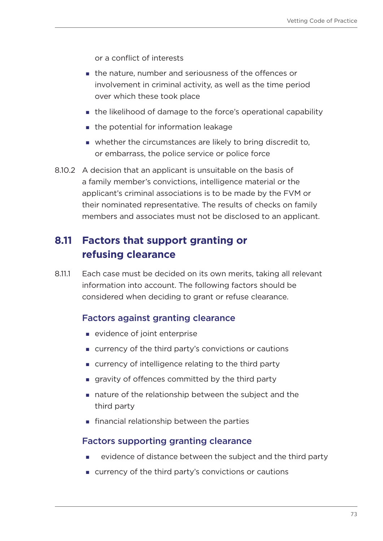or a conflict of interests

- the nature, number and seriousness of the offences or involvement in criminal activity, as well as the time period over which these took place
- the likelihood of damage to the force's operational capability
- the potential for information leakage
- whether the circumstances are likely to bring discredit to, or embarrass, the police service or police force
- 8.10.2 A decision that an applicant is unsuitable on the basis of a family member's convictions, intelligence material or the applicant's criminal associations is to be made by the FVM or their nominated representative. The results of checks on family members and associates must not be disclosed to an applicant.

# **8.11 Factors that support granting or refusing clearance**

8.11.1 Each case must be decided on its own merits, taking all relevant information into account. The following factors should be considered when deciding to grant or refuse clearance.

#### Factors against granting clearance

- **Exercise** vidence of joint enterprise
- currency of the third party's convictions or cautions
- currency of intelligence relating to the third party
- gravity of offences committed by the third party
- nature of the relationship between the subject and the third party
- **Financial relationship between the parties**

#### Factors supporting granting clearance

- evidence of distance between the subject and the third party
- currency of the third party's convictions or cautions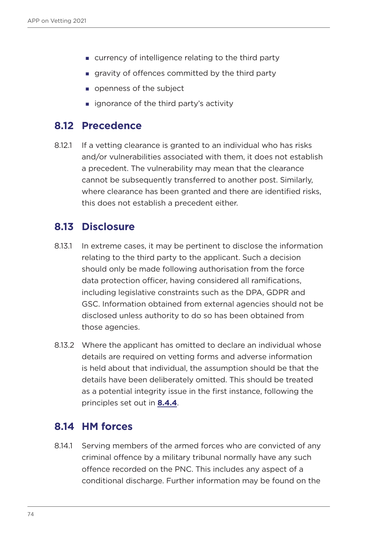- currency of intelligence relating to the third party
- gravity of offences committed by the third party
- openness of the subject
- **ignorance of the third party's activity**

#### **8.12 Precedence**

8.12.1 If a vetting clearance is granted to an individual who has risks and/or vulnerabilities associated with them, it does not establish a precedent. The vulnerability may mean that the clearance cannot be subsequently transferred to another post. Similarly, where clearance has been granted and there are identified risks, this does not establish a precedent either.

#### **8.13 Disclosure**

- 8.13.1 In extreme cases, it may be pertinent to disclose the information relating to the third party to the applicant. Such a decision should only be made following authorisation from the force data protection officer, having considered all ramifications, including legislative constraints such as the DPA, GDPR and GSC. Information obtained from external agencies should not be disclosed unless authority to do so has been obtained from those agencies.
- 8.13.2 Where the applicant has omitted to declare an individual whose details are required on vetting forms and adverse information is held about that individual, the assumption should be that the details have been deliberately omitted. This should be treated as a potential integrity issue in the first instance, following the principles set out in **[8.4.4](#page-66-0)**.

#### **8.14 HM forces**

8.14.1 Serving members of the armed forces who are convicted of any criminal offence by a military tribunal normally have any such offence recorded on the PNC. This includes any aspect of a conditional discharge. Further information may be found on the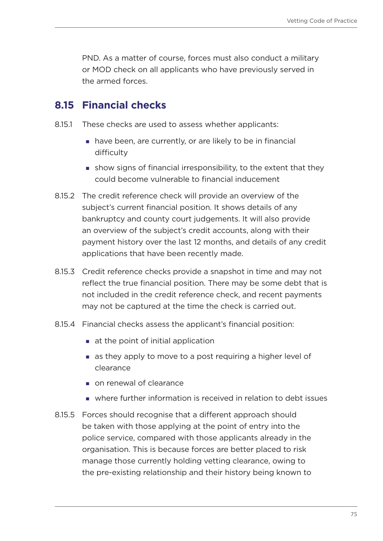PND. As a matter of course, forces must also conduct a military or MOD check on all applicants who have previously served in the armed forces.

## **8.15 Financial checks**

- 8.15.1 These checks are used to assess whether applicants:
	- have been, are currently, or are likely to be in financial difficulty
	- show signs of financial irresponsibility, to the extent that they could become vulnerable to financial inducement
- 8.15.2 The credit reference check will provide an overview of the subject's current financial position. It shows details of any bankruptcy and county court judgements. It will also provide an overview of the subject's credit accounts, along with their payment history over the last 12 months, and details of any credit applications that have been recently made.
- 8.15.3 Credit reference checks provide a snapshot in time and may not reflect the true financial position. There may be some debt that is not included in the credit reference check, and recent payments may not be captured at the time the check is carried out.
- 8.15.4 Financial checks assess the applicant's financial position:
	- at the point of initial application
	- **a** as they apply to move to a post requiring a higher level of clearance
	- on renewal of clearance
	- where further information is received in relation to debt issues
- 8.15.5 Forces should recognise that a different approach should be taken with those applying at the point of entry into the police service, compared with those applicants already in the organisation. This is because forces are better placed to risk manage those currently holding vetting clearance, owing to the pre-existing relationship and their history being known to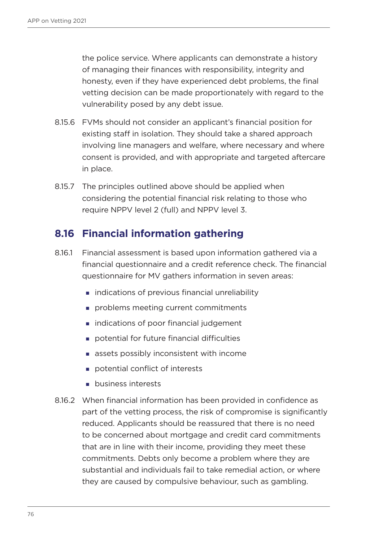the police service. Where applicants can demonstrate a history of managing their finances with responsibility, integrity and honesty, even if they have experienced debt problems, the final vetting decision can be made proportionately with regard to the vulnerability posed by any debt issue.

- 8.15.6 FVMs should not consider an applicant's financial position for existing staff in isolation. They should take a shared approach involving line managers and welfare, where necessary and where consent is provided, and with appropriate and targeted aftercare in place.
- 8.15.7 The principles outlined above should be applied when considering the potential financial risk relating to those who require NPPV level 2 (full) and NPPV level 3.

## **8.16 Financial information gathering**

- 8.16.1 Financial assessment is based upon information gathered via a financial questionnaire and a credit reference check. The financial questionnaire for MV gathers information in seven areas:
	- **Example 1** indications of previous financial unreliability
	- problems meeting current commitments
	- **indications of poor financial judgement**
	- **potential for future financial difficulties**
	- **assets possibly inconsistent with income**
	- potential conflict of interests
	- **business interests**
- 8.16.2 When financial information has been provided in confidence as part of the vetting process, the risk of compromise is significantly reduced. Applicants should be reassured that there is no need to be concerned about mortgage and credit card commitments that are in line with their income, providing they meet these commitments. Debts only become a problem where they are substantial and individuals fail to take remedial action, or where they are caused by compulsive behaviour, such as gambling.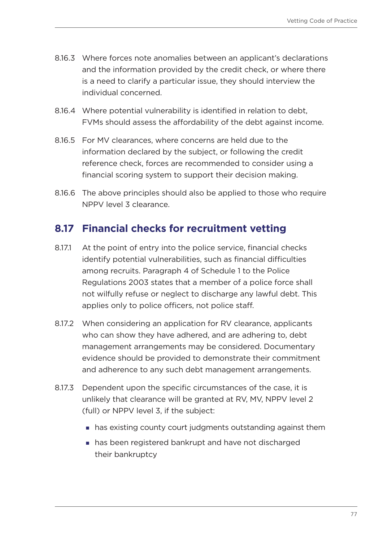- 8.16.3 Where forces note anomalies between an applicant's declarations and the information provided by the credit check, or where there is a need to clarify a particular issue, they should interview the individual concerned.
- 8.16.4 Where potential vulnerability is identified in relation to debt, FVMs should assess the affordability of the debt against income.
- 8.16.5 For MV clearances, where concerns are held due to the information declared by the subject, or following the credit reference check, forces are recommended to consider using a financial scoring system to support their decision making.
- 8.16.6 The above principles should also be applied to those who require NPPV level 3 clearance.

## **8.17 Financial checks for recruitment vetting**

- 8.17.1 At the point of entry into the police service, financial checks identify potential vulnerabilities, such as financial difficulties among recruits. Paragraph 4 of Schedule 1 to the Police Regulations 2003 states that a member of a police force shall not wilfully refuse or neglect to discharge any lawful debt. This applies only to police officers, not police staff.
- 8.17.2 When considering an application for RV clearance, applicants who can show they have adhered, and are adhering to, debt management arrangements may be considered. Documentary evidence should be provided to demonstrate their commitment and adherence to any such debt management arrangements.
- 8.17.3 Dependent upon the specific circumstances of the case, it is unlikely that clearance will be granted at RV, MV, NPPV level 2 (full) or NPPV level 3, if the subject:
	- has existing county court judgments outstanding against them
	- has been registered bankrupt and have not discharged their bankruptcy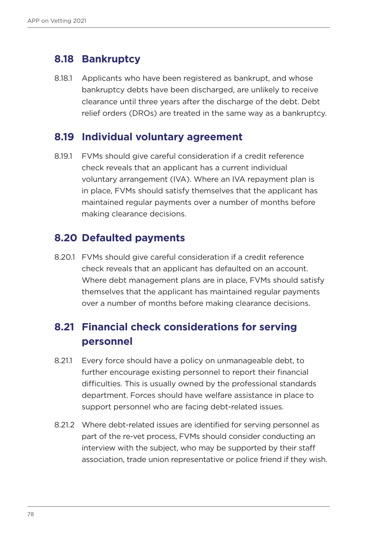#### **8.18 Bankruptcy**

8.18.1 Applicants who have been registered as bankrupt, and whose bankruptcy debts have been discharged, are unlikely to receive clearance until three years after the discharge of the debt. Debt relief orders (DROs) are treated in the same way as a bankruptcy.

#### **8.19 Individual voluntary agreement**

8.19.1 FVMs should give careful consideration if a credit reference check reveals that an applicant has a current individual voluntary arrangement (IVA). Where an IVA repayment plan is in place, FVMs should satisfy themselves that the applicant has maintained regular payments over a number of months before making clearance decisions.

#### **8.20 Defaulted payments**

8.20.1 FVMs should give careful consideration if a credit reference check reveals that an applicant has defaulted on an account. Where debt management plans are in place, FVMs should satisfy themselves that the applicant has maintained regular payments over a number of months before making clearance decisions.

# **8.21 Financial check considerations for serving personnel**

- 8.21.1 Every force should have a policy on unmanageable debt, to further encourage existing personnel to report their financial difficulties. This is usually owned by the professional standards department. Forces should have welfare assistance in place to support personnel who are facing debt-related issues.
- 8.21.2 Where debt-related issues are identified for serving personnel as part of the re-vet process, FVMs should consider conducting an interview with the subject, who may be supported by their staff association, trade union representative or police friend if they wish.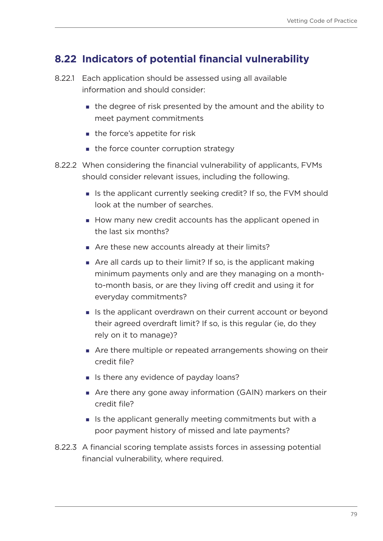# **8.22 Indicators of potential financial vulnerability**

- 8.22.1 Each application should be assessed using all available information and should consider:
	- the degree of risk presented by the amount and the ability to meet payment commitments
	- the force's appetite for risk
	- $\blacksquare$  the force counter corruption strategy
- 8.22.2 When considering the financial vulnerability of applicants, FVMs should consider relevant issues, including the following.
	- If is the applicant currently seeking credit? If so, the FVM should look at the number of searches.
	- How many new credit accounts has the applicant opened in the last six months?
	- Are these new accounts already at their limits?
	- Are all cards up to their limit? If so, is the applicant making minimum payments only and are they managing on a monthto-month basis, or are they living off credit and using it for everyday commitments?
	- If is the applicant overdrawn on their current account or beyond their agreed overdraft limit? If so, is this regular (ie, do they rely on it to manage)?
	- Are there multiple or repeated arrangements showing on their credit file?
	- I Is there any evidence of payday loans?
	- Are there any gone away information (GAIN) markers on their credit file?
	- If is the applicant generally meeting commitments but with a poor payment history of missed and late payments?
- 8.22.3 A financial scoring template assists forces in assessing potential financial vulnerability, where required.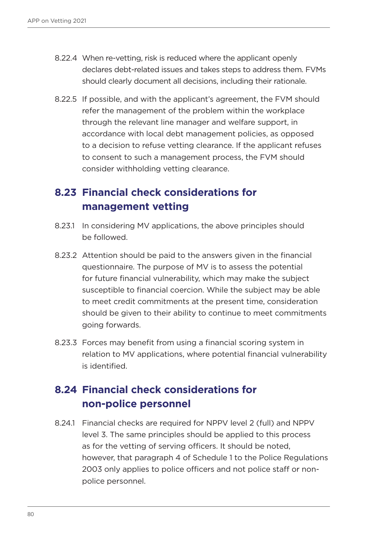- 8.22.4 When re-vetting, risk is reduced where the applicant openly declares debt-related issues and takes steps to address them. FVMs should clearly document all decisions, including their rationale.
- 8.22.5 If possible, and with the applicant's agreement, the FVM should refer the management of the problem within the workplace through the relevant line manager and welfare support, in accordance with local debt management policies, as opposed to a decision to refuse vetting clearance. If the applicant refuses to consent to such a management process, the FVM should consider withholding vetting clearance.

# **8.23 Financial check considerations for management vetting**

- 8.23.1 In considering MV applications, the above principles should be followed.
- 8.23.2 Attention should be paid to the answers given in the financial questionnaire. The purpose of MV is to assess the potential for future financial vulnerability, which may make the subject susceptible to financial coercion. While the subject may be able to meet credit commitments at the present time, consideration should be given to their ability to continue to meet commitments going forwards.
- 8.23.3 Forces may benefit from using a financial scoring system in relation to MV applications, where potential financial vulnerability is identified.

# **8.24 Financial check considerations for non-police personnel**

8.24.1 Financial checks are required for NPPV level 2 (full) and NPPV level 3. The same principles should be applied to this process as for the vetting of serving officers. It should be noted, however, that paragraph 4 of Schedule 1 to the Police Regulations 2003 only applies to police officers and not police staff or nonpolice personnel.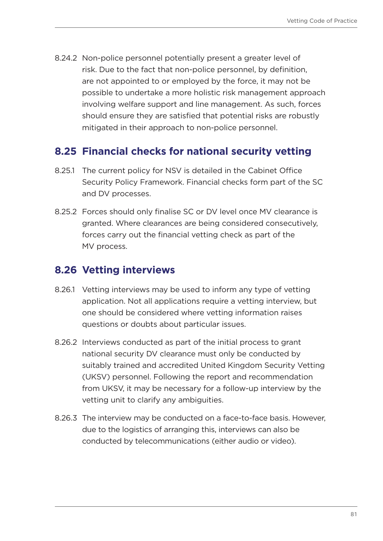8.24.2 Non-police personnel potentially present a greater level of risk. Due to the fact that non-police personnel, by definition, are not appointed to or employed by the force, it may not be possible to undertake a more holistic risk management approach involving welfare support and line management. As such, forces should ensure they are satisfied that potential risks are robustly mitigated in their approach to non-police personnel.

## **8.25 Financial checks for national security vetting**

- 8.25.1 The current policy for NSV is detailed in the Cabinet Office Security Policy Framework. Financial checks form part of the SC and DV processes.
- 8.25.2 Forces should only finalise SC or DV level once MV clearance is granted. Where clearances are being considered consecutively, forces carry out the financial vetting check as part of the MV process.

## **8.26 Vetting interviews**

- 8.26.1 Vetting interviews may be used to inform any type of vetting application. Not all applications require a vetting interview, but one should be considered where vetting information raises questions or doubts about particular issues.
- 8.26.2 Interviews conducted as part of the initial process to grant national security DV clearance must only be conducted by suitably trained and accredited United Kingdom Security Vetting (UKSV) personnel. Following the report and recommendation from UKSV, it may be necessary for a follow-up interview by the vetting unit to clarify any ambiguities.
- 8.26.3 The interview may be conducted on a face-to-face basis. However, due to the logistics of arranging this, interviews can also be conducted by telecommunications (either audio or video).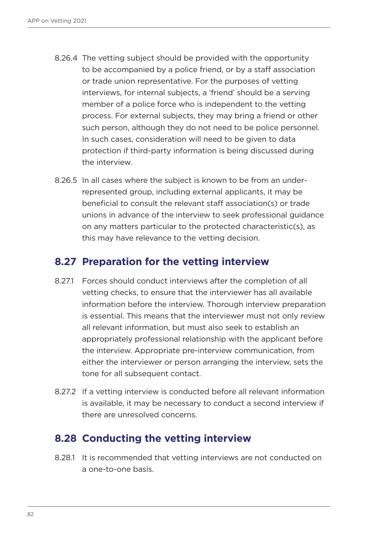- 8.26.4 The vetting subject should be provided with the opportunity to be accompanied by a police friend, or by a staff association or trade union representative. For the purposes of vetting interviews, for internal subjects, a 'friend' should be a serving member of a police force who is independent to the vetting process. For external subjects, they may bring a friend or other such person, although they do not need to be police personnel. In such cases, consideration will need to be given to data protection if third-party information is being discussed during the interview.
- 8.26.5 In all cases where the subject is known to be from an underrepresented group, including external applicants, it may be beneficial to consult the relevant staff association(s) or trade unions in advance of the interview to seek professional guidance on any matters particular to the protected characteristic(s), as this may have relevance to the vetting decision.

#### **8.27 Preparation for the vetting interview**

- 8.27.1 Forces should conduct interviews after the completion of all vetting checks, to ensure that the interviewer has all available information before the interview. Thorough interview preparation is essential. This means that the interviewer must not only review all relevant information, but must also seek to establish an appropriately professional relationship with the applicant before the interview. Appropriate pre-interview communication, from either the interviewer or person arranging the interview, sets the tone for all subsequent contact.
- 8.27.2 If a vetting interview is conducted before all relevant information is available, it may be necessary to conduct a second interview if there are unresolved concerns.

# **8.28 Conducting the vetting interview**

8.28.1 It is recommended that vetting interviews are not conducted on a one-to-one basis.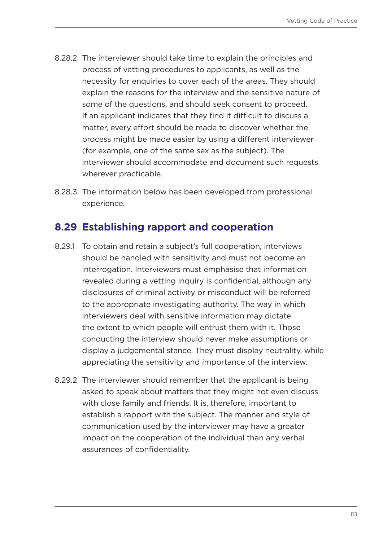- 8.28.2 The interviewer should take time to explain the principles and process of vetting procedures to applicants, as well as the necessity for enquiries to cover each of the areas. They should explain the reasons for the interview and the sensitive nature of some of the questions, and should seek consent to proceed. If an applicant indicates that they find it difficult to discuss a matter, every effort should be made to discover whether the process might be made easier by using a different interviewer (for example, one of the same sex as the subject). The interviewer should accommodate and document such requests wherever practicable.
- 8.28.3 The information below has been developed from professional experience.

#### **8.29 Establishing rapport and cooperation**

- 8.29.1 To obtain and retain a subject's full cooperation, interviews should be handled with sensitivity and must not become an interrogation. Interviewers must emphasise that information revealed during a vetting inquiry is confidential, although any disclosures of criminal activity or misconduct will be referred to the appropriate investigating authority. The way in which interviewers deal with sensitive information may dictate the extent to which people will entrust them with it. Those conducting the interview should never make assumptions or display a judgemental stance. They must display neutrality, while appreciating the sensitivity and importance of the interview.
- 8.29.2 The interviewer should remember that the applicant is being asked to speak about matters that they might not even discuss with close family and friends. It is, therefore, important to establish a rapport with the subject. The manner and style of communication used by the interviewer may have a greater impact on the cooperation of the individual than any verbal assurances of confidentiality.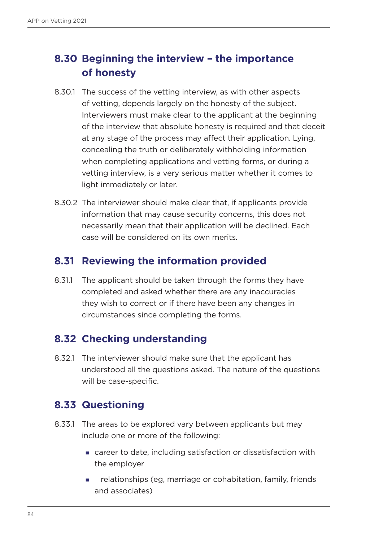# **8.30 Beginning the interview – the importance of honesty**

- 8.30.1 The success of the vetting interview, as with other aspects of vetting, depends largely on the honesty of the subject. Interviewers must make clear to the applicant at the beginning of the interview that absolute honesty is required and that deceit at any stage of the process may affect their application. Lying, concealing the truth or deliberately withholding information when completing applications and vetting forms, or during a vetting interview, is a very serious matter whether it comes to light immediately or later.
- 8.30.2 The interviewer should make clear that, if applicants provide information that may cause security concerns, this does not necessarily mean that their application will be declined. Each case will be considered on its own merits.

#### **8.31 Reviewing the information provided**

8.31.1 The applicant should be taken through the forms they have completed and asked whether there are any inaccuracies they wish to correct or if there have been any changes in circumstances since completing the forms.

#### **8.32 Checking understanding**

8.32.1 The interviewer should make sure that the applicant has understood all the questions asked. The nature of the questions will be case-specific.

#### **8.33 Questioning**

- 8.33.1 The areas to be explored vary between applicants but may include one or more of the following:
	- career to date, including satisfaction or dissatisfaction with the employer
	- relationships (eg, marriage or cohabitation, family, friends and associates)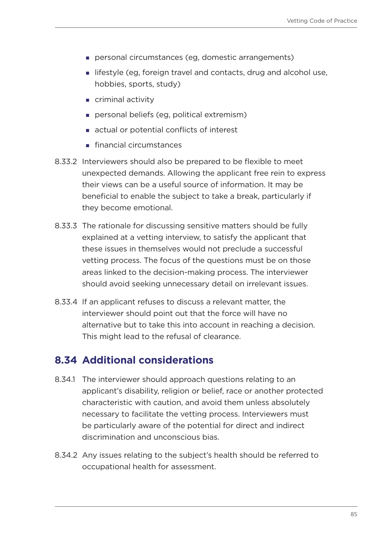- personal circumstances (eg, domestic arrangements)
- **I** lifestyle (eg, foreign travel and contacts, drug and alcohol use, hobbies, sports, study)
- criminal activity
- personal beliefs (eg, political extremism)
- actual or potential conflicts of interest
- **financial circumstances**
- 8.33.2 Interviewers should also be prepared to be flexible to meet unexpected demands. Allowing the applicant free rein to express their views can be a useful source of information. It may be beneficial to enable the subject to take a break, particularly if they become emotional.
- 8.33.3 The rationale for discussing sensitive matters should be fully explained at a vetting interview, to satisfy the applicant that these issues in themselves would not preclude a successful vetting process. The focus of the questions must be on those areas linked to the decision-making process. The interviewer should avoid seeking unnecessary detail on irrelevant issues.
- 8.33.4 If an applicant refuses to discuss a relevant matter, the interviewer should point out that the force will have no alternative but to take this into account in reaching a decision. This might lead to the refusal of clearance.

#### **8.34 Additional considerations**

- 8.34.1 The interviewer should approach questions relating to an applicant's disability, religion or belief, race or another protected characteristic with caution, and avoid them unless absolutely necessary to facilitate the vetting process. Interviewers must be particularly aware of the potential for direct and indirect discrimination and unconscious bias.
- 8.34.2 Any issues relating to the subject's health should be referred to occupational health for assessment.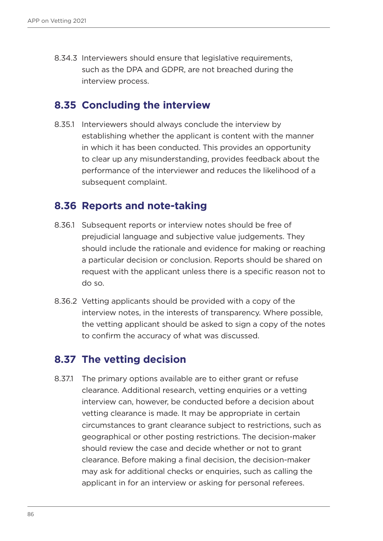8.34.3 Interviewers should ensure that legislative requirements, such as the DPA and GDPR, are not breached during the interview process.

#### **8.35 Concluding the interview**

8.35.1 Interviewers should always conclude the interview by establishing whether the applicant is content with the manner in which it has been conducted. This provides an opportunity to clear up any misunderstanding, provides feedback about the performance of the interviewer and reduces the likelihood of a subsequent complaint.

#### **8.36 Reports and note-taking**

- 8.36.1 Subsequent reports or interview notes should be free of prejudicial language and subjective value judgements. They should include the rationale and evidence for making or reaching a particular decision or conclusion. Reports should be shared on request with the applicant unless there is a specific reason not to do so.
- 8.36.2 Vetting applicants should be provided with a copy of the interview notes, in the interests of transparency. Where possible, the vetting applicant should be asked to sign a copy of the notes to confirm the accuracy of what was discussed.

#### **8.37 The vetting decision**

8.37.1 The primary options available are to either grant or refuse clearance. Additional research, vetting enquiries or a vetting interview can, however, be conducted before a decision about vetting clearance is made. It may be appropriate in certain circumstances to grant clearance subject to restrictions, such as geographical or other posting restrictions. The decision-maker should review the case and decide whether or not to grant clearance. Before making a final decision, the decision-maker may ask for additional checks or enquiries, such as calling the applicant in for an interview or asking for personal referees.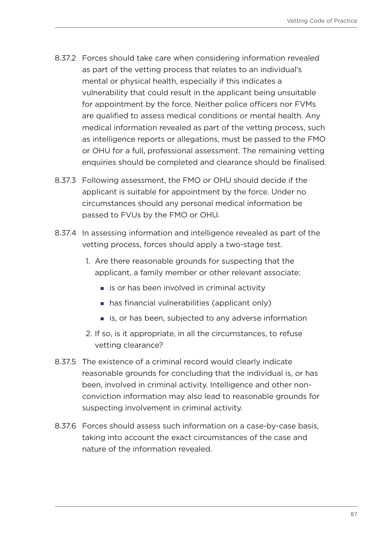- 8.37.2 Forces should take care when considering information revealed as part of the vetting process that relates to an individual's mental or physical health, especially if this indicates a vulnerability that could result in the applicant being unsuitable for appointment by the force. Neither police officers nor FVMs are qualified to assess medical conditions or mental health. Any medical information revealed as part of the vetting process, such as intelligence reports or allegations, must be passed to the FMO or OHU for a full, professional assessment. The remaining vetting enquiries should be completed and clearance should be finalised.
- 8.37.3 Following assessment, the FMO or OHU should decide if the applicant is suitable for appointment by the force. Under no circumstances should any personal medical information be passed to FVUs by the FMO or OHU.
- 8.37.4 In assessing information and intelligence revealed as part of the vetting process, forces should apply a two-stage test.
	- 1. Are there reasonable grounds for suspecting that the applicant, a family member or other relevant associate:
		- $\blacksquare$  is or has been involved in criminal activity
		- has financial vulnerabilities (applicant only)
		- **is, or has been, subjected to any adverse information**
	- 2. If so, is it appropriate, in all the circumstances, to refuse vetting clearance?
- 8.37.5 The existence of a criminal record would clearly indicate reasonable grounds for concluding that the individual is, or has been, involved in criminal activity. Intelligence and other nonconviction information may also lead to reasonable grounds for suspecting involvement in criminal activity.
- 8.37.6 Forces should assess such information on a case-by-case basis, taking into account the exact circumstances of the case and nature of the information revealed.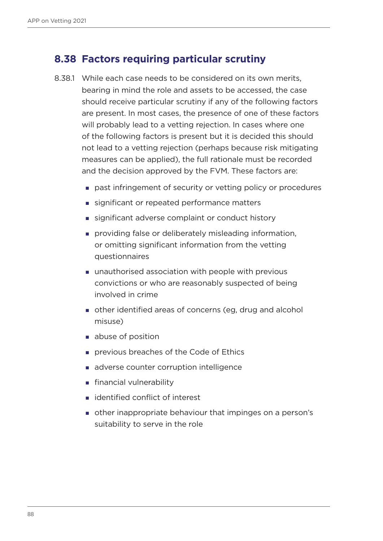## **8.38 Factors requiring particular scrutiny**

- 8.38.1 While each case needs to be considered on its own merits, bearing in mind the role and assets to be accessed, the case should receive particular scrutiny if any of the following factors are present. In most cases, the presence of one of these factors will probably lead to a vetting rejection. In cases where one of the following factors is present but it is decided this should not lead to a vetting rejection (perhaps because risk mitigating measures can be applied), the full rationale must be recorded and the decision approved by the FVM. These factors are:
	- past infringement of security or vetting policy or procedures
	- significant or repeated performance matters
	- significant adverse complaint or conduct history
	- **providing false or deliberately misleading information,** or omitting significant information from the vetting questionnaires
	- unauthorised association with people with previous convictions or who are reasonably suspected of being involved in crime
	- other identified areas of concerns (eg, drug and alcohol misuse)
	- **abuse of position**
	- **previous breaches of the Code of Ethics**
	- adverse counter corruption intelligence
	- **financial vulnerability**
	- identified conflict of interest
	- other inappropriate behaviour that impinges on a person's suitability to serve in the role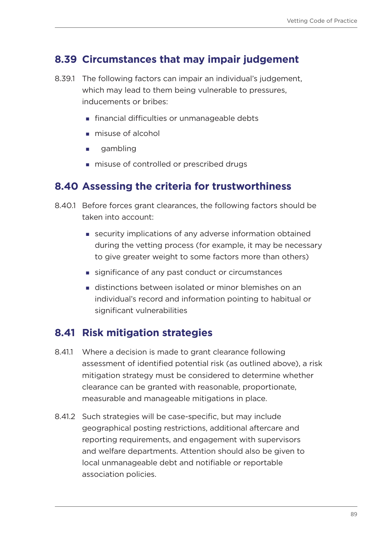#### **8.39 Circumstances that may impair judgement**

- 8.39.1 The following factors can impair an individual's judgement, which may lead to them being vulnerable to pressures, inducements or bribes:
	- **Financial difficulties or unmanageable debts**
	- misuse of alcohol
	- **qambling**
	- $\blacksquare$  misuse of controlled or prescribed drugs

#### **8.40 Assessing the criteria for trustworthiness**

- 8.40.1 Before forces grant clearances, the following factors should be taken into account:
	- security implications of any adverse information obtained during the vetting process (for example, it may be necessary to give greater weight to some factors more than others)
	- significance of any past conduct or circumstances
	- distinctions between isolated or minor blemishes on an individual's record and information pointing to habitual or significant vulnerabilities

#### **8.41 Risk mitigation strategies**

- 8.41.1 Where a decision is made to grant clearance following assessment of identified potential risk (as outlined above), a risk mitigation strategy must be considered to determine whether clearance can be granted with reasonable, proportionate, measurable and manageable mitigations in place.
- 8.41.2 Such strategies will be case-specific, but may include geographical posting restrictions, additional aftercare and reporting requirements, and engagement with supervisors and welfare departments. Attention should also be given to local unmanageable debt and notifiable or reportable association policies.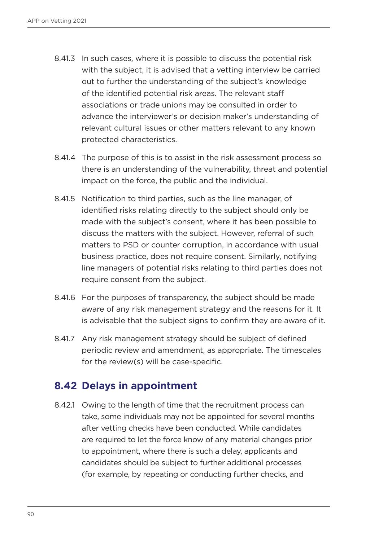- 8.41.3 In such cases, where it is possible to discuss the potential risk with the subject, it is advised that a vetting interview be carried out to further the understanding of the subject's knowledge of the identified potential risk areas. The relevant staff associations or trade unions may be consulted in order to advance the interviewer's or decision maker's understanding of relevant cultural issues or other matters relevant to any known protected characteristics.
- 8.41.4 The purpose of this is to assist in the risk assessment process so there is an understanding of the vulnerability, threat and potential impact on the force, the public and the individual.
- 8.41.5 Notification to third parties, such as the line manager, of identified risks relating directly to the subject should only be made with the subject's consent, where it has been possible to discuss the matters with the subject. However, referral of such matters to PSD or counter corruption, in accordance with usual business practice, does not require consent. Similarly, notifying line managers of potential risks relating to third parties does not require consent from the subject.
- 8.41.6 For the purposes of transparency, the subject should be made aware of any risk management strategy and the reasons for it. It is advisable that the subject signs to confirm they are aware of it.
- 8.41.7 Any risk management strategy should be subject of defined periodic review and amendment, as appropriate. The timescales for the review(s) will be case-specific.

#### **8.42 Delays in appointment**

8.42.1 Owing to the length of time that the recruitment process can take, some individuals may not be appointed for several months after vetting checks have been conducted. While candidates are required to let the force know of any material changes prior to appointment, where there is such a delay, applicants and candidates should be subject to further additional processes (for example, by repeating or conducting further checks, and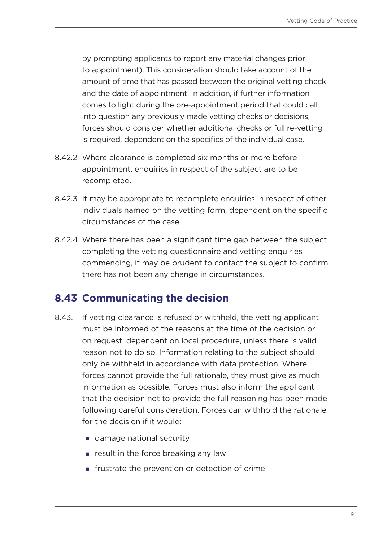by prompting applicants to report any material changes prior to appointment). This consideration should take account of the amount of time that has passed between the original vetting check and the date of appointment. In addition, if further information comes to light during the pre-appointment period that could call into question any previously made vetting checks or decisions, forces should consider whether additional checks or full re-vetting is required, dependent on the specifics of the individual case.

- 8.42.2 Where clearance is completed six months or more before appointment, enquiries in respect of the subject are to be recompleted.
- 8.42.3 It may be appropriate to recomplete enquiries in respect of other individuals named on the vetting form, dependent on the specific circumstances of the case.
- 8.42.4 Where there has been a significant time gap between the subject completing the vetting questionnaire and vetting enquiries commencing, it may be prudent to contact the subject to confirm there has not been any change in circumstances.

#### **8.43 Communicating the decision**

- 8.43.1 If vetting clearance is refused or withheld, the vetting applicant must be informed of the reasons at the time of the decision or on request, dependent on local procedure, unless there is valid reason not to do so. Information relating to the subject should only be withheld in accordance with data protection. Where forces cannot provide the full rationale, they must give as much information as possible. Forces must also inform the applicant that the decision not to provide the full reasoning has been made following careful consideration. Forces can withhold the rationale for the decision if it would:
	- damage national security
	- $\blacksquare$  result in the force breaking any law
	- $\blacksquare$  frustrate the prevention or detection of crime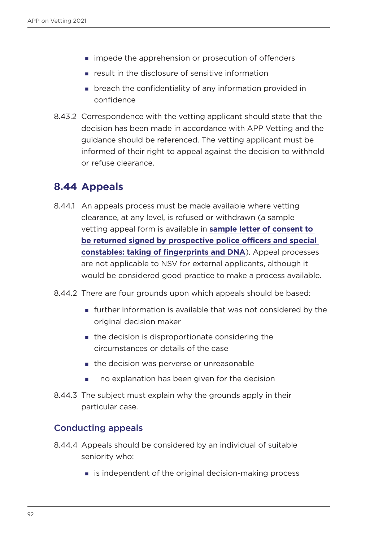- **impede the apprehension or prosecution of offenders**
- **EXECUTE:** result in the disclosure of sensitive information
- **Example 2** breach the confidentiality of any information provided in confidence
- 8.43.2 Correspondence with the vetting applicant should state that the decision has been made in accordance with APP Vetting and the guidance should be referenced. The vetting applicant must be informed of their right to appeal against the decision to withhold or refuse clearance.

#### **8.44 Appeals**

- 8.44.1 An appeals process must be made available where vetting clearance, at any level, is refused or withdrawn (a sample vetting appeal form is available in **sample letter of consent to be returned signed by prospective police officers and special constables: taking of fingerprints and DNA**). Appeal processes are not applicable to NSV for external applicants, although it would be considered good practice to make a process available.
- 8.44.2 There are four grounds upon which appeals should be based:
	- **further information is available that was not considered by the** original decision maker
	- the decision is disproportionate considering the circumstances or details of the case
	- **the decision was perverse or unreasonable**
	- no explanation has been given for the decision
- 8.44.3 The subject must explain why the grounds apply in their particular case.

#### Conducting appeals

- 8.44.4 Appeals should be considered by an individual of suitable seniority who:
	- **Example 13 is independent of the original decision-making process**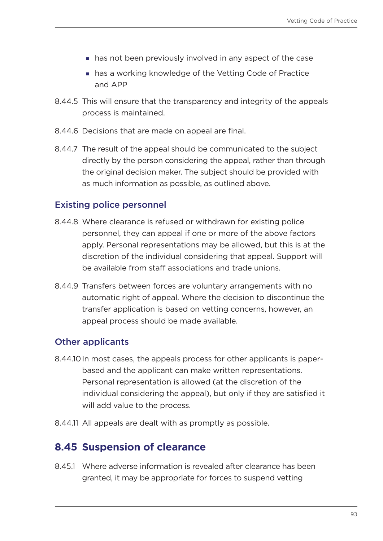- has not been previously involved in any aspect of the case
- has a working knowledge of the Vetting Code of Practice and APP
- 8.44.5 This will ensure that the transparency and integrity of the appeals process is maintained.
- 8.44.6 Decisions that are made on appeal are final.
- 8.44.7 The result of the appeal should be communicated to the subject directly by the person considering the appeal, rather than through the original decision maker. The subject should be provided with as much information as possible, as outlined above.

#### Existing police personnel

- 8.44.8 Where clearance is refused or withdrawn for existing police personnel, they can appeal if one or more of the above factors apply. Personal representations may be allowed, but this is at the discretion of the individual considering that appeal. Support will be available from staff associations and trade unions.
- 8.44.9 Transfers between forces are voluntary arrangements with no automatic right of appeal. Where the decision to discontinue the transfer application is based on vetting concerns, however, an appeal process should be made available.

#### Other applicants

- 8.44.10In most cases, the appeals process for other applicants is paperbased and the applicant can make written representations. Personal representation is allowed (at the discretion of the individual considering the appeal), but only if they are satisfied it will add value to the process.
- 8.44.11 All appeals are dealt with as promptly as possible.

#### **8.45 Suspension of clearance**

8.45.1 Where adverse information is revealed after clearance has been granted, it may be appropriate for forces to suspend vetting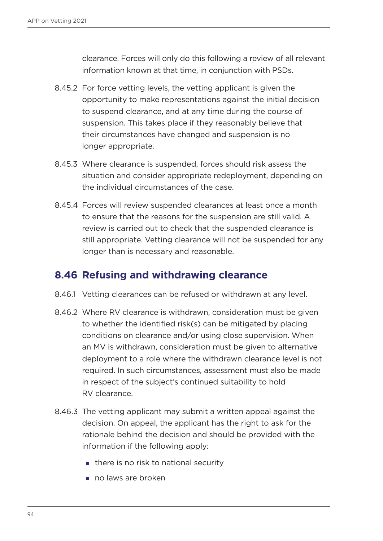clearance. Forces will only do this following a review of all relevant information known at that time, in conjunction with PSDs.

- 8.45.2 For force vetting levels, the vetting applicant is given the opportunity to make representations against the initial decision to suspend clearance, and at any time during the course of suspension. This takes place if they reasonably believe that their circumstances have changed and suspension is no longer appropriate.
- 8.45.3 Where clearance is suspended, forces should risk assess the situation and consider appropriate redeployment, depending on the individual circumstances of the case.
- 8.45.4 Forces will review suspended clearances at least once a month to ensure that the reasons for the suspension are still valid. A review is carried out to check that the suspended clearance is still appropriate. Vetting clearance will not be suspended for any longer than is necessary and reasonable.

#### **8.46 Refusing and withdrawing clearance**

- 8.46.1 Vetting clearances can be refused or withdrawn at any level.
- 8.46.2 Where RV clearance is withdrawn, consideration must be given to whether the identified risk(s) can be mitigated by placing conditions on clearance and/or using close supervision. When an MV is withdrawn, consideration must be given to alternative deployment to a role where the withdrawn clearance level is not required. In such circumstances, assessment must also be made in respect of the subject's continued suitability to hold RV clearance.
- 8.46.3 The vetting applicant may submit a written appeal against the decision. On appeal, the applicant has the right to ask for the rationale behind the decision and should be provided with the information if the following apply:
	- $\blacksquare$  there is no risk to national security
	- no laws are broken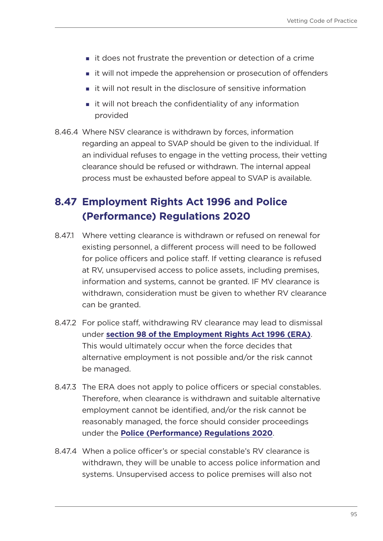- it does not frustrate the prevention or detection of a crime
- **i** it will not impede the apprehension or prosecution of offenders
- $\blacksquare$  it will not result in the disclosure of sensitive information
- **i** it will not breach the confidentiality of any information provided
- 8.46.4 Where NSV clearance is withdrawn by forces, information regarding an appeal to SVAP should be given to the individual. If an individual refuses to engage in the vetting process, their vetting clearance should be refused or withdrawn. The internal appeal process must be exhausted before appeal to SVAP is available.

# **8.47 Employment Rights Act 1996 and Police (Performance) Regulations 2020**

- 8.47.1 Where vetting clearance is withdrawn or refused on renewal for existing personnel, a different process will need to be followed for police officers and police staff. If vetting clearance is refused at RV, unsupervised access to police assets, including premises, information and systems, cannot be granted. IF MV clearance is withdrawn, consideration must be given to whether RV clearance can be granted.
- 8.47.2 For police staff, withdrawing RV clearance may lead to dismissal under **[section 98 of the Employment Rights Act 1996 \(ERA\)](https://www.legislation.gov.uk/ukpga/1996/18/section/98)**. This would ultimately occur when the force decides that alternative employment is not possible and/or the risk cannot be managed.
- 8.47.3 The ERA does not apply to police officers or special constables. Therefore, when clearance is withdrawn and suitable alternative employment cannot be identified, and/or the risk cannot be reasonably managed, the force should consider proceedings under the **[Police \(Performance\) Regulations 2020](https://www.legislation.gov.uk/uksi/2020/3/contents/made)**.
- 8.47.4 When a police officer's or special constable's RV clearance is withdrawn, they will be unable to access police information and systems. Unsupervised access to police premises will also not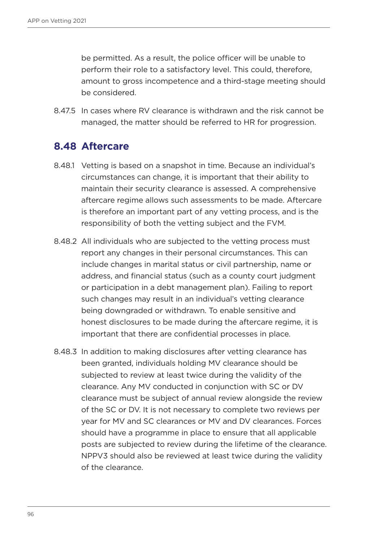be permitted. As a result, the police officer will be unable to perform their role to a satisfactory level. This could, therefore, amount to gross incompetence and a third-stage meeting should be considered.

8.47.5 In cases where RV clearance is withdrawn and the risk cannot be managed, the matter should be referred to HR for progression.

#### **8.48 Aftercare**

- 8.48.1 Vetting is based on a snapshot in time. Because an individual's circumstances can change, it is important that their ability to maintain their security clearance is assessed. A comprehensive aftercare regime allows such assessments to be made. Aftercare is therefore an important part of any vetting process, and is the responsibility of both the vetting subject and the FVM.
- 8.48.2 All individuals who are subjected to the vetting process must report any changes in their personal circumstances. This can include changes in marital status or civil partnership, name or address, and financial status (such as a county court judgment or participation in a debt management plan). Failing to report such changes may result in an individual's vetting clearance being downgraded or withdrawn. To enable sensitive and honest disclosures to be made during the aftercare regime, it is important that there are confidential processes in place.
- 8.48.3 In addition to making disclosures after vetting clearance has been granted, individuals holding MV clearance should be subjected to review at least twice during the validity of the clearance. Any MV conducted in conjunction with SC or DV clearance must be subject of annual review alongside the review of the SC or DV. It is not necessary to complete two reviews per year for MV and SC clearances or MV and DV clearances. Forces should have a programme in place to ensure that all applicable posts are subjected to review during the lifetime of the clearance. NPPV3 should also be reviewed at least twice during the validity of the clearance.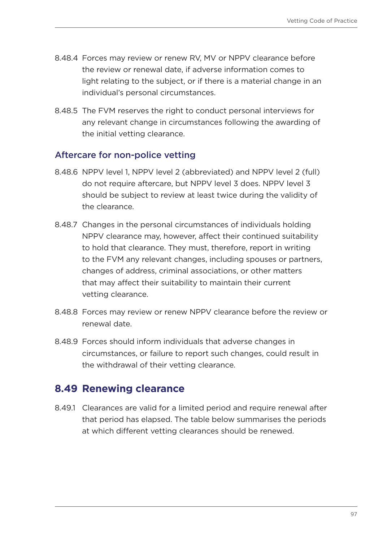- 8.48.4 Forces may review or renew RV, MV or NPPV clearance before the review or renewal date, if adverse information comes to light relating to the subject, or if there is a material change in an individual's personal circumstances.
- 8.48.5 The FVM reserves the right to conduct personal interviews for any relevant change in circumstances following the awarding of the initial vetting clearance.

#### Aftercare for non-police vetting

- 8.48.6 NPPV level 1, NPPV level 2 (abbreviated) and NPPV level 2 (full) do not require aftercare, but NPPV level 3 does. NPPV level 3 should be subject to review at least twice during the validity of the clearance.
- 8.48.7 Changes in the personal circumstances of individuals holding NPPV clearance may, however, affect their continued suitability to hold that clearance. They must, therefore, report in writing to the FVM any relevant changes, including spouses or partners, changes of address, criminal associations, or other matters that may affect their suitability to maintain their current vetting clearance.
- 8.48.8 Forces may review or renew NPPV clearance before the review or renewal date.
- 8.48.9 Forces should inform individuals that adverse changes in circumstances, or failure to report such changes, could result in the withdrawal of their vetting clearance.

#### **8.49 Renewing clearance**

8.49.1 Clearances are valid for a limited period and require renewal after that period has elapsed. The table below summarises the periods at which different vetting clearances should be renewed.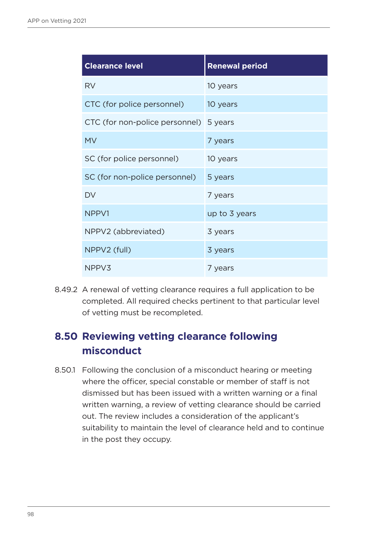| <b>Clearance level</b>                 | <b>Renewal period</b> |
|----------------------------------------|-----------------------|
| <b>RV</b>                              | 10 years              |
| CTC (for police personnel)             | 10 years              |
| CTC (for non-police personnel) 5 years |                       |
| <b>MV</b>                              | 7 years               |
| SC (for police personnel)              | 10 years              |
| SC (for non-police personnel)          | 5 years               |
| DV                                     | 7 years               |
| NPPV1                                  | up to 3 years         |
| NPPV2 (abbreviated)                    | 3 years               |
| NPPV2 (full)                           | 3 years               |
| NPPV3                                  | 7 years               |

8.49.2 A renewal of vetting clearance requires a full application to be completed. All required checks pertinent to that particular level of vetting must be recompleted.

# **8.50 Reviewing vetting clearance following misconduct**

8.50.1 Following the conclusion of a misconduct hearing or meeting where the officer, special constable or member of staff is not dismissed but has been issued with a written warning or a final written warning, a review of vetting clearance should be carried out. The review includes a consideration of the applicant's suitability to maintain the level of clearance held and to continue in the post they occupy.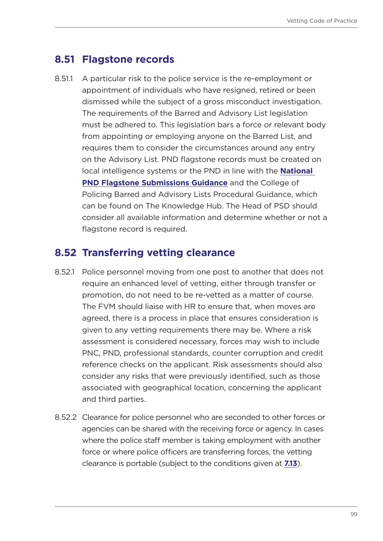#### **8.51 Flagstone records**

8.51.1 A particular risk to the police service is the re-employment or appointment of individuals who have resigned, retired or been dismissed while the subject of a gross misconduct investigation. The requirements of the Barred and Advisory List legislation must be adhered to. This legislation bars a force or relevant body from appointing or employing anyone on the Barred List, and requires them to consider the circumstances around any entry on the Advisory List. PND flagstone records must be created on local intelligence systems or the PND in line with the **[National](https://library.college.police.uk/docs/appref/Police-National-Database-Flagstone-Submission-Guidance-v1-2-Redacted.pdf)  [PND Flagstone Submissions Guidance](https://library.college.police.uk/docs/appref/Police-National-Database-Flagstone-Submission-Guidance-v1-2-Redacted.pdf)** and the College of Policing Barred and Advisory Lists Procedural Guidance, which can be found on The Knowledge Hub. The Head of PSD should consider all available information and determine whether or not a flagstone record is required.

#### **8.52 Transferring vetting clearance**

- 8.52.1 Police personnel moving from one post to another that does not require an enhanced level of vetting, either through transfer or promotion, do not need to be re-vetted as a matter of course. The FVM should liaise with HR to ensure that, when moves are agreed, there is a process in place that ensures consideration is given to any vetting requirements there may be. Where a risk assessment is considered necessary, forces may wish to include PNC, PND, professional standards, counter corruption and credit reference checks on the applicant. Risk assessments should also consider any risks that were previously identified, such as those associated with geographical location, concerning the applicant and third parties.
- 8.52.2 Clearance for police personnel who are seconded to other forces or agencies can be shared with the receiving force or agency. In cases where the police staff member is taking employment with another force or where police officers are transferring forces, the vetting clearance is portable (subject to the conditions given at **[7.13](#page-32-0)**).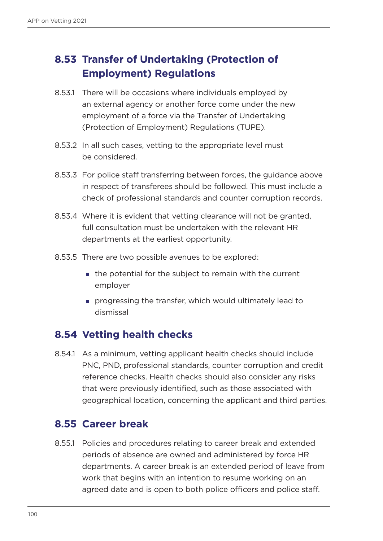# **8.53 Transfer of Undertaking (Protection of Employment) Regulations**

- 8.53.1 There will be occasions where individuals employed by an external agency or another force come under the new employment of a force via the Transfer of Undertaking (Protection of Employment) Regulations (TUPE).
- 8.53.2 In all such cases, vetting to the appropriate level must be considered.
- 8.53.3 For police staff transferring between forces, the guidance above in respect of transferees should be followed. This must include a check of professional standards and counter corruption records.
- 8.53.4 Where it is evident that vetting clearance will not be granted, full consultation must be undertaken with the relevant HR departments at the earliest opportunity.
- 8.53.5 There are two possible avenues to be explored:
	- **the potential for the subject to remain with the current** employer
	- **progressing the transfer, which would ultimately lead to** dismissal

# **8.54 Vetting health checks**

8.54.1 As a minimum, vetting applicant health checks should include PNC, PND, professional standards, counter corruption and credit reference checks. Health checks should also consider any risks that were previously identified, such as those associated with geographical location, concerning the applicant and third parties.

#### **8.55 Career break**

8.55.1 Policies and procedures relating to career break and extended periods of absence are owned and administered by force HR departments. A career break is an extended period of leave from work that begins with an intention to resume working on an agreed date and is open to both police officers and police staff.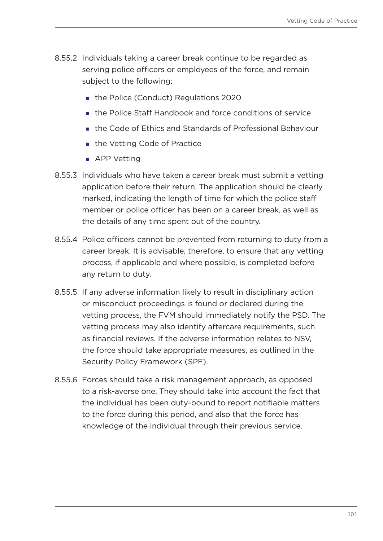- 8.55.2 Individuals taking a career break continue to be regarded as serving police officers or employees of the force, and remain subject to the following:
	- the Police (Conduct) Regulations 2020
	- **the Police Staff Handbook and force conditions of service**
	- the Code of Ethics and Standards of Professional Behaviour
	- the Vetting Code of Practice
	- APP Vetting
- 8.55.3 Individuals who have taken a career break must submit a vetting application before their return. The application should be clearly marked, indicating the length of time for which the police staff member or police officer has been on a career break, as well as the details of any time spent out of the country.
- 8.55.4 Police officers cannot be prevented from returning to duty from a career break. It is advisable, therefore, to ensure that any vetting process, if applicable and where possible, is completed before any return to duty.
- 8.55.5 If any adverse information likely to result in disciplinary action or misconduct proceedings is found or declared during the vetting process, the FVM should immediately notify the PSD. The vetting process may also identify aftercare requirements, such as financial reviews. If the adverse information relates to NSV, the force should take appropriate measures, as outlined in the Security Policy Framework (SPF).
- 8.55.6 Forces should take a risk management approach, as opposed to a risk-averse one. They should take into account the fact that the individual has been duty-bound to report notifiable matters to the force during this period, and also that the force has knowledge of the individual through their previous service.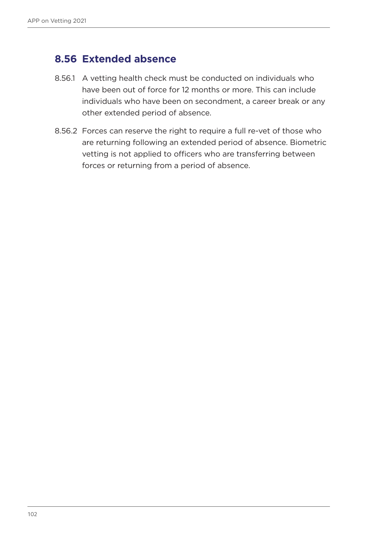## **8.56 Extended absence**

- 8.56.1 A vetting health check must be conducted on individuals who have been out of force for 12 months or more. This can include individuals who have been on secondment, a career break or any other extended period of absence.
- 8.56.2 Forces can reserve the right to require a full re-vet of those who are returning following an extended period of absence. Biometric vetting is not applied to officers who are transferring between forces or returning from a period of absence.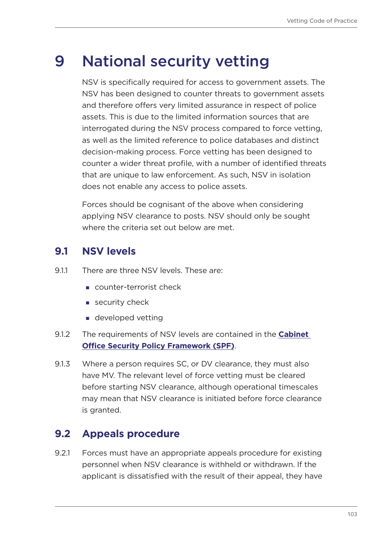# 9 National security vetting

NSV is specifically required for access to government assets. The NSV has been designed to counter threats to government assets and therefore offers very limited assurance in respect of police assets. This is due to the limited information sources that are interrogated during the NSV process compared to force vetting, as well as the limited reference to police databases and distinct decision-making process. Force vetting has been designed to counter a wider threat profile, with a number of identified threats that are unique to law enforcement. As such, NSV in isolation does not enable any access to police assets.

Forces should be cognisant of the above when considering applying NSV clearance to posts. NSV should only be sought where the criteria set out below are met.

# **9.1 NSV levels**

- 9.1.1 There are three NSV levels. These are:
	- counter-terrorist check
	- $\blacksquare$  security check
	- **developed vetting**
- 9.1.2 The requirements of NSV levels are contained in the **[Cabinet](https://www.gov.uk/government/publications/security-policy-framework)  [Office Security Policy Framework \(SPF\)](https://www.gov.uk/government/publications/security-policy-framework)**.
- 9.1.3 Where a person requires SC, or DV clearance, they must also have MV. The relevant level of force vetting must be cleared before starting NSV clearance, although operational timescales may mean that NSV clearance is initiated before force clearance is granted.

# **9.2 Appeals procedure**

9.2.1 Forces must have an appropriate appeals procedure for existing personnel when NSV clearance is withheld or withdrawn. If the applicant is dissatisfied with the result of their appeal, they have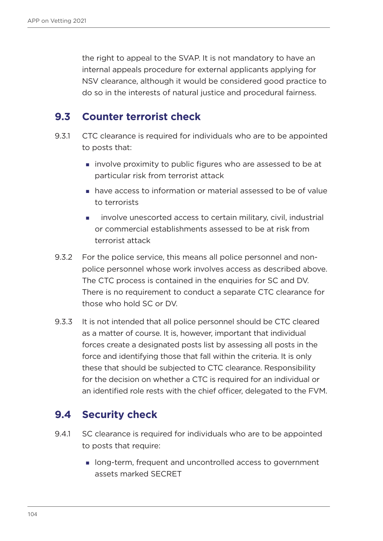the right to appeal to the SVAP. It is not mandatory to have an internal appeals procedure for external applicants applying for NSV clearance, although it would be considered good practice to do so in the interests of natural justice and procedural fairness.

## **9.3 Counter terrorist check**

- 9.3.1 CTC clearance is required for individuals who are to be appointed to posts that:
	- involve proximity to public figures who are assessed to be at particular risk from terrorist attack
	- have access to information or material assessed to be of value to terrorists
	- involve unescorted access to certain military, civil, industrial or commercial establishments assessed to be at risk from terrorist attack
- 9.3.2 For the police service, this means all police personnel and nonpolice personnel whose work involves access as described above. The CTC process is contained in the enquiries for SC and DV. There is no requirement to conduct a separate CTC clearance for those who hold SC or DV.
- 9.3.3 It is not intended that all police personnel should be CTC cleared as a matter of course. It is, however, important that individual forces create a designated posts list by assessing all posts in the force and identifying those that fall within the criteria. It is only these that should be subjected to CTC clearance. Responsibility for the decision on whether a CTC is required for an individual or an identified role rests with the chief officer, delegated to the FVM.

# **9.4 Security check**

- 9.4.1 SC clearance is required for individuals who are to be appointed to posts that require:
	- long-term, frequent and uncontrolled access to government assets marked SECRET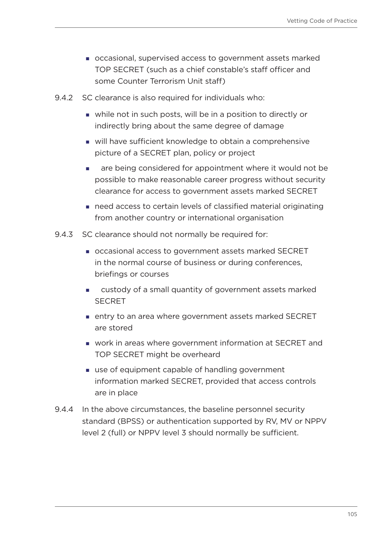- occasional, supervised access to government assets marked TOP SECRET (such as a chief constable's staff officer and some Counter Terrorism Unit staff)
- 9.4.2 SC clearance is also required for individuals who:
	- while not in such posts, will be in a position to directly or indirectly bring about the same degree of damage
	- will have sufficient knowledge to obtain a comprehensive picture of a SECRET plan, policy or project
	- **a** are being considered for appointment where it would not be possible to make reasonable career progress without security clearance for access to government assets marked SECRET
	- need access to certain levels of classified material originating from another country or international organisation
- 9.4.3 SC clearance should not normally be required for:
	- occasional access to government assets marked SECRET in the normal course of business or during conferences, briefings or courses
	- custody of a small quantity of government assets marked **SECRET**
	- entry to an area where government assets marked SECRET are stored
	- work in areas where government information at SECRET and TOP SECRET might be overheard
	- use of equipment capable of handling government information marked SECRET, provided that access controls are in place
- 9.4.4 In the above circumstances, the baseline personnel security standard (BPSS) or authentication supported by RV, MV or NPPV level 2 (full) or NPPV level 3 should normally be sufficient.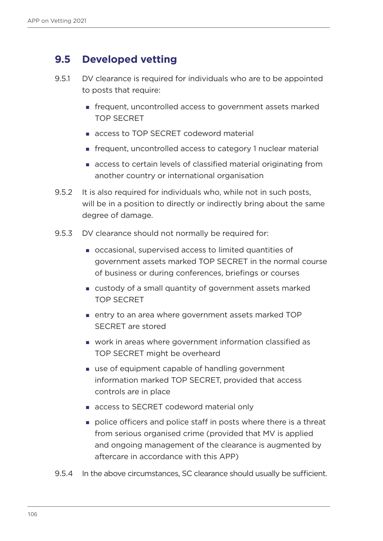## **9.5 Developed vetting**

- 9.5.1 DV clearance is required for individuals who are to be appointed to posts that require:
	- frequent, uncontrolled access to government assets marked TOP SECRET
	- **access to TOP SECRET codeword material**
	- frequent, uncontrolled access to category 1 nuclear material
	- access to certain levels of classified material originating from another country or international organisation
- 9.5.2 It is also required for individuals who, while not in such posts, will be in a position to directly or indirectly bring about the same degree of damage.
- 9.5.3 DV clearance should not normally be required for:
	- occasional, supervised access to limited quantities of government assets marked TOP SECRET in the normal course of business or during conferences, briefings or courses
	- custody of a small quantity of government assets marked TOP SECRET
	- entry to an area where government assets marked TOP SECRET are stored
	- work in areas where government information classified as TOP SECRET might be overheard
	- use of equipment capable of handling government information marked TOP SECRET, provided that access controls are in place
	- **access to SECRET codeword material only**
	- police officers and police staff in posts where there is a threat from serious organised crime (provided that MV is applied and ongoing management of the clearance is augmented by aftercare in accordance with this APP)
- 9.5.4 In the above circumstances, SC clearance should usually be sufficient.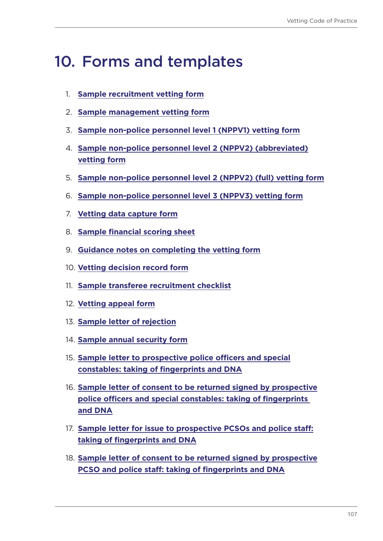# 10. Forms and templates

- 1. **[Sample recruitment vetting form](#page-107-0)**
- 2. **[Sample management vetting form](#page-127-0)**
- 3. **[Sample non-police personnel level 1 \(NPPV1\) vetting form](#page-143-0)**
- 4. **[Sample non-police personnel level 2 \(NPPV2\) \(abbreviated\)](#page-152-0) [vetting form](#page-152-0)**
- 5. **[Sample non-police personnel level 2 \(NPPV2\) \(full\) vetting form](#page-166-0)**
- 6. **[Sample non-police personnel level 3 \(NPPV3\) vetting form](#page-184-0)**
- 7. **[Vetting data capture form](#page-206-0)**
- 8. **[Sample financial scoring sheet](#page-207-0)**
- 9. **[Guidance notes on completing the vetting form](#page-211-0)**
- 10. **[Vetting decision record form](#page-214-0)**
- 11. **[Sample transferee recruitment checklist](#page-217-0)**
- 12. **[Vetting appeal form](#page-218-0)**
- 13. **[Sample letter of rejection](#page-222-0)**
- 14. **[Sample annual security form](#page-223-0)**
- 15. **[Sample letter to prospective police officers and special](#page-232-0) [constables: taking of fingerprints and DNA](#page-232-0)**
- 16. **[Sample letter of consent to be returned signed by prospective](#page-237-0) [police officers and special constables: taking of fingerprints](#page-237-0)  [and DNA](#page-237-0)**
- 17. **[Sample letter for issue to prospective PCSOs and police staff:](#page-235-0) [taking of fingerprints and DNA](#page-235-0)**
- 18. **[Sample letter of consent to be returned signed by prospective](#page-237-0) [PCSO and police staff: taking of fingerprints and DNA](#page-237-0)**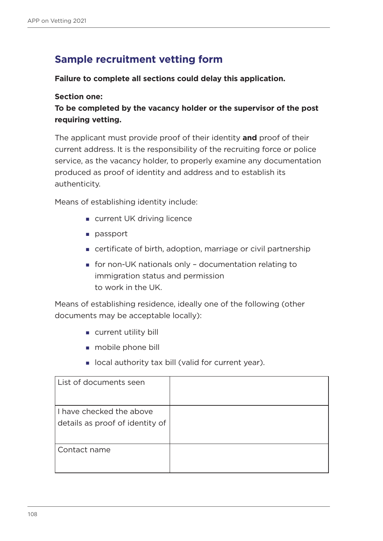# <span id="page-107-0"></span>**Sample recruitment vetting form**

#### **Failure to complete all sections could delay this application.**

#### **Section one:**

**To be completed by the vacancy holder or the supervisor of the post requiring vetting.**

The applicant must provide proof of their identity **and** proof of their current address. It is the responsibility of the recruiting force or police service, as the vacancy holder, to properly examine any documentation produced as proof of identity and address and to establish its authenticity.

Means of establishing identity include:

- **u** current UK driving licence
- **passport**
- certificate of birth, adoption, marriage or civil partnership
- for non-UK nationals only documentation relating to immigration status and permission to work in the UK.

Means of establishing residence, ideally one of the following (other documents may be acceptable locally):

- current utility bill
- **mobile phone bill**
- **I** local authority tax bill (valid for current year).

| List of documents seen                                      |  |
|-------------------------------------------------------------|--|
| I have checked the above<br>details as proof of identity of |  |
| Contact name                                                |  |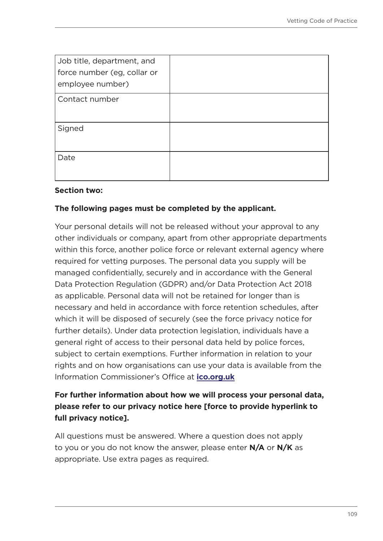| Job title, department, and<br>force number (eg, collar or<br>employee number) |  |
|-------------------------------------------------------------------------------|--|
| Contact number                                                                |  |
| Signed                                                                        |  |
| Date                                                                          |  |

#### **Section two:**

#### **The following pages must be completed by the applicant.**

Your personal details will not be released without your approval to any other individuals or company, apart from other appropriate departments within this force, another police force or relevant external agency where required for vetting purposes. The personal data you supply will be managed confidentially, securely and in accordance with the General Data Protection Regulation (GDPR) and/or Data Protection Act 2018 as applicable. Personal data will not be retained for longer than is necessary and held in accordance with force retention schedules, after which it will be disposed of securely (see the force privacy notice for further details). Under data protection legislation, individuals have a general right of access to their personal data held by police forces, subject to certain exemptions. Further information in relation to your rights and on how organisations can use your data is available from the Information Commissioner's Office at **[ico.org.uk](https://ico.org.uk/)**

## **For further information about how we will process your personal data, please refer to our privacy notice here [force to provide hyperlink to full privacy notice].**

All questions must be answered. Where a question does not apply to you or you do not know the answer, please enter **N/A** or **N/K** as appropriate. Use extra pages as required.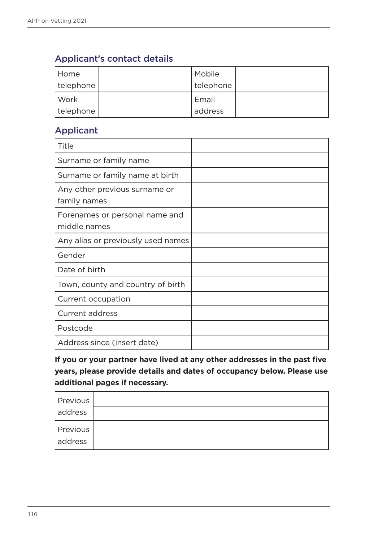## Applicant's contact details

| Home        | Mobile    |  |
|-------------|-----------|--|
| telephone   | telephone |  |
| Work        | Email     |  |
| I telephone | address   |  |

## Applicant

| Title                                          |  |
|------------------------------------------------|--|
| Surname or family name                         |  |
| Surname or family name at birth                |  |
| Any other previous surname or<br>family names  |  |
| Forenames or personal name and<br>middle names |  |
| Any alias or previously used names             |  |
| Gender                                         |  |
| Date of birth                                  |  |
| Town, county and country of birth              |  |
| Current occupation                             |  |
| <b>Current address</b>                         |  |
| Postcode                                       |  |
| Address since (insert date)                    |  |

**If you or your partner have lived at any other addresses in the past five years, please provide details and dates of occupancy below. Please use additional pages if necessary.**

| Previous |  |
|----------|--|
| address  |  |
| Previous |  |
| address  |  |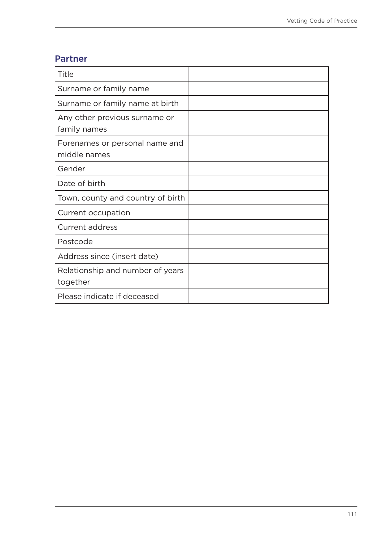## Partner

| Title                                          |  |
|------------------------------------------------|--|
| Surname or family name                         |  |
| Surname or family name at birth                |  |
| Any other previous surname or<br>family names  |  |
| Forenames or personal name and<br>middle names |  |
| Gender                                         |  |
| Date of birth                                  |  |
| Town, county and country of birth              |  |
| Current occupation                             |  |
| <b>Current address</b>                         |  |
| Postcode                                       |  |
| Address since (insert date)                    |  |
| Relationship and number of years<br>together   |  |
| Please indicate if deceased                    |  |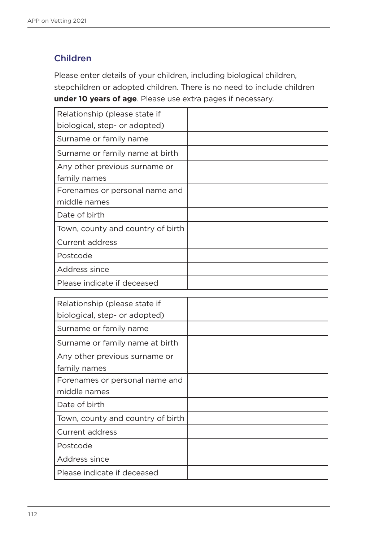## Children

Please enter details of your children, including biological children, stepchildren or adopted children. There is no need to include children **under 10 years of age**. Please use extra pages if necessary.

| Relationship (please state if     |  |
|-----------------------------------|--|
| biological, step- or adopted)     |  |
| Surname or family name            |  |
| Surname or family name at birth   |  |
| Any other previous surname or     |  |
| family names                      |  |
| Forenames or personal name and    |  |
| middle names                      |  |
| Date of birth                     |  |
| Town, county and country of birth |  |
| <b>Current address</b>            |  |
| Postcode                          |  |
| Address since                     |  |
| Please indicate if deceased       |  |

| Relationship (please state if     |  |
|-----------------------------------|--|
| biological, step- or adopted)     |  |
| Surname or family name            |  |
| Surname or family name at birth   |  |
| Any other previous surname or     |  |
| family names                      |  |
| Forenames or personal name and    |  |
| middle names                      |  |
| Date of birth                     |  |
| Town, county and country of birth |  |
| <b>Current address</b>            |  |
| Postcode                          |  |
| Address since                     |  |
| Please indicate if deceased       |  |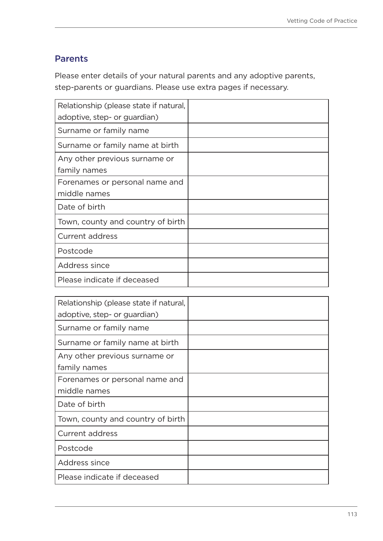## Parents

Please enter details of your natural parents and any adoptive parents, step-parents or guardians. Please use extra pages if necessary.

| Relationship (please state if natural, |  |
|----------------------------------------|--|
| adoptive, step- or guardian)           |  |
| Surname or family name                 |  |
| Surname or family name at birth        |  |
| Any other previous surname or          |  |
| family names                           |  |
| Forenames or personal name and         |  |
| middle names                           |  |
| Date of birth                          |  |
| Town, county and country of birth      |  |
| <b>Current address</b>                 |  |
| Postcode                               |  |
| Address since                          |  |
| Please indicate if deceased            |  |

| Relationship (please state if natural, |  |
|----------------------------------------|--|
| adoptive, step- or guardian)           |  |
| Surname or family name                 |  |
| Surname or family name at birth        |  |
| Any other previous surname or          |  |
| family names                           |  |
| Forenames or personal name and         |  |
| middle names                           |  |
| Date of birth                          |  |
| Town, county and country of birth      |  |
| Current address                        |  |
| Postcode                               |  |
| Address since                          |  |
| Please indicate if deceased            |  |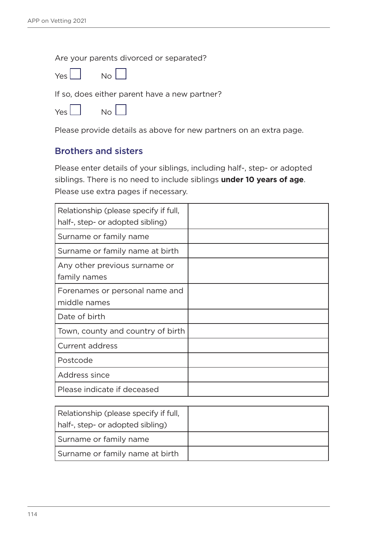Are your parents divorced or separated?



If so, does either parent have a new partner?

| Yes L | Nο |
|-------|----|
|-------|----|

Please provide details as above for new partners on an extra page.

### Brothers and sisters

Please enter details of your siblings, including half-, step- or adopted siblings. There is no need to include siblings **under 10 years of age**. Please use extra pages if necessary.

| Relationship (please specify if full,          |  |
|------------------------------------------------|--|
| half-, step- or adopted sibling)               |  |
| Surname or family name                         |  |
| Surname or family name at birth                |  |
| Any other previous surname or<br>family names  |  |
| Forenames or personal name and<br>middle names |  |
| Date of birth                                  |  |
| Town, county and country of birth              |  |
| <b>Current address</b>                         |  |
| Postcode                                       |  |
| Address since                                  |  |
| Please indicate if deceased                    |  |

| Relationship (please specify if full,<br>half-, step- or adopted sibling) |  |
|---------------------------------------------------------------------------|--|
| Surname or family name                                                    |  |
| Surname or family name at birth                                           |  |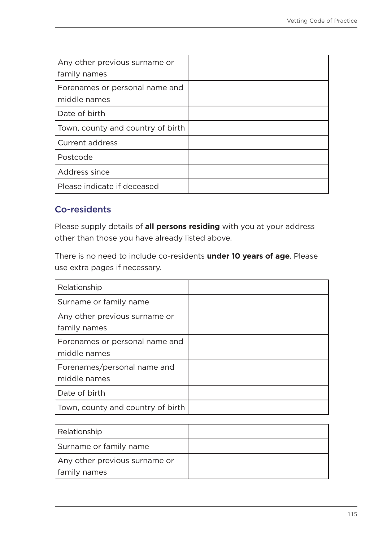| Any other previous surname or<br>family names  |  |
|------------------------------------------------|--|
| Forenames or personal name and<br>middle names |  |
| Date of birth                                  |  |
| Town, county and country of birth              |  |
| <b>Current address</b>                         |  |
| Postcode                                       |  |
| Address since                                  |  |
| Please indicate if deceased                    |  |

## Co-residents

Please supply details of **all persons residing** with you at your address other than those you have already listed above.

There is no need to include co-residents **under 10 years of age**. Please use extra pages if necessary.

| Relationship                                   |  |
|------------------------------------------------|--|
| Surname or family name                         |  |
| Any other previous surname or<br>family names  |  |
| Forenames or personal name and<br>middle names |  |
| Forenames/personal name and<br>middle names    |  |
| Date of birth                                  |  |
| Town, county and country of birth              |  |

| Relationship                  |  |
|-------------------------------|--|
| Surname or family name        |  |
| Any other previous surname or |  |
| family names                  |  |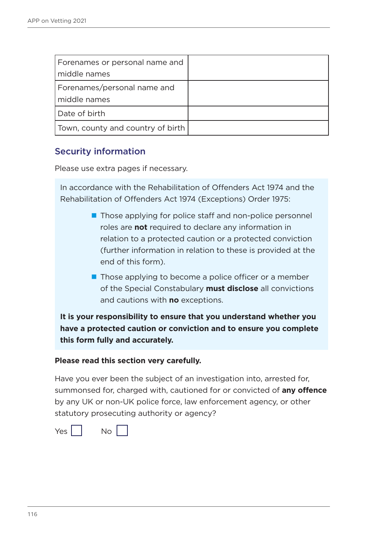| Forenames or personal name and<br>middle names |  |
|------------------------------------------------|--|
| Forenames/personal name and<br>middle names    |  |
| Date of birth                                  |  |
| Town, county and country of birth              |  |

## Security information

Please use extra pages if necessary.

In accordance with the Rehabilitation of Offenders Act 1974 and the Rehabilitation of Offenders Act 1974 (Exceptions) Order 1975:

- Those applying for police staff and non-police personnel roles are **not** required to declare any information in relation to a protected caution or a protected conviction (further information in relation to these is provided at the end of this form).
- $\blacksquare$  Those applying to become a police officer or a member of the Special Constabulary **must disclose** all convictions and cautions with **no** exceptions.

**It is your responsibility to ensure that you understand whether you have a protected caution or conviction and to ensure you complete this form fully and accurately.** 

#### **Please read this section very carefully.**

Have you ever been the subject of an investigation into, arrested for, summonsed for, charged with, cautioned for or convicted of **any offence** by any UK or non-UK police force, law enforcement agency, or other statutory prosecuting authority or agency?

 $Yes  $\vert \vert$  No  $\vert$$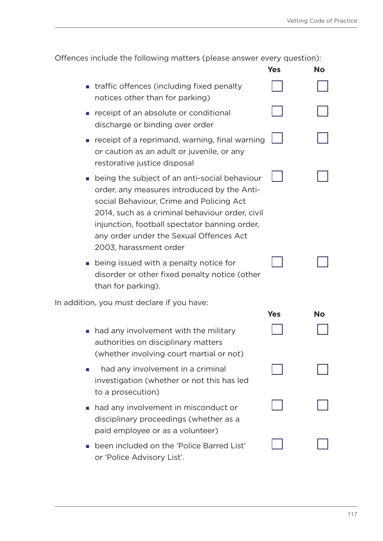| Offences include the following matters (please answer every question): |     |                                   |
|------------------------------------------------------------------------|-----|-----------------------------------|
|                                                                        | Yes | <b>No</b>                         |
| tuoffia affanosa (ingluding fiyad nonolty)                             |     | and the state of the state of the |

|                             | traffic offences (including fixed penalty<br>notices other than for parking)                                                                                                                                                                                                                                        |            |    |
|-----------------------------|---------------------------------------------------------------------------------------------------------------------------------------------------------------------------------------------------------------------------------------------------------------------------------------------------------------------|------------|----|
|                             | receipt of an absolute or conditional<br>discharge or binding over order                                                                                                                                                                                                                                            |            |    |
|                             | receipt of a reprimand, warning, final warning<br>or caution as an adult or juvenile, or any<br>restorative justice disposal                                                                                                                                                                                        |            |    |
|                             | ■ being the subject of an anti-social behaviour<br>order, any measures introduced by the Anti-<br>social Behaviour, Crime and Policing Act<br>2014, such as a criminal behaviour order, civil<br>injunction, football spectator banning order,<br>any order under the Sexual Offences Act<br>2003, harassment order |            |    |
|                             | • being issued with a penalty notice for<br>disorder or other fixed penalty notice (other<br>than for parking).                                                                                                                                                                                                     |            |    |
|                             | In addition, you must declare if you have:                                                                                                                                                                                                                                                                          |            |    |
|                             |                                                                                                                                                                                                                                                                                                                     | <b>Yes</b> | No |
| $\mathcal{L}_{\mathcal{A}}$ | had any involvement with the military<br>authorities on disciplinary matters<br>(whether involving court martial or not)                                                                                                                                                                                            |            |    |
| and the                     | had any involvement in a criminal<br>investigation (whether or not this has led<br>to a prosecution)                                                                                                                                                                                                                |            |    |
|                             | had any involvement in misconduct or<br>disciplinary proceedings (whether as a<br>paid employee or as a volunteer)                                                                                                                                                                                                  |            |    |

 been included on the 'Police Barred List' or 'Police Advisory List'.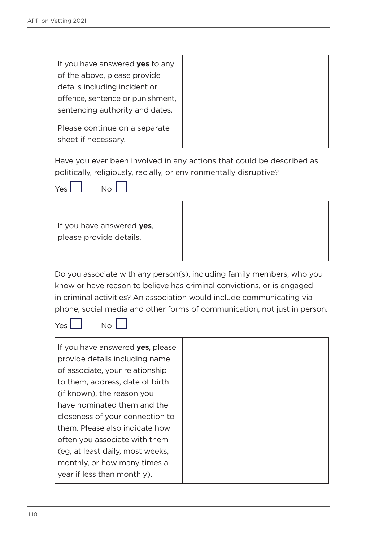| If you have answered <b>yes</b> to any |
|----------------------------------------|
| of the above, please provide           |
| details including incident or          |
| offence, sentence or punishment,       |
| sentencing authority and dates.        |
|                                        |
| Please continue on a separate          |
| sheet if necessary.                    |

Have you ever been involved in any actions that could be described as politically, religiously, racially, or environmentally disruptive?



| If you have answered yes,<br>please provide details. |
|------------------------------------------------------|
|                                                      |

Do you associate with any person(s), including family members, who you know or have reason to believe has criminal convictions, or is engaged in criminal activities? An association would include communicating via phone, social media and other forms of communication, not just in person.

 $Yes  $\vert \vert$  No  $\vert$$ 

| If you have answered yes, please |
|----------------------------------|
| provide details including name   |
| of associate, your relationship  |
| to them, address, date of birth  |
| (if known), the reason you       |
| have nominated them and the      |
| closeness of your connection to  |
| them. Please also indicate how   |
| often you associate with them    |
| (eg. at least daily, most weeks, |
| monthly, or how many times a     |
| year if less than monthly).      |
|                                  |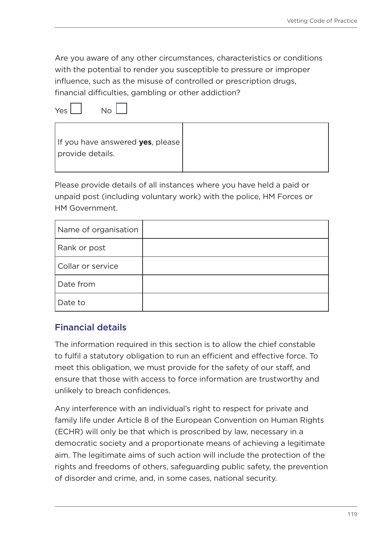Are you aware of any other circumstances, characteristics or conditions with the potential to render you susceptible to pressure or improper influence, such as the misuse of controlled or prescription drugs, financial difficulties, gambling or other addiction?

 $Yes$   $Nol$ 



Please provide details of all instances where you have held a paid or unpaid post (including voluntary work) with the police, HM Forces or HM Government.

| Name of organisation |  |
|----------------------|--|
| Rank or post         |  |
| Collar or service    |  |
| Date from            |  |
| Date to              |  |

## Financial details

The information required in this section is to allow the chief constable to fulfil a statutory obligation to run an efficient and effective force. To meet this obligation, we must provide for the safety of our staff, and ensure that those with access to force information are trustworthy and unlikely to breach confidences.

Any interference with an individual's right to respect for private and family life under Article 8 of the European Convention on Human Rights (ECHR) will only be that which is proscribed by law, necessary in a democratic society and a proportionate means of achieving a legitimate aim. The legitimate aims of such action will include the protection of the rights and freedoms of others, safeguarding public safety, the prevention of disorder and crime, and, in some cases, national security.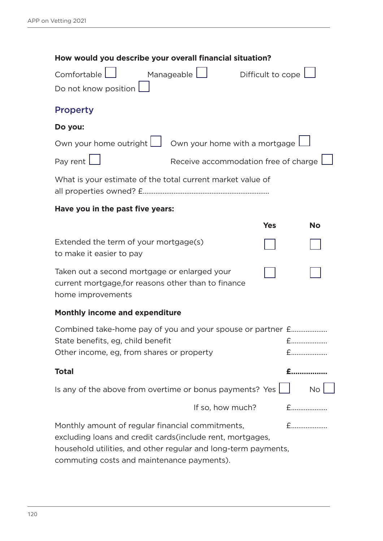| How would you describe your overall financial situation?                                                                                                                                                                       |                                      |                   |           |  |
|--------------------------------------------------------------------------------------------------------------------------------------------------------------------------------------------------------------------------------|--------------------------------------|-------------------|-----------|--|
| Comfortable<br>Do not know position [                                                                                                                                                                                          | Manageable <b> </b>                  | Difficult to cope |           |  |
| <b>Property</b>                                                                                                                                                                                                                |                                      |                   |           |  |
| Do you:                                                                                                                                                                                                                        |                                      |                   |           |  |
| Own your home outright $\Box$ Own your home with a mortgage $\Box$                                                                                                                                                             |                                      |                   |           |  |
| Pay rent                                                                                                                                                                                                                       | Receive accommodation free of charge |                   |           |  |
| What is your estimate of the total current market value of                                                                                                                                                                     |                                      |                   |           |  |
| Have you in the past five years:                                                                                                                                                                                               |                                      |                   |           |  |
|                                                                                                                                                                                                                                |                                      | <b>Yes</b>        | <b>No</b> |  |
| Extended the term of your mortgage(s)<br>to make it easier to pay                                                                                                                                                              |                                      |                   |           |  |
| Taken out a second mortgage or enlarged your<br>current mortgage, for reasons other than to finance<br>home improvements                                                                                                       |                                      |                   |           |  |
| <b>Monthly income and expenditure</b>                                                                                                                                                                                          |                                      |                   |           |  |
| Combined take-home pay of you and your spouse or partner £<br>State benefits, eg, child benefit<br>Other income, eg, from shares or property                                                                                   |                                      |                   | £         |  |
| <b>Total</b>                                                                                                                                                                                                                   |                                      |                   |           |  |
| Is any of the above from overtime or bonus payments? Yes [                                                                                                                                                                     |                                      |                   | <b>No</b> |  |
|                                                                                                                                                                                                                                | If so, how much?                     |                   | $f$       |  |
| Monthly amount of regular financial commitments,<br>excluding loans and credit cards (include rent, mortgages,<br>household utilities, and other regular and long-term payments,<br>commuting costs and maintenance payments). |                                      |                   | $f$       |  |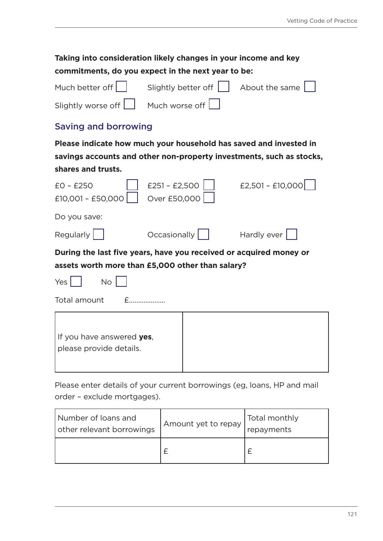## **Taking into consideration likely changes in your income and key commitments, do you expect in the next year to be:**

|                                                 | Much better off Slightly better of $\Box$ About the same $\Box$ |  |
|-------------------------------------------------|-----------------------------------------------------------------|--|
| Slightly worse off $\Box$ Much worse off $\Box$ |                                                                 |  |

## Saving and borrowing

**Please indicate how much your household has saved and invested in savings accounts and other non-property investments, such as stocks, shares and trusts.**

| $EO - E25O$<br>£10,001 - £50,000                                                                                       | $£251 - £2,500$<br>Over £50,000 |  | $£2,501 - £10,000$ |  |
|------------------------------------------------------------------------------------------------------------------------|---------------------------------|--|--------------------|--|
| Do you save:                                                                                                           |                                 |  |                    |  |
| Regularly                                                                                                              | $Occasionally$                  |  | Hardly ever        |  |
| During the last five years, have you received or acquired money or<br>assets worth more than £5,000 other than salary? |                                 |  |                    |  |
| Yes<br><b>No</b>                                                                                                       |                                 |  |                    |  |
| Total amount<br>$\mathsf{F}$ and $\mathsf{F}$                                                                          |                                 |  |                    |  |
| If you have answered yes,<br>please provide details.                                                                   |                                 |  |                    |  |

Please enter details of your current borrowings (eg, loans, HP and mail order – exclude mortgages).

| Number of loans and<br>other relevant borrowings | Amount yet to repay | Total monthly<br>repayments |
|--------------------------------------------------|---------------------|-----------------------------|
|                                                  |                     |                             |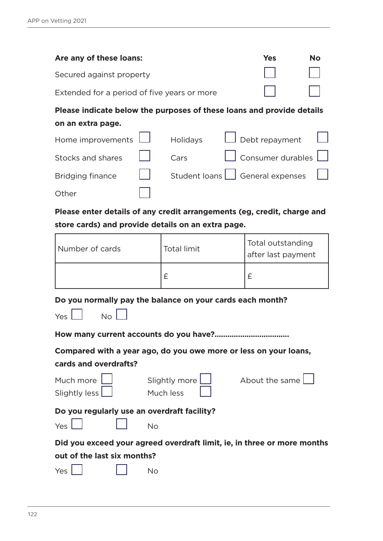**Other** 

| Are any of these loans:  |                 |                                             | <b>Yes</b>    | <b>No</b>                                                                                                                        |
|--------------------------|-----------------|---------------------------------------------|---------------|----------------------------------------------------------------------------------------------------------------------------------|
| Secured against property |                 |                                             |               |                                                                                                                                  |
|                          |                 |                                             |               |                                                                                                                                  |
|                          |                 |                                             |               |                                                                                                                                  |
|                          |                 |                                             |               |                                                                                                                                  |
| Home improvements        | <b>Holidays</b> |                                             |               |                                                                                                                                  |
|                          | Cars            |                                             |               |                                                                                                                                  |
|                          |                 |                                             |               |                                                                                                                                  |
|                          |                 | Extended for a period of five years or more | Student loans | Please indicate below the purposes of these loans and provide details<br>Debt repayment<br>Consumer durables<br>General expenses |

**Please enter details of any credit arrangements (eg, credit, charge and store cards) and provide details on an extra page.**

| Number of cards | <b>Total limit</b> | Total outstanding<br>after last payment |
|-----------------|--------------------|-----------------------------------------|
|                 |                    |                                         |

**Do you normally pay the balance on your cards each month?**

| Yes | Nο |  |
|-----|----|--|
|     |    |  |

**How many current accounts do you have?...................................**

**Compared with a year ago, do you owe more or less on your loans, cards and overdrafts?**

| Much more                                   | Slightly more | About the same                                                          |
|---------------------------------------------|---------------|-------------------------------------------------------------------------|
| Slightly less [                             | Much less     |                                                                         |
| Do you regularly use an overdraft facility? |               |                                                                         |
| Yes                                         | No            |                                                                         |
|                                             |               | Did you exceed your agreed overdraft limit, ie, in three or more months |
| out of the last six months?                 |               |                                                                         |
| Yes                                         | Nο            |                                                                         |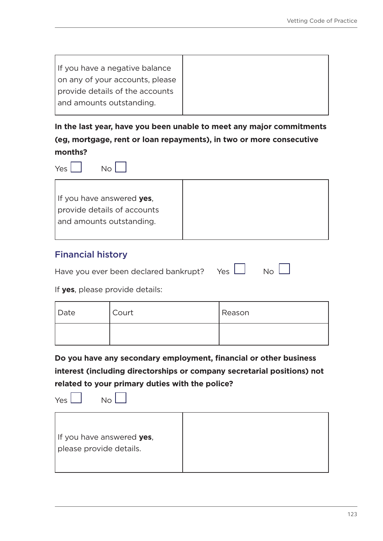If you have a negative balance on any of your accounts, please provide details of the accounts and amounts outstanding.

**In the last year, have you been unable to meet any major commitments (eg, mortgage, rent or loan repayments), in two or more consecutive months?**

 $Y_{PS}$   $\begin{vmatrix} 1 & 0 \\ 0 & 0 \end{vmatrix}$ 



## Financial history

|  | Have you ever been declared bankrupt? Ye |  |  | Yes $\Box$ | No |
|--|------------------------------------------|--|--|------------|----|
|--|------------------------------------------|--|--|------------|----|

If **yes**, please provide details:

| Date | Court | Reason |
|------|-------|--------|
|      |       |        |

**Do you have any secondary employment, financial or other business interest (including directorships or company secretarial positions) not related to your primary duties with the police?**

 $Yes$   $\begin{vmatrix} 1 & 0 \\ 0 & 0 \end{vmatrix}$ 

| If you have answered yes, |
|---------------------------|
| please provide details.   |
|                           |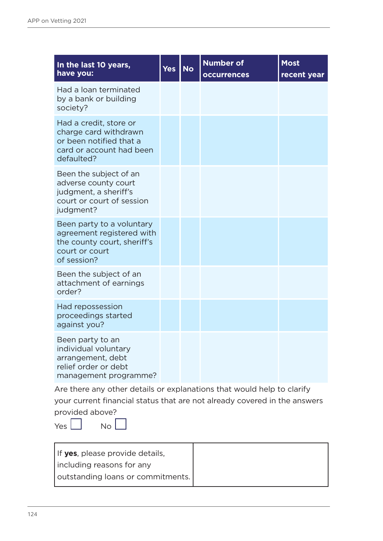| In the last 10 years,<br>have you:                                                                                     | <b>Yes</b> | <b>No</b> | <b>Number of</b><br><b>occurrences</b> | <b>Most</b><br>recent year |
|------------------------------------------------------------------------------------------------------------------------|------------|-----------|----------------------------------------|----------------------------|
| Had a loan terminated<br>by a bank or building<br>society?                                                             |            |           |                                        |                            |
| Had a credit, store or<br>charge card withdrawn<br>or been notified that a<br>card or account had been<br>defaulted?   |            |           |                                        |                            |
| Been the subject of an<br>adverse county court<br>judgment, a sheriff's<br>court or court of session<br>judgment?      |            |           |                                        |                            |
| Been party to a voluntary<br>agreement registered with<br>the county court, sheriff's<br>court or court<br>of session? |            |           |                                        |                            |
| Been the subject of an<br>attachment of earnings<br>order?                                                             |            |           |                                        |                            |
| Had repossession<br>proceedings started<br>against you?                                                                |            |           |                                        |                            |
| Been party to an<br>individual voluntary<br>arrangement, debt<br>relief order or debt<br>management programme?         |            |           |                                        |                            |

Are there any other details or explanations that would help to clarify your current financial status that are not already covered in the answers provided above?

 $Yes \Box No \Box$ 

| If yes, please provide details,   |
|-----------------------------------|
| Including reasons for any         |
| outstanding loans or commitments. |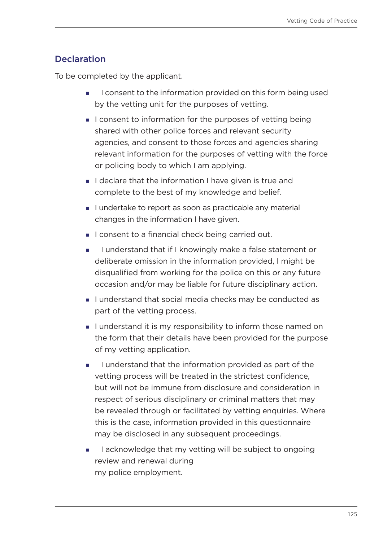## **Declaration**

To be completed by the applicant.

- **I** consent to the information provided on this form being used by the vetting unit for the purposes of vetting.
- I consent to information for the purposes of vetting being shared with other police forces and relevant security agencies, and consent to those forces and agencies sharing relevant information for the purposes of vetting with the force or policing body to which I am applying.
- I declare that the information I have given is true and complete to the best of my knowledge and belief.
- I undertake to report as soon as practicable any material changes in the information I have given.
- I consent to a financial check being carried out.
- I understand that if I knowingly make a false statement or deliberate omission in the information provided, I might be disqualified from working for the police on this or any future occasion and/or may be liable for future disciplinary action.
- I understand that social media checks may be conducted as part of the vetting process.
- I understand it is my responsibility to inform those named on the form that their details have been provided for the purpose of my vetting application.
- I understand that the information provided as part of the vetting process will be treated in the strictest confidence, but will not be immune from disclosure and consideration in respect of serious disciplinary or criminal matters that may be revealed through or facilitated by vetting enquiries. Where this is the case, information provided in this questionnaire may be disclosed in any subsequent proceedings.
- I acknowledge that my vetting will be subject to ongoing review and renewal during my police employment.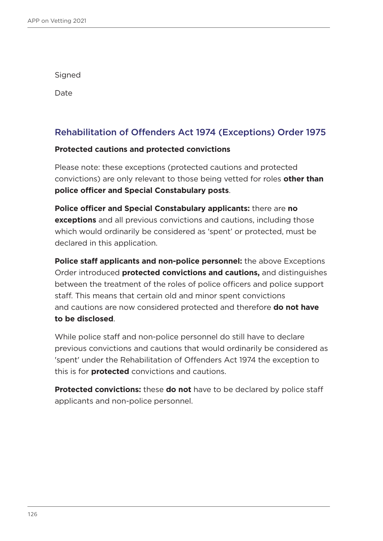Signed

Date

## Rehabilitation of Offenders Act 1974 (Exceptions) Order 1975

#### **Protected cautions and protected convictions**

Please note: these exceptions (protected cautions and protected convictions) are only relevant to those being vetted for roles **other than police officer and Special Constabulary posts**.

**Police officer and Special Constabulary applicants:** there are **no exceptions** and all previous convictions and cautions, including those which would ordinarily be considered as 'spent' or protected, must be declared in this application.

**Police staff applicants and non-police personnel:** the above Exceptions Order introduced **protected convictions and cautions,** and distinguishes between the treatment of the roles of police officers and police support staff. This means that certain old and minor spent convictions and cautions are now considered protected and therefore **do not have to be disclosed**.

While police staff and non-police personnel do still have to declare previous convictions and cautions that would ordinarily be considered as 'spent' under the Rehabilitation of Offenders Act 1974 the exception to this is for **protected** convictions and cautions.

**Protected convictions:** these **do not** have to be declared by police staff applicants and non-police personnel.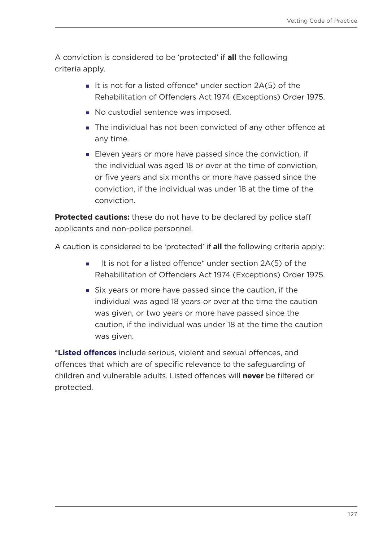A conviction is considered to be 'protected' if **all** the following criteria apply.

- It is not for a listed offence\* under section  $2A(5)$  of the Rehabilitation of Offenders Act 1974 (Exceptions) Order 1975.
- No custodial sentence was imposed.
- The individual has not been convicted of any other offence at any time.
- Eleven years or more have passed since the conviction, if the individual was aged 18 or over at the time of conviction, or five years and six months or more have passed since the conviction, if the individual was under 18 at the time of the conviction.

**Protected cautions:** these do not have to be declared by police staff applicants and non-police personnel.

A caution is considered to be 'protected' if **all** the following criteria apply:

- It is not for a listed offence\* under section  $2A(5)$  of the Rehabilitation of Offenders Act 1974 (Exceptions) Order 1975.
- Six years or more have passed since the caution, if the individual was aged 18 years or over at the time the caution was given, or two years or more have passed since the caution, if the individual was under 18 at the time the caution was given.

\***[Listed offences](https://www.gov.uk/government/publications/dbs-list-of-offences-that-will-never-be-filtered-from-a-criminal-record-check)** include serious, violent and sexual offences, and offences that which are of specific relevance to the safeguarding of children and vulnerable adults. Listed offences will **never** be filtered or protected.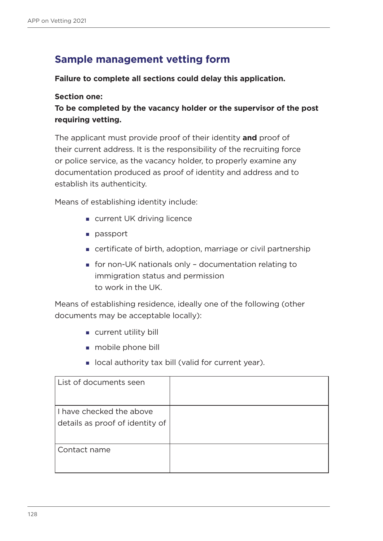## **Sample management vetting form**

#### **Failure to complete all sections could delay this application.**

#### **Section one:**

**To be completed by the vacancy holder or the supervisor of the post requiring vetting.**

The applicant must provide proof of their identity **and** proof of their current address. It is the responsibility of the recruiting force or police service, as the vacancy holder, to properly examine any documentation produced as proof of identity and address and to establish its authenticity.

Means of establishing identity include:

- **u** current UK driving licence
- **passport**
- certificate of birth, adoption, marriage or civil partnership
- for non-UK nationals only documentation relating to immigration status and permission to work in the UK.

Means of establishing residence, ideally one of the following (other documents may be acceptable locally):

- current utility bill
- mobile phone bill
- **I** local authority tax bill (valid for current year).

| List of documents seen                                      |  |
|-------------------------------------------------------------|--|
| I have checked the above<br>details as proof of identity of |  |
| Contact name                                                |  |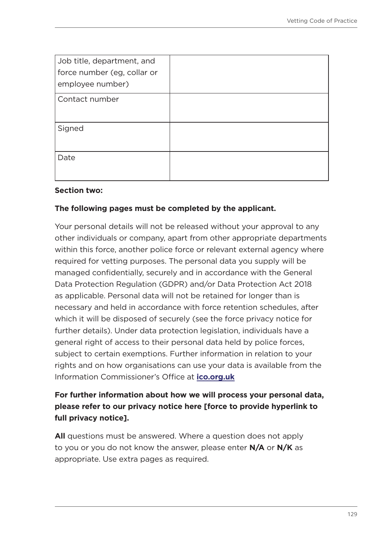| Job title, department, and<br>force number (eg, collar or<br>employee number) |  |
|-------------------------------------------------------------------------------|--|
| Contact number                                                                |  |
| Signed                                                                        |  |
| Date                                                                          |  |

#### **Section two:**

#### **The following pages must be completed by the applicant.**

Your personal details will not be released without your approval to any other individuals or company, apart from other appropriate departments within this force, another police force or relevant external agency where required for vetting purposes. The personal data you supply will be managed confidentially, securely and in accordance with the General Data Protection Regulation (GDPR) and/or Data Protection Act 2018 as applicable. Personal data will not be retained for longer than is necessary and held in accordance with force retention schedules, after which it will be disposed of securely (see the force privacy notice for further details). Under data protection legislation, individuals have a general right of access to their personal data held by police forces, subject to certain exemptions. Further information in relation to your rights and on how organisations can use your data is available from the Information Commissioner's Office at **[ico.org.uk](https://ico.org.uk/)**

## **For further information about how we will process your personal data, please refer to our privacy notice here [force to provide hyperlink to full privacy notice].**

**All** questions must be answered. Where a question does not apply to you or you do not know the answer, please enter **N/A** or **N/K** as appropriate. Use extra pages as required.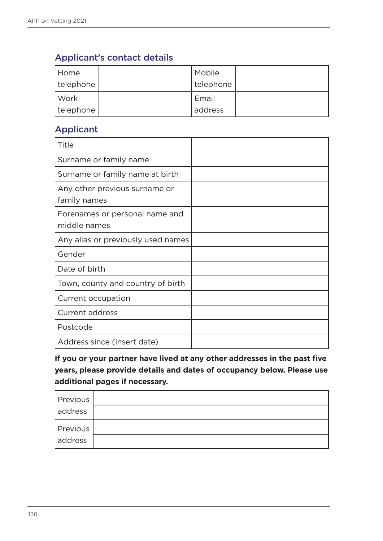## Applicant's contact details

| Home      | Mobile    |  |
|-----------|-----------|--|
| telephone | telephone |  |
| Work      | Email     |  |
| telephone | address   |  |

## Applicant

| Title                                          |  |
|------------------------------------------------|--|
| Surname or family name                         |  |
| Surname or family name at birth                |  |
| Any other previous surname or<br>family names  |  |
| Forenames or personal name and<br>middle names |  |
| Any alias or previously used names             |  |
| Gender                                         |  |
| Date of birth                                  |  |
| Town, county and country of birth              |  |
| Current occupation                             |  |
| <b>Current address</b>                         |  |
| Postcode                                       |  |
| Address since (insert date)                    |  |

**If you or your partner have lived at any other addresses in the past five years, please provide details and dates of occupancy below. Please use additional pages if necessary.**

| Previous |  |
|----------|--|
| address  |  |
| Previous |  |
| address  |  |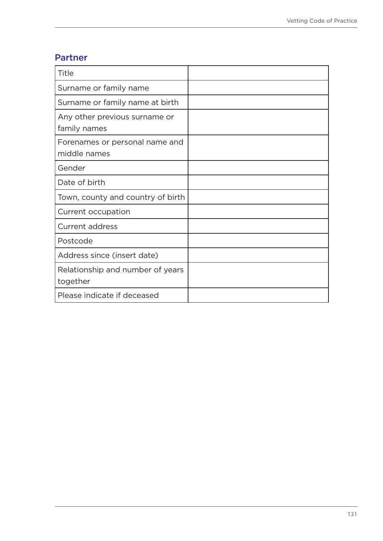## Partner

| Title                                          |  |
|------------------------------------------------|--|
| Surname or family name                         |  |
| Surname or family name at birth                |  |
| Any other previous surname or<br>family names  |  |
| Forenames or personal name and<br>middle names |  |
| Gender                                         |  |
| Date of birth                                  |  |
| Town, county and country of birth              |  |
| Current occupation                             |  |
| <b>Current address</b>                         |  |
| Postcode                                       |  |
| Address since (insert date)                    |  |
| Relationship and number of years<br>together   |  |
| Please indicate if deceased                    |  |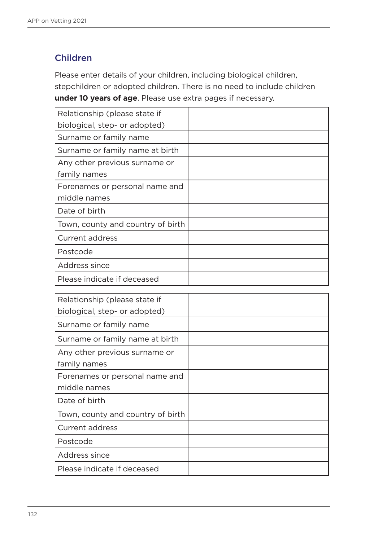## Children

Please enter details of your children, including biological children, stepchildren or adopted children. There is no need to include children **under 10 years of age**. Please use extra pages if necessary.

| Relationship (please state if     |  |
|-----------------------------------|--|
| biological, step- or adopted)     |  |
| Surname or family name            |  |
| Surname or family name at birth   |  |
| Any other previous surname or     |  |
| family names                      |  |
| Forenames or personal name and    |  |
| middle names                      |  |
| Date of birth                     |  |
| Town, county and country of birth |  |
| <b>Current address</b>            |  |
| Postcode                          |  |
| Address since                     |  |
| Please indicate if deceased       |  |

| Relationship (please state if     |  |
|-----------------------------------|--|
| biological, step- or adopted)     |  |
| Surname or family name            |  |
| Surname or family name at birth   |  |
| Any other previous surname or     |  |
| family names                      |  |
| Forenames or personal name and    |  |
| middle names                      |  |
| Date of birth                     |  |
| Town, county and country of birth |  |
| <b>Current address</b>            |  |
| Postcode                          |  |
| Address since                     |  |
| Please indicate if deceased       |  |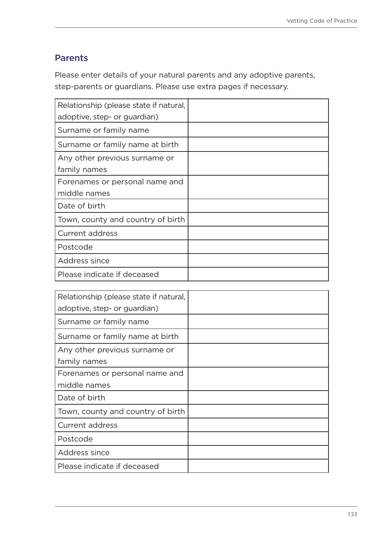## Parents

Please enter details of your natural parents and any adoptive parents, step-parents or guardians. Please use extra pages if necessary.

| Relationship (please state if natural, |  |
|----------------------------------------|--|
| adoptive, step- or guardian)           |  |
| Surname or family name                 |  |
| Surname or family name at birth        |  |
| Any other previous surname or          |  |
| family names                           |  |
| Forenames or personal name and         |  |
| middle names                           |  |
| Date of birth                          |  |
| Town, county and country of birth      |  |
| Current address                        |  |
| Postcode                               |  |
| Address since                          |  |
| Please indicate if deceased            |  |

| Relationship (please state if natural, |  |
|----------------------------------------|--|
| adoptive, step- or guardian)           |  |
| Surname or family name                 |  |
| Surname or family name at birth        |  |
| Any other previous surname or          |  |
| family names                           |  |
| Forenames or personal name and         |  |
| middle names                           |  |
| Date of birth                          |  |
| Town, county and country of birth      |  |
| Current address                        |  |
| Postcode                               |  |
| Address since                          |  |
| Please indicate if deceased            |  |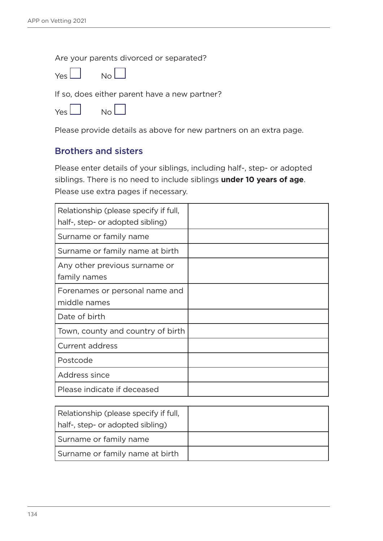Are your parents divorced or separated?



If so, does either parent have a new partner?

| Yes l | Nο |  |
|-------|----|--|
|       |    |  |

Please provide details as above for new partners on an extra page.

### Brothers and sisters

Please enter details of your siblings, including half-, step- or adopted siblings. There is no need to include siblings **under 10 years of age**. Please use extra pages if necessary.

| Relationship (please specify if full,          |  |
|------------------------------------------------|--|
| half-, step- or adopted sibling)               |  |
| Surname or family name                         |  |
| Surname or family name at birth                |  |
| Any other previous surname or<br>family names  |  |
| Forenames or personal name and<br>middle names |  |
| Date of birth                                  |  |
| Town, county and country of birth              |  |
| <b>Current address</b>                         |  |
| Postcode                                       |  |
| Address since                                  |  |
| Please indicate if deceased                    |  |

| Relationship (please specify if full,<br>half-, step- or adopted sibling) |  |
|---------------------------------------------------------------------------|--|
| Surname or family name                                                    |  |
| Surname or family name at birth                                           |  |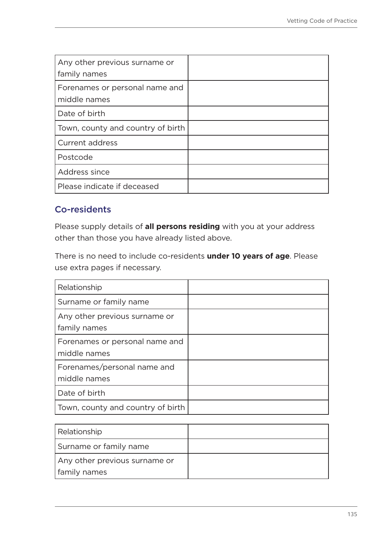| Any other previous surname or<br>family names  |  |
|------------------------------------------------|--|
| Forenames or personal name and<br>middle names |  |
| Date of birth                                  |  |
| Town, county and country of birth              |  |
| <b>Current address</b>                         |  |
| Postcode                                       |  |
| Address since                                  |  |
| Please indicate if deceased                    |  |

## Co-residents

Please supply details of **all persons residing** with you at your address other than those you have already listed above.

There is no need to include co-residents **under 10 years of age**. Please use extra pages if necessary.

| Relationship                                   |  |
|------------------------------------------------|--|
| Surname or family name                         |  |
| Any other previous surname or<br>family names  |  |
| Forenames or personal name and<br>middle names |  |
| Forenames/personal name and<br>middle names    |  |
| Date of birth                                  |  |
| Town, county and country of birth              |  |

| Relationship                  |  |
|-------------------------------|--|
| Surname or family name        |  |
| Any other previous surname or |  |
| family names                  |  |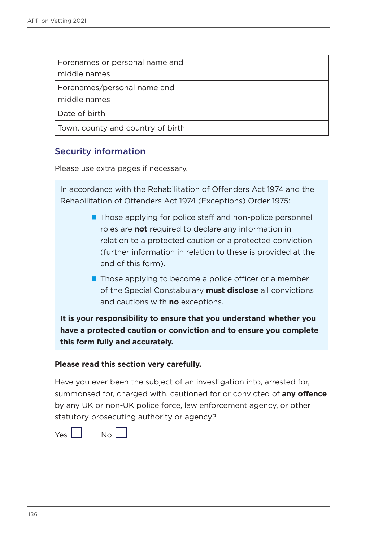| Forenames or personal name and<br>middle names |  |
|------------------------------------------------|--|
| Forenames/personal name and<br>middle names    |  |
| Date of birth                                  |  |
| Town, county and country of birth              |  |

## Security information

Please use extra pages if necessary.

In accordance with the Rehabilitation of Offenders Act 1974 and the Rehabilitation of Offenders Act 1974 (Exceptions) Order 1975:

- Those applying for police staff and non-police personnel roles are **not** required to declare any information in relation to a protected caution or a protected conviction (further information in relation to these is provided at the end of this form).
- $\blacksquare$  Those applying to become a police officer or a member of the Special Constabulary **must disclose** all convictions and cautions with **no** exceptions.

**It is your responsibility to ensure that you understand whether you have a protected caution or conviction and to ensure you complete this form fully and accurately.** 

#### **Please read this section very carefully.**

Have you ever been the subject of an investigation into, arrested for, summonsed for, charged with, cautioned for or convicted of **any offence** by any UK or non-UK police force, law enforcement agency, or other statutory prosecuting authority or agency?

 $Yes$   $\begin{vmatrix} 1 & 0 \\ 0 & 0 \end{vmatrix}$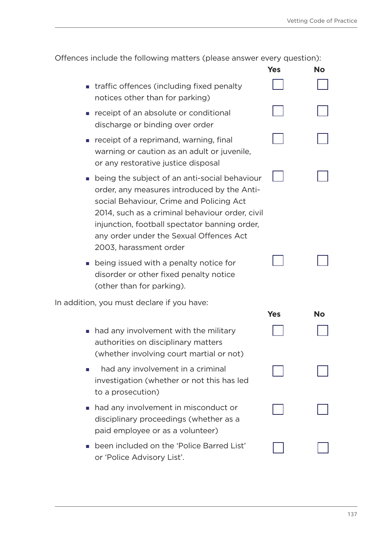| Offences include the following matters (please answer every question): |  |  |
|------------------------------------------------------------------------|--|--|
|------------------------------------------------------------------------|--|--|

|                                                                                                                                                                                                                                                                                                                   | Yes        | <b>No</b> |
|-------------------------------------------------------------------------------------------------------------------------------------------------------------------------------------------------------------------------------------------------------------------------------------------------------------------|------------|-----------|
| traffic offences (including fixed penalty<br>notices other than for parking)                                                                                                                                                                                                                                      |            |           |
| receipt of an absolute or conditional<br>discharge or binding over order                                                                                                                                                                                                                                          |            |           |
| receipt of a reprimand, warning, final<br>warning or caution as an adult or juvenile,<br>or any restorative justice disposal                                                                                                                                                                                      |            |           |
| being the subject of an anti-social behaviour<br>order, any measures introduced by the Anti-<br>social Behaviour, Crime and Policing Act<br>2014, such as a criminal behaviour order, civil<br>injunction, football spectator banning order,<br>any order under the Sexual Offences Act<br>2003, harassment order |            |           |
| being issued with a penalty notice for<br>disorder or other fixed penalty notice<br>(other than for parking).                                                                                                                                                                                                     |            |           |
| In addition, you must declare if you have:                                                                                                                                                                                                                                                                        | <b>Yes</b> | <b>No</b> |
| had any involvement with the military<br>authorities on disciplinary matters<br>(whether involving court martial or not)                                                                                                                                                                                          |            |           |
| had any involvement in a criminal<br>investigation (whether or not this has led<br>to a prosecution)                                                                                                                                                                                                              |            |           |
| had any involvement in misconduct or<br>disciplinary proceedings (whether as a<br>paid employee or as a volunteer)                                                                                                                                                                                                |            |           |
| been included on the 'Police Barred List'<br>or 'Police Advisory List'.                                                                                                                                                                                                                                           |            |           |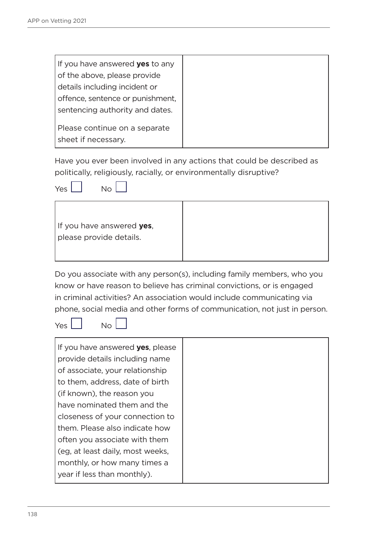| If you have answered <b>yes</b> to any |
|----------------------------------------|
| of the above, please provide           |
| details including incident or          |
| offence, sentence or punishment,       |
| sentencing authority and dates.        |
| Please continue on a separate          |
| sheet if necessary.                    |
|                                        |

Have you ever been involved in any actions that could be described as politically, religiously, racially, or environmentally disruptive?



| If you have answered yes, |
|---------------------------|
| please provide details.   |
|                           |

Do you associate with any person(s), including family members, who you know or have reason to believe has criminal convictions, or is engaged in criminal activities? An association would include communicating via phone, social media and other forms of communication, not just in person.

 $Yes \mid No \mid$ 

| If you have answered yes, please |
|----------------------------------|
| provide details including name   |
| of associate, your relationship  |
| to them, address, date of birth  |
| (if known), the reason you       |
| have nominated them and the      |
| closeness of your connection to  |
| them. Please also indicate how   |
| often you associate with them    |
| (eg. at least daily, most weeks, |
| monthly, or how many times a     |
| year if less than monthly).      |
|                                  |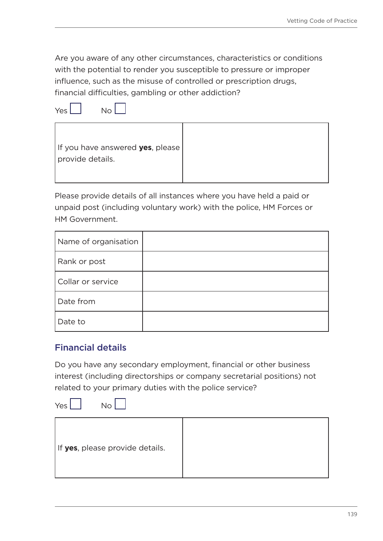Are you aware of any other circumstances, characteristics or conditions with the potential to render you susceptible to pressure or improper influence, such as the misuse of controlled or prescription drugs, financial difficulties, gambling or other addiction?

Yes No



| If you have answered <b>yes</b> , please |  |
|------------------------------------------|--|
| provide details.                         |  |

Please provide details of all instances where you have held a paid or unpaid post (including voluntary work) with the police, HM Forces or HM Government.

| Name of organisation |  |
|----------------------|--|
| Rank or post         |  |
| Collar or service    |  |
| Date from            |  |
| Date to              |  |

## Financial details

Do you have any secondary employment, financial or other business interest (including directorships or company secretarial positions) not related to your primary duties with the police service?

| Yes<br><b>No</b>                |  |
|---------------------------------|--|
| If yes, please provide details. |  |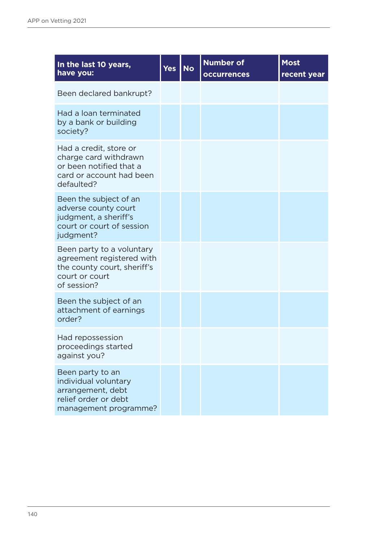| In the last 10 years,<br>have you:                                                                                     | Yes | <b>No</b> | <b>Number of</b><br><b>occurrences</b> | <b>Most</b><br>recent year |
|------------------------------------------------------------------------------------------------------------------------|-----|-----------|----------------------------------------|----------------------------|
| Been declared bankrupt?                                                                                                |     |           |                                        |                            |
| Had a loan terminated<br>by a bank or building<br>society?                                                             |     |           |                                        |                            |
| Had a credit, store or<br>charge card withdrawn<br>or been notified that a<br>card or account had been<br>defaulted?   |     |           |                                        |                            |
| Been the subject of an<br>adverse county court<br>judgment, a sheriff's<br>court or court of session<br>judgment?      |     |           |                                        |                            |
| Been party to a voluntary<br>agreement registered with<br>the county court, sheriff's<br>court or court<br>of session? |     |           |                                        |                            |
| Been the subject of an<br>attachment of earnings<br>order?                                                             |     |           |                                        |                            |
| Had repossession<br>proceedings started<br>against you?                                                                |     |           |                                        |                            |
| Been party to an<br>individual voluntary<br>arrangement, debt<br>relief order or debt<br>management programme?         |     |           |                                        |                            |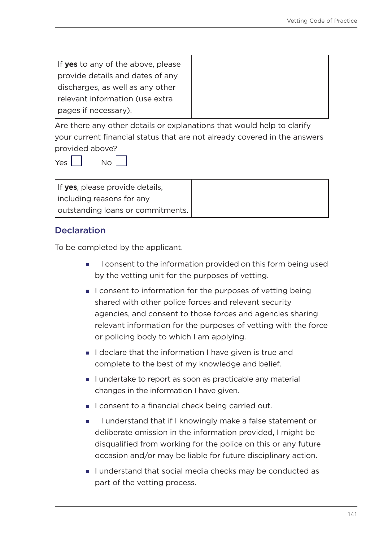| If yes to any of the above, please |  |
|------------------------------------|--|
| provide details and dates of any   |  |
| discharges, as well as any other   |  |
| relevant information (use extra    |  |
| (pages if necessary).              |  |

Are there any other details or explanations that would help to clarify your current financial status that are not already covered in the answers provided above?

 $Yes  $\vert \vert$  No $\vert$$ 

| If yes, please provide details,   |
|-----------------------------------|
| including reasons for any         |
| outstanding loans or commitments. |

## **Declaration**

To be completed by the applicant.

- I consent to the information provided on this form being used by the vetting unit for the purposes of vetting.
- I consent to information for the purposes of vetting being shared with other police forces and relevant security agencies, and consent to those forces and agencies sharing relevant information for the purposes of vetting with the force or policing body to which I am applying.
- I declare that the information I have given is true and complete to the best of my knowledge and belief.
- I undertake to report as soon as practicable any material changes in the information I have given.
- I consent to a financial check being carried out.
- I understand that if I knowingly make a false statement or deliberate omission in the information provided, I might be disqualified from working for the police on this or any future occasion and/or may be liable for future disciplinary action.
- I understand that social media checks may be conducted as part of the vetting process.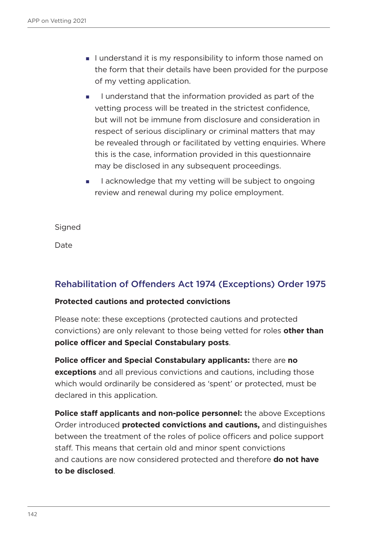- I understand it is my responsibility to inform those named on the form that their details have been provided for the purpose of my vetting application.
- I understand that the information provided as part of the vetting process will be treated in the strictest confidence, but will not be immune from disclosure and consideration in respect of serious disciplinary or criminal matters that may be revealed through or facilitated by vetting enquiries. Where this is the case, information provided in this questionnaire may be disclosed in any subsequent proceedings.
- $\blacksquare$  acknowledge that my vetting will be subject to ongoing review and renewal during my police employment.

**Signed** 

Date

## Rehabilitation of Offenders Act 1974 (Exceptions) Order 1975

#### **Protected cautions and protected convictions**

Please note: these exceptions (protected cautions and protected convictions) are only relevant to those being vetted for roles **other than police officer and Special Constabulary posts**.

**Police officer and Special Constabulary applicants:** there are **no exceptions** and all previous convictions and cautions, including those which would ordinarily be considered as 'spent' or protected, must be declared in this application.

**Police staff applicants and non-police personnel:** the above Exceptions Order introduced **protected convictions and cautions,** and distinguishes between the treatment of the roles of police officers and police support staff. This means that certain old and minor spent convictions and cautions are now considered protected and therefore **do not have to be disclosed**.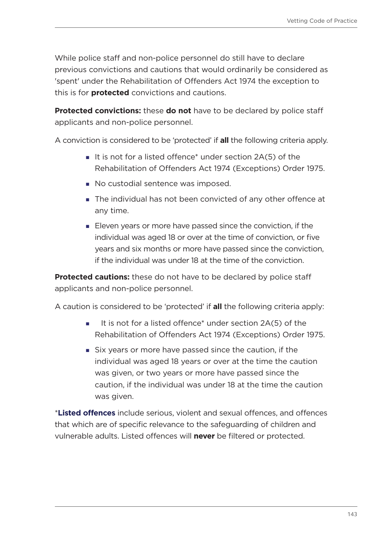While police staff and non-police personnel do still have to declare previous convictions and cautions that would ordinarily be considered as 'spent' under the Rehabilitation of Offenders Act 1974 the exception to this is for **protected** convictions and cautions.

**Protected convictions:** these **do not** have to be declared by police staff applicants and non-police personnel.

A conviction is considered to be 'protected' if **all** the following criteria apply.

- It is not for a listed offence\* under section  $2A(5)$  of the Rehabilitation of Offenders Act 1974 (Exceptions) Order 1975.
- No custodial sentence was imposed.
- The individual has not been convicted of any other offence at any time.
- Eleven years or more have passed since the conviction, if the individual was aged 18 or over at the time of conviction, or five years and six months or more have passed since the conviction, if the individual was under 18 at the time of the conviction.

**Protected cautions:** these do not have to be declared by police staff applicants and non-police personnel.

A caution is considered to be 'protected' if **all** the following criteria apply:

- It is not for a listed offence<sup>\*</sup> under section  $2A(5)$  of the Rehabilitation of Offenders Act 1974 (Exceptions) Order 1975.
- Six years or more have passed since the caution, if the individual was aged 18 years or over at the time the caution was given, or two years or more have passed since the caution, if the individual was under 18 at the time the caution was given.

\***Listed offences** include serious, violent and sexual offences, and offences that which are of specific relevance to the safeguarding of children and vulnerable adults. Listed offences will **never** be filtered or protected.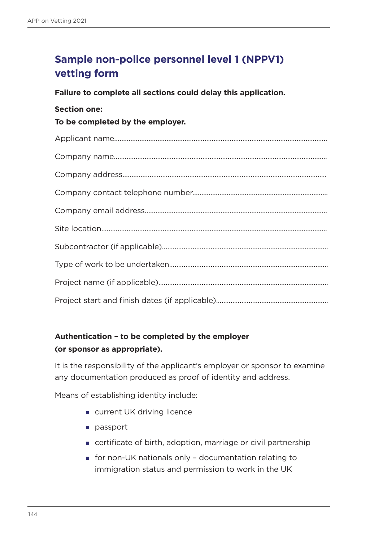# **Sample non-police personnel level 1 (NPPV1) vetting form**

**Failure to complete all sections could delay this application.**

#### **Section one:**

**To be completed by the employer.**

## **Authentication – to be completed by the employer (or sponsor as appropriate).**

It is the responsibility of the applicant's employer or sponsor to examine any documentation produced as proof of identity and address.

Means of establishing identity include:

- **u** current UK driving licence
- **passport**
- certificate of birth, adoption, marriage or civil partnership
- for non-UK nationals only documentation relating to immigration status and permission to work in the UK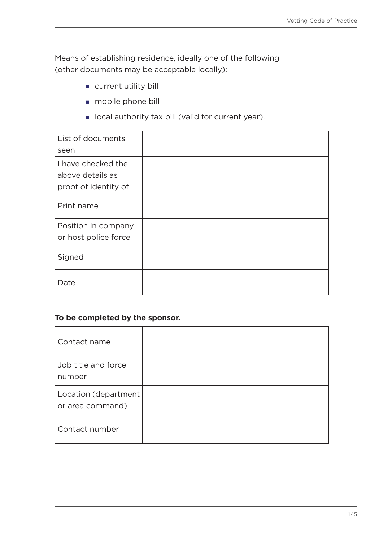Means of establishing residence, ideally one of the following (other documents may be acceptable locally):

- **current utility bill**
- **mobile phone bill**
- **I** local authority tax bill (valid for current year).

| List of documents<br>seen                                      |  |
|----------------------------------------------------------------|--|
| I have checked the<br>above details as<br>proof of identity of |  |
| Print name                                                     |  |
| Position in company<br>or host police force                    |  |
| Signed                                                         |  |
| Date                                                           |  |

#### **To be completed by the sponsor.**

| Contact name                             |  |
|------------------------------------------|--|
| Job title and force<br>number            |  |
| Location (department<br>or area command) |  |
| Contact number                           |  |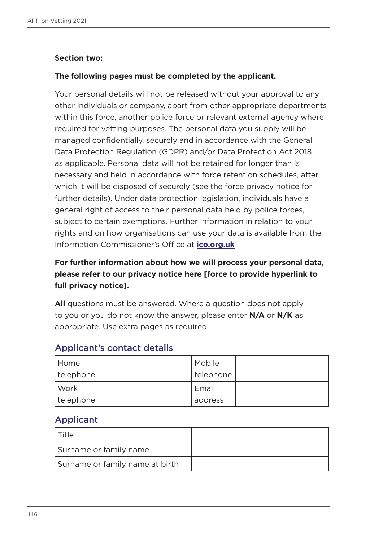### **Section two:**

#### **The following pages must be completed by the applicant.**

Your personal details will not be released without your approval to any other individuals or company, apart from other appropriate departments within this force, another police force or relevant external agency where required for vetting purposes. The personal data you supply will be managed confidentially, securely and in accordance with the General Data Protection Regulation (GDPR) and/or Data Protection Act 2018 as applicable. Personal data will not be retained for longer than is necessary and held in accordance with force retention schedules, after which it will be disposed of securely (see the force privacy notice for further details). Under data protection legislation, individuals have a general right of access to their personal data held by police forces, subject to certain exemptions. Further information in relation to your rights and on how organisations can use your data is available from the Information Commissioner's Office at **[ico.org.uk](https://ico.org.uk/)**

# **For further information about how we will process your personal data, please refer to our privacy notice here [force to provide hyperlink to full privacy notice].**

**All** questions must be answered. Where a question does not apply to you or you do not know the answer, please enter **N/A** or **N/K** as appropriate. Use extra pages as required.

| Home      | Mobile    |  |
|-----------|-----------|--|
| telephone | telephone |  |
| Work      | Email     |  |
| telephone | address   |  |

### Applicant's contact details

### Applicant

| † ⊤itle                         |  |
|---------------------------------|--|
| Surname or family name          |  |
| Surname or family name at birth |  |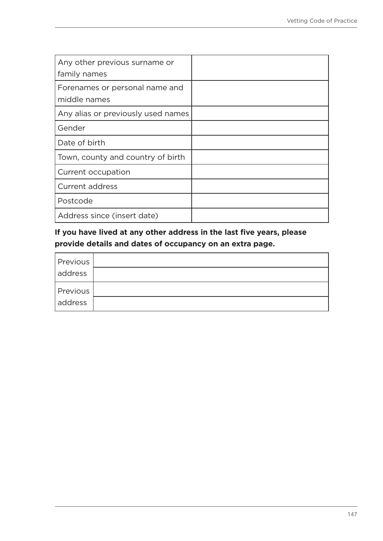| Any other previous surname or<br>family names  |  |
|------------------------------------------------|--|
| Forenames or personal name and<br>middle names |  |
| Any alias or previously used names             |  |
| Gender                                         |  |
| Date of birth                                  |  |
| Town, county and country of birth              |  |
| Current occupation                             |  |
| <b>Current address</b>                         |  |
| Postcode                                       |  |
| Address since (insert date)                    |  |

**If you have lived at any other address in the last five years, please provide details and dates of occupancy on an extra page.**

| Previous |  |
|----------|--|
| address  |  |
| Previous |  |
|          |  |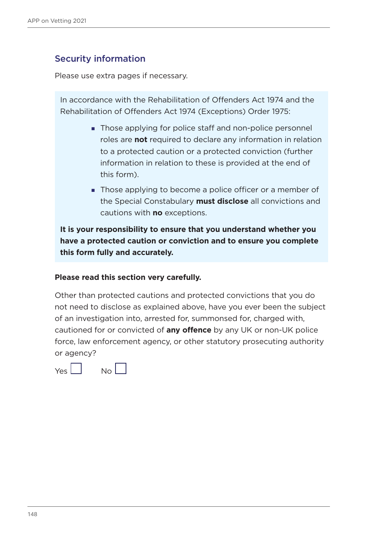### Security information

Please use extra pages if necessary.

In accordance with the Rehabilitation of Offenders Act 1974 and the Rehabilitation of Offenders Act 1974 (Exceptions) Order 1975:

- Those applying for police staff and non-police personnel roles are **not** required to declare any information in relation to a protected caution or a protected conviction (further information in relation to these is provided at the end of this form).
- Those applying to become a police officer or a member of the Special Constabulary **must disclose** all convictions and cautions with **no** exceptions.

**It is your responsibility to ensure that you understand whether you have a protected caution or conviction and to ensure you complete this form fully and accurately.** 

#### **Please read this section very carefully.**

Other than protected cautions and protected convictions that you do not need to disclose as explained above, have you ever been the subject of an investigation into, arrested for, summonsed for, charged with, cautioned for or convicted of **any offence** by any UK or non-UK police force, law enforcement agency, or other statutory prosecuting authority or agency?

 $\sqrt{2}$   $\sqrt{2}$   $\sqrt{2}$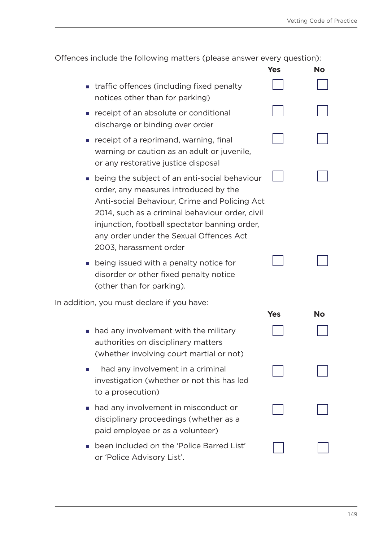| Offences include the following matters (please answer every question): |  |  |
|------------------------------------------------------------------------|--|--|
|------------------------------------------------------------------------|--|--|

|                                                                                                                                                                                                                                                                                                                  | Yes        | No        |
|------------------------------------------------------------------------------------------------------------------------------------------------------------------------------------------------------------------------------------------------------------------------------------------------------------------|------------|-----------|
| traffic offences (including fixed penalty<br>notices other than for parking)                                                                                                                                                                                                                                     |            |           |
| receipt of an absolute or conditional<br>discharge or binding over order                                                                                                                                                                                                                                         |            |           |
| receipt of a reprimand, warning, final<br>warning or caution as an adult or juvenile,<br>or any restorative justice disposal                                                                                                                                                                                     |            |           |
| being the subject of an anti-social behaviour<br>order, any measures introduced by the<br>Anti-social Behaviour, Crime and Policing Act<br>2014, such as a criminal behaviour order, civil<br>injunction, football spectator banning order,<br>any order under the Sexual Offences Act<br>2003, harassment order |            |           |
| being issued with a penalty notice for<br>disorder or other fixed penalty notice<br>(other than for parking).                                                                                                                                                                                                    |            |           |
| In addition, you must declare if you have:                                                                                                                                                                                                                                                                       |            |           |
| had any involvement with the military<br>authorities on disciplinary matters<br>(whether involving court martial or not)                                                                                                                                                                                         | <b>Yes</b> | <b>No</b> |
| had any involvement in a criminal<br>investigation (whether or not this has led<br>to a prosecution)                                                                                                                                                                                                             |            |           |
| had any involvement in misconduct or<br>disciplinary proceedings (whether as a<br>paid employee or as a volunteer)                                                                                                                                                                                               |            |           |
| been included on the 'Police Barred List'<br>or 'Police Advisory List'.                                                                                                                                                                                                                                          |            |           |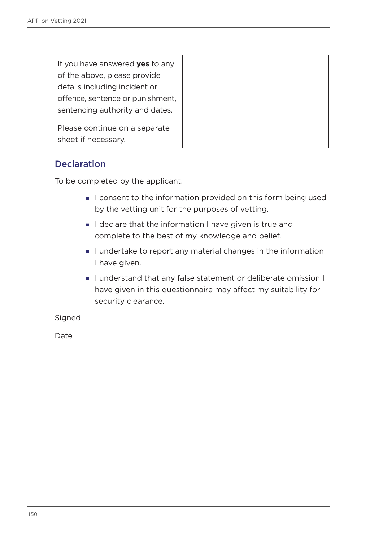| If you have answered <b>yes</b> to any               |  |
|------------------------------------------------------|--|
| of the above, please provide                         |  |
| details including incident or                        |  |
| offence, sentence or punishment,                     |  |
| sentencing authority and dates.                      |  |
| Please continue on a separate<br>sheet if necessary. |  |

### **Declaration**

To be completed by the applicant.

- I consent to the information provided on this form being used by the vetting unit for the purposes of vetting.
- I declare that the information I have given is true and complete to the best of my knowledge and belief.
- I undertake to report any material changes in the information I have given.
- I understand that any false statement or deliberate omission I have given in this questionnaire may affect my suitability for security clearance.

Signed

Date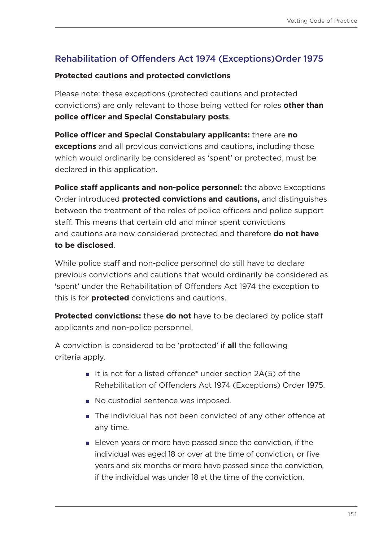# Rehabilitation of Offenders Act 1974 (Exceptions)Order 1975

#### **Protected cautions and protected convictions**

Please note: these exceptions (protected cautions and protected convictions) are only relevant to those being vetted for roles **other than police officer and Special Constabulary posts**.

**Police officer and Special Constabulary applicants:** there are **no exceptions** and all previous convictions and cautions, including those which would ordinarily be considered as 'spent' or protected, must be declared in this application.

**Police staff applicants and non-police personnel:** the above Exceptions Order introduced **protected convictions and cautions,** and distinguishes between the treatment of the roles of police officers and police support staff. This means that certain old and minor spent convictions and cautions are now considered protected and therefore **do not have to be disclosed**.

While police staff and non-police personnel do still have to declare previous convictions and cautions that would ordinarily be considered as 'spent' under the Rehabilitation of Offenders Act 1974 the exception to this is for **protected** convictions and cautions.

**Protected convictions:** these **do not** have to be declared by police staff applicants and non-police personnel.

A conviction is considered to be 'protected' if **all** the following criteria apply.

- It is not for a listed offence\* under section  $2A(5)$  of the Rehabilitation of Offenders Act 1974 (Exceptions) Order 1975.
- No custodial sentence was imposed.
- The individual has not been convicted of any other offence at any time.
- Eleven years or more have passed since the conviction, if the individual was aged 18 or over at the time of conviction, or five years and six months or more have passed since the conviction, if the individual was under 18 at the time of the conviction.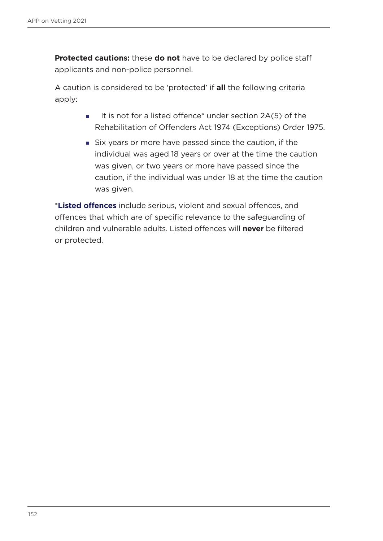**Protected cautions:** these **do not** have to be declared by police staff applicants and non-police personnel.

A caution is considered to be 'protected' if **all** the following criteria apply:

- It is not for a listed offence<sup>\*</sup> under section 2A(5) of the Rehabilitation of Offenders Act 1974 (Exceptions) Order 1975.
- Six years or more have passed since the caution, if the individual was aged 18 years or over at the time the caution was given, or two years or more have passed since the caution, if the individual was under 18 at the time the caution was given.

\***Listed offences** include serious, violent and sexual offences, and offences that which are of specific relevance to the safeguarding of children and vulnerable adults. Listed offences will **never** be filtered or protected.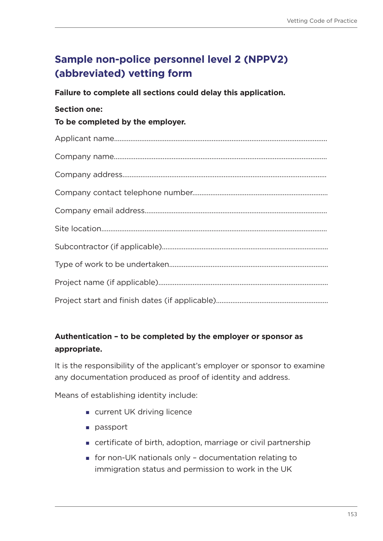# **Sample non-police personnel level 2 (NPPV2) (abbreviated) vetting form**

**Failure to complete all sections could delay this application.**

### **Section one:**

**To be completed by the employer.**

# **Authentication – to be completed by the employer or sponsor as appropriate.**

It is the responsibility of the applicant's employer or sponsor to examine any documentation produced as proof of identity and address.

Means of establishing identity include:

- **u** current UK driving licence
- **passport**
- certificate of birth, adoption, marriage or civil partnership
- for non-UK nationals only documentation relating to immigration status and permission to work in the UK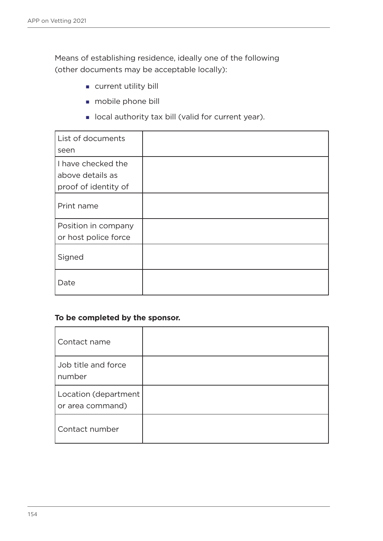Means of establishing residence, ideally one of the following (other documents may be acceptable locally):

- **current utility bill**
- **mobile phone bill**
- **I** local authority tax bill (valid for current year).

| List of documents    |  |
|----------------------|--|
| seen                 |  |
| I have checked the   |  |
| above details as     |  |
| proof of identity of |  |
| Print name           |  |
| Position in company  |  |
| or host police force |  |
| Signed               |  |
| Date                 |  |

#### **To be completed by the sponsor.**

| Contact name                             |  |
|------------------------------------------|--|
| Job title and force<br>number            |  |
| Location (department<br>or area command) |  |
| Contact number                           |  |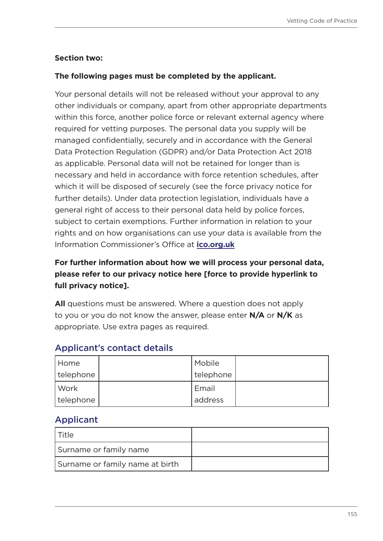### **Section two:**

### **The following pages must be completed by the applicant.**

Your personal details will not be released without your approval to any other individuals or company, apart from other appropriate departments within this force, another police force or relevant external agency where required for vetting purposes. The personal data you supply will be managed confidentially, securely and in accordance with the General Data Protection Regulation (GDPR) and/or Data Protection Act 2018 as applicable. Personal data will not be retained for longer than is necessary and held in accordance with force retention schedules, after which it will be disposed of securely (see the force privacy notice for further details). Under data protection legislation, individuals have a general right of access to their personal data held by police forces, subject to certain exemptions. Further information in relation to your rights and on how organisations can use your data is available from the Information Commissioner's Office at **[ico.org.uk](https://ico.org.uk/)**

# **For further information about how we will process your personal data, please refer to our privacy notice here [force to provide hyperlink to full privacy notice].**

**All** questions must be answered. Where a question does not apply to you or you do not know the answer, please enter **N/A** or **N/K** as appropriate. Use extra pages as required.

| Home      | Mobile    |  |
|-----------|-----------|--|
| telephone | telephone |  |
| Work      | Email     |  |
| telephone | address   |  |

### Applicant's contact details

### Applicant

| l Title                         |  |
|---------------------------------|--|
| Surname or family name          |  |
| Surname or family name at birth |  |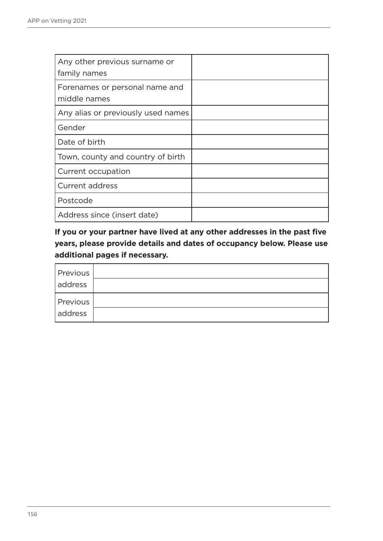| Any other previous surname or<br>family names  |  |
|------------------------------------------------|--|
| Forenames or personal name and<br>middle names |  |
| Any alias or previously used names             |  |
| Gender                                         |  |
| Date of birth                                  |  |
| Town, county and country of birth              |  |
| Current occupation                             |  |
| <b>Current address</b>                         |  |
| Postcode                                       |  |
| Address since (insert date)                    |  |

**If you or your partner have lived at any other addresses in the past five years, please provide details and dates of occupancy below. Please use additional pages if necessary.**

| Previous |  |
|----------|--|
| address  |  |
| Previous |  |
| address  |  |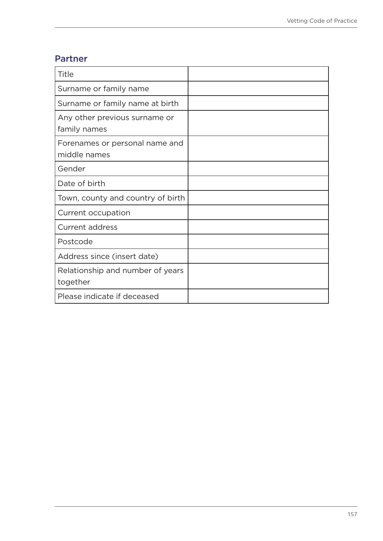### Partner

| Title                                          |  |
|------------------------------------------------|--|
| Surname or family name                         |  |
| Surname or family name at birth                |  |
| Any other previous surname or<br>family names  |  |
| Forenames or personal name and<br>middle names |  |
| Gender                                         |  |
| Date of birth                                  |  |
| Town, county and country of birth              |  |
| Current occupation                             |  |
| <b>Current address</b>                         |  |
| Postcode                                       |  |
| Address since (insert date)                    |  |
| Relationship and number of years<br>together   |  |
| Please indicate if deceased                    |  |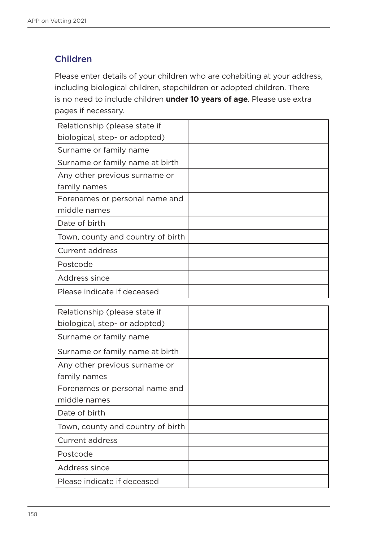# Children

Please enter details of your children who are cohabiting at your address, including biological children, stepchildren or adopted children. There is no need to include children **under 10 years of age**. Please use extra pages if necessary.

| Relationship (please state if     |  |
|-----------------------------------|--|
| biological, step- or adopted)     |  |
| Surname or family name            |  |
| Surname or family name at birth   |  |
| Any other previous surname or     |  |
| family names                      |  |
| Forenames or personal name and    |  |
| middle names                      |  |
| Date of birth                     |  |
| Town, county and country of birth |  |
| Current address                   |  |
| Postcode                          |  |
| Address since                     |  |
| Please indicate if deceased       |  |

| Relationship (please state if     |  |
|-----------------------------------|--|
| biological, step- or adopted)     |  |
| Surname or family name            |  |
| Surname or family name at birth   |  |
| Any other previous surname or     |  |
| family names                      |  |
| Forenames or personal name and    |  |
| middle names                      |  |
| Date of birth                     |  |
| Town, county and country of birth |  |
| <b>Current address</b>            |  |
| Postcode                          |  |
| Address since                     |  |
| Please indicate if deceased       |  |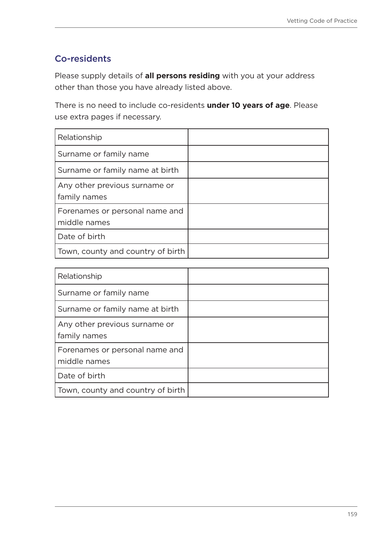# Co-residents

Please supply details of **all persons residing** with you at your address other than those you have already listed above.

There is no need to include co-residents **under 10 years of age**. Please use extra pages if necessary.

| Relationship                                   |  |
|------------------------------------------------|--|
| Surname or family name                         |  |
| Surname or family name at birth                |  |
| Any other previous surname or<br>family names  |  |
| Forenames or personal name and<br>middle names |  |
| Date of birth                                  |  |
| Town, county and country of birth              |  |

| Relationship                                   |  |
|------------------------------------------------|--|
| Surname or family name                         |  |
| Surname or family name at birth                |  |
| Any other previous surname or<br>family names  |  |
| Forenames or personal name and<br>middle names |  |
| Date of birth                                  |  |
| Town, county and country of birth              |  |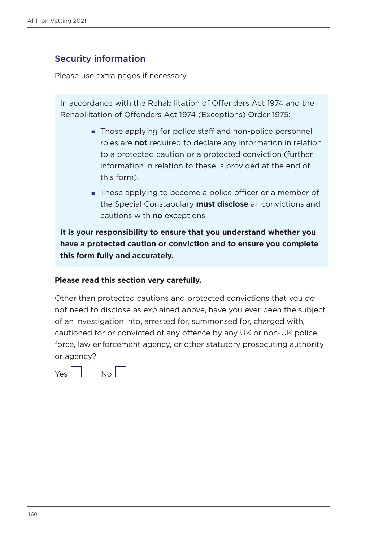### Security information

Please use extra pages if necessary.

In accordance with the Rehabilitation of Offenders Act 1974 and the Rehabilitation of Offenders Act 1974 (Exceptions) Order 1975:

- **Those applying for police staff and non-police personnel** roles are **not** required to declare any information in relation to a protected caution or a protected conviction (further information in relation to these is provided at the end of this form).
- Those applying to become a police officer or a member of the Special Constabulary **must disclose** all convictions and cautions with **no** exceptions.

**It is your responsibility to ensure that you understand whether you have a protected caution or conviction and to ensure you complete this form fully and accurately.** 

#### **Please read this section very carefully.**

Other than protected cautions and protected convictions that you do not need to disclose as explained above, have you ever been the subject of an investigation into, arrested for, summonsed for, charged with, cautioned for or convicted of any offence by any UK or non-UK police force, law enforcement agency, or other statutory prosecuting authority or agency?

Yes No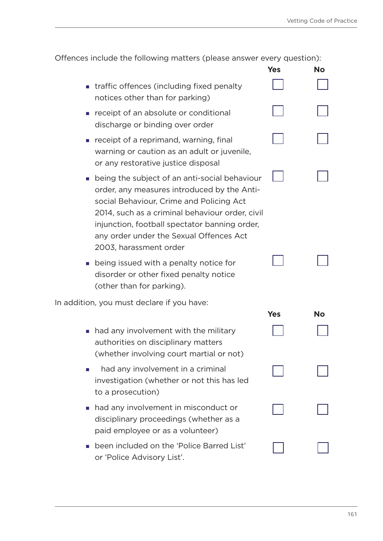| Offences include the following matters (please answer every question): |  |
|------------------------------------------------------------------------|--|
|------------------------------------------------------------------------|--|

|                                                                                                                                                                                                                                                                                                                   | Yes        | <b>No</b> |
|-------------------------------------------------------------------------------------------------------------------------------------------------------------------------------------------------------------------------------------------------------------------------------------------------------------------|------------|-----------|
| traffic offences (including fixed penalty<br>notices other than for parking)                                                                                                                                                                                                                                      |            |           |
| receipt of an absolute or conditional<br>discharge or binding over order                                                                                                                                                                                                                                          |            |           |
| receipt of a reprimand, warning, final<br>warning or caution as an adult or juvenile,<br>or any restorative justice disposal                                                                                                                                                                                      |            |           |
| being the subject of an anti-social behaviour<br>order, any measures introduced by the Anti-<br>social Behaviour, Crime and Policing Act<br>2014, such as a criminal behaviour order, civil<br>injunction, football spectator banning order,<br>any order under the Sexual Offences Act<br>2003, harassment order |            |           |
| being issued with a penalty notice for<br>disorder or other fixed penalty notice<br>(other than for parking).                                                                                                                                                                                                     |            |           |
| In addition, you must declare if you have:                                                                                                                                                                                                                                                                        | <b>Yes</b> | <b>No</b> |
| had any involvement with the military<br>authorities on disciplinary matters<br>(whether involving court martial or not)                                                                                                                                                                                          |            |           |
| had any involvement in a criminal<br>investigation (whether or not this has led<br>to a prosecution)                                                                                                                                                                                                              |            |           |
| had any involvement in misconduct or<br>disciplinary proceedings (whether as a<br>paid employee or as a volunteer)                                                                                                                                                                                                |            |           |
| been included on the 'Police Barred List'<br>or 'Police Advisory List'.                                                                                                                                                                                                                                           |            |           |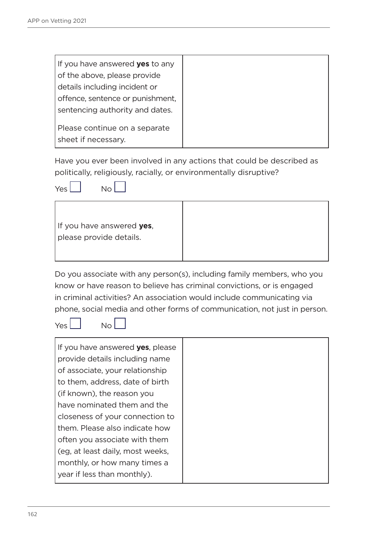| If you have answered <b>yes</b> to any |
|----------------------------------------|
| of the above, please provide           |
| details including incident or          |
| offence, sentence or punishment,       |
| sentencing authority and dates.        |
|                                        |
| Please continue on a separate          |
| sheet if necessary.                    |

Have you ever been involved in any actions that could be described as politically, religiously, racially, or environmentally disruptive?



| If you have answered yes,<br>please provide details. |
|------------------------------------------------------|
|                                                      |

Do you associate with any person(s), including family members, who you know or have reason to believe has criminal convictions, or is engaged in criminal activities? An association would include communicating via phone, social media and other forms of communication, not just in person.

Yes No

| If you have answered <b>yes</b> , please |
|------------------------------------------|
| provide details including name           |
| of associate, your relationship          |
| to them, address, date of birth          |
| (if known), the reason you               |
| have nominated them and the              |
| closeness of your connection to          |
| them. Please also indicate how           |
| often you associate with them            |
| (eg. at least daily, most weeks,         |
| monthly, or how many times a             |
| year if less than monthly).              |
|                                          |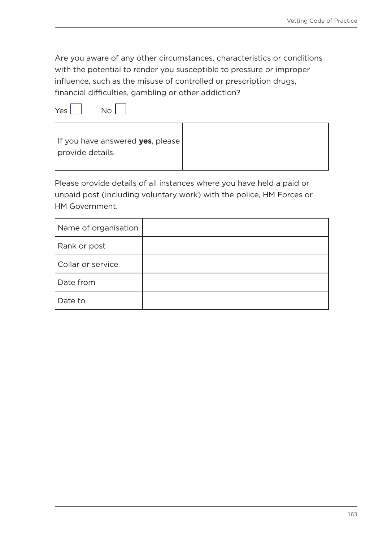Are you aware of any other circumstances, characteristics or conditions with the potential to render you susceptible to pressure or improper influence, such as the misuse of controlled or prescription drugs, financial difficulties, gambling or other addiction?





Please provide details of all instances where you have held a paid or unpaid post (including voluntary work) with the police, HM Forces or HM Government.

| Name of organisation |  |
|----------------------|--|
| Rank or post         |  |
| Collar or service    |  |
| Date from            |  |
| Date to              |  |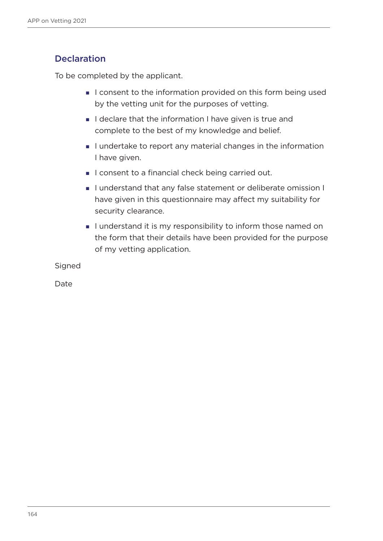# **Declaration**

To be completed by the applicant.

- I consent to the information provided on this form being used by the vetting unit for the purposes of vetting.
- I declare that the information I have given is true and complete to the best of my knowledge and belief.
- I undertake to report any material changes in the information I have given.
- I consent to a financial check being carried out.
- I understand that any false statement or deliberate omission I have given in this questionnaire may affect my suitability for security clearance.
- I understand it is my responsibility to inform those named on the form that their details have been provided for the purpose of my vetting application.

Signed

Date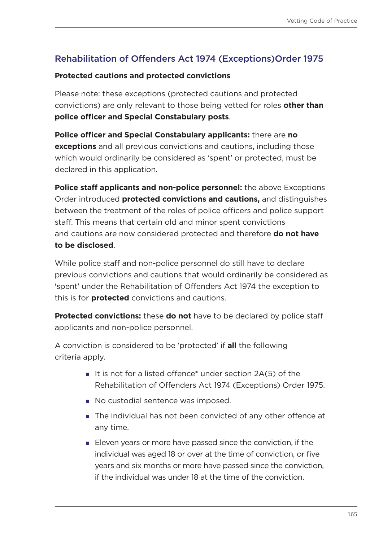# Rehabilitation of Offenders Act 1974 (Exceptions)Order 1975

#### **Protected cautions and protected convictions**

Please note: these exceptions (protected cautions and protected convictions) are only relevant to those being vetted for roles **other than police officer and Special Constabulary posts**.

**Police officer and Special Constabulary applicants:** there are **no exceptions** and all previous convictions and cautions, including those which would ordinarily be considered as 'spent' or protected, must be declared in this application.

**Police staff applicants and non-police personnel:** the above Exceptions Order introduced **protected convictions and cautions,** and distinguishes between the treatment of the roles of police officers and police support staff. This means that certain old and minor spent convictions and cautions are now considered protected and therefore **do not have to be disclosed**.

While police staff and non-police personnel do still have to declare previous convictions and cautions that would ordinarily be considered as 'spent' under the Rehabilitation of Offenders Act 1974 the exception to this is for **protected** convictions and cautions.

**Protected convictions:** these **do not** have to be declared by police staff applicants and non-police personnel.

A conviction is considered to be 'protected' if **all** the following criteria apply.

- It is not for a listed offence\* under section  $2A(5)$  of the Rehabilitation of Offenders Act 1974 (Exceptions) Order 1975.
- No custodial sentence was imposed.
- The individual has not been convicted of any other offence at any time.
- Eleven years or more have passed since the conviction, if the individual was aged 18 or over at the time of conviction, or five years and six months or more have passed since the conviction, if the individual was under 18 at the time of the conviction.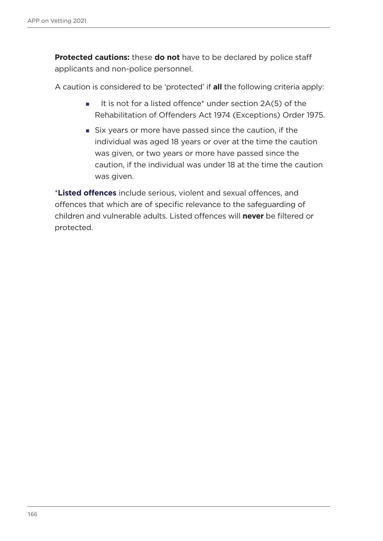**Protected cautions:** these **do not** have to be declared by police staff applicants and non-police personnel.

A caution is considered to be 'protected' if **all** the following criteria apply:

- It is not for a listed offence\* under section  $2A(5)$  of the Rehabilitation of Offenders Act 1974 (Exceptions) Order 1975.
- Six years or more have passed since the caution, if the individual was aged 18 years or over at the time the caution was given, or two years or more have passed since the caution, if the individual was under 18 at the time the caution was given.

\***Listed offences** include serious, violent and sexual offences, and offences that which are of specific relevance to the safeguarding of children and vulnerable adults. Listed offences will **never** be filtered or protected.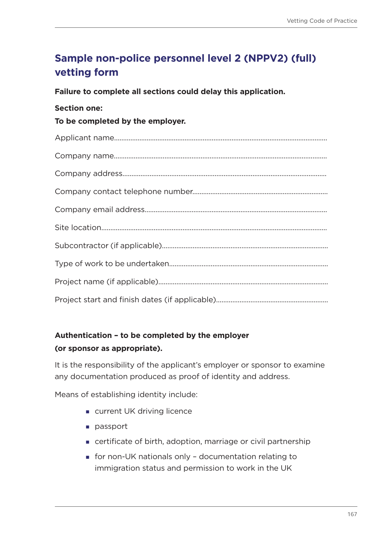# **Sample non-police personnel level 2 (NPPV2) (full) vetting form**

**Failure to complete all sections could delay this application.**

#### **Section one:**

### **To be completed by the employer.**

# **Authentication – to be completed by the employer**

#### **(or sponsor as appropriate).**

It is the responsibility of the applicant's employer or sponsor to examine any documentation produced as proof of identity and address.

Means of establishing identity include:

- **u** current UK driving licence
- **passport**
- certificate of birth, adoption, marriage or civil partnership
- for non-UK nationals only documentation relating to immigration status and permission to work in the UK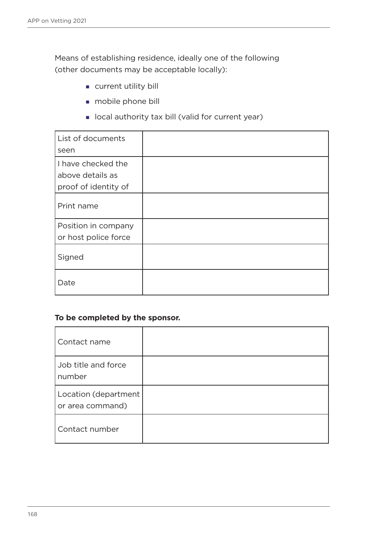Means of establishing residence, ideally one of the following (other documents may be acceptable locally):

- **current utility bill**
- **mobile phone bill**
- **I** local authority tax bill (valid for current year)

| List of documents<br>seen                                      |  |
|----------------------------------------------------------------|--|
| I have checked the<br>above details as<br>proof of identity of |  |
| Print name                                                     |  |
| Position in company<br>or host police force                    |  |
| Signed                                                         |  |
| Date                                                           |  |

#### **To be completed by the sponsor.**

| Contact name                             |  |
|------------------------------------------|--|
| Job title and force<br>number            |  |
| Location (department<br>or area command) |  |
| Contact number                           |  |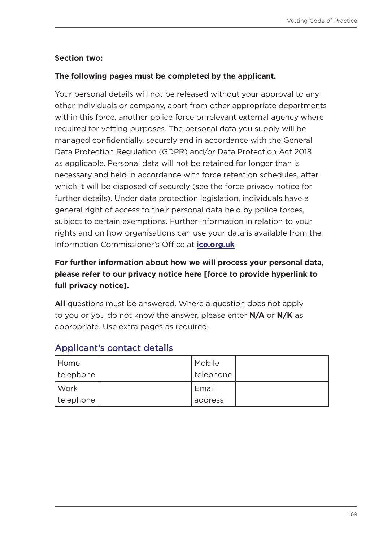### **Section two:**

### **The following pages must be completed by the applicant.**

Your personal details will not be released without your approval to any other individuals or company, apart from other appropriate departments within this force, another police force or relevant external agency where required for vetting purposes. The personal data you supply will be managed confidentially, securely and in accordance with the General Data Protection Regulation (GDPR) and/or Data Protection Act 2018 as applicable. Personal data will not be retained for longer than is necessary and held in accordance with force retention schedules, after which it will be disposed of securely (see the force privacy notice for further details). Under data protection legislation, individuals have a general right of access to their personal data held by police forces, subject to certain exemptions. Further information in relation to your rights and on how organisations can use your data is available from the Information Commissioner's Office at **[ico.org.uk](https://ico.org.uk/)**

# **For further information about how we will process your personal data, please refer to our privacy notice here [force to provide hyperlink to full privacy notice].**

**All** questions must be answered. Where a question does not apply to you or you do not know the answer, please enter **N/A** or **N/K** as appropriate. Use extra pages as required.

| Home      | Mobile    |  |
|-----------|-----------|--|
| telephone | telephone |  |
| Work      | Email     |  |
| telephone | address   |  |

### Applicant's contact details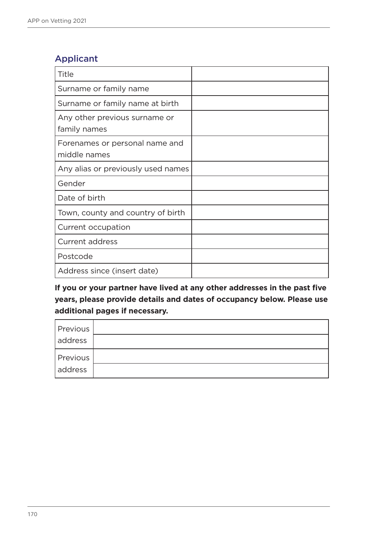# Applicant

| <b>Title</b>                                   |  |
|------------------------------------------------|--|
| Surname or family name                         |  |
| Surname or family name at birth                |  |
| Any other previous surname or<br>family names  |  |
| Forenames or personal name and<br>middle names |  |
| Any alias or previously used names             |  |
| Gender                                         |  |
| Date of birth                                  |  |
| Town, county and country of birth              |  |
| Current occupation                             |  |
| <b>Current address</b>                         |  |
| Postcode                                       |  |
| Address since (insert date)                    |  |

**If you or your partner have lived at any other addresses in the past five years, please provide details and dates of occupancy below. Please use additional pages if necessary.**

| Previous |  |
|----------|--|
| address  |  |
| Previous |  |
| address  |  |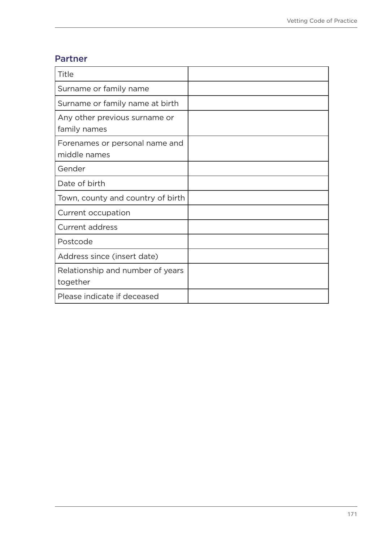### Partner

| Title                                          |  |
|------------------------------------------------|--|
| Surname or family name                         |  |
| Surname or family name at birth                |  |
| Any other previous surname or<br>family names  |  |
| Forenames or personal name and<br>middle names |  |
| Gender                                         |  |
| Date of birth                                  |  |
| Town, county and country of birth              |  |
| Current occupation                             |  |
| <b>Current address</b>                         |  |
| Postcode                                       |  |
| Address since (insert date)                    |  |
| Relationship and number of years<br>together   |  |
| Please indicate if deceased                    |  |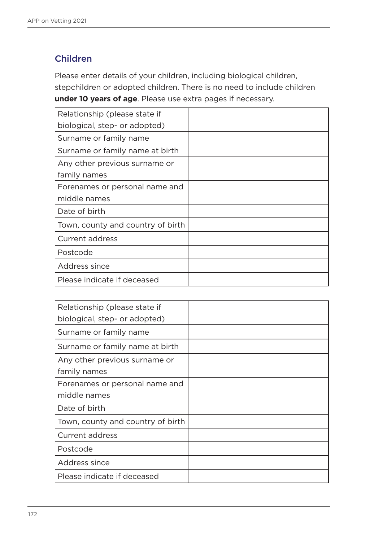# Children

Please enter details of your children, including biological children, stepchildren or adopted children. There is no need to include children **under 10 years of age**. Please use extra pages if necessary.

| Relationship (please state if     |  |
|-----------------------------------|--|
| biological, step- or adopted)     |  |
| Surname or family name            |  |
| Surname or family name at birth   |  |
| Any other previous surname or     |  |
| family names                      |  |
| Forenames or personal name and    |  |
| middle names                      |  |
| Date of birth                     |  |
| Town, county and country of birth |  |
| <b>Current address</b>            |  |
| Postcode                          |  |
| Address since                     |  |
| Please indicate if deceased       |  |

| Relationship (please state if     |  |
|-----------------------------------|--|
| biological, step- or adopted)     |  |
| Surname or family name            |  |
| Surname or family name at birth   |  |
| Any other previous surname or     |  |
| family names                      |  |
| Forenames or personal name and    |  |
| middle names                      |  |
| Date of birth                     |  |
| Town, county and country of birth |  |
| Current address                   |  |
| Postcode                          |  |
| Address since                     |  |
| Please indicate if deceased       |  |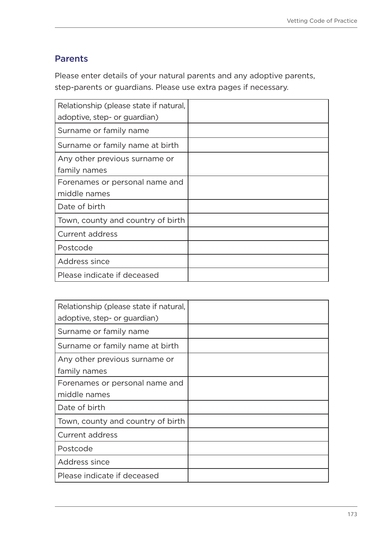# Parents

Please enter details of your natural parents and any adoptive parents, step-parents or guardians. Please use extra pages if necessary.

| Relationship (please state if natural, |  |
|----------------------------------------|--|
| adoptive, step- or guardian)           |  |
| Surname or family name                 |  |
| Surname or family name at birth        |  |
| Any other previous surname or          |  |
| family names                           |  |
| Forenames or personal name and         |  |
| middle names                           |  |
| Date of birth                          |  |
| Town, county and country of birth      |  |
| <b>Current address</b>                 |  |
| Postcode                               |  |
| Address since                          |  |
| Please indicate if deceased            |  |

| Relationship (please state if natural, |  |
|----------------------------------------|--|
| adoptive, step- or guardian)           |  |
| Surname or family name                 |  |
| Surname or family name at birth        |  |
| Any other previous surname or          |  |
| family names                           |  |
| Forenames or personal name and         |  |
| middle names                           |  |
| Date of birth                          |  |
| Town, county and country of birth      |  |
| Current address                        |  |
| Postcode                               |  |
| Address since                          |  |
| Please indicate if deceased            |  |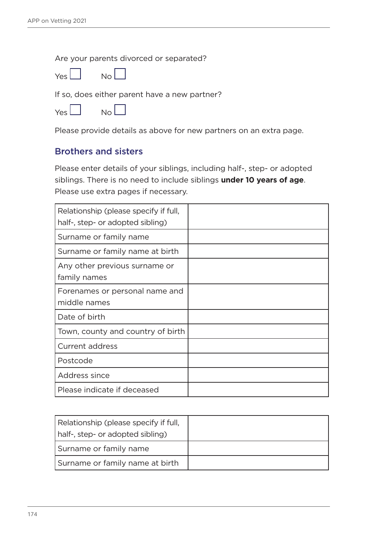Are your parents divorced or separated?



If so, does either parent have a new partner?

| Yes i | Nο |
|-------|----|
|       |    |

Please provide details as above for new partners on an extra page.

### Brothers and sisters

Please enter details of your siblings, including half-, step- or adopted siblings. There is no need to include siblings **under 10 years of age**. Please use extra pages if necessary.

| Relationship (please specify if full,          |  |
|------------------------------------------------|--|
| half-, step- or adopted sibling)               |  |
| Surname or family name                         |  |
| Surname or family name at birth                |  |
| Any other previous surname or<br>family names  |  |
| Forenames or personal name and<br>middle names |  |
| Date of birth                                  |  |
| Town, county and country of birth              |  |
| Current address                                |  |
| Postcode                                       |  |
| Address since                                  |  |
| Please indicate if deceased                    |  |

| Relationship (please specify if full,<br>half-, step- or adopted sibling) |  |
|---------------------------------------------------------------------------|--|
| Surname or family name                                                    |  |
| Surname or family name at birth                                           |  |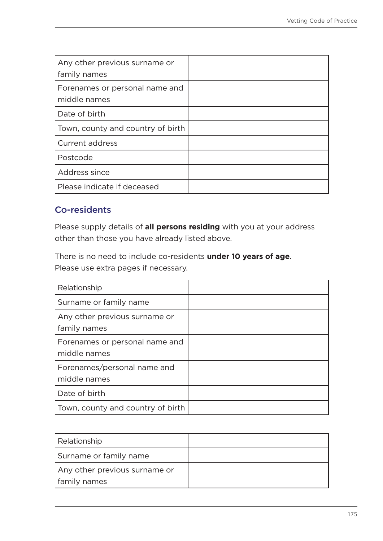| Any other previous surname or<br>family names  |  |
|------------------------------------------------|--|
| Forenames or personal name and<br>middle names |  |
| Date of birth                                  |  |
| Town, county and country of birth              |  |
| <b>Current address</b>                         |  |
| Postcode                                       |  |
| Address since                                  |  |
| Please indicate if deceased                    |  |

# Co-residents

Please supply details of **all persons residing** with you at your address other than those you have already listed above.

There is no need to include co-residents **under 10 years of age**. Please use extra pages if necessary.

| Relationship                                   |  |
|------------------------------------------------|--|
| Surname or family name                         |  |
| Any other previous surname or<br>family names  |  |
| Forenames or personal name and<br>middle names |  |
| Forenames/personal name and<br>middle names    |  |
| Date of birth                                  |  |
| Town, county and country of birth              |  |

| Relationship                  |  |
|-------------------------------|--|
| Surname or family name        |  |
| Any other previous surname or |  |
| family names                  |  |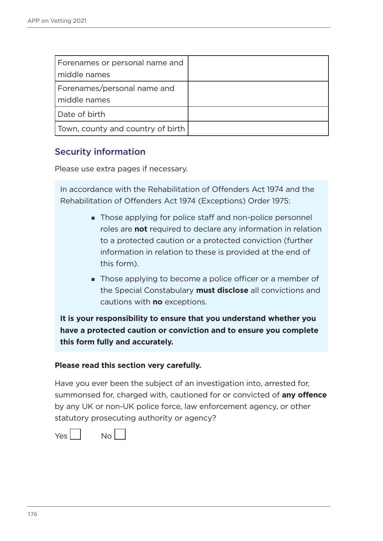| Forenames or personal name and<br>middle names |  |
|------------------------------------------------|--|
| Forenames/personal name and<br>middle names    |  |
| Date of birth                                  |  |
| Town, county and country of birth              |  |

### Security information

Please use extra pages if necessary.

In accordance with the Rehabilitation of Offenders Act 1974 and the Rehabilitation of Offenders Act 1974 (Exceptions) Order 1975:

- Those applying for police staff and non-police personnel roles are **not** required to declare any information in relation to a protected caution or a protected conviction (further information in relation to these is provided at the end of this form).
- **Those applying to become a police officer or a member of** the Special Constabulary **must disclose** all convictions and cautions with **no** exceptions.

**It is your responsibility to ensure that you understand whether you have a protected caution or conviction and to ensure you complete this form fully and accurately.** 

#### **Please read this section very carefully.**

Have you ever been the subject of an investigation into, arrested for, summonsed for, charged with, cautioned for or convicted of **any offence** by any UK or non-UK police force, law enforcement agency, or other statutory prosecuting authority or agency?

 $Yes$   $\begin{vmatrix} 1 & 0 \\ 0 & 0 \end{vmatrix}$ 

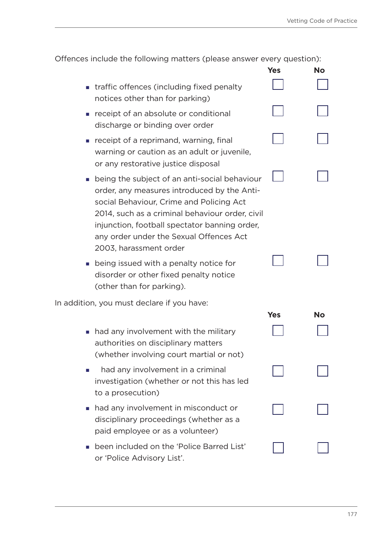|                                                                                                                                                                                                                                                                                                                   | Yes        | <b>No</b> |
|-------------------------------------------------------------------------------------------------------------------------------------------------------------------------------------------------------------------------------------------------------------------------------------------------------------------|------------|-----------|
| traffic offences (including fixed penalty<br>notices other than for parking)                                                                                                                                                                                                                                      |            |           |
| receipt of an absolute or conditional<br>discharge or binding over order                                                                                                                                                                                                                                          |            |           |
| receipt of a reprimand, warning, final<br>warning or caution as an adult or juvenile,<br>or any restorative justice disposal                                                                                                                                                                                      |            |           |
| being the subject of an anti-social behaviour<br>order, any measures introduced by the Anti-<br>social Behaviour, Crime and Policing Act<br>2014, such as a criminal behaviour order, civil<br>injunction, football spectator banning order,<br>any order under the Sexual Offences Act<br>2003, harassment order |            |           |
| being issued with a penalty notice for<br>disorder or other fixed penalty notice<br>(other than for parking).                                                                                                                                                                                                     |            |           |
| In addition, you must declare if you have:                                                                                                                                                                                                                                                                        |            |           |
| had any involvement with the military<br>$\mathcal{L}_{\mathcal{A}}$<br>authorities on disciplinary matters<br>(whether involving court martial or not)                                                                                                                                                           | <b>Yes</b> | <b>No</b> |
| had any involvement in a criminal<br>investigation (whether or not this has led<br>to a prosecution)                                                                                                                                                                                                              |            |           |
| had any involvement in misconduct or<br>disciplinary proceedings (whether as a<br>paid employee or as a volunteer)                                                                                                                                                                                                |            |           |
| been included on the 'Police Barred List'<br>or 'Police Advisory List'.                                                                                                                                                                                                                                           |            |           |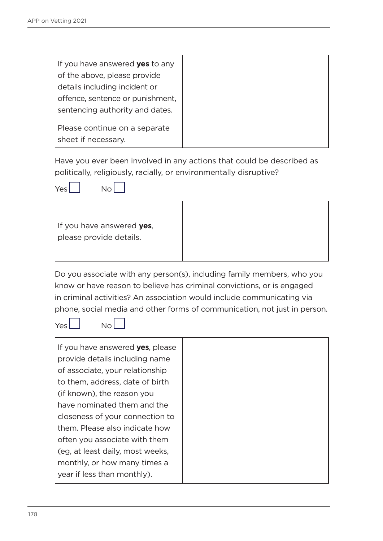| If you have answered <b>yes</b> to any |
|----------------------------------------|
| of the above, please provide           |
| details including incident or          |
| offence, sentence or punishment,       |
| sentencing authority and dates.        |
|                                        |
| Please continue on a separate          |
| sheet if necessary.                    |

Have you ever been involved in any actions that could be described as politically, religiously, racially, or environmentally disruptive?



| If you have answered yes, |
|---------------------------|
| please provide details.   |
|                           |

Do you associate with any person(s), including family members, who you know or have reason to believe has criminal convictions, or is engaged in criminal activities? An association would include communicating via phone, social media and other forms of communication, not just in person.

 $Yes$   $\begin{bmatrix} 1 & 1 \\ 1 & 1 \end{bmatrix}$ 

| If you have answered <b>yes</b> , please |  |
|------------------------------------------|--|
| provide details including name           |  |
| of associate, your relationship          |  |
| to them, address, date of birth          |  |
| (if known), the reason you               |  |
| have nominated them and the              |  |
| closeness of your connection to          |  |
| them. Please also indicate how           |  |
| often you associate with them            |  |
| (eg, at least daily, most weeks,         |  |
| monthly, or how many times a             |  |
| year if less than monthly).              |  |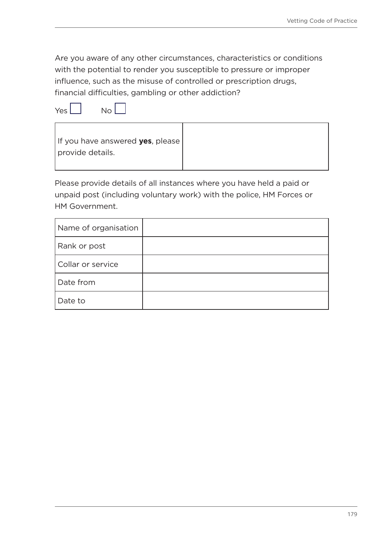Are you aware of any other circumstances, characteristics or conditions with the potential to render you susceptible to pressure or improper influence, such as the misuse of controlled or prescription drugs, financial difficulties, gambling or other addiction?

 $Yes \Box \qquad No \Box$ 

f



Please provide details of all instances where you have held a paid or unpaid post (including voluntary work) with the police, HM Forces or HM Government.

| Name of organisation |  |
|----------------------|--|
| Rank or post         |  |
| Collar or service    |  |
| Date from            |  |
| Date to              |  |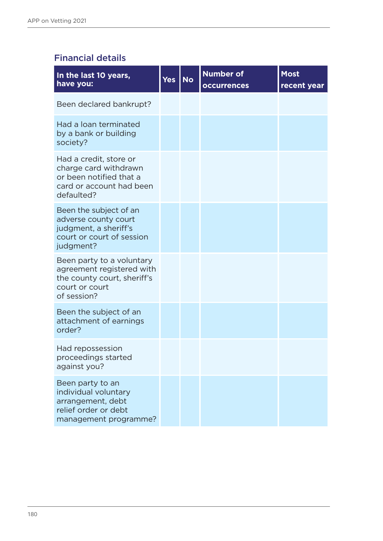# Financial details

| In the last 10 years,<br>have you:                                                                                     | Yes | <b>No</b> | <b>Number of</b><br><b>occurrences</b> | <b>Most</b><br>recent year |
|------------------------------------------------------------------------------------------------------------------------|-----|-----------|----------------------------------------|----------------------------|
| Been declared bankrupt?                                                                                                |     |           |                                        |                            |
| Had a loan terminated<br>by a bank or building<br>society?                                                             |     |           |                                        |                            |
| Had a credit, store or<br>charge card withdrawn<br>or been notified that a<br>card or account had been<br>defaulted?   |     |           |                                        |                            |
| Been the subject of an<br>adverse county court<br>judgment, a sheriff's<br>court or court of session<br>judgment?      |     |           |                                        |                            |
| Been party to a voluntary<br>agreement registered with<br>the county court, sheriff's<br>court or court<br>of session? |     |           |                                        |                            |
| Been the subject of an<br>attachment of earnings<br>order?                                                             |     |           |                                        |                            |
| Had repossession<br>proceedings started<br>against you?                                                                |     |           |                                        |                            |
| Been party to an<br>individual voluntary<br>arrangement, debt<br>relief order or debt<br>management programme?         |     |           |                                        |                            |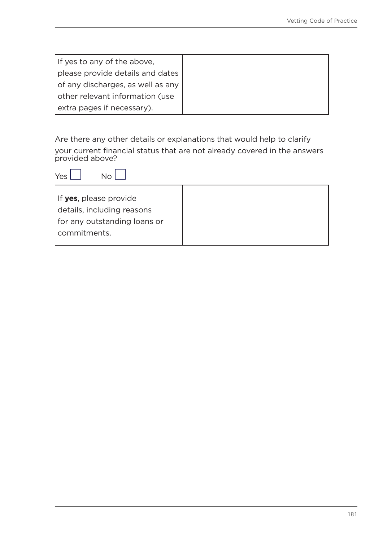| If yes to any of the above,       |
|-----------------------------------|
| please provide details and dates  |
| of any discharges, as well as any |
| other relevant information (use   |
| extra pages if necessary).        |

Are there any other details or explanations that would help to clarify your current financial status that are not already covered in the answers provided above?

| Yes                                                                                                    |  |
|--------------------------------------------------------------------------------------------------------|--|
| If yes, please provide<br>details, including reasons<br>for any outstanding loans or<br>l commitments. |  |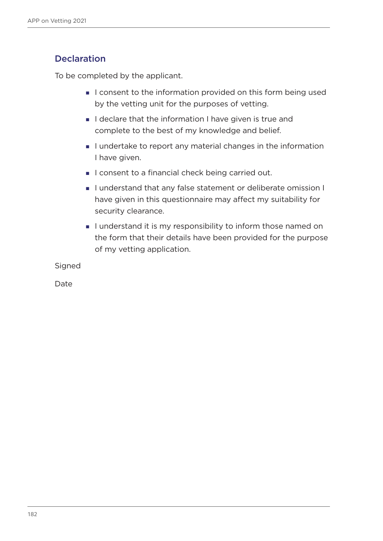## **Declaration**

To be completed by the applicant.

- I consent to the information provided on this form being used by the vetting unit for the purposes of vetting.
- I declare that the information I have given is true and complete to the best of my knowledge and belief.
- I undertake to report any material changes in the information I have given.
- I consent to a financial check being carried out.
- I understand that any false statement or deliberate omission I have given in this questionnaire may affect my suitability for security clearance.
- I understand it is my responsibility to inform those named on the form that their details have been provided for the purpose of my vetting application.

Signed

Date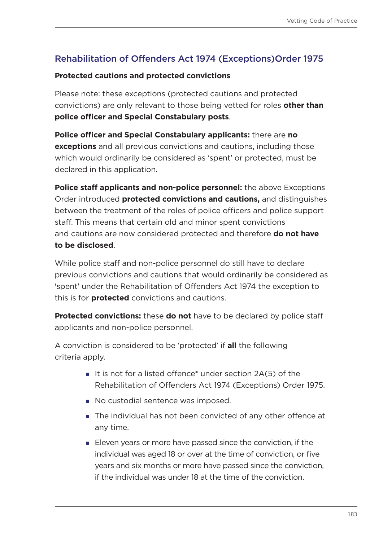# Rehabilitation of Offenders Act 1974 (Exceptions)Order 1975

#### **Protected cautions and protected convictions**

Please note: these exceptions (protected cautions and protected convictions) are only relevant to those being vetted for roles **other than police officer and Special Constabulary posts**.

**Police officer and Special Constabulary applicants:** there are **no exceptions** and all previous convictions and cautions, including those which would ordinarily be considered as 'spent' or protected, must be declared in this application.

**Police staff applicants and non-police personnel:** the above Exceptions Order introduced **protected convictions and cautions,** and distinguishes between the treatment of the roles of police officers and police support staff. This means that certain old and minor spent convictions and cautions are now considered protected and therefore **do not have to be disclosed**.

While police staff and non-police personnel do still have to declare previous convictions and cautions that would ordinarily be considered as 'spent' under the Rehabilitation of Offenders Act 1974 the exception to this is for **protected** convictions and cautions.

**Protected convictions:** these **do not** have to be declared by police staff applicants and non-police personnel.

A conviction is considered to be 'protected' if **all** the following criteria apply.

- It is not for a listed offence\* under section  $2A(5)$  of the Rehabilitation of Offenders Act 1974 (Exceptions) Order 1975.
- No custodial sentence was imposed.
- The individual has not been convicted of any other offence at any time.
- Eleven years or more have passed since the conviction, if the individual was aged 18 or over at the time of conviction, or five years and six months or more have passed since the conviction, if the individual was under 18 at the time of the conviction.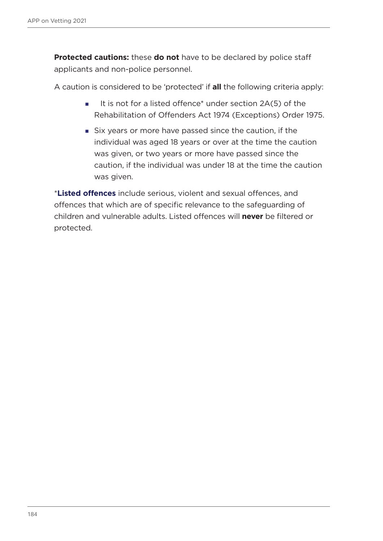**Protected cautions:** these **do not** have to be declared by police staff applicants and non-police personnel.

A caution is considered to be 'protected' if **all** the following criteria apply:

- It is not for a listed offence\* under section  $2A(5)$  of the Rehabilitation of Offenders Act 1974 (Exceptions) Order 1975.
- Six years or more have passed since the caution, if the individual was aged 18 years or over at the time the caution was given, or two years or more have passed since the caution, if the individual was under 18 at the time the caution was given.

\***Listed offences** include serious, violent and sexual offences, and offences that which are of specific relevance to the safeguarding of children and vulnerable adults. Listed offences will **never** be filtered or protected.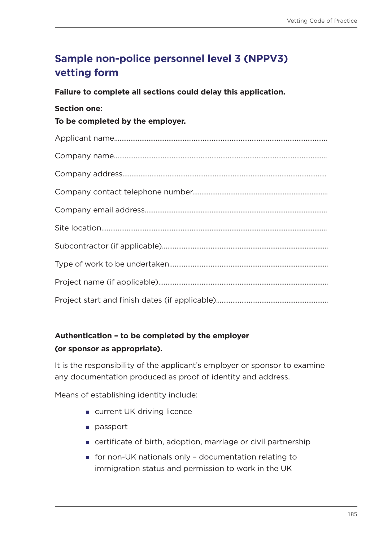# **Sample non-police personnel level 3 (NPPV3) vetting form**

**Failure to complete all sections could delay this application.**

#### **Section one:**

**To be completed by the employer.**

## **Authentication – to be completed by the employer (or sponsor as appropriate).**

It is the responsibility of the applicant's employer or sponsor to examine any documentation produced as proof of identity and address.

Means of establishing identity include:

- **u** current UK driving licence
- **passport**
- certificate of birth, adoption, marriage or civil partnership
- for non-UK nationals only documentation relating to immigration status and permission to work in the UK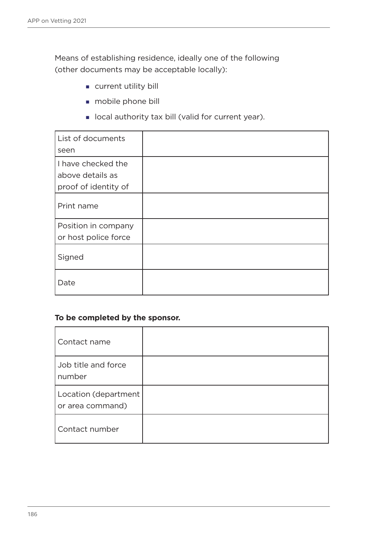Means of establishing residence, ideally one of the following (other documents may be acceptable locally):

- **current utility bill**
- **mobile phone bill**
- **I** local authority tax bill (valid for current year).

| List of documents    |  |
|----------------------|--|
| seen                 |  |
| I have checked the   |  |
| above details as     |  |
| proof of identity of |  |
| Print name           |  |
| Position in company  |  |
| or host police force |  |
| Signed               |  |
| Date                 |  |

#### **To be completed by the sponsor.**

| Contact name                             |  |
|------------------------------------------|--|
| Job title and force<br>number            |  |
| Location (department<br>or area command) |  |
| Contact number                           |  |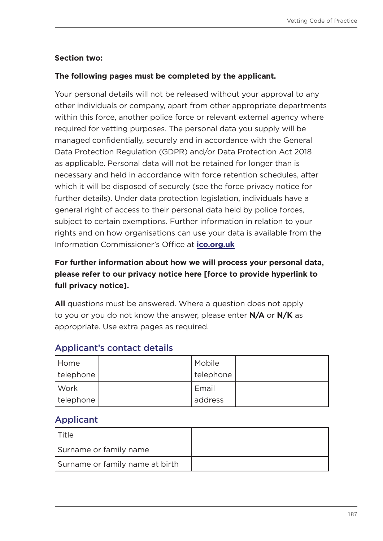### **Section two:**

### **The following pages must be completed by the applicant.**

Your personal details will not be released without your approval to any other individuals or company, apart from other appropriate departments within this force, another police force or relevant external agency where required for vetting purposes. The personal data you supply will be managed confidentially, securely and in accordance with the General Data Protection Regulation (GDPR) and/or Data Protection Act 2018 as applicable. Personal data will not be retained for longer than is necessary and held in accordance with force retention schedules, after which it will be disposed of securely (see the force privacy notice for further details). Under data protection legislation, individuals have a general right of access to their personal data held by police forces, subject to certain exemptions. Further information in relation to your rights and on how organisations can use your data is available from the Information Commissioner's Office at **[ico.org.uk](https://ico.org.uk/)**

## **For further information about how we will process your personal data, please refer to our privacy notice here [force to provide hyperlink to full privacy notice].**

**All** questions must be answered. Where a question does not apply to you or you do not know the answer, please enter **N/A** or **N/K** as appropriate. Use extra pages as required.

| Home      | Mobile      |  |
|-----------|-------------|--|
| telephone | I telephone |  |
| l Work    | Email       |  |
| telephone | address     |  |

## Applicant's contact details

## Applicant

| l Title                         |  |
|---------------------------------|--|
| Surname or family name          |  |
| Surname or family name at birth |  |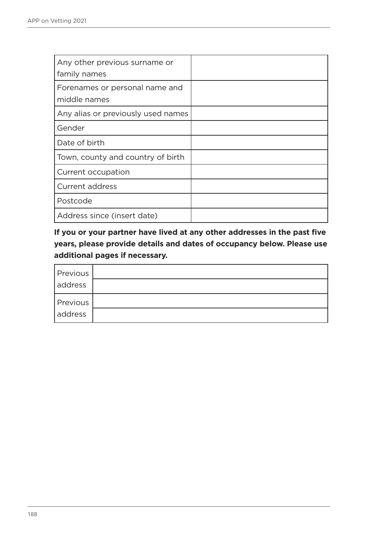| Any other previous surname or<br>family names  |  |
|------------------------------------------------|--|
| Forenames or personal name and<br>middle names |  |
| Any alias or previously used names             |  |
| Gender                                         |  |
| Date of birth                                  |  |
| Town, county and country of birth              |  |
| Current occupation                             |  |
| <b>Current address</b>                         |  |
| Postcode                                       |  |
| Address since (insert date)                    |  |

**If you or your partner have lived at any other addresses in the past five years, please provide details and dates of occupancy below. Please use additional pages if necessary.**

| Previous        |  |
|-----------------|--|
| address         |  |
| <b>Previous</b> |  |
| address         |  |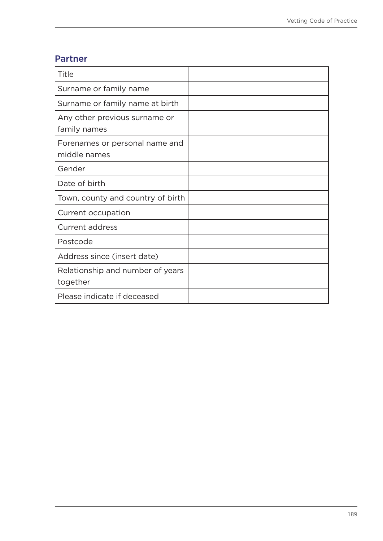## Partner

| Title                                          |  |
|------------------------------------------------|--|
| Surname or family name                         |  |
| Surname or family name at birth                |  |
| Any other previous surname or<br>family names  |  |
| Forenames or personal name and<br>middle names |  |
| Gender                                         |  |
| Date of birth                                  |  |
| Town, county and country of birth              |  |
| Current occupation                             |  |
| <b>Current address</b>                         |  |
| Postcode                                       |  |
| Address since (insert date)                    |  |
| Relationship and number of years<br>together   |  |
| Please indicate if deceased                    |  |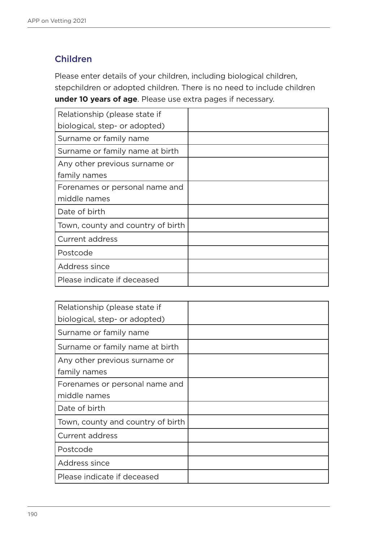## Children

Please enter details of your children, including biological children, stepchildren or adopted children. There is no need to include children **under 10 years of age**. Please use extra pages if necessary.

| Relationship (please state if     |  |
|-----------------------------------|--|
| biological, step- or adopted)     |  |
| Surname or family name            |  |
| Surname or family name at birth   |  |
| Any other previous surname or     |  |
| family names                      |  |
| Forenames or personal name and    |  |
| middle names                      |  |
| Date of birth                     |  |
| Town, county and country of birth |  |
| Current address                   |  |
| Postcode                          |  |
| Address since                     |  |
| Please indicate if deceased       |  |

| Relationship (please state if     |  |
|-----------------------------------|--|
| biological, step- or adopted)     |  |
| Surname or family name            |  |
| Surname or family name at birth   |  |
| Any other previous surname or     |  |
| family names                      |  |
| Forenames or personal name and    |  |
| middle names                      |  |
| Date of birth                     |  |
| Town, county and country of birth |  |
| <b>Current address</b>            |  |
| Postcode                          |  |
| Address since                     |  |
| Please indicate if deceased       |  |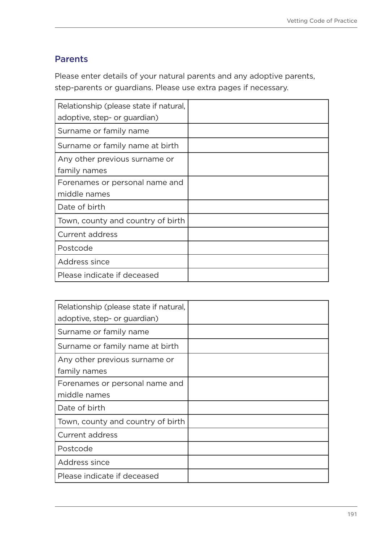## Parents

Please enter details of your natural parents and any adoptive parents, step-parents or guardians. Please use extra pages if necessary.

| Relationship (please state if natural, |  |
|----------------------------------------|--|
| adoptive, step- or guardian)           |  |
| Surname or family name                 |  |
| Surname or family name at birth        |  |
| Any other previous surname or          |  |
| family names                           |  |
| Forenames or personal name and         |  |
| middle names                           |  |
| Date of birth                          |  |
| Town, county and country of birth      |  |
| <b>Current address</b>                 |  |
| Postcode                               |  |
| Address since                          |  |
| Please indicate if deceased            |  |

| Relationship (please state if natural, |  |
|----------------------------------------|--|
| adoptive, step- or guardian)           |  |
| Surname or family name                 |  |
| Surname or family name at birth        |  |
| Any other previous surname or          |  |
| family names                           |  |
| Forenames or personal name and         |  |
| middle names                           |  |
| Date of birth                          |  |
| Town, county and country of birth      |  |
| <b>Current address</b>                 |  |
| Postcode                               |  |
| Address since                          |  |
| Please indicate if deceased            |  |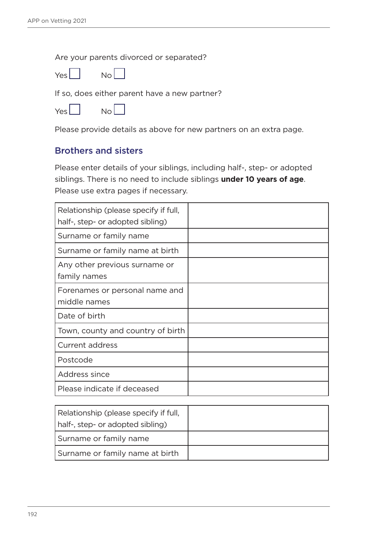Are your parents divorced or separated?



If so, does either parent have a new partner?

Please provide details as above for new partners on an extra page.

### Brothers and sisters

Please enter details of your siblings, including half-, step- or adopted siblings. There is no need to include siblings **under 10 years of age**. Please use extra pages if necessary.

| Relationship (please specify if full,<br>half-, step- or adopted sibling) |  |
|---------------------------------------------------------------------------|--|
| Surname or family name                                                    |  |
| Surname or family name at birth                                           |  |
| Any other previous surname or<br>family names                             |  |
| Forenames or personal name and<br>middle names                            |  |
| Date of birth                                                             |  |
| Town, county and country of birth                                         |  |
| <b>Current address</b>                                                    |  |
| Postcode                                                                  |  |
| Address since                                                             |  |
| Please indicate if deceased                                               |  |

| Relationship (please specify if full, |  |
|---------------------------------------|--|
| half-, step- or adopted sibling)      |  |
| Surname or family name                |  |
| Surname or family name at birth       |  |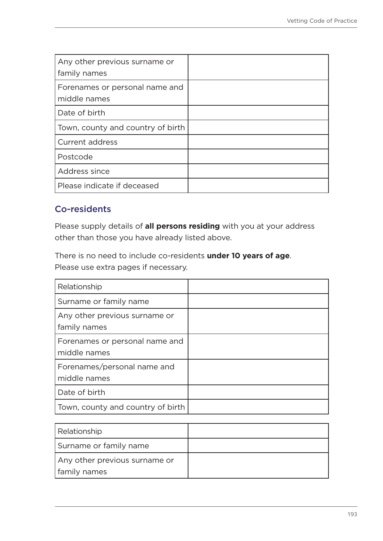| Any other previous surname or<br>family names  |  |
|------------------------------------------------|--|
| Forenames or personal name and<br>middle names |  |
| Date of birth                                  |  |
| Town, county and country of birth              |  |
| Current address                                |  |
| Postcode                                       |  |
| Address since                                  |  |
| Please indicate if deceased                    |  |

## Co-residents

Please supply details of **all persons residing** with you at your address other than those you have already listed above.

There is no need to include co-residents **under 10 years of age**. Please use extra pages if necessary.

| Relationship                                   |  |
|------------------------------------------------|--|
| Surname or family name                         |  |
| Any other previous surname or<br>family names  |  |
| Forenames or personal name and<br>middle names |  |
| Forenames/personal name and<br>middle names    |  |
| Date of birth                                  |  |
| Town, county and country of birth              |  |

| Relationship                  |  |
|-------------------------------|--|
| Surname or family name        |  |
| Any other previous surname or |  |
| family names                  |  |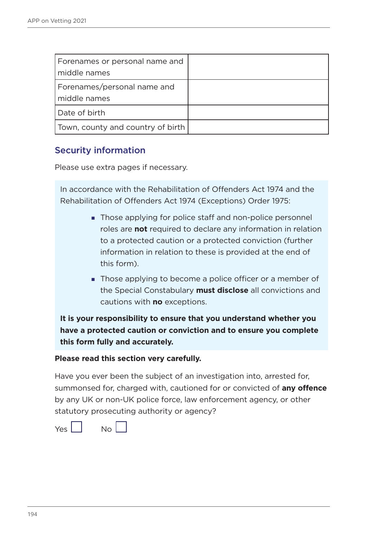| Forenames or personal name and<br>middle names |  |
|------------------------------------------------|--|
| Forenames/personal name and<br>middle names    |  |
| Date of birth                                  |  |
| Town, county and country of birth              |  |

## Security information

Please use extra pages if necessary.

In accordance with the Rehabilitation of Offenders Act 1974 and the Rehabilitation of Offenders Act 1974 (Exceptions) Order 1975:

- Those applying for police staff and non-police personnel roles are **not** required to declare any information in relation to a protected caution or a protected conviction (further information in relation to these is provided at the end of this form).
- **Those applying to become a police officer or a member of** the Special Constabulary **must disclose** all convictions and cautions with **no** exceptions.

**It is your responsibility to ensure that you understand whether you have a protected caution or conviction and to ensure you complete this form fully and accurately.** 

#### **Please read this section very carefully.**

Have you ever been the subject of an investigation into, arrested for, summonsed for, charged with, cautioned for or convicted of **any offence** by any UK or non-UK police force, law enforcement agency, or other statutory prosecuting authority or agency?

Yes No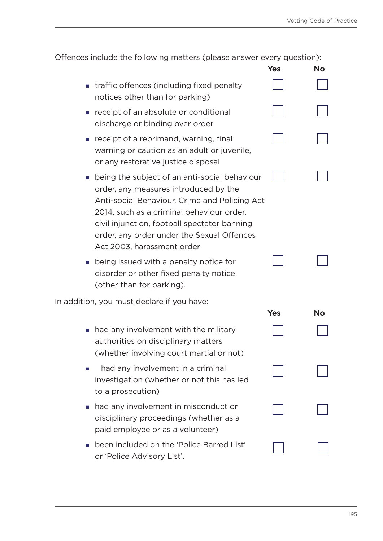| Offences include the following matters (please answer every question):                                                                                                                                                                                                                                             |            |           |
|--------------------------------------------------------------------------------------------------------------------------------------------------------------------------------------------------------------------------------------------------------------------------------------------------------------------|------------|-----------|
|                                                                                                                                                                                                                                                                                                                    | <b>Yes</b> | No        |
| ■ traffic offences (including fixed penalty<br>notices other than for parking)                                                                                                                                                                                                                                     |            |           |
| receipt of an absolute or conditional<br>discharge or binding over order                                                                                                                                                                                                                                           |            |           |
| receipt of a reprimand, warning, final<br>warning or caution as an adult or juvenile,<br>or any restorative justice disposal                                                                                                                                                                                       |            |           |
| ■ being the subject of an anti-social behaviour<br>order, any measures introduced by the<br>Anti-social Behaviour, Crime and Policing Act<br>2014, such as a criminal behaviour order,<br>civil injunction, football spectator banning<br>order, any order under the Sexual Offences<br>Act 2003, harassment order |            |           |
| • being issued with a penalty notice for<br>disorder or other fixed penalty notice<br>(other than for parking).                                                                                                                                                                                                    |            |           |
| In addition, you must declare if you have:                                                                                                                                                                                                                                                                         |            |           |
|                                                                                                                                                                                                                                                                                                                    | <b>Yes</b> | <b>No</b> |
| • had any involvement with the military<br>authorities on disciplinary matters<br>(whether involving court martial or not)                                                                                                                                                                                         |            |           |
| had any involvement in a criminal<br>ш<br>investigation (whether or not this has led<br>to a prosecution)                                                                                                                                                                                                          |            |           |
| had any involvement in misconduct or<br>$\mathcal{L}_{\mathcal{A}}$<br>disciplinary proceedings (whether as a<br>paid employee or as a volunteer)                                                                                                                                                                  |            |           |
| been included on the 'Police Barred List'<br>or 'Police Advisory List'.                                                                                                                                                                                                                                            |            |           |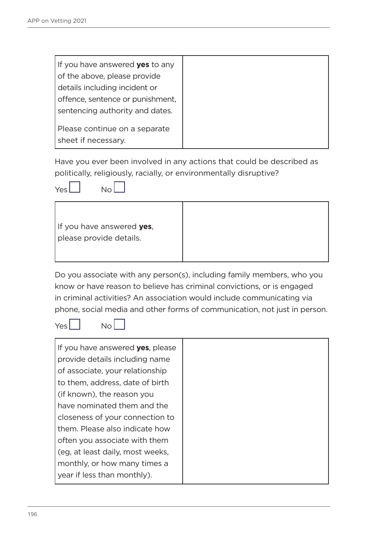| If you have answered <b>yes</b> to any |  |
|----------------------------------------|--|
| of the above, please provide           |  |
| details including incident or          |  |
| offence, sentence or punishment,       |  |
| sentencing authority and dates.        |  |
| Please continue on a separate          |  |
|                                        |  |
| sheet if necessary.                    |  |

Have you ever been involved in any actions that could be described as politically, religiously, racially, or environmentally disruptive?



| If you have answered yes, |
|---------------------------|
| please provide details.   |
|                           |
|                           |

Do you associate with any person(s), including family members, who you know or have reason to believe has criminal convictions, or is engaged in criminal activities? An association would include communicating via phone, social media and other forms of communication, not just in person.



| If you have answered yes, please |
|----------------------------------|
| provide details including name   |
| of associate, your relationship  |
| to them, address, date of birth  |
| (if known), the reason you       |
| have nominated them and the      |
| closeness of your connection to  |
| them. Please also indicate how   |
| often you associate with them    |
| (eg, at least daily, most weeks, |
| monthly, or how many times a     |
| year if less than monthly).      |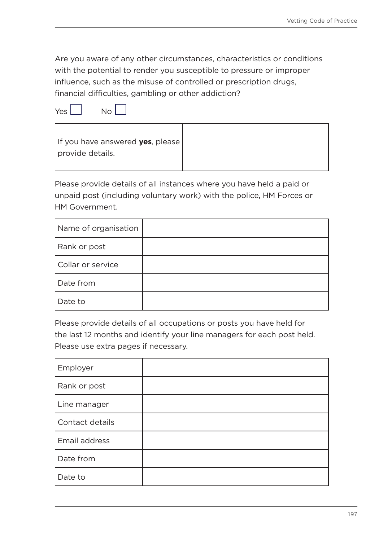Are you aware of any other circumstances, characteristics or conditions with the potential to render you susceptible to pressure or improper influence, such as the misuse of controlled or prescription drugs, financial difficulties, gambling or other addiction?

| Yes |  | Nο |
|-----|--|----|
|     |  |    |



Please provide details of all instances where you have held a paid or unpaid post (including voluntary work) with the police, HM Forces or HM Government.

| Name of organisation |  |
|----------------------|--|
| Rank or post         |  |
| Collar or service    |  |
| Date from            |  |
| Date to              |  |

Please provide details of all occupations or posts you have held for the last 12 months and identify your line managers for each post held. Please use extra pages if necessary.

| Employer        |  |
|-----------------|--|
| Rank or post    |  |
| Line manager    |  |
| Contact details |  |
| Email address   |  |
| Date from       |  |
| Date to         |  |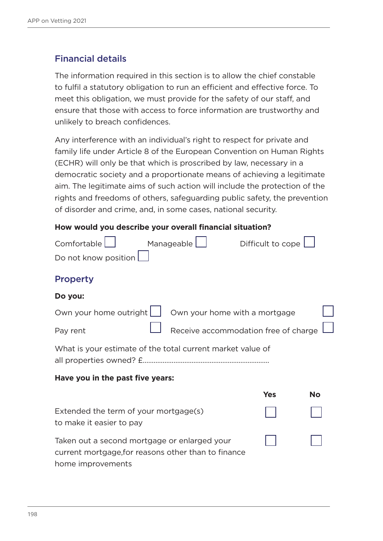## Financial details

The information required in this section is to allow the chief constable to fulfil a statutory obligation to run an efficient and effective force. To meet this obligation, we must provide for the safety of our staff, and ensure that those with access to force information are trustworthy and unlikely to breach confidences.

Any interference with an individual's right to respect for private and family life under Article 8 of the European Convention on Human Rights (ECHR) will only be that which is proscribed by law, necessary in a democratic society and a proportionate means of achieving a legitimate aim. The legitimate aims of such action will include the protection of the rights and freedoms of others, safeguarding public safety, the prevention of disorder and crime, and, in some cases, national security.

#### **How would you describe your overall financial situation?**

| Comfortable                                                                                                              | Manageable                           | Difficult to cope |    |
|--------------------------------------------------------------------------------------------------------------------------|--------------------------------------|-------------------|----|
| Do not know position                                                                                                     |                                      |                   |    |
| <b>Property</b>                                                                                                          |                                      |                   |    |
| Do you:                                                                                                                  |                                      |                   |    |
| Own your home outright [                                                                                                 | Own your home with a mortgage        |                   |    |
| Pay rent                                                                                                                 | Receive accommodation free of charge |                   |    |
| What is your estimate of the total current market value of                                                               |                                      |                   |    |
| Have you in the past five years:                                                                                         |                                      |                   |    |
|                                                                                                                          |                                      | <b>Yes</b>        | No |
| Extended the term of your mortgage(s)<br>to make it easier to pay                                                        |                                      |                   |    |
| Taken out a second mortgage or enlarged your<br>current mortgage, for reasons other than to finance<br>home improvements |                                      |                   |    |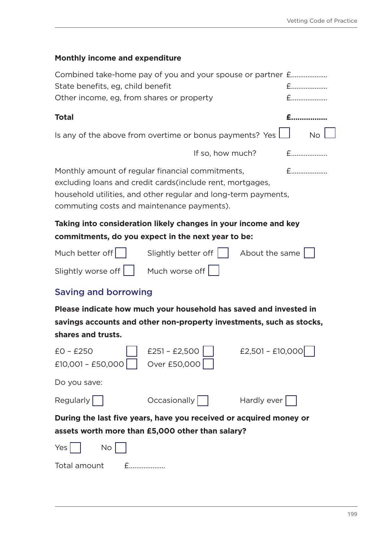# **Monthly income and expenditure**

| Combined take-home pay of you and your spouse or partner £                                                                                                                                                                     |                                     |                  |           |
|--------------------------------------------------------------------------------------------------------------------------------------------------------------------------------------------------------------------------------|-------------------------------------|------------------|-----------|
| State benefits, eg, child benefit                                                                                                                                                                                              |                                     |                  | $f$       |
| Other income, eg, from shares or property                                                                                                                                                                                      |                                     |                  | $f$       |
| <b>Total</b>                                                                                                                                                                                                                   |                                     |                  | $E$       |
| Is any of the above from overtime or bonus payments? Yes $\Box$                                                                                                                                                                |                                     |                  | <b>No</b> |
|                                                                                                                                                                                                                                | If so, how much?                    |                  | $f$       |
| Monthly amount of regular financial commitments,<br>excluding loans and credit cards (include rent, mortgages,<br>household utilities, and other regular and long-term payments,<br>commuting costs and maintenance payments). |                                     |                  | $f$       |
| Taking into consideration likely changes in your income and key                                                                                                                                                                |                                     |                  |           |
| commitments, do you expect in the next year to be:                                                                                                                                                                             |                                     |                  |           |
| Much better off $\vert \vert$ Slightly better off $\vert \vert$ About the same                                                                                                                                                 |                                     |                  |           |
| Slightly worse off     Much worse off                                                                                                                                                                                          |                                     |                  |           |
| <b>Saving and borrowing</b>                                                                                                                                                                                                    |                                     |                  |           |
| Please indicate how much your household has saved and invested in                                                                                                                                                              |                                     |                  |           |
| savings accounts and other non-property investments, such as stocks,                                                                                                                                                           |                                     |                  |           |
| shares and trusts.<br>$EO - E25O$<br>$E10,001 - E50,000$                                                                                                                                                                       | $£251 - £2,500$    <br>Over £50,000 | £2,501 - £10,000 |           |
| Do you save:                                                                                                                                                                                                                   |                                     |                  |           |
| Regularly                                                                                                                                                                                                                      | Occasionally   Hardly ever          |                  |           |
| During the last five years, have you received or acquired money or                                                                                                                                                             |                                     |                  |           |
| assets worth more than £5,000 other than salary?                                                                                                                                                                               |                                     |                  |           |
| Yes $\vert \ \vert$<br><b>No</b>                                                                                                                                                                                               |                                     |                  |           |
| Total amount<br>$f$                                                                                                                                                                                                            |                                     |                  |           |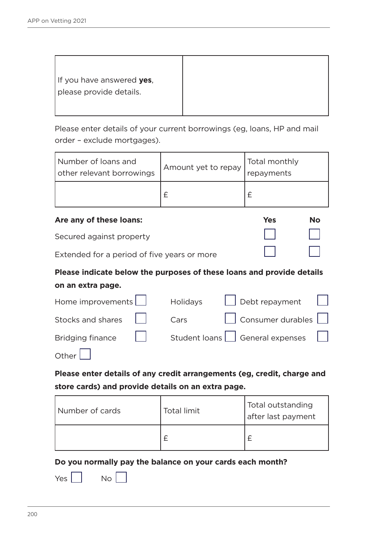Please enter details of your current borrowings (eg, loans, HP and mail order – exclude mortgages).

| Number of loans and<br>other relevant borrowings | Amount yet to repay | Total monthly<br>repayments |
|--------------------------------------------------|---------------------|-----------------------------|
|                                                  |                     |                             |

| Are any of these loans:                     | <b>Yes</b> | No                      |
|---------------------------------------------|------------|-------------------------|
| Secured against property                    |            |                         |
| Extended for a period of five years or more |            | and the property of the |

# **Please indicate below the purposes of these loans and provide details**

### **on an extra page.**

|              | Home improvements   Holidays   Debt repayment                        |
|--------------|----------------------------------------------------------------------|
|              | Stocks and shares     Cars     Consumer durables                     |
|              | Bridging finance $\Box$ Student loans $\Box$ General expenses $\Box$ |
| Other $\Box$ |                                                                      |

**Please enter details of any credit arrangements (eg, credit, charge and store cards) and provide details on an extra page.**

| Number of cards | <b>Total limit</b> | Total outstanding<br>after last payment |
|-----------------|--------------------|-----------------------------------------|
|                 | ◠                  |                                         |

**Do you normally pay the balance on your cards each month?**

| ۰.<br>. .<br>۰. |  |
|-----------------|--|
|-----------------|--|

 $N<sub>o</sub>$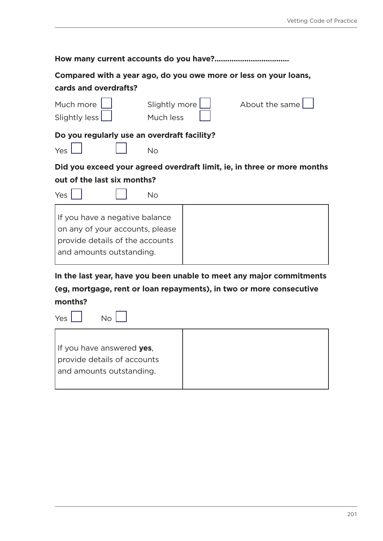| cards and overdrafts?                                                                                                            | Compared with a year ago, do you owe more or less on your loans,                                                                            |  |  |  |  |
|----------------------------------------------------------------------------------------------------------------------------------|---------------------------------------------------------------------------------------------------------------------------------------------|--|--|--|--|
| Much more<br>Slightly less                                                                                                       | Slightly more<br>About the same<br>Much less                                                                                                |  |  |  |  |
| Do you regularly use an overdraft facility?                                                                                      |                                                                                                                                             |  |  |  |  |
| Yes                                                                                                                              | <b>No</b>                                                                                                                                   |  |  |  |  |
| out of the last six months?<br>Yes                                                                                               | Did you exceed your agreed overdraft limit, ie, in three or more months<br><b>No</b>                                                        |  |  |  |  |
| If you have a negative balance<br>on any of your accounts, please<br>provide details of the accounts<br>and amounts outstanding. |                                                                                                                                             |  |  |  |  |
|                                                                                                                                  | In the last year, have you been unable to meet any major commitments<br>(eg, mortgage, rent or loan repayments), in two or more consecutive |  |  |  |  |
| months?                                                                                                                          |                                                                                                                                             |  |  |  |  |
| Yes.<br>$N_{\Omega}$                                                                                                             |                                                                                                                                             |  |  |  |  |

| If you have answered yes,<br>provide details of accounts<br>and amounts outstanding. | NΩ | Yes |
|--------------------------------------------------------------------------------------|----|-----|
|                                                                                      |    |     |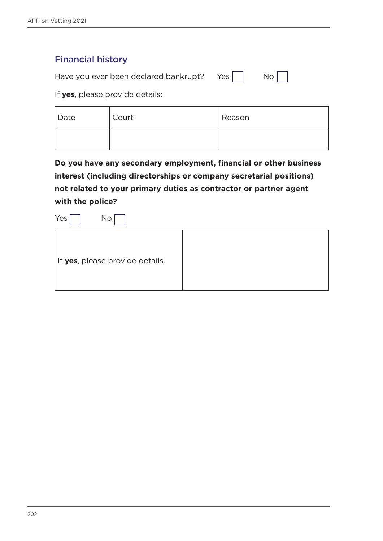## Financial history

Have you ever been declared bankrupt? Yes  $\Box$  No  $\Box$ 

| w<br>۰, |  |
|---------|--|

If **yes**, please provide details:

| Date | Court | Reason |
|------|-------|--------|
|      |       |        |

**Do you have any secondary employment, financial or other business interest (including directorships or company secretarial positions) not related to your primary duties as contractor or partner agent with the police?**

 $Yes \Box$  No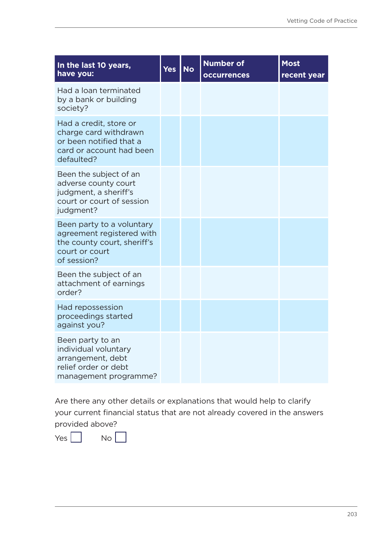| In the last 10 years,<br>have you:                                                                                     | <b>Yes</b> | <b>No</b> | <b>Number of</b><br><b>occurrences</b> | <b>Most</b><br>recent year |
|------------------------------------------------------------------------------------------------------------------------|------------|-----------|----------------------------------------|----------------------------|
| Had a loan terminated<br>by a bank or building<br>society?                                                             |            |           |                                        |                            |
| Had a credit, store or<br>charge card withdrawn<br>or been notified that a<br>card or account had been<br>defaulted?   |            |           |                                        |                            |
| Been the subject of an<br>adverse county court<br>judgment, a sheriff's<br>court or court of session<br>judgment?      |            |           |                                        |                            |
| Been party to a voluntary<br>agreement registered with<br>the county court, sheriff's<br>court or court<br>of session? |            |           |                                        |                            |
| Been the subject of an<br>attachment of earnings<br>order?                                                             |            |           |                                        |                            |
| Had repossession<br>proceedings started<br>against you?                                                                |            |           |                                        |                            |
| Been party to an<br>individual voluntary<br>arrangement, debt<br>relief order or debt<br>management programme?         |            |           |                                        |                            |

Are there any other details or explanations that would help to clarify your current financial status that are not already covered in the answers provided above?

 $Yes \Box \qquad No \Box$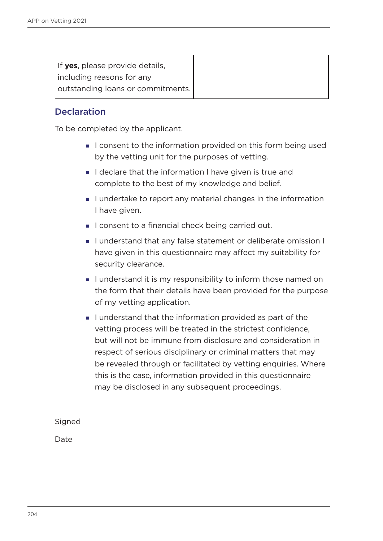| If yes, please provide details,   |
|-----------------------------------|
| including reasons for any         |
| outstanding loans or commitments. |

## **Declaration**

To be completed by the applicant.

- I consent to the information provided on this form being used by the vetting unit for the purposes of vetting.
- I declare that the information I have given is true and complete to the best of my knowledge and belief.
- I undertake to report any material changes in the information I have given.
- I consent to a financial check being carried out.
- I understand that any false statement or deliberate omission I have given in this questionnaire may affect my suitability for security clearance.
- I understand it is my responsibility to inform those named on the form that their details have been provided for the purpose of my vetting application.
- I understand that the information provided as part of the vetting process will be treated in the strictest confidence, but will not be immune from disclosure and consideration in respect of serious disciplinary or criminal matters that may be revealed through or facilitated by vetting enquiries. Where this is the case, information provided in this questionnaire may be disclosed in any subsequent proceedings.

Signed

Date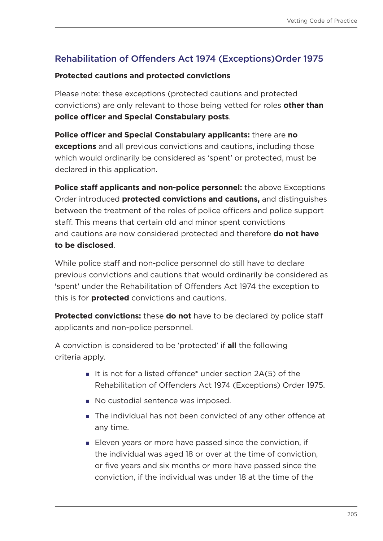# Rehabilitation of Offenders Act 1974 (Exceptions)Order 1975

#### **Protected cautions and protected convictions**

Please note: these exceptions (protected cautions and protected convictions) are only relevant to those being vetted for roles **other than police officer and Special Constabulary posts**.

**Police officer and Special Constabulary applicants:** there are **no exceptions** and all previous convictions and cautions, including those which would ordinarily be considered as 'spent' or protected, must be declared in this application.

**Police staff applicants and non-police personnel:** the above Exceptions Order introduced **protected convictions and cautions,** and distinguishes between the treatment of the roles of police officers and police support staff. This means that certain old and minor spent convictions and cautions are now considered protected and therefore **do not have to be disclosed**.

While police staff and non-police personnel do still have to declare previous convictions and cautions that would ordinarily be considered as 'spent' under the Rehabilitation of Offenders Act 1974 the exception to this is for **protected** convictions and cautions.

**Protected convictions:** these **do not** have to be declared by police staff applicants and non-police personnel.

A conviction is considered to be 'protected' if **all** the following criteria apply.

- It is not for a listed offence\* under section  $2A(5)$  of the Rehabilitation of Offenders Act 1974 (Exceptions) Order 1975.
- No custodial sentence was imposed.
- The individual has not been convicted of any other offence at any time.
- **Eleven years or more have passed since the conviction, if** the individual was aged 18 or over at the time of conviction, or five years and six months or more have passed since the conviction, if the individual was under 18 at the time of the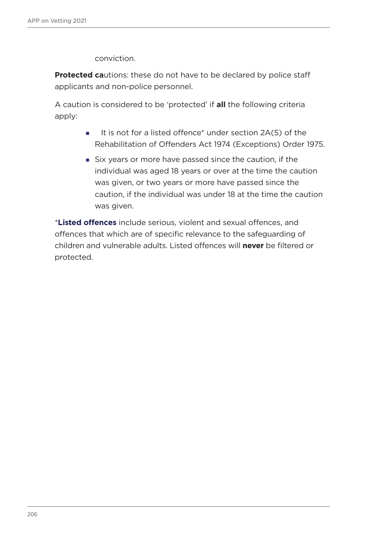conviction.

**Protected ca**utions: these do not have to be declared by police staff applicants and non-police personnel.

A caution is considered to be 'protected' if **all** the following criteria apply:

- It is not for a listed offence\* under section  $2A(5)$  of the Rehabilitation of Offenders Act 1974 (Exceptions) Order 1975.
- Six years or more have passed since the caution, if the individual was aged 18 years or over at the time the caution was given, or two years or more have passed since the caution, if the individual was under 18 at the time the caution was given.

\***Listed offences** include serious, violent and sexual offences, and offences that which are of specific relevance to the safeguarding of children and vulnerable adults. Listed offences will **never** be filtered or protected.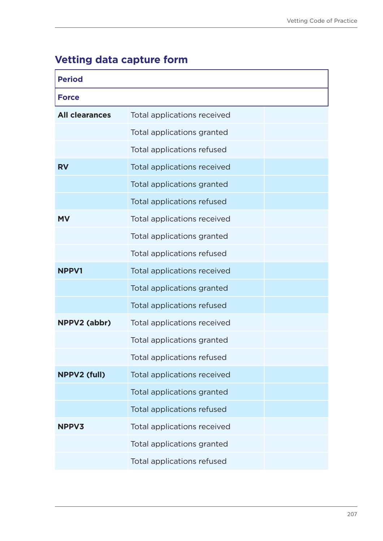# **Vetting data capture form**

| <b>Period</b>         |                             |  |  |  |
|-----------------------|-----------------------------|--|--|--|
| <b>Force</b>          |                             |  |  |  |
| <b>All clearances</b> | Total applications received |  |  |  |
|                       | Total applications granted  |  |  |  |
|                       | Total applications refused  |  |  |  |
| <b>RV</b>             | Total applications received |  |  |  |
|                       | Total applications granted  |  |  |  |
|                       | Total applications refused  |  |  |  |
| <b>MV</b>             | Total applications received |  |  |  |
|                       | Total applications granted  |  |  |  |
|                       | Total applications refused  |  |  |  |
| <b>NPPV1</b>          | Total applications received |  |  |  |
|                       | Total applications granted  |  |  |  |
|                       | Total applications refused  |  |  |  |
| NPPV2 (abbr)          | Total applications received |  |  |  |
|                       | Total applications granted  |  |  |  |
|                       | Total applications refused  |  |  |  |
| <b>NPPV2 (full)</b>   | Total applications received |  |  |  |
|                       | Total applications granted  |  |  |  |
|                       | Total applications refused  |  |  |  |
| <b>NPPV3</b>          | Total applications received |  |  |  |
|                       | Total applications granted  |  |  |  |
|                       | Total applications refused  |  |  |  |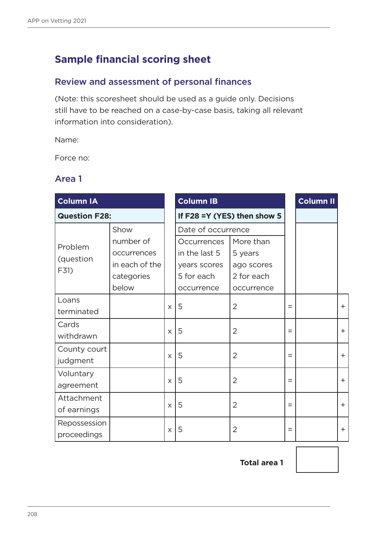# **Sample financial scoring sheet**

## Review and assessment of personal finances

(Note: this scoresheet should be used as a guide only. Decisions still have to be reached on a case-by-case basis, taking all relevant information into consideration).

Name:

Force no:

## Area 1

| <b>Column IA</b>     |                |          | <b>Column IB</b>               |                |     | <b>Column II</b> |     |
|----------------------|----------------|----------|--------------------------------|----------------|-----|------------------|-----|
| <b>Question F28:</b> |                |          | If $F28 = Y (YES)$ then show 5 |                |     |                  |     |
|                      | Show           |          | Date of occurrence             |                |     |                  |     |
| Problem              | number of      |          | <b>Occurrences</b>             | More than      |     |                  |     |
| (question            | occurrences    |          | in the last 5                  | 5 years        |     |                  |     |
| F31)                 | in each of the |          | years scores                   | ago scores     |     |                  |     |
|                      | categories     |          | 5 for each                     | 2 for each     |     |                  |     |
|                      | below          |          | occurrence                     | occurrence     |     |                  |     |
| Loans                |                | X        | 5                              | 2              | $=$ |                  | $+$ |
| terminated           |                |          |                                |                |     |                  |     |
| Cards                |                |          |                                |                |     |                  |     |
| withdrawn            |                | X        | 5                              | $\overline{2}$ | Ξ   |                  | $+$ |
| County court         |                |          |                                |                |     |                  |     |
| judgment             |                | $\times$ | 5                              | $\overline{2}$ | $=$ |                  | $+$ |
| Voluntary            |                |          |                                |                |     |                  |     |
| agreement            |                | X        | 5                              | 2              | Ξ   |                  | $+$ |
| Attachment           |                |          |                                |                |     |                  |     |
| of earnings          |                | X        | 5                              | 2              | $=$ |                  | $+$ |
| Repossession         |                |          |                                |                |     |                  |     |
| proceedings          |                | X        | 5                              | 2              | $=$ |                  | $+$ |

 **Total area 1**

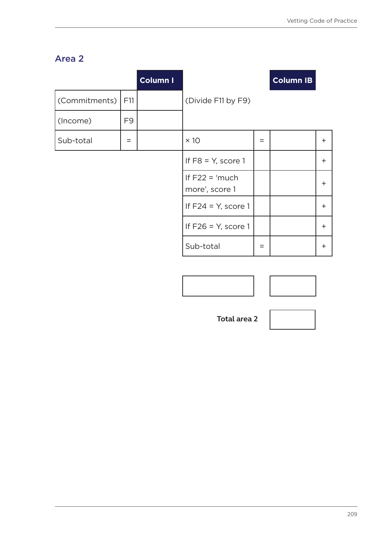# Area 2

|               |                | <b>Column I</b> |                                    |     | <b>Column IB</b> |           |
|---------------|----------------|-----------------|------------------------------------|-----|------------------|-----------|
| (Commitments) | F11            |                 | (Divide F11 by F9)                 |     |                  |           |
| (Income)      | F <sub>9</sub> |                 |                                    |     |                  |           |
| Sub-total     | $=$            |                 | $\times$ 10                        | $=$ |                  | $\pm$     |
|               |                |                 | If $F8 = Y$ , score 1              |     |                  | $\ddot{}$ |
|               |                |                 | If $F22 = 'much$<br>more', score 1 |     |                  | $\ddot{}$ |
|               |                |                 | If $F24 = Y$ , score 1             |     |                  | $\ddot{}$ |
|               |                |                 | If $F26 = Y$ , score 1             |     |                  | $\pm$     |
|               |                |                 | Sub-total                          | $=$ |                  | $\pm$     |

 **Total area 2**

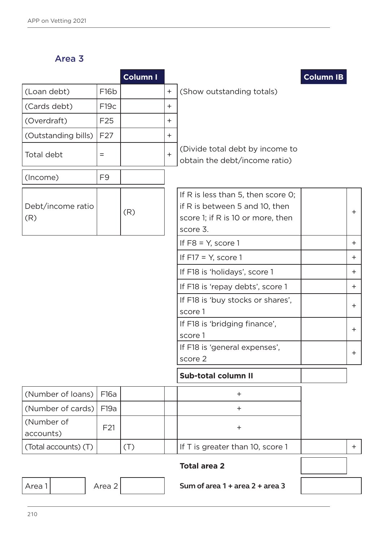Area 3

|                          |                     | Column I |           |                                                                                                                       | <b>Column IB</b> |           |
|--------------------------|---------------------|----------|-----------|-----------------------------------------------------------------------------------------------------------------------|------------------|-----------|
| (Loan debt)              | F <sub>16</sub> b   |          | $\ddot{}$ | (Show outstanding totals)                                                                                             |                  |           |
| (Cards debt)             | F <sub>19c</sub>    |          | $\ddot{}$ |                                                                                                                       |                  |           |
| (Overdraft)              | F <sub>25</sub>     |          | $\ddot{}$ |                                                                                                                       |                  |           |
| (Outstanding bills)      | F <sub>27</sub>     |          | $\ddot{}$ |                                                                                                                       |                  |           |
| Total debt               | $\qquad \qquad =$   |          | $+$       | (Divide total debt by income to<br>obtain the debt/income ratio)                                                      |                  |           |
| (Income)                 | F <sub>9</sub>      |          |           |                                                                                                                       |                  |           |
| Debt/income ratio<br>(R) |                     | (R)      |           | If R is less than 5, then score O;<br>if R is between 5 and 10, then<br>score 1; if R is 10 or more, then<br>score 3. |                  | $+$       |
|                          |                     |          |           | If $F8 = Y$ , score 1                                                                                                 |                  | $+$       |
|                          |                     |          |           | If $F17 = Y$ , score 1                                                                                                |                  | $^+$      |
|                          |                     |          |           | If F18 is 'holidays', score 1                                                                                         |                  | $+$       |
|                          |                     |          |           | If F18 is 'repay debts', score 1                                                                                      |                  | $\ddot{}$ |
|                          |                     |          |           | If F18 is 'buy stocks or shares',<br>score 1                                                                          |                  | $\ddot{}$ |
|                          |                     |          |           | If F18 is 'bridging finance',<br>score 1                                                                              |                  | $\ddot{}$ |
|                          |                     |          |           | If F18 is 'general expenses',<br>score 2                                                                              |                  | +         |
|                          |                     |          |           | <b>Sub-total column II</b>                                                                                            |                  |           |
| (Number of loans)        | F16a                |          |           | $\pm$                                                                                                                 |                  |           |
| (Number of cards)        | F19a                |          |           | $^+$                                                                                                                  |                  |           |
| (Number of<br>accounts)  | F <sub>21</sub>     |          |           | $\pm$                                                                                                                 |                  |           |
| (Total accounts) (T)     |                     | (T)      |           | If T is greater than 10, score 1                                                                                      |                  | $+$       |
|                          | <b>Total area 2</b> |          |           |                                                                                                                       |                  |           |
| Area 2<br>Area 1         |                     |          |           | Sum of area 1 + area 2 + area 3                                                                                       |                  |           |
|                          |                     |          |           |                                                                                                                       |                  |           |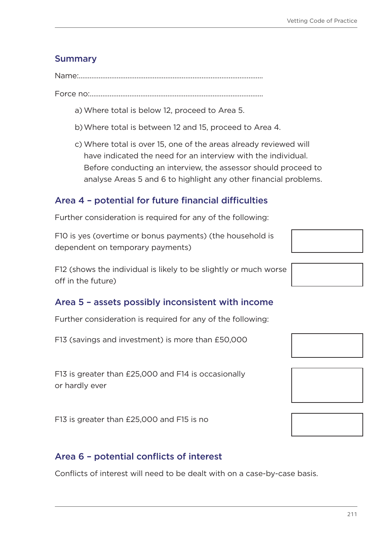## **Summary**

Name:......................................................................................................

Force no:................................................................................................

- a)Where total is below 12, proceed to Area 5.
- b)Where total is between 12 and 15, proceed to Area 4.
- c) Where total is over 15, one of the areas already reviewed will have indicated the need for an interview with the individual. Before conducting an interview, the assessor should proceed to analyse Areas 5 and 6 to highlight any other financial problems.

# Area 4 – potential for future financial difficulties

Further consideration is required for any of the following:

F10 is yes (overtime or bonus payments) (the household is dependent on temporary payments)

F12 (shows the individual is likely to be slightly or much worse off in the future)

## Area 5 – assets possibly inconsistent with income

Further consideration is required for any of the following:

F13 (savings and investment) is more than £50,000

F13 is greater than £25,000 and F14 is occasionally or hardly ever

F13 is greater than £25,000 and F15 is no

## Area 6 – potential conflicts of interest

Conflicts of interest will need to be dealt with on a case-by-case basis.



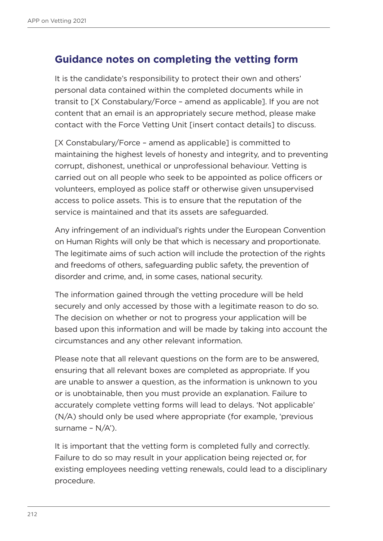# **Guidance notes on completing the vetting form**

It is the candidate's responsibility to protect their own and others' personal data contained within the completed documents while in transit to [X Constabulary/Force – amend as applicable]. If you are not content that an email is an appropriately secure method, please make contact with the Force Vetting Unit [insert contact details] to discuss.

[X Constabulary/Force – amend as applicable] is committed to maintaining the highest levels of honesty and integrity, and to preventing corrupt, dishonest, unethical or unprofessional behaviour. Vetting is carried out on all people who seek to be appointed as police officers or volunteers, employed as police staff or otherwise given unsupervised access to police assets. This is to ensure that the reputation of the service is maintained and that its assets are safeguarded.

Any infringement of an individual's rights under the European Convention on Human Rights will only be that which is necessary and proportionate. The legitimate aims of such action will include the protection of the rights and freedoms of others, safeguarding public safety, the prevention of disorder and crime, and, in some cases, national security.

The information gained through the vetting procedure will be held securely and only accessed by those with a legitimate reason to do so. The decision on whether or not to progress your application will be based upon this information and will be made by taking into account the circumstances and any other relevant information.

Please note that all relevant questions on the form are to be answered, ensuring that all relevant boxes are completed as appropriate. If you are unable to answer a question, as the information is unknown to you or is unobtainable, then you must provide an explanation. Failure to accurately complete vetting forms will lead to delays. 'Not applicable' (N/A) should only be used where appropriate (for example, 'previous surname –  $N/A$ <sup>'</sup>).

It is important that the vetting form is completed fully and correctly. Failure to do so may result in your application being rejected or, for existing employees needing vetting renewals, could lead to a disciplinary procedure.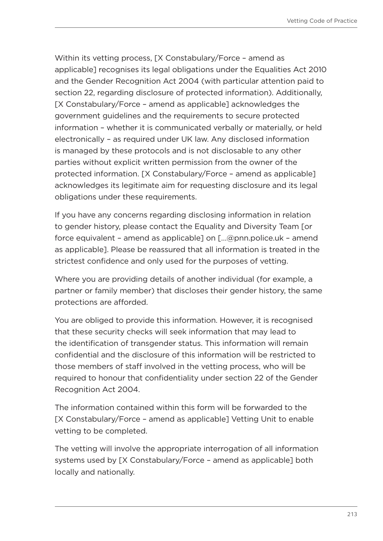Within its vetting process, [X Constabulary/Force – amend as applicable] recognises its legal obligations under the Equalities Act 2010 and the Gender Recognition Act 2004 (with particular attention paid to section 22, regarding disclosure of protected information). Additionally, [X Constabulary/Force – amend as applicable] acknowledges the government guidelines and the requirements to secure protected information – whether it is communicated verbally or materially, or held electronically – as required under UK law. Any disclosed information is managed by these protocols and is not disclosable to any other parties without explicit written permission from the owner of the protected information. [X Constabulary/Force – amend as applicable] acknowledges its legitimate aim for requesting disclosure and its legal obligations under these requirements.

If you have any concerns regarding disclosing information in relation to gender history, please contact the Equality and Diversity Team [or force equivalent – amend as applicable] on […@pnn.police.uk – amend as applicable]. Please be reassured that all information is treated in the strictest confidence and only used for the purposes of vetting.

Where you are providing details of another individual (for example, a partner or family member) that discloses their gender history, the same protections are afforded.

You are obliged to provide this information. However, it is recognised that these security checks will seek information that may lead to the identification of transgender status. This information will remain confidential and the disclosure of this information will be restricted to those members of staff involved in the vetting process, who will be required to honour that confidentiality under section 22 of the Gender Recognition Act 2004.

The information contained within this form will be forwarded to the [X Constabulary/Force – amend as applicable] Vetting Unit to enable vetting to be completed.

The vetting will involve the appropriate interrogation of all information systems used by [X Constabulary/Force – amend as applicable] both locally and nationally.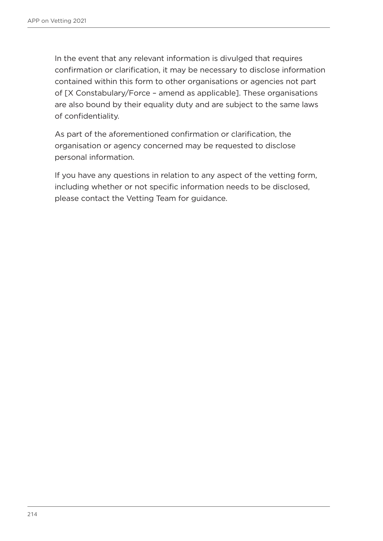In the event that any relevant information is divulged that requires confirmation or clarification, it may be necessary to disclose information contained within this form to other organisations or agencies not part of [X Constabulary/Force – amend as applicable]. These organisations are also bound by their equality duty and are subject to the same laws of confidentiality.

As part of the aforementioned confirmation or clarification, the organisation or agency concerned may be requested to disclose personal information.

If you have any questions in relation to any aspect of the vetting form, including whether or not specific information needs to be disclosed, please contact the Vetting Team for guidance.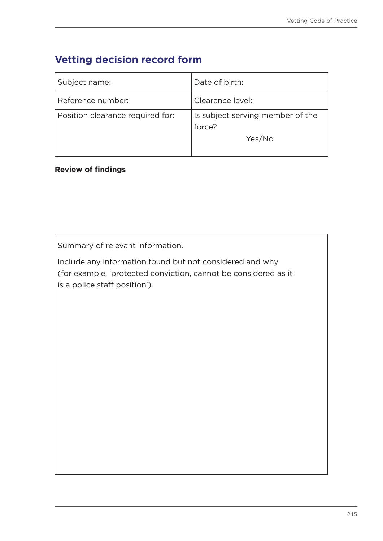# **Vetting decision record form**

| Subject name:                    | Date of birth:                             |
|----------------------------------|--------------------------------------------|
| Reference number:                | Clearance level:                           |
| Position clearance required for: | Is subject serving member of the<br>force? |
|                                  | Yes/No                                     |

### **Review of findings**

Summary of relevant information.

Include any information found but not considered and why (for example, 'protected conviction, cannot be considered as it is a police staff position').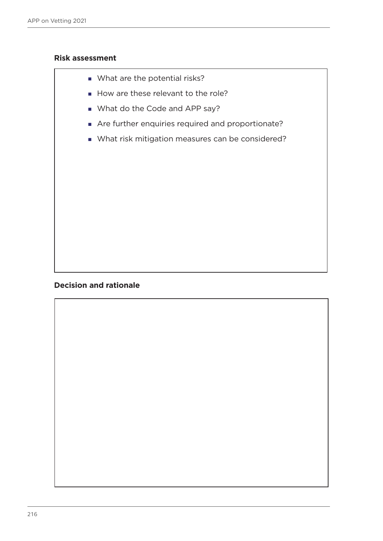#### **Risk assessment**

- What are the potential risks?
- How are these relevant to the role?
- What do the Code and APP say?
- Are further enquiries required and proportionate?
- What risk mitigation measures can be considered?

### **Decision and rationale**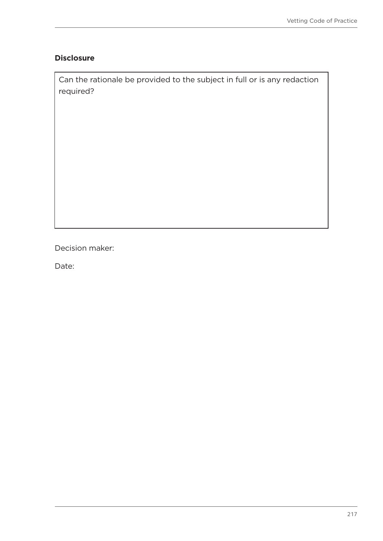### **Disclosure**

Can the rationale be provided to the subject in full or is any redaction required?

Decision maker:

Date: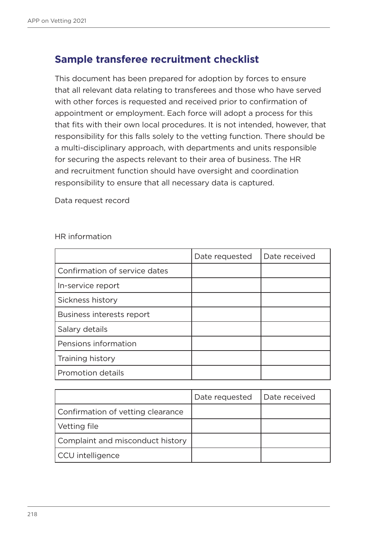## **Sample transferee recruitment checklist**

This document has been prepared for adoption by forces to ensure that all relevant data relating to transferees and those who have served with other forces is requested and received prior to confirmation of appointment or employment. Each force will adopt a process for this that fits with their own local procedures. It is not intended, however, that responsibility for this falls solely to the vetting function. There should be a multi-disciplinary approach, with departments and units responsible for securing the aspects relevant to their area of business. The HR and recruitment function should have oversight and coordination responsibility to ensure that all necessary data is captured.

Data request record

HR information

|                               | Date requested | Date received |
|-------------------------------|----------------|---------------|
| Confirmation of service dates |                |               |
| In-service report             |                |               |
| Sickness history              |                |               |
| Business interests report     |                |               |
| Salary details                |                |               |
| Pensions information          |                |               |
| Training history              |                |               |
| <b>Promotion details</b>      |                |               |

|                                   | Date requested | Date received |
|-----------------------------------|----------------|---------------|
| Confirmation of vetting clearance |                |               |
| Vetting file                      |                |               |
| Complaint and misconduct history  |                |               |
| CCU intelligence                  |                |               |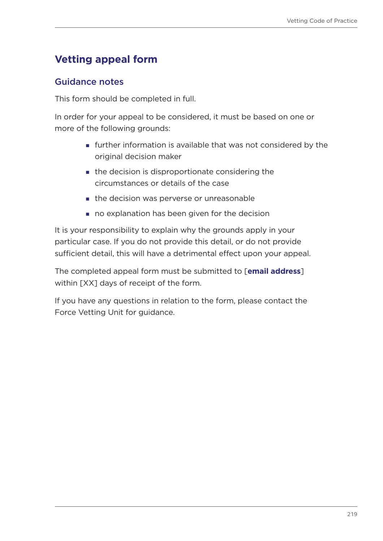# <span id="page-218-0"></span>**Vetting appeal form**

## Guidance notes

This form should be completed in full.

In order for your appeal to be considered, it must be based on one or more of the following grounds:

- further information is available that was not considered by the original decision maker
- **the decision is disproportionate considering the** circumstances or details of the case
- **the decision was perverse or unreasonable**
- no explanation has been given for the decision

It is your responsibility to explain why the grounds apply in your particular case. If you do not provide this detail, or do not provide sufficient detail, this will have a detrimental effect upon your appeal.

The completed appeal form must be submitted to [**email address**] within [XX] days of receipt of the form.

If you have any questions in relation to the form, please contact the Force Vetting Unit for guidance.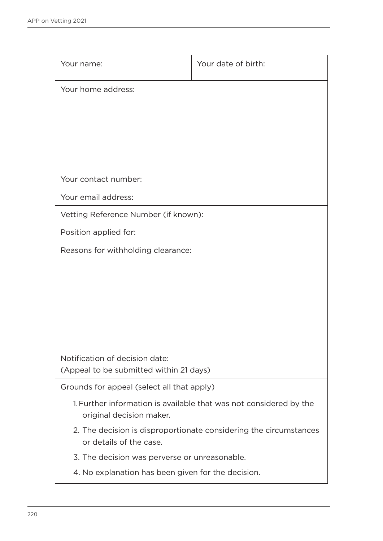| Your name:                                         | Your date of birth:                                                |
|----------------------------------------------------|--------------------------------------------------------------------|
| Your home address:                                 |                                                                    |
|                                                    |                                                                    |
|                                                    |                                                                    |
|                                                    |                                                                    |
|                                                    |                                                                    |
| Your contact number:                               |                                                                    |
| Your email address:                                |                                                                    |
| Vetting Reference Number (if known):               |                                                                    |
| Position applied for:                              |                                                                    |
| Reasons for withholding clearance:                 |                                                                    |
|                                                    |                                                                    |
|                                                    |                                                                    |
|                                                    |                                                                    |
|                                                    |                                                                    |
|                                                    |                                                                    |
| Notification of decision date:                     |                                                                    |
| (Appeal to be submitted within 21 days)            |                                                                    |
| Grounds for appeal (select all that apply)         |                                                                    |
| original decision maker.                           | 1. Further information is available that was not considered by the |
| or details of the case.                            | 2. The decision is disproportionate considering the circumstances  |
| 3. The decision was perverse or unreasonable.      |                                                                    |
| 4. No explanation has been given for the decision. |                                                                    |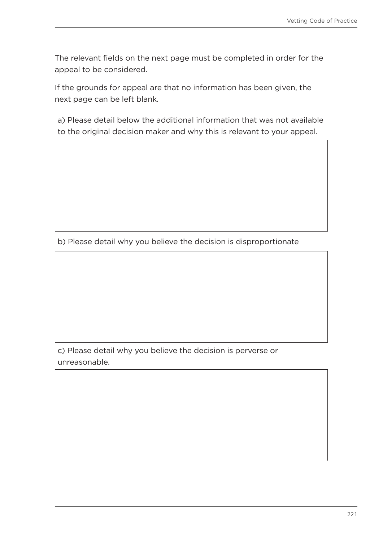The relevant fields on the next page must be completed in order for the appeal to be considered.

If the grounds for appeal are that no information has been given, the next page can be left blank.

a) Please detail below the additional information that was not available to the original decision maker and why this is relevant to your appeal.

b) Please detail why you believe the decision is disproportionate

c) Please detail why you believe the decision is perverse or unreasonable.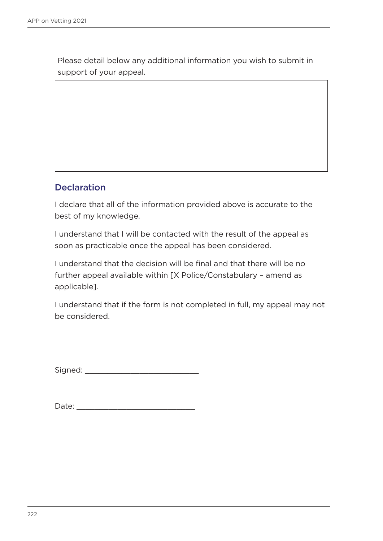Please detail below any additional information you wish to submit in support of your appeal.

## Declaration

I declare that all of the information provided above is accurate to the best of my knowledge.

I understand that I will be contacted with the result of the appeal as soon as practicable once the appeal has been considered.

I understand that the decision will be final and that there will be no further appeal available within [X Police/Constabulary – amend as applicable].

I understand that if the form is not completed in full, my appeal may not be considered.

Signed: \_\_\_\_\_\_\_\_\_\_\_\_\_\_\_\_\_\_\_\_\_\_\_\_\_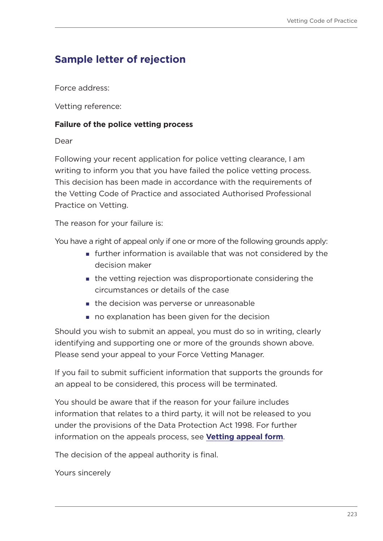## **Sample letter of rejection**

Force address:

Vetting reference:

#### **Failure of the police vetting process**

Dear

Following your recent application for police vetting clearance, I am writing to inform you that you have failed the police vetting process. This decision has been made in accordance with the requirements of the Vetting Code of Practice and associated Authorised Professional Practice on Vetting.

The reason for your failure is:

You have a right of appeal only if one or more of the following grounds apply:

- further information is available that was not considered by the decision maker
- the vetting rejection was disproportionate considering the circumstances or details of the case
- the decision was perverse or unreasonable
- no explanation has been given for the decision

Should you wish to submit an appeal, you must do so in writing, clearly identifying and supporting one or more of the grounds shown above. Please send your appeal to your Force Vetting Manager.

If you fail to submit sufficient information that supports the grounds for an appeal to be considered, this process will be terminated.

You should be aware that if the reason for your failure includes information that relates to a third party, it will not be released to you under the provisions of the Data Protection Act 1998. For further information on the appeals process, see **[Vetting appeal form](#page-218-0)**.

The decision of the appeal authority is final.

Yours sincerely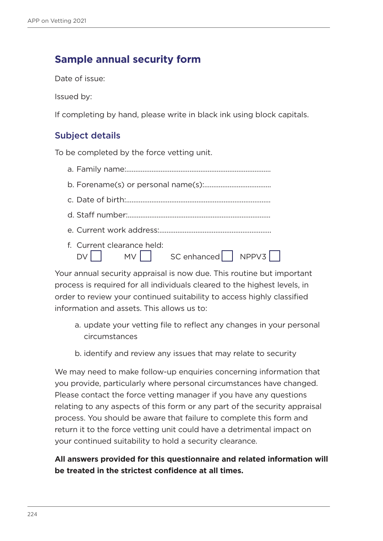## **Sample annual security form**

Date of issue:

Issued by:

If completing by hand, please write in black ink using block capitals.

## Subject details

To be completed by the force vetting unit.

| f. Current clearance held: | $DV \Box$ MV $S$ C enhanced $N$ NPPV3 |
|----------------------------|---------------------------------------|

Your annual security appraisal is now due. This routine but important process is required for all individuals cleared to the highest levels, in order to review your continued suitability to access highly classified information and assets. This allows us to:

- a. update your vetting file to reflect any changes in your personal circumstances
- b. identify and review any issues that may relate to security

We may need to make follow-up enquiries concerning information that you provide, particularly where personal circumstances have changed. Please contact the force vetting manager if you have any questions relating to any aspects of this form or any part of the security appraisal process. You should be aware that failure to complete this form and return it to the force vetting unit could have a detrimental impact on your continued suitability to hold a security clearance.

### **All answers provided for this questionnaire and related information will be treated in the strictest confidence at all times.**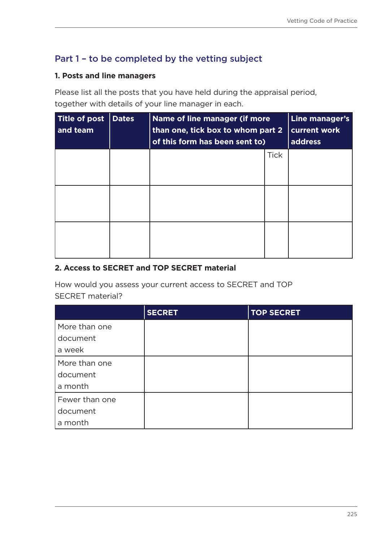## Part 1 – to be completed by the vetting subject

### **1. Posts and line managers**

Please list all the posts that you have held during the appraisal period, together with details of your line manager in each.

| <b>Title of post</b><br>and team | <b>Dates</b> | Name of line manager (if more<br>than one, tick box to whom part 2<br>of this form has been sent to) |             | Line manager's<br>current work<br>address |
|----------------------------------|--------------|------------------------------------------------------------------------------------------------------|-------------|-------------------------------------------|
|                                  |              |                                                                                                      | <b>Tick</b> |                                           |
|                                  |              |                                                                                                      |             |                                           |
|                                  |              |                                                                                                      |             |                                           |

### **2. Access to SECRET and TOP SECRET material**

How would you assess your current access to SECRET and TOP SECRET material?

|                | <b>SECRET</b> | <b>TOP SECRET</b> |
|----------------|---------------|-------------------|
| More than one  |               |                   |
| document       |               |                   |
| a week         |               |                   |
| More than one  |               |                   |
| document       |               |                   |
| a month        |               |                   |
| Fewer than one |               |                   |
| document       |               |                   |
| a month        |               |                   |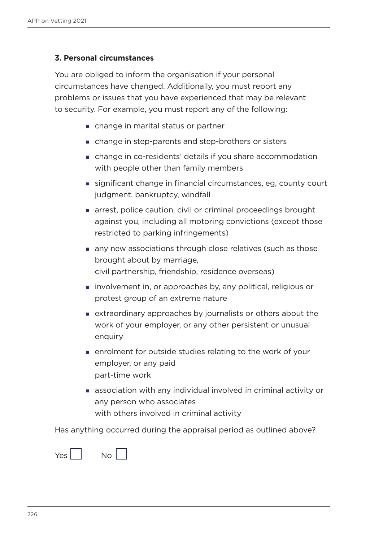### **3. Personal circumstances**

You are obliged to inform the organisation if your personal circumstances have changed. Additionally, you must report any problems or issues that you have experienced that may be relevant to security. For example, you must report any of the following:

- change in marital status or partner
- change in step-parents and step-brothers or sisters
- change in co-residents' details if you share accommodation with people other than family members
- significant change in financial circumstances, eg, county court judgment, bankruptcy, windfall
- arrest, police caution, civil or criminal proceedings brought against you, including all motoring convictions (except those restricted to parking infringements)
- any new associations through close relatives (such as those brought about by marriage, civil partnership, friendship, residence overseas)
- **involvement in, or approaches by, any political, religious or** protest group of an extreme nature
- extraordinary approaches by journalists or others about the work of your employer, or any other persistent or unusual enquiry
- enrolment for outside studies relating to the work of your employer, or any paid part-time work
- association with any individual involved in criminal activity or any person who associates with others involved in criminal activity

Has anything occurred during the appraisal period as outlined above?

 $Yes$   $\begin{vmatrix} 1 & 1 \\ 1 & 1 \end{vmatrix}$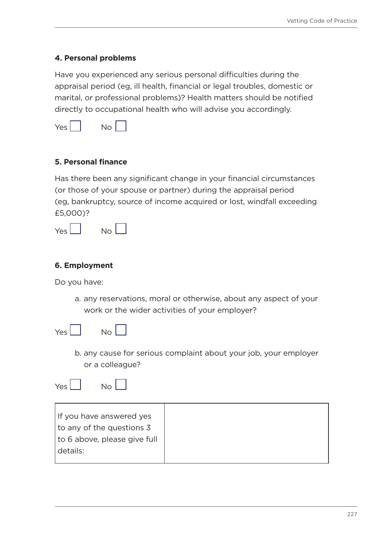### **4. Personal problems**

Have you experienced any serious personal difficulties during the appraisal period (eg, ill health, financial or legal troubles, domestic or marital, or professional problems)? Health matters should be notified directly to occupational health who will advise you accordingly.

| Nη<br>⊃⊂ |  |
|----------|--|
|----------|--|

### **5. Personal finance**

Has there been any significant change in your financial circumstances (or those of your spouse or partner) during the appraisal period (eg, bankruptcy, source of income acquired or lost, windfall exceeding £5,000)?

| ′≏< | Nη |  |
|-----|----|--|
|-----|----|--|

### **6. Employment**

Do you have:

a. any reservations, moral or otherwise, about any aspect of your work or the wider activities of your employer?



| I |  |
|---|--|

b. any cause for serious complaint about your job, your employer or a colleague?

 $Yes |$  No  $\Box$ 



| If you have answered yes     |
|------------------------------|
| to any of the questions 3    |
| to 6 above, please give full |
| details:                     |
|                              |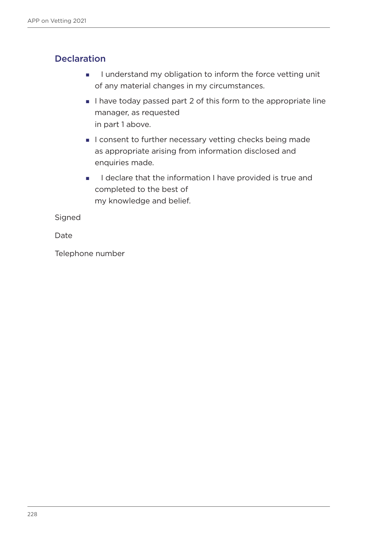## **Declaration**

- I understand my obligation to inform the force vetting unit of any material changes in my circumstances.
- I have today passed part 2 of this form to the appropriate line manager, as requested in part 1 above.
- I consent to further necessary vetting checks being made as appropriate arising from information disclosed and enquiries made.
- I declare that the information I have provided is true and completed to the best of my knowledge and belief.

Signed

Date

Telephone number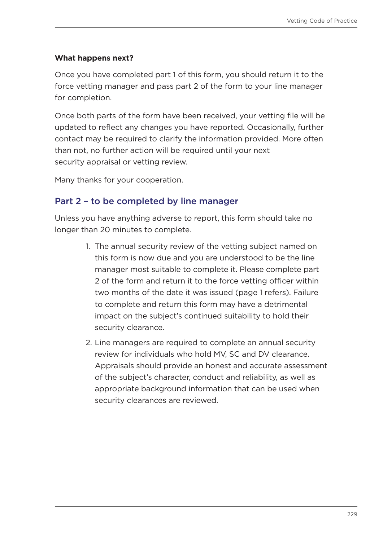### **What happens next?**

Once you have completed part 1 of this form, you should return it to the force vetting manager and pass part 2 of the form to your line manager for completion.

Once both parts of the form have been received, your vetting file will be updated to reflect any changes you have reported. Occasionally, further contact may be required to clarify the information provided. More often than not, no further action will be required until your next security appraisal or vetting review.

Many thanks for your cooperation.

### Part 2 – to be completed by line manager

Unless you have anything adverse to report, this form should take no longer than 20 minutes to complete.

- 1. The annual security review of the vetting subject named on this form is now due and you are understood to be the line manager most suitable to complete it. Please complete part 2 of the form and return it to the force vetting officer within two months of the date it was issued (page 1 refers). Failure to complete and return this form may have a detrimental impact on the subject's continued suitability to hold their security clearance.
- 2. Line managers are required to complete an annual security review for individuals who hold MV, SC and DV clearance. Appraisals should provide an honest and accurate assessment of the subject's character, conduct and reliability, as well as appropriate background information that can be used when security clearances are reviewed.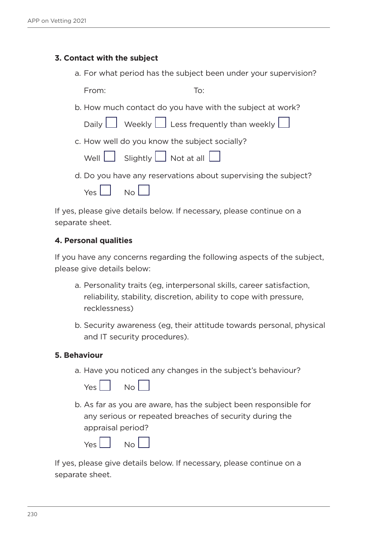### **3. Contact with the subject**

a. For what period has the subject been under your supervision?

From: To:

b. How much contact do you have with the subject at work?

| ⊥ Less frequently than weekly | Daily L |  | Weekly L |  |  |  |  |  |
|-------------------------------|---------|--|----------|--|--|--|--|--|
|-------------------------------|---------|--|----------|--|--|--|--|--|

c. How well do you know the subject socially?

| Well L | Slightly L | $\Box$ Not at all |
|--------|------------|-------------------|
|        |            |                   |

d. Do you have any reservations about supervising the subject?

| Yes. | Nο |  |
|------|----|--|
|      |    |  |

If yes, please give details below. If necessary, please continue on a separate sheet.

### **4. Personal qualities**

If you have any concerns regarding the following aspects of the subject, please give details below:

- a. Personality traits (eg, interpersonal skills, career satisfaction, reliability, stability, discretion, ability to cope with pressure, recklessness)
- b. Security awareness (eg, their attitude towards personal, physical and IT security procedures).

#### **5. Behaviour**

a. Have you noticed any changes in the subject's behaviour?



b. As far as you are aware, has the subject been responsible for any serious or repeated breaches of security during the appraisal period?

| /۵۲ | Nο |  |
|-----|----|--|
|     |    |  |

If yes, please give details below. If necessary, please continue on a separate sheet.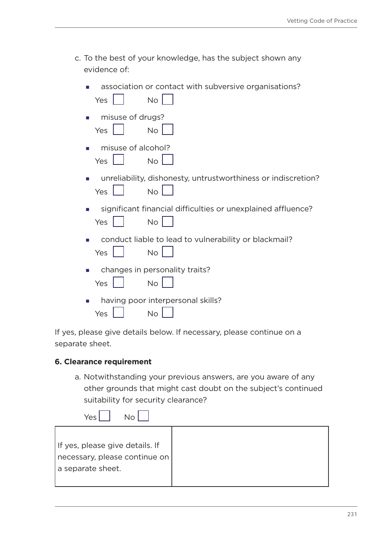c. To the best of your knowledge, has the subject shown any evidence of:

| association or contact with subversive organisations?<br><b>No</b><br>Yes         |
|-----------------------------------------------------------------------------------|
| misuse of drugs?<br><b>No</b><br><b>Yes</b>                                       |
| misuse of alcohol?<br>п<br><b>No</b><br>Yes                                       |
| unreliability, dishonesty, untrustworthiness or indiscretion?<br><b>No</b><br>Yes |
| significant financial difficulties or unexplained affluence?<br><b>No</b><br>Yes  |
| conduct liable to lead to vulnerability or blackmail?<br><b>No</b><br>Yes         |
| changes in personality traits?<br><b>No</b><br>Yes                                |
| having poor interpersonal skills?<br>No<br>Yes                                    |

If yes, please give details below. If necessary, please continue on a separate sheet.

#### **6. Clearance requirement**

a. Notwithstanding your previous answers, are you aware of any other grounds that might cast doubt on the subject's continued suitability for security clearance?

| No<br>Yes                                                                                 |  |
|-------------------------------------------------------------------------------------------|--|
| If yes, please give details. If<br>  necessary, please continue on  <br>a separate sheet. |  |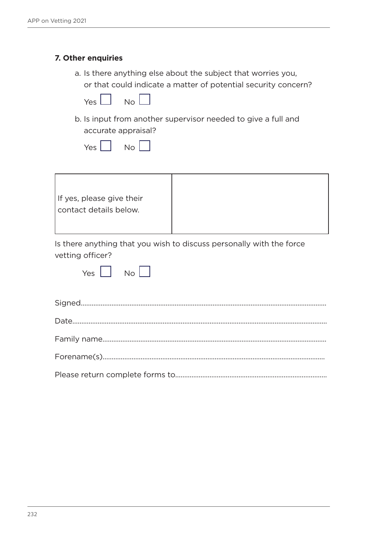### **7. Other enquiries**

a. Is there anything else about the subject that worries you, or that could indicate a matter of potential security concern?

| Yes. | Nη |  |
|------|----|--|
|      |    |  |

b. Is input from another supervisor needed to give a full and accurate appraisal?

| Yes | Nn |  |
|-----|----|--|
|     |    |  |



Is there anything that you wish to discuss personally with the force vetting officer?

|  | Nη |  |
|--|----|--|
|  |    |  |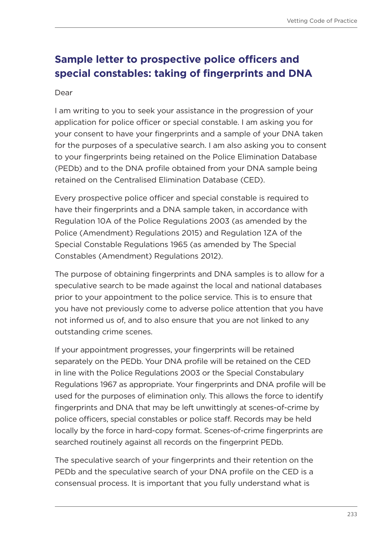## **Sample letter to prospective police officers and special constables: taking of fingerprints and DNA**

#### Dear

I am writing to you to seek your assistance in the progression of your application for police officer or special constable. I am asking you for your consent to have your fingerprints and a sample of your DNA taken for the purposes of a speculative search. I am also asking you to consent to your fingerprints being retained on the Police Elimination Database (PEDb) and to the DNA profile obtained from your DNA sample being retained on the Centralised Elimination Database (CED).

Every prospective police officer and special constable is required to have their fingerprints and a DNA sample taken, in accordance with Regulation 10A of the Police Regulations 2003 (as amended by the Police (Amendment) Regulations 2015) and Regulation 1ZA of the Special Constable Regulations 1965 (as amended by The Special Constables (Amendment) Regulations 2012).

The purpose of obtaining fingerprints and DNA samples is to allow for a speculative search to be made against the local and national databases prior to your appointment to the police service. This is to ensure that you have not previously come to adverse police attention that you have not informed us of, and to also ensure that you are not linked to any outstanding crime scenes.

If your appointment progresses, your fingerprints will be retained separately on the PEDb. Your DNA profile will be retained on the CED in line with the Police Regulations 2003 or the Special Constabulary Regulations 1967 as appropriate. Your fingerprints and DNA profile will be used for the purposes of elimination only. This allows the force to identify fingerprints and DNA that may be left unwittingly at scenes-of-crime by police officers, special constables or police staff. Records may be held locally by the force in hard-copy format. Scenes-of-crime fingerprints are searched routinely against all records on the fingerprint PEDb.

The speculative search of your fingerprints and their retention on the PEDb and the speculative search of your DNA profile on the CED is a consensual process. It is important that you fully understand what is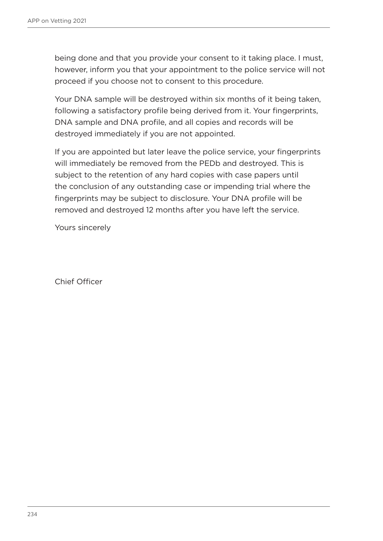being done and that you provide your consent to it taking place. I must, however, inform you that your appointment to the police service will not proceed if you choose not to consent to this procedure.

Your DNA sample will be destroyed within six months of it being taken, following a satisfactory profile being derived from it. Your fingerprints, DNA sample and DNA profile, and all copies and records will be destroyed immediately if you are not appointed.

If you are appointed but later leave the police service, your fingerprints will immediately be removed from the PEDb and destroyed. This is subject to the retention of any hard copies with case papers until the conclusion of any outstanding case or impending trial where the fingerprints may be subject to disclosure. Your DNA profile will be removed and destroyed 12 months after you have left the service.

Yours sincerely

Chief Officer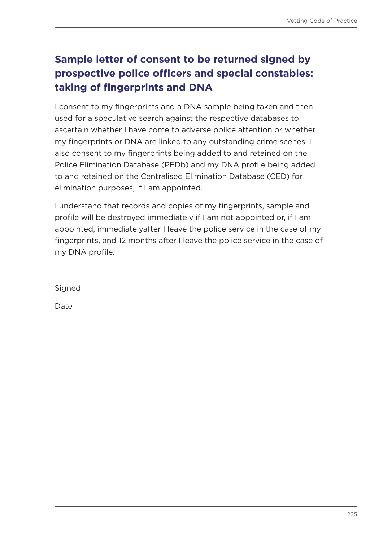# **Sample letter of consent to be returned signed by prospective police officers and special constables: taking of fingerprints and DNA**

I consent to my fingerprints and a DNA sample being taken and then used for a speculative search against the respective databases to ascertain whether I have come to adverse police attention or whether my fingerprints or DNA are linked to any outstanding crime scenes. I also consent to my fingerprints being added to and retained on the Police Elimination Database (PEDb) and my DNA profile being added to and retained on the Centralised Elimination Database (CED) for elimination purposes, if I am appointed.

I understand that records and copies of my fingerprints, sample and profile will be destroyed immediately if I am not appointed or, if I am appointed, immediatelyafter I leave the police service in the case of my fingerprints, and 12 months after I leave the police service in the case of my DNA profile.

Signed

Date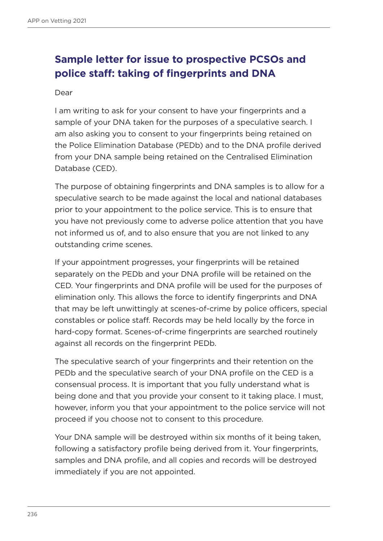# **Sample letter for issue to prospective PCSOs and police staff: taking of fingerprints and DNA**

#### Dear

I am writing to ask for your consent to have your fingerprints and a sample of your DNA taken for the purposes of a speculative search. I am also asking you to consent to your fingerprints being retained on the Police Elimination Database (PEDb) and to the DNA profile derived from your DNA sample being retained on the Centralised Elimination Database (CED).

The purpose of obtaining fingerprints and DNA samples is to allow for a speculative search to be made against the local and national databases prior to your appointment to the police service. This is to ensure that you have not previously come to adverse police attention that you have not informed us of, and to also ensure that you are not linked to any outstanding crime scenes.

If your appointment progresses, your fingerprints will be retained separately on the PEDb and your DNA profile will be retained on the CED. Your fingerprints and DNA profile will be used for the purposes of elimination only. This allows the force to identify fingerprints and DNA that may be left unwittingly at scenes-of-crime by police officers, special constables or police staff. Records may be held locally by the force in hard-copy format. Scenes-of-crime fingerprints are searched routinely against all records on the fingerprint PEDb.

The speculative search of your fingerprints and their retention on the PEDb and the speculative search of your DNA profile on the CED is a consensual process. It is important that you fully understand what is being done and that you provide your consent to it taking place. I must, however, inform you that your appointment to the police service will not proceed if you choose not to consent to this procedure.

Your DNA sample will be destroyed within six months of it being taken, following a satisfactory profile being derived from it. Your fingerprints, samples and DNA profile, and all copies and records will be destroyed immediately if you are not appointed.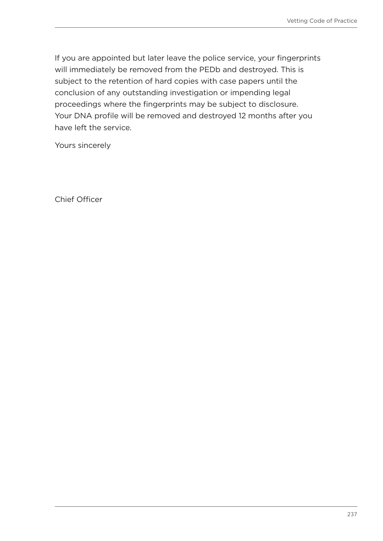If you are appointed but later leave the police service, your fingerprints will immediately be removed from the PEDb and destroyed. This is subject to the retention of hard copies with case papers until the conclusion of any outstanding investigation or impending legal proceedings where the fingerprints may be subject to disclosure. Your DNA profile will be removed and destroyed 12 months after you have left the service.

Yours sincerely

Chief Officer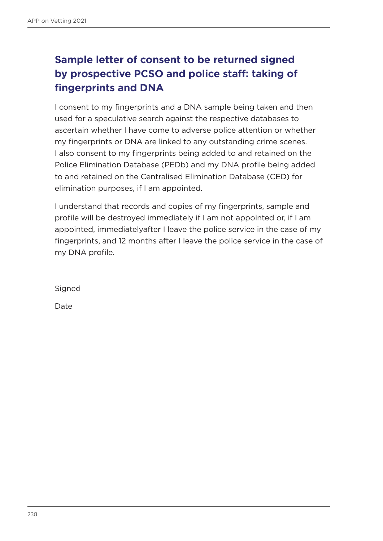# **Sample letter of consent to be returned signed by prospective PCSO and police staff: taking of fingerprints and DNA**

I consent to my fingerprints and a DNA sample being taken and then used for a speculative search against the respective databases to ascertain whether I have come to adverse police attention or whether my fingerprints or DNA are linked to any outstanding crime scenes. I also consent to my fingerprints being added to and retained on the Police Elimination Database (PEDb) and my DNA profile being added to and retained on the Centralised Elimination Database (CED) for elimination purposes, if I am appointed.

I understand that records and copies of my fingerprints, sample and profile will be destroyed immediately if I am not appointed or, if I am appointed, immediatelyafter I leave the police service in the case of my fingerprints, and 12 months after I leave the police service in the case of my DNA profile.

Signed

Date